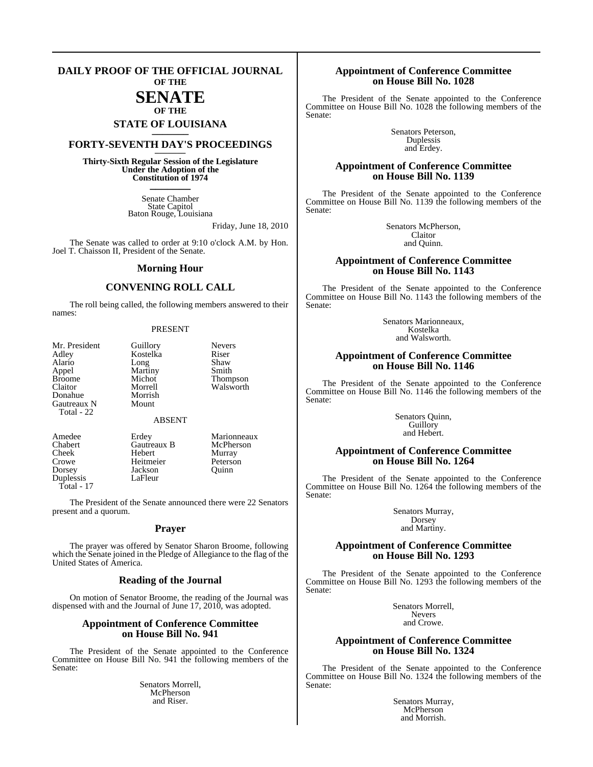#### **DAILY PROOF OF THE OFFICIAL JOURNAL OF THE**

## **SENATE**

### **OF THE STATE OF LOUISIANA \_\_\_\_\_\_\_**

### **FORTY-SEVENTH DAY'S PROCEEDINGS \_\_\_\_\_\_\_**

**Thirty-Sixth Regular Session of the Legislature Under the Adoption of the Constitution of 1974 \_\_\_\_\_\_\_**

> Senate Chamber State Capitol Baton Rouge, Louisiana

> > Friday, June 18, 2010

The Senate was called to order at 9:10 o'clock A.M. by Hon. Joel T. Chaisson II, President of the Senate.

#### **Morning Hour**

#### **CONVENING ROLL CALL**

The roll being called, the following members answered to their names:

#### PRESENT

| Mr. President |
|---------------|
| Adley         |
| Alario        |
| Appel         |
| <b>Broome</b> |
| Claitor       |
| Donahue       |
| Gautreaux N   |
| Total - 22    |

Kostelka Riser<br>Long Shaw Long Shaw<br>Martiny Smith Martiny<br>Michot Michot Thompson<br>Morrell Walsworth Morrish

Walsworth

Guillory Nevers<br>Kostelka Riser

#### ABSENT

Mount

Duplessis Total - 17

Amedee Erdey Marionneaux<br>
Chabert Gautreaux B McPherson Chabert Gautreaux B McPher<br>Cheek Hebert Murray Hebert Crowe Heitmeier Peterson<br>
Dorsey Jackson Quinn Jackson<br>LaFleur

The President of the Senate announced there were 22 Senators present and a quorum.

#### **Prayer**

The prayer was offered by Senator Sharon Broome, following which the Senate joined in the Pledge of Allegiance to the flag of the United States of America.

#### **Reading of the Journal**

On motion of Senator Broome, the reading of the Journal was dispensed with and the Journal of June 17, 2010, was adopted.

#### **Appointment of Conference Committee on House Bill No. 941**

The President of the Senate appointed to the Conference Committee on House Bill No. 941 the following members of the Senate:

> Senators Morrell, McPherson and Riser.

#### **Appointment of Conference Committee on House Bill No. 1028**

The President of the Senate appointed to the Conference Committee on House Bill No. 1028 the following members of the Senate:

> Senators Peterson, Duplessis and Erdey.

#### **Appointment of Conference Committee on House Bill No. 1139**

The President of the Senate appointed to the Conference Committee on House Bill No. 1139 the following members of the Senate:

> Senators McPherson, Claitor and Quinn.

#### **Appointment of Conference Committee on House Bill No. 1143**

The President of the Senate appointed to the Conference Committee on House Bill No. 1143 the following members of the Senate:

> Senators Marionneaux, Kostelka and Walsworth.

#### **Appointment of Conference Committee on House Bill No. 1146**

The President of the Senate appointed to the Conference Committee on House Bill No. 1146 the following members of the Senate:

> Senators Quinn, Guillory and Hebert.

#### **Appointment of Conference Committee on House Bill No. 1264**

The President of the Senate appointed to the Conference Committee on House Bill No. 1264 the following members of the Senate:

> Senators Murray, Dorsey and Martiny.

#### **Appointment of Conference Committee on House Bill No. 1293**

The President of the Senate appointed to the Conference Committee on House Bill No. 1293 the following members of the Senate:

> Senators Morrell, Nevers and Crowe.

#### **Appointment of Conference Committee on House Bill No. 1324**

The President of the Senate appointed to the Conference Committee on House Bill No. 1324 the following members of the Senate:

> Senators Murray, McPherson and Morrish.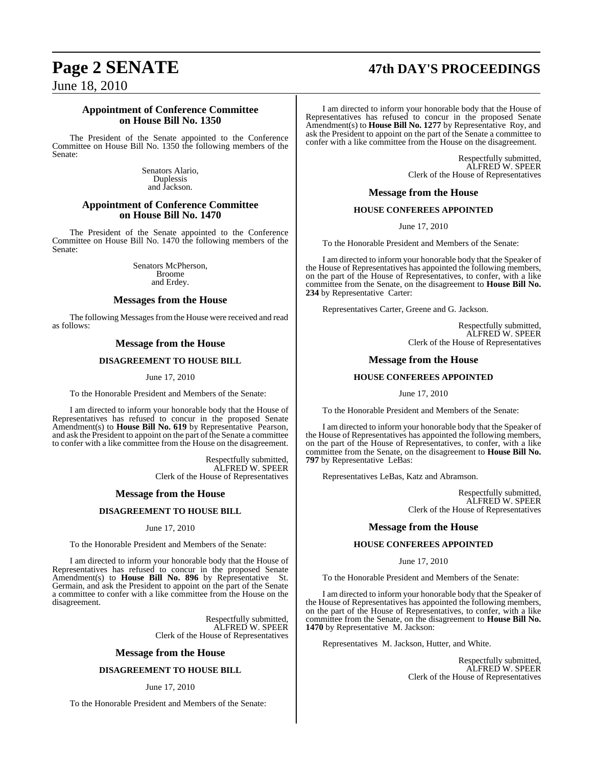### **Page 2 SENATE 47th DAY'S PROCEEDINGS**

June 18, 2010

#### **Appointment of Conference Committee on House Bill No. 1350**

The President of the Senate appointed to the Conference Committee on House Bill No. 1350 the following members of the Senate:

> Senators Alario, Duplessis and Jackson.

#### **Appointment of Conference Committee on House Bill No. 1470**

The President of the Senate appointed to the Conference Committee on House Bill No. 1470 the following members of the Senate:

> Senators McPherson, Broome and Erdey.

#### **Messages from the House**

The following Messages from the House were received and read as follows:

#### **Message from the House**

#### **DISAGREEMENT TO HOUSE BILL**

#### June 17, 2010

To the Honorable President and Members of the Senate:

I am directed to inform your honorable body that the House of Representatives has refused to concur in the proposed Senate Amendment(s) to **House Bill No. 619** by Representative Pearson, and ask the President to appoint on the part of the Senate a committee to confer with a like committee from the House on the disagreement.

> Respectfully submitted, ALFRED W. SPEER Clerk of the House of Representatives

#### **Message from the House**

#### **DISAGREEMENT TO HOUSE BILL**

June 17, 2010

To the Honorable President and Members of the Senate:

I am directed to inform your honorable body that the House of Representatives has refused to concur in the proposed Senate Amendment(s) to **House Bill No. 896** by Representative St. Germain, and ask the President to appoint on the part of the Senate a committee to confer with a like committee from the House on the disagreement.

> Respectfully submitted, ALFRED W. SPEER Clerk of the House of Representatives

#### **Message from the House**

#### **DISAGREEMENT TO HOUSE BILL**

#### June 17, 2010

To the Honorable President and Members of the Senate:

I am directed to inform your honorable body that the House of Representatives has refused to concur in the proposed Senate Amendment(s) to **House Bill No. 1277** by Representative Roy, and ask the President to appoint on the part of the Senate a committee to confer with a like committee from the House on the disagreement.

> Respectfully submitted, ALFRED W. SPEER Clerk of the House of Representatives

**Message from the House**

#### **HOUSE CONFEREES APPOINTED**

June 17, 2010

To the Honorable President and Members of the Senate:

I am directed to inform your honorable body that the Speaker of the House of Representatives has appointed the following members, on the part of the House of Representatives, to confer, with a like committee from the Senate, on the disagreement to **House Bill No. 234** by Representative Carter:

Representatives Carter, Greene and G. Jackson.

Respectfully submitted, ALFRED W. SPEER Clerk of the House of Representatives

#### **Message from the House**

#### **HOUSE CONFEREES APPOINTED**

June 17, 2010

To the Honorable President and Members of the Senate:

I am directed to inform your honorable body that the Speaker of the House of Representatives has appointed the following members, on the part of the House of Representatives, to confer, with a like committee from the Senate, on the disagreement to **House Bill No. 797** by Representative LeBas:

Representatives LeBas, Katz and Abramson.

Respectfully submitted, ALFRED W. SPEER Clerk of the House of Representatives

#### **Message from the House**

#### **HOUSE CONFEREES APPOINTED**

June 17, 2010

To the Honorable President and Members of the Senate:

I am directed to inform your honorable body that the Speaker of the House of Representatives has appointed the following members, on the part of the House of Representatives, to confer, with a like committee from the Senate, on the disagreement to **House Bill No. 1470** by Representative M. Jackson:

Representatives M. Jackson, Hutter, and White.

Respectfully submitted, ALFRED W. SPEER Clerk of the House of Representatives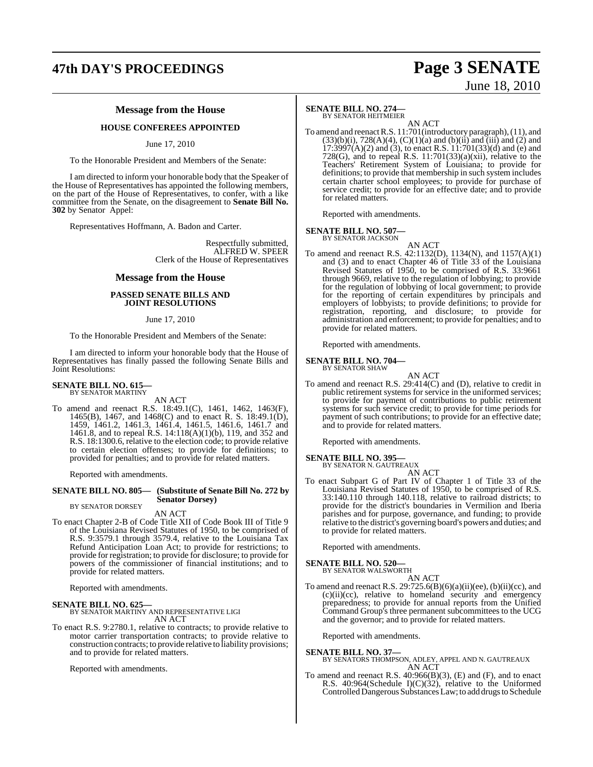### **47th DAY'S PROCEEDINGS Page 3 SENATE**

# June 18, 2010

### **Message from the House**

#### **HOUSE CONFEREES APPOINTED**

June 17, 2010

To the Honorable President and Members of the Senate:

I am directed to inform your honorable body that the Speaker of the House of Representatives has appointed the following members, on the part of the House of Representatives, to confer, with a like committee from the Senate, on the disagreement to **Senate Bill No. 302** by Senator Appel:

Representatives Hoffmann, A. Badon and Carter.

Respectfully submitted, ALFRED W. SPEER Clerk of the House of Representatives

#### **Message from the House**

#### **PASSED SENATE BILLS AND JOINT RESOLUTIONS**

#### June 17, 2010

To the Honorable President and Members of the Senate:

I am directed to inform your honorable body that the House of Representatives has finally passed the following Senate Bills and Joint Resolutions:

#### **SENATE BILL NO. 615** BY SENATOR MARTINY

AN ACT

To amend and reenact R.S. 18:49.1(C), 1461, 1462, 1463(F), 1465(B), 1467, and 1468(C) and to enact R. S. 18:49.1(D), 1459, 1461.2, 1461.3, 1461.4, 1461.5, 1461.6, 1461.7 and 1461.8, and to repeal R.S. 14:118(A)(1)(b), 119, and 352 and R.S. 18:1300.6, relative to the election code; to provide relative to certain election offenses; to provide for definitions; to provided for penalties; and to provide for related matters.

Reported with amendments.

#### **SENATE BILL NO. 805— (Substitute of Senate Bill No. 272 by Senator Dorsey)** BY SENATOR DORSEY

AN ACT

To enact Chapter 2-B of Code Title XII of Code Book III of Title 9 of the Louisiana Revised Statutes of 1950, to be comprised of R.S. 9:3579.1 through 3579.4, relative to the Louisiana Tax Refund Anticipation Loan Act; to provide for restrictions; to provide for registration; to provide for disclosure; to provide for powers of the commissioner of financial institutions; and to provide for related matters.

Reported with amendments.

#### **SENATE BILL NO. 625—**

BY SENATOR MARTINY AND REPRESENTATIVE LIGI AN ACT

To enact R.S. 9:2780.1, relative to contracts; to provide relative to motor carrier transportation contracts; to provide relative to construction contracts; to provide relative to liability provisions; and to provide for related matters.

Reported with amendments.

#### **SENATE BILL NO. 274—**

BY SENATOR HEITMEIER

AN ACT To amend and reenactR.S. 11:701(introductory paragraph),(11), and  $(33)(b)(i)$ ,  $728(A)(4)$ ,  $(C)(1)(a)$  and  $(b)(ii)$  and  $(iii)$  and  $(2)$  and  $17:3997(A)(2)$  and (3), to enact R.S.  $11:701(33)(d)$  and (e) and 728(G), and to repeal R.S.  $11:701(33)(a)(xii)$ , relative to the Teachers' Retirement System of Louisiana; to provide for definitions; to provide that membership in such system includes certain charter school employees; to provide for purchase of service credit; to provide for an effective date; and to provide for related matters.

Reported with amendments.

#### **SENATE BILL NO. 507—**

BY SENATOR JACKSON

- AN ACT
- To amend and reenact R.S. 42:1132(D), 1134(N), and 1157(A)(1) and (3) and to enact Chapter  $46$  of Title  $33$  of the Louisiana Revised Statutes of 1950, to be comprised of R.S. 33:9661 through 9669, relative to the regulation of lobbying; to provide for the regulation of lobbying of local government; to provide for the reporting of certain expenditures by principals and employers of lobbyists; to provide definitions; to provide for registration, reporting, and disclosure; to provide for administration and enforcement; to provide for penalties; and to provide for related matters.

Reported with amendments.

### **SENATE BILL NO. 704—** BY SENATOR SHAW

AN ACT To amend and reenact R.S. 29:414(C) and (D), relative to credit in public retirement systems for service in the uniformed services; to provide for payment of contributions to public retirement systems for such service credit; to provide for time periods for payment of such contributions; to provide for an effective date; and to provide for related matters.

Reported with amendments.

#### **SENATE BILL NO. 395—**

BY SENATOR N. GAUTREAUX AN ACT

To enact Subpart G of Part IV of Chapter 1 of Title 33 of the Louisiana Revised Statutes of 1950, to be comprised of R.S. 33:140.110 through 140.118, relative to railroad districts; to provide for the district's boundaries in Vermilion and Iberia parishes and for purpose, governance, and funding; to provide relative to the district's governing board's powers and duties; and to provide for related matters.

Reported with amendments.

**SENATE BILL NO. 520—** BY SENATOR WALSWORTH

AN ACT

To amend and reenact R.S. 29:725.6(B)(6)(a)(ii)(ee), (b)(ii)(cc), and (c)(ii)(cc), relative to homeland security and emergency preparedness; to provide for annual reports from the Unified Command Group's three permanent subcommittees to the UCG and the governor; and to provide for related matters.

Reported with amendments.

#### **SENATE BILL NO. 37—**

BY SENATORS THOMPSON, ADLEY, APPEL AND N. GAUTREAUX AN ACT

To amend and reenact R.S. 40:966(B)(3), (E) and (F), and to enact R.S. 40:964(Schedule I)(C)(32), relative to the Uniformed Controlled Dangerous Substances Law; to add drugs to Schedule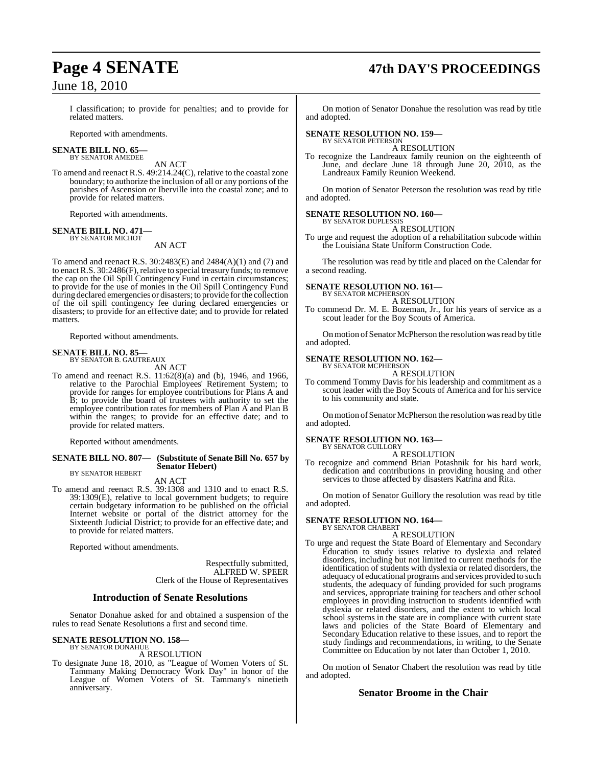## **Page 4 SENATE 47th DAY'S PROCEEDINGS**

I classification; to provide for penalties; and to provide for related matters.

Reported with amendments.

#### **SENATE BILL NO. 65—** BY SENATOR AMEDEE

AN ACT

To amend and reenact R.S. 49:214.24(C), relative to the coastal zone boundary; to authorize the inclusion of all or any portions of the parishes of Ascension or Iberville into the coastal zone; and to provide for related matters.

Reported with amendments.

#### **SENATE BILL NO. 471—** BY SENATOR MICHOT

AN ACT

To amend and reenact R.S. 30:2483(E) and 2484(A)(1) and (7) and to enact R.S. 30:2486(F), relative to special treasury funds; to remove the cap on the Oil Spill Contingency Fund in certain circumstances; to provide for the use of monies in the Oil Spill Contingency Fund during declared emergencies or disasters; to provide forthe collection of the oil spill contingency fee during declared emergencies or disasters; to provide for an effective date; and to provide for related matters.

Reported without amendments.

#### **SENATE BILL NO. 85—** BY SENATOR B. GAUTREAUX

AN ACT

To amend and reenact R.S. 11:62(8)(a) and (b), 1946, and 1966, relative to the Parochial Employees' Retirement System; to provide for ranges for employee contributions for Plans A and B; to provide the board of trustees with authority to set the employee contribution rates for members of Plan A and Plan B within the ranges; to provide for an effective date; and to provide for related matters.

Reported without amendments.

#### **SENATE BILL NO. 807— (Substitute of Senate Bill No. 657 by Senator Hebert)** BY SENATOR HEBERT

AN ACT

To amend and reenact R.S. 39:1308 and 1310 and to enact R.S. 39:1309(E), relative to local government budgets; to require certain budgetary information to be published on the official Internet website or portal of the district attorney for the Sixteenth Judicial District; to provide for an effective date; and to provide for related matters.

Reported without amendments.

Respectfully submitted, ALFRED W. SPEER Clerk of the House of Representatives

#### **Introduction of Senate Resolutions**

Senator Donahue asked for and obtained a suspension of the rules to read Senate Resolutions a first and second time.

#### **SENATE RESOLUTION NO. 158—** BY SENATOR DONAHUE

A RESOLUTION

To designate June 18, 2010, as "League of Women Voters of St. Tammany Making Democracy Work Day" in honor of the League of Women Voters of St. Tammany's ninetieth anniversary.

On motion of Senator Donahue the resolution was read by title and adopted.

#### **SENATE RESOLUTION NO. 159—** BY SENATOR PETERSON

A RESOLUTION

To recognize the Landreaux family reunion on the eighteenth of June, and declare June 18 through June 20, 2010, as the Landreaux Family Reunion Weekend.

On motion of Senator Peterson the resolution was read by title and adopted.

#### **SENATE RESOLUTION NO. 160—** BY SENATOR DUPLESSIS

A RESOLUTION

To urge and request the adoption of a rehabilitation subcode within the Louisiana State Uniform Construction Code.

The resolution was read by title and placed on the Calendar for a second reading.

#### **SENATE RESOLUTION NO. 161—**

BY SENATOR MCPHERSON A RESOLUTION

To commend Dr. M. E. Bozeman, Jr., for his years of service as a scout leader for the Boy Scouts of America.

On motion of Senator McPherson the resolution was read by title and adopted.

### **SENATE RESOLUTION NO. 162—**<br>BY SENATOR MCPHERSON

A RESOLUTION

To commend Tommy Davis for his leadership and commitment as a scout leader with the Boy Scouts of America and for his service to his community and state.

On motion of Senator McPherson the resolution was read by title and adopted.

#### **SENATE RESOLUTION NO. 163—** BY SENATOR GUILLORY

A RESOLUTION

To recognize and commend Brian Potashnik for his hard work, dedication and contributions in providing housing and other services to those affected by disasters Katrina and Rita.

On motion of Senator Guillory the resolution was read by title and adopted.

#### **SENATE RESOLUTION NO. 164—** BY SENATOR CHABERT

A RESOLUTION

To urge and request the State Board of Elementary and Secondary Education to study issues relative to dyslexia and related disorders, including but not limited to current methods for the identification of students with dyslexia or related disorders, the adequacy of educational programs and services provided to such students, the adequacy of funding provided for such programs and services, appropriate training for teachers and other school employees in providing instruction to students identified with dyslexia or related disorders, and the extent to which local school systems in the state are in compliance with current state laws and policies of the State Board of Elementary and Secondary Education relative to these issues, and to report the study findings and recommendations, in writing, to the Senate Committee on Education by not later than October 1, 2010.

On motion of Senator Chabert the resolution was read by title and adopted.

#### **Senator Broome in the Chair**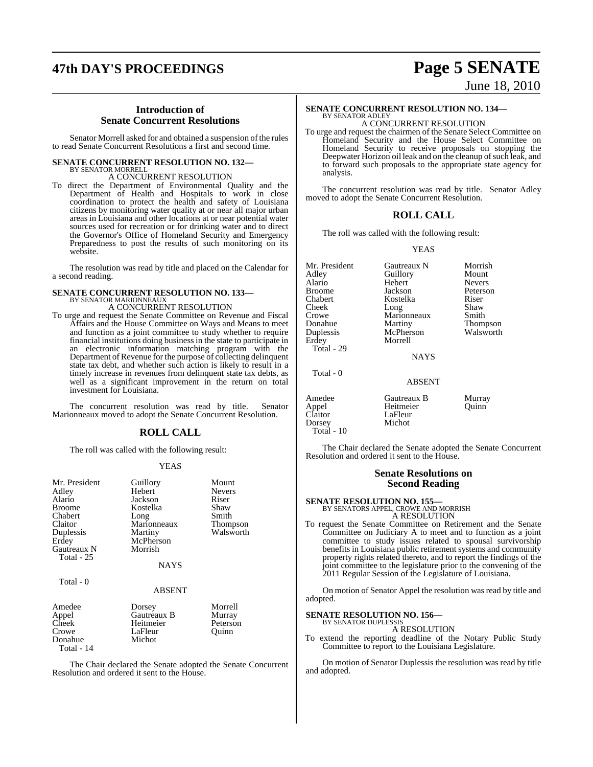## **47th DAY'S PROCEEDINGS Page 5 SENATE**

#### **Introduction of Senate Concurrent Resolutions**

Senator Morrell asked for and obtained a suspension of the rules to read Senate Concurrent Resolutions a first and second time.

### **SENATE CONCURRENT RESOLUTION NO. 132—**

BY SENATOR MORRELL A CONCURRENT RESOLUTION

To direct the Department of Environmental Quality and the Department of Health and Hospitals to work in close coordination to protect the health and safety of Louisiana citizens by monitoring water quality at or near all major urban areas in Louisiana and other locations at or near potential water sources used for recreation or for drinking water and to direct the Governor's Office of Homeland Security and Emergency Preparedness to post the results of such monitoring on its website.

The resolution was read by title and placed on the Calendar for a second reading.

### **SENATE CONCURRENT RESOLUTION NO. 133—** BY SENATOR MARIONNEAUX A CONCURRENT RESOLUTION

To urge and request the Senate Committee on Revenue and Fiscal Affairs and the House Committee on Ways and Means to meet and function as a joint committee to study whether to require financial institutions doing business in the state to participate in an electronic information matching program with the Department of Revenue for the purpose of collecting delinquent state tax debt, and whether such action is likely to result in a timely increase in revenues from delinquent state tax debts, as well as a significant improvement in the return on total investment for Louisiana.

The concurrent resolution was read by title. Senator Marionneaux moved to adopt the Senate Concurrent Resolution.

### **ROLL CALL**

The roll was called with the following result:

#### YEAS

| Mr. President<br>Adley<br>Alario<br><b>Broome</b><br>Chabert<br>Claitor<br>Duplessis<br>Erdey<br>Gautreaux N<br>Total $-25$ | Guillory<br>Hebert<br>Jackson<br>Kostelka<br>Long<br>Marionneaux<br>Martiny<br>McPherson<br>Morrish<br><b>NAYS</b> | Mount<br><b>Nevers</b><br>Riser<br>Shaw<br>Smith<br>Thompson<br>Walsworth |
|-----------------------------------------------------------------------------------------------------------------------------|--------------------------------------------------------------------------------------------------------------------|---------------------------------------------------------------------------|
| Total - 0                                                                                                                   | <b>ABSENT</b>                                                                                                      |                                                                           |
| Amedee<br>Appel<br>Cheek<br>Crowe<br>Donahue<br>Total - 14                                                                  | Dorsey<br>Gautreaux B<br>Heitmeier<br>LaFleur<br>Michot                                                            | Morrell<br>Murray<br>Peterson<br>Quinn                                    |

The Chair declared the Senate adopted the Senate Concurrent Resolution and ordered it sent to the House.

# June 18, 2010

#### **SENATE CONCURRENT RESOLUTION NO. 134—** BY SENATOR ADLEY

A CONCURRENT RESOLUTION

To urge and request the chairmen of the Senate Select Committee on Homeland Security and the House Select Committee on Homeland Security to receive proposals on stopping the Deepwater Horizon oil leak and on the cleanup of such leak, and to forward such proposals to the appropriate state agency for analysis.

The concurrent resolution was read by title. Senator Adley moved to adopt the Senate Concurrent Resolution.

#### **ROLL CALL**

The roll was called with the following result:

#### YEAS

| Mr. President<br>Adley<br>Alario<br><b>Broome</b><br>Chabert<br>Cheek<br>Crowe<br>Donahue | Gautreaux N<br>Guillory<br>Hebert<br>Jackson<br>Kostelka<br>Long<br>Marionneaux<br>Martiny | Morrish<br>Mount<br><b>Nevers</b><br>Peterson<br>Riser<br>Shaw<br>Smith<br>Thompson |
|-------------------------------------------------------------------------------------------|--------------------------------------------------------------------------------------------|-------------------------------------------------------------------------------------|
| Duplessis<br>Erdey<br>Total - 29                                                          | McPherson<br>Morrell                                                                       | Walsworth                                                                           |
|                                                                                           | <b>NAYS</b>                                                                                |                                                                                     |
| Total - 0                                                                                 | <b>ABSENT</b>                                                                              |                                                                                     |
| Amedee<br>Appel<br>Claitor<br>Dorsey                                                      | Gautreaux B<br>Heitmeier<br>LaFleur<br>Michot                                              | Murray<br>Ouinn                                                                     |

 Total - 10 The Chair declared the Senate adopted the Senate Concurrent Resolution and ordered it sent to the House.

#### **Senate Resolutions on Second Reading**

**SENATE RESOLUTION NO. 155—** BY SENATORS APPEL, CROWE AND MORRISH

A RESOLUTION

To request the Senate Committee on Retirement and the Senate Committee on Judiciary A to meet and to function as a joint committee to study issues related to spousal survivorship benefits in Louisiana public retirement systems and community property rights related thereto, and to report the findings of the joint committee to the legislature prior to the convening of the 2011 Regular Session of the Legislature of Louisiana.

On motion of Senator Appel the resolution was read by title and adopted.

#### **SENATE RESOLUTION NO. 156—**

BY SENATOR DUPLESSIS A RESOLUTION

To extend the reporting deadline of the Notary Public Study Committee to report to the Louisiana Legislature.

On motion of Senator Duplessis the resolution was read by title and adopted.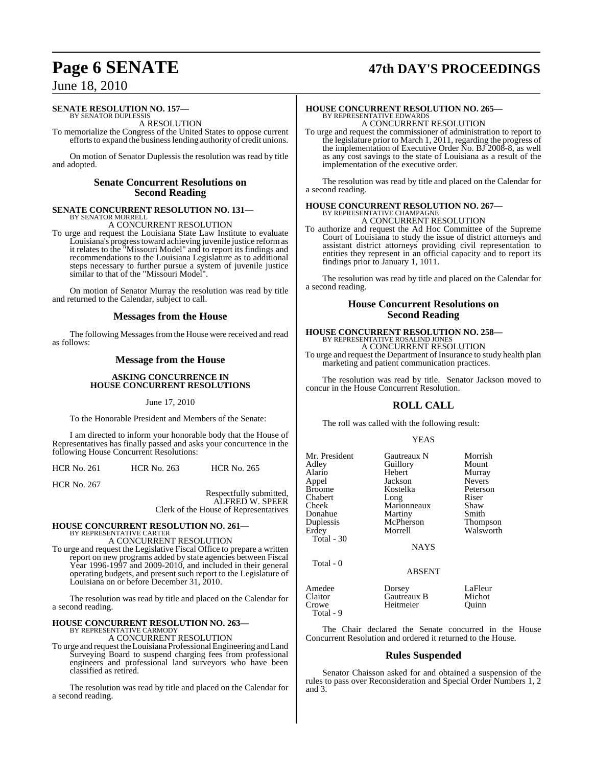## **Page 6 SENATE 47th DAY'S PROCEEDINGS**

### June 18, 2010

#### **SENATE RESOLUTION NO. 157—**

BY SENATOR DUPLESSIS A RESOLUTION

To memorialize the Congress of the United States to oppose current efforts to expand the business lending authority of credit unions.

On motion of Senator Duplessis the resolution was read by title and adopted.

#### **Senate Concurrent Resolutions on Second Reading**

#### **SENATE CONCURRENT RESOLUTION NO. 131—** BY SENATOR MORRELL

A CONCURRENT RESOLUTION

To urge and request the Louisiana State Law Institute to evaluate Louisiana's progresstoward achieving juvenile justice reformas it relates to the "Missouri Model" and to report its findings and recommendations to the Louisiana Legislature as to additional steps necessary to further pursue a system of juvenile justice similar to that of the "Missouri Model".

On motion of Senator Murray the resolution was read by title and returned to the Calendar, subject to call.

#### **Messages from the House**

The following Messages from the House were received and read as follows:

#### **Message from the House**

#### **ASKING CONCURRENCE IN HOUSE CONCURRENT RESOLUTIONS**

June 17, 2010

To the Honorable President and Members of the Senate:

I am directed to inform your honorable body that the House of Representatives has finally passed and asks your concurrence in the following House Concurrent Resolutions:

| HCR No. 261 | <b>HCR No. 263</b> | <b>HCR No. 265</b> |
|-------------|--------------------|--------------------|
|             |                    |                    |

HCR No. 267

Respectfully submitted, ALFRED W. SPEER Clerk of the House of Representatives

## **HOUSE CONCURRENT RESOLUTION NO. 261—** BY REPRESENTATIVE CARTER

A CONCURRENT RESOLUTION

To urge and request the Legislative Fiscal Office to prepare a written report on new programs added by state agencies between Fiscal Year 1996-1997 and 2009-2010, and included in their general operating budgets, and present such report to the Legislature of Louisiana on or before December 31, 2010.

The resolution was read by title and placed on the Calendar for a second reading.

### **HOUSE CONCURRENT RESOLUTION NO. 263—** BY REPRESENTATIVE CARMODY

A CONCURRENT RESOLUTION

To urge and request theLouisiana ProfessionalEngineering and Land Surveying Board to suspend charging fees from professional engineers and professional land surveyors who have been classified as retired.

The resolution was read by title and placed on the Calendar for a second reading.

### **HOUSE CONCURRENT RESOLUTION NO. 265—** BY REPRESENTATIVE EDWARDS A CONCURRENT RESOLUTION

To urge and request the commissioner of administration to report to the legislature prior to March 1, 2011, regarding the progress of the implementation of Executive Order No. BJ 2008-8, as well as any cost savings to the state of Louisiana as a result of the implementation of the executive order.

The resolution was read by title and placed on the Calendar for a second reading.

### **HOUSE CONCURRENT RESOLUTION NO. 267—** BY REPRESENTATIVE CHAMPAGNE A CONCURRENT RESOLUTION

To authorize and request the Ad Hoc Committee of the Supreme Court of Louisiana to study the issue of district attorneys and

assistant district attorneys providing civil representation to entities they represent in an official capacity and to report its findings prior to January 1, 1011.

The resolution was read by title and placed on the Calendar for a second reading.

#### **House Concurrent Resolutions on Second Reading**

#### **HOUSE CONCURRENT RESOLUTION NO. 258—** BY REPRESENTATIVE ROSALIND JONE A CONCURRENT RESOLUTION

To urge and request the Department of Insurance to study health plan marketing and patient communication practices.

The resolution was read by title. Senator Jackson moved to concur in the House Concurrent Resolution.

### **ROLL CALL**

The roll was called with the following result:

#### YEAS

| Mr. President<br>Adley<br>Alario<br>Appel<br><b>Broome</b><br>Chabert<br>Cheek<br>Donahue<br>Duplessis<br>Erdey<br>Total - $30$ | Gautreaux N<br>Guillory<br>Hebert<br>Jackson<br>Kostelka<br>Long<br>Marionneaux<br>Martiny<br>McPherson<br>Morrell<br><b>NAYS</b> | Morrish<br>Mount<br>Murray<br><b>Nevers</b><br>Peterson<br>Riser<br>Shaw<br>Smith<br><b>Thompson</b><br>Walsworth |
|---------------------------------------------------------------------------------------------------------------------------------|-----------------------------------------------------------------------------------------------------------------------------------|-------------------------------------------------------------------------------------------------------------------|
| Total - 0                                                                                                                       | <b>ABSENT</b>                                                                                                                     |                                                                                                                   |
| Amedee<br>Claitor<br>Crowe                                                                                                      | Dorsey<br>Gautreaux B<br>Heitmeier                                                                                                | LaFleur<br>Michot<br>Ouinn                                                                                        |

Total - 9

The Chair declared the Senate concurred in the House Concurrent Resolution and ordered it returned to the House.

#### **Rules Suspended**

Senator Chaisson asked for and obtained a suspension of the rules to pass over Reconsideration and Special Order Numbers 1, 2 and 3.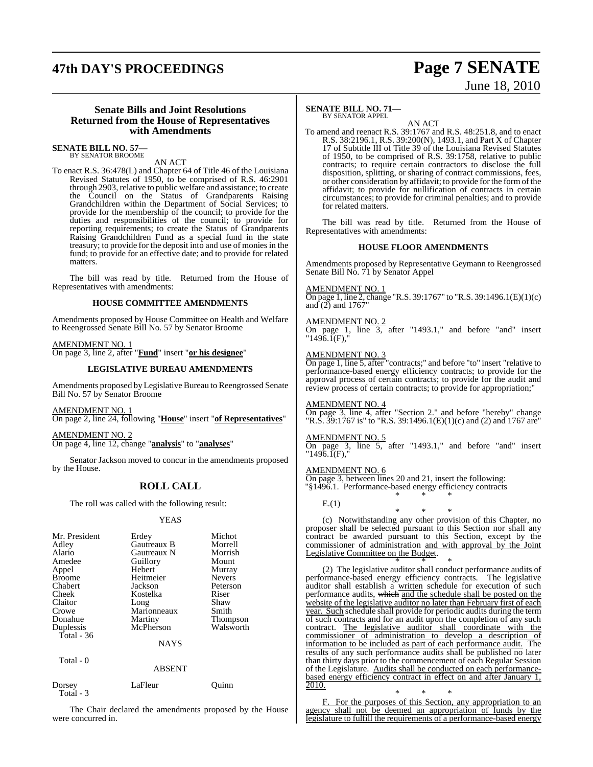### **47th DAY'S PROCEEDINGS Page 7 SENATE**

# June 18, 2010

#### **Senate Bills and Joint Resolutions Returned from the House of Representatives with Amendments**

**SENATE BILL NO. 57—** BY SENATOR BROOME

#### AN ACT

To enact R.S. 36:478(L) and Chapter 64 of Title 46 of the Louisiana Revised Statutes of 1950, to be comprised of R.S. 46:2901 through 2903, relative to public welfare and assistance; to create the Council on the Status of Grandparents Raising Grandchildren within the Department of Social Services; to provide for the membership of the council; to provide for the duties and responsibilities of the council; to provide for reporting requirements; to create the Status of Grandparents Raising Grandchildren Fund as a special fund in the state treasury; to provide for the deposit into and use of monies in the fund; to provide for an effective date; and to provide for related matters.

The bill was read by title. Returned from the House of Representatives with amendments:

#### **HOUSE COMMITTEE AMENDMENTS**

Amendments proposed by House Committee on Health and Welfare to Reengrossed Senate Bill No. 57 by Senator Broome

#### AMENDMENT NO. 1

On page 3, line 2, after "**Fund**" insert "**or his designee**"

#### **LEGISLATIVE BUREAU AMENDMENTS**

Amendments proposed by Legislative Bureau to Reengrossed Senate Bill No. 57 by Senator Broome

AMENDMENT NO. 1

On page 2, line 24, following "**House**" insert "**of Representatives**"

AMENDMENT NO. 2

On page 4, line 12, change "**analysis**" to "**analyses**"

Senator Jackson moved to concur in the amendments proposed by the House.

### **ROLL CALL**

The roll was called with the following result:

#### YEAS

| Mr. President<br>Adley<br>Alario<br>Amedee<br>Appel<br><b>Broome</b><br>Chabert<br>Cheek<br>Claitor<br>Crowe<br>Donahue | Erdey<br>Gautreaux B<br>Gautreaux N<br>Guillory<br>Hebert<br>Heitmeier<br>Jackson<br>Kostelka<br>Long<br>Marionneaux<br>Martiny | Michot<br>Morrell<br>Morrish<br>Mount<br>Murray<br><b>Nevers</b><br>Peterson<br>Riser<br>Shaw<br>Smith<br><b>Thompson</b> |
|-------------------------------------------------------------------------------------------------------------------------|---------------------------------------------------------------------------------------------------------------------------------|---------------------------------------------------------------------------------------------------------------------------|
| Duplessis                                                                                                               | McPherson                                                                                                                       | Walsworth                                                                                                                 |
| Total - $36$                                                                                                            |                                                                                                                                 |                                                                                                                           |
|                                                                                                                         | <b>NAYS</b>                                                                                                                     |                                                                                                                           |
| Total - 0                                                                                                               | <b>ABSENT</b>                                                                                                                   |                                                                                                                           |

| Dorsey<br>Total - 3 | LaFleur | Ouinn |
|---------------------|---------|-------|
|                     |         |       |

The Chair declared the amendments proposed by the House were concurred in.

#### **SENATE BILL NO. 71—** BY SENATOR APPEL

AN ACT To amend and reenact R.S. 39:1767 and R.S. 48:251.8, and to enact R.S. 38:2196.1, R.S. 39:200(N), 1493.1, and Part X of Chapter 17 of Subtitle III of Title 39 of the Louisiana Revised Statutes of 1950, to be comprised of R.S. 39:1758, relative to public contracts; to require certain contractors to disclose the full disposition, splitting, or sharing of contract commissions, fees, or other consideration by affidavit; to provide for the formofthe affidavit; to provide for nullification of contracts in certain circumstances; to provide for criminal penalties; and to provide for related matters.

The bill was read by title. Returned from the House of Representatives with amendments:

#### **HOUSE FLOOR AMENDMENTS**

Amendments proposed by Representative Geymann to Reengrossed Senate Bill No. 71 by Senator Appel

#### AMENDMENT NO. 1

On page 1, line 2, change "R.S. 39:1767" to "R.S. 39:1496.1(E)(1)(c) and  $(2)$  and  $1767$ "

#### AM<u>ENDMENT NO. 2</u>

On page 1, line 3, after "1493.1," and before "and" insert "1496.1(F),"

#### AMENDMENT NO. 3

On page 1, line 5, after "contracts;" and before "to" insert "relative to performance-based energy efficiency contracts; to provide for the approval process of certain contracts; to provide for the audit and review process of certain contracts; to provide for appropriation;

#### AMENDMENT NO. 4

 $\overline{On}$  page 3, line 4, after "Section 2." and before "hereby" change "R.S.  $39:1767$  is" to "R.S.  $39:1496.1(E)(1)(c)$  and (2) and 1767 are"

#### AMENDMENT NO. 5

On page 3, line 5, after "1493.1," and before "and" insert  $"1496.\mathrm{I}(F),"$ 

#### AMENDMENT NO. 6

On page 3, between lines 20 and 21, insert the following: "§1496.1. Performance-based energy efficiency contracts \* \* \*

E.(1)

#### \* \* \* (c) Notwithstanding any other provision of this Chapter, no proposer shall be selected pursuant to this Section nor shall any contract be awarded pursuant to this Section, except by the commissioner of administration and with approval by the Joint Legislative Committee on the Budget.

\* \* \* (2) The legislative auditor shall conduct performance audits of performance-based energy efficiency contracts. The legislative auditor shall establish a written schedule for execution of such performance audits, which and the schedule shall be posted on the website of the legislative auditor no later than February first of each year. Such schedule shall provide for periodic audits during the term of such contracts and for an audit upon the completion of any such contract. The legislative auditor shall coordinate with the commissioner of administration to develop a description of information to be included as part of each performance audit. The results of any such performance audits shall be published no later than thirty days prior to the commencement of each Regular Session of the Legislature. Audits shall be conducted on each performancebased energy efficiency contract in effect on and after January 1, 2010.

\* \* \* F. For the purposes of this Section, any appropriation to an agency shall not be deemed an appropriation of funds by the legislature to fulfill the requirements of a performance-based energy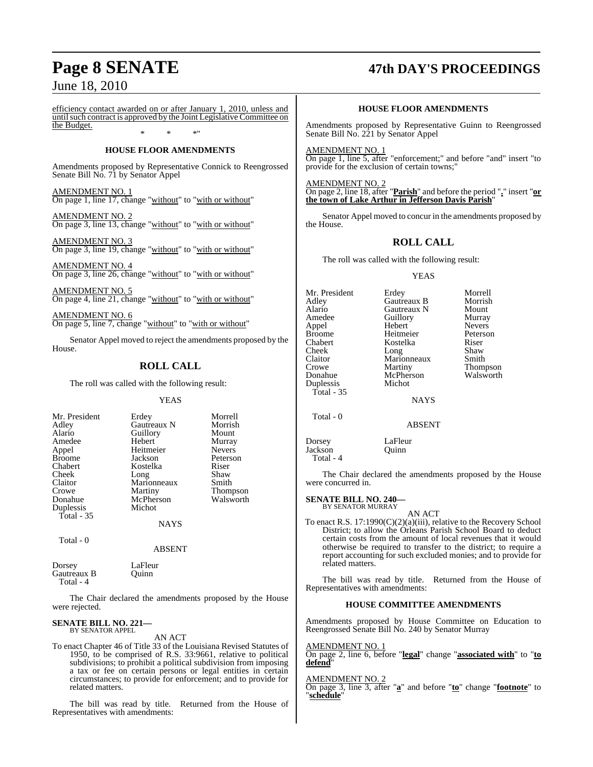efficiency contact awarded on or after January 1, 2010, unless and until such contract is approved by the Joint Legislative Committee on the Budget.

### \* \* \*" **HOUSE FLOOR AMENDMENTS**

Amendments proposed by Representative Connick to Reengrossed Senate Bill No. 71 by Senator Appel

AMENDMENT NO. 1 On page 1, line 17, change "without" to "with or without"

AMENDMENT NO. 2 On page 3, line 13, change "without" to "with or without"

AMENDMENT NO. 3 On page 3, line 19, change "without" to "with or without"

AMENDMENT NO. 4 On page 3, line 26, change "without" to "with or without"

AMENDMENT NO. 5 On page 4, line 21, change "without" to "with or without"

AMENDMENT NO. 6 On page 5, line 7, change "without" to "with or without"

Senator Appel moved to reject the amendments proposed by the House.

### **ROLL CALL**

The roll was called with the following result:

**YEAS** 

| Mr. President | Erdey       | Morrell         |
|---------------|-------------|-----------------|
| Adley         | Gautreaux N | Morrish         |
| Alario        | Guillory    | Mount           |
| Amedee        | Hebert      | Murray          |
| Appel         | Heitmeier   | <b>Nevers</b>   |
| <b>Broome</b> | Jackson     | Peterson        |
| Chabert       | Kostelka    | Riser           |
| Cheek         | Long        | Shaw            |
| Claitor       | Marionneaux | Smith           |
| Crowe         | Martiny     | <b>Thompson</b> |
| Donahue       | McPherson   | Walsworth       |
| Duplessis     | Michot      |                 |
| Total $-35$   |             |                 |
|               | <b>NAYS</b> |                 |

Total - 0

### ABSENT

Dorsey LaFleur<br>Gautreaux B Ouinn Gautreaux B Total - 4

The Chair declared the amendments proposed by the House were rejected.

#### **SENATE BILL NO. 221—** BY SENATOR APPEL

AN ACT

To enact Chapter 46 of Title 33 of the Louisiana Revised Statutes of 1950, to be comprised of R.S. 33:9661, relative to political subdivisions; to prohibit a political subdivision from imposing a tax or fee on certain persons or legal entities in certain circumstances; to provide for enforcement; and to provide for related matters.

The bill was read by title. Returned from the House of Representatives with amendments:

## **Page 8 SENATE 47th DAY'S PROCEEDINGS**

#### **HOUSE FLOOR AMENDMENTS**

Amendments proposed by Representative Guinn to Reengrossed Senate Bill No. 221 by Senator Appel

AMENDMENT NO. 1 On page 1, line 5, after "enforcement;" and before "and" insert "to provide for the exclusion of certain towns;"

AMENDMENT NO. 2 On page 2, line 18, after "**Parish**" and before the period "**.**" insert "**or the town of Lake Arthur in Jefferson Davis Parish**"

Senator Appel moved to concur in the amendments proposed by the House.

#### **ROLL CALL**

The roll was called with the following result:

#### YEAS

Mr. President Erdey Morrell<br>Adley Gautreaux B Morrish Adley Gautreaux B Morrish Alario Gautreaux N Mount Amedeu<br>
Hebert Nevers Appel Hebert Nevers Broome Heitmeier Peters<br>Chabert Rostelka Riser Chabert **Kostelka** Riser<br>Cheek Long Shaw Cheek Long Shaw<br>Claitor Marionneaux Smith Claitor Marionneaux<br>Crowe Martiny Crowe Martiny Thompson McPherson<br>Michot Duplessis Total - 35 **NAVS**  Total - 0 ABSENT

The Chair declared the amendments proposed by the House were concurred in.

### **SENATE BILL NO. 240—** BY SENATOR MURRAY

Dorsey LaFleur<br>Jackson Quinn

Jackson Total - 4

AN ACT

To enact R.S. 17:1990(C)(2)(a)(iii), relative to the Recovery School District; to allow the Orleans Parish School Board to deduct certain costs from the amount of local revenues that it would otherwise be required to transfer to the district; to require a report accounting for such excluded monies; and to provide for related matters.

The bill was read by title. Returned from the House of Representatives with amendments:

#### **HOUSE COMMITTEE AMENDMENTS**

Amendments proposed by House Committee on Education to Reengrossed Senate Bill No. 240 by Senator Murray

#### AMENDMENT NO. 1

On page 2, line 6, before "**legal**" change "**associated with**" to "**to defend**"

#### AMENDMENT NO. 2

On page 3, line 3, after "**a**" and before "**to**" change "**footnote**" to "**schedule**"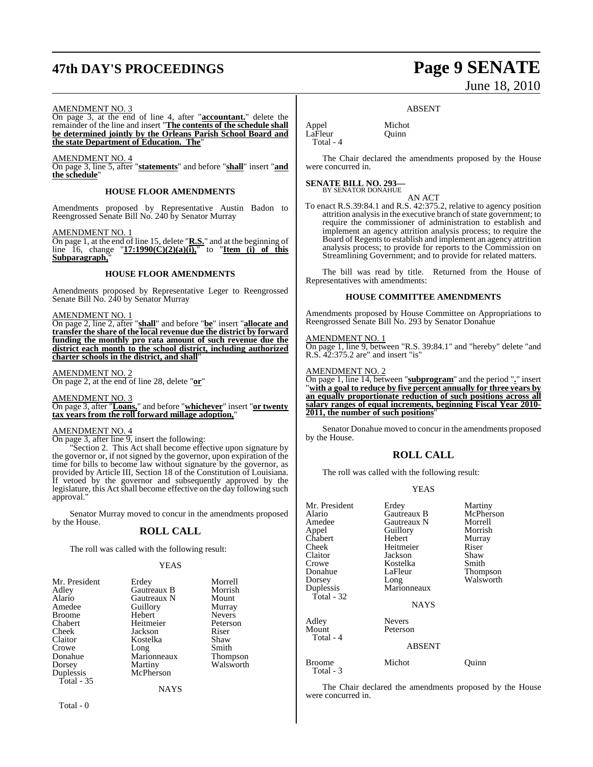## **47th DAY'S PROCEEDINGS Page 9 SENATE**

# June 18, 2010

#### AMENDMENT NO. 3

On page 3, at the end of line 4, after "**accountant.**" delete the remainder of the line and insert "**The contents of the schedule shall be determined jointly by the Orleans Parish School Board and the state Department of Education. The**"

#### AMENDMENT NO. 4

On page 3, line 5, after "**statements**" and before "**shall**" insert "**and the schedule**"

#### **HOUSE FLOOR AMENDMENTS**

Amendments proposed by Representative Austin Badon to Reengrossed Senate Bill No. 240 by Senator Murray

#### AMENDMENT NO. 1

On page 1, at the end of line 15, delete "**R.S.**" and at the beginning of line 16, change  $"17:1990(C)(2)(a)(i)$ , to  $"Item (i)$  of this **Subparagraph,**"

#### **HOUSE FLOOR AMENDMENTS**

Amendments proposed by Representative Leger to Reengrossed Senate Bill No. 240 by Senator Murray

#### AMENDMENT NO. 1

On page 2, line 2, after "**shall**" and before "**be**" insert "**allocate and transfer the share of the local revenue due the district by forward funding the monthly pro rata amount of such revenue due the district each month to the school district, including authorized charter schools in the district, and shall**"

#### AMENDMENT NO. 2

On page 2, at the end of line 28, delete "**or**"

#### AMENDMENT NO. 3

On page 3, after "**Loans,**" and before "**whichever**" insert "**or twenty tax years from the roll forward millage adoption,**"

#### AMENDMENT NO. 4

On page 3, after line 9, insert the following:

"Section 2. This Act shall become effective upon signature by the governor or, if not signed by the governor, upon expiration of the time for bills to become law without signature by the governor, as provided by Article III, Section 18 of the Constitution of Louisiana. If vetoed by the governor and subsequently approved by the legislature, this Act shall become effective on the day following such approval."

Senator Murray moved to concur in the amendments proposed by the House.

#### **ROLL CALL**

The roll was called with the following result:

#### YEAS

| Mr. President<br>Adley<br>Alario<br>Amedee<br><b>Broome</b><br>Chabert<br>Cheek<br>Claitor<br>Crowe<br>Donahue<br>Dorsey | Erdey<br><b>Gautreaux B</b><br>Gautreaux N<br>Guillory<br>Hebert<br>Heitmeier<br>Jackson<br>Kostelka<br>Long<br>Marionneaux<br>Martiny | Morrell<br>Morrish<br>Mount<br>Murray<br><b>Nevers</b><br>Peterson<br>Riser<br>Shaw<br>Smith<br><b>Thompson</b><br>Walsworth |
|--------------------------------------------------------------------------------------------------------------------------|----------------------------------------------------------------------------------------------------------------------------------------|------------------------------------------------------------------------------------------------------------------------------|
|                                                                                                                          |                                                                                                                                        |                                                                                                                              |
| Duplessis<br>Total $-35$                                                                                                 | McPherson<br><b>NAYS</b>                                                                                                               |                                                                                                                              |

Total - 0

#### ABSENT

Appel Michot<br>LaFleur Ouinn  $L\hat{a}$ Fleur Total - 4

The Chair declared the amendments proposed by the House were concurred in.

#### **SENATE BILL NO. 293—** BY SENATOR DONAHUE

AN ACT To enact R.S.39:84.1 and R.S. 42:375.2, relative to agency position attrition analysis in the executive branch of state government; to require the commissioner of administration to establish and implement an agency attrition analysis process; to require the Board of Regents to establish and implement an agency attrition analysis process; to provide for reports to the Commission on Streamlining Government; and to provide for related matters.

The bill was read by title. Returned from the House of Representatives with amendments:

#### **HOUSE COMMITTEE AMENDMENTS**

Amendments proposed by House Committee on Appropriations to Reengrossed Senate Bill No. 293 by Senator Donahue

#### AMENDMENT NO. 1

On page 1, line 9, between "R.S. 39:84.1" and "hereby" delete "and R.S. 42:375.2 are" and insert "is"

#### AMENDMENT NO. 2

On page 1, line 14, between "**subprogram**" and the period "**.**" insert "**with a goal to reduce by five percent annually for three years by an equally proportionate reduction of such positions across all salary ranges of equal increments, beginning Fiscal Year 2010- 2011, the number of such positions**"

Senator Donahue moved to concur in the amendments proposed by the House.

#### **ROLL CALL**

The roll was called with the following result:

#### YEAS

| Mr. President<br>Alario<br>Amedee<br>Appel<br>Chabert<br>Cheek<br>Claitor<br>Crowe<br>Donahue<br>Dorsey<br>Duplessis<br>Total - 32 | Erdey<br>Gautreaux B<br>Gautreaux N<br>Guillory<br>Hebert<br>Heitmeier<br>Jackson<br>Kostelka<br>LaFleur<br>Long<br>Marionneaux<br><b>NAYS</b> | Martiny<br>McPherson<br>Morrell<br>Morrish<br>Murray<br>Riser<br>Shaw<br>Smith<br>Thompson<br>Walsworth |
|------------------------------------------------------------------------------------------------------------------------------------|------------------------------------------------------------------------------------------------------------------------------------------------|---------------------------------------------------------------------------------------------------------|
| Adley<br>Mount<br>Total - 4                                                                                                        | <b>Nevers</b><br>Peterson<br><b>ABSENT</b>                                                                                                     |                                                                                                         |
| Broome<br>Total - 3                                                                                                                | Michot                                                                                                                                         | Ouınn                                                                                                   |

The Chair declared the amendments proposed by the House were concurred in.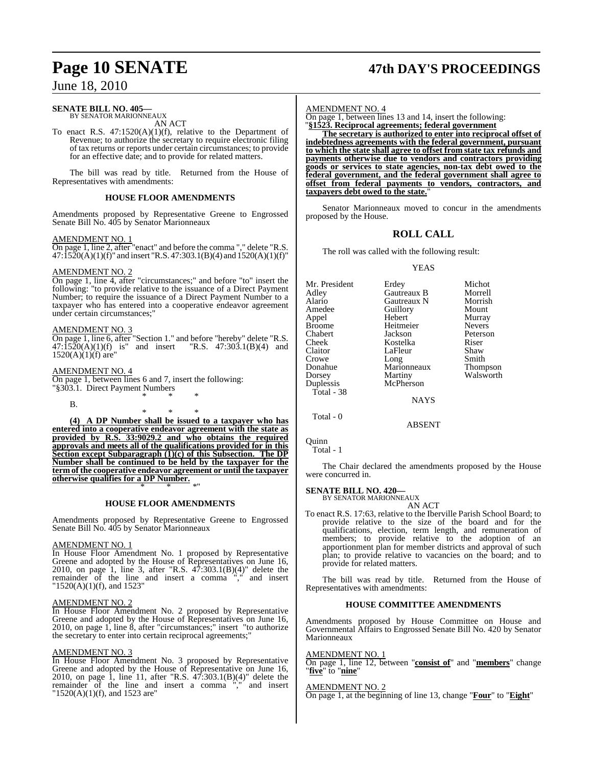#### **SENATE BILL NO. 405—**

BY SENATOR MARIONNEAUX AN ACT

To enact R.S.  $47:1520(A)(1)(f)$ , relative to the Department of Revenue; to authorize the secretary to require electronic filing of tax returns or reports under certain circumstances; to provide for an effective date; and to provide for related matters.

The bill was read by title. Returned from the House of Representatives with amendments:

#### **HOUSE FLOOR AMENDMENTS**

Amendments proposed by Representative Greene to Engrossed Senate Bill No. 405 by Senator Marionneaux

#### AMENDMENT NO. 1

On page 1, line 2, after "enact" and before the comma "," delete "R.S.  $47:\hat{1}520(A)(1)(f)$ " and insert "R.S. 47:303.1(B)(4) and 1520(A)(1)(f)"

#### AMENDMENT NO. 2

On page 1, line 4, after "circumstances;" and before "to" insert the following: "to provide relative to the issuance of a Direct Payment Number; to require the issuance of a Direct Payment Number to a taxpayer who has entered into a cooperative endeavor agreement under certain circumstances;"

#### AMENDMENT NO. 3

On page 1, line 6, after "Section 1." and before "hereby" delete "R.S.  $47:1520(A)(1)(f)$  is" and insert "R.S.  $47:303.1(B)(4)$  and  $1520(A)(1)(f)$  are"

#### AMENDMENT NO. 4

On page 1, between lines 6 and 7, insert the following: "§303.1. Direct Payment Numbers \* \* \*

B.

\* \* \*

**(4) A DP Number shall be issued to a taxpayer who has entered into a cooperative endeavor agreement with the state as provided by R.S. 33:9029.2 and who obtains the required approvals and meets all of the qualifications provided for in this Section except Subparagraph (1)(c) of this Subsection. The DP Number shall be continued to be held by the taxpayer for the term of the cooperative endeavor agreement or until the taxpayer otherwise qualifies for a DP Number.** \* \* \*"

**HOUSE FLOOR AMENDMENTS**

Amendments proposed by Representative Greene to Engrossed Senate Bill No. 405 by Senator Marionneaux

#### AMENDMENT NO. 1

In House Floor Amendment No. 1 proposed by Representative Greene and adopted by the House of Representatives on June 16, 2010, on page 1, line 3, after "R.S. 47:303.1(B)(4)" delete the remainder of the line and insert a comma "," and insert "1520(A)(1)(f), and 1523"

#### AMENDMENT NO. 2

In House Floor Amendment No. 2 proposed by Representative Greene and adopted by the House of Representatives on June 16, 2010, on page 1, line 8, after "circumstances;" insert "to authorize the secretary to enter into certain reciprocal agreements;"

#### AMENDMENT NO. 3

In House Floor Amendment No. 3 proposed by Representative Greene and adopted by the House of Representative on June 16, 2010, on page 1, line 11, after "R.S. 47:303.1(B)(4)" delete the remainder of the line and insert a comma "," and insert "1520(A)(1)(f), and 1523 are"

## **Page 10 SENATE 47th DAY'S PROCEEDINGS**

#### AMENDMENT NO. 4

On page 1, between lines 13 and 14, insert the following: "**§1523. Reciprocal agreements; federal government**

**The secretary is authorized to enter into reciprocal offset of indebtedness agreements with the federal government, pursuant to which the state shall agree to offset from state tax refunds and payments otherwise due to vendors and contractors providing goods or services to state agencies, non-tax debt owed to the federal government, and the federal government shall agree to offset from federal payments to vendors, contractors, and taxpayers debt owed to the state.**"

Senator Marionneaux moved to concur in the amendments proposed by the House.

#### **ROLL CALL**

The roll was called with the following result:

#### YEAS

| Mr. President | Erdey       | Michot        |
|---------------|-------------|---------------|
| Adlev         | Gautreaux B | Morrell       |
| Alario        | Gautreaux N | Morrish       |
| Amedee        | Guillory    | Mount         |
| Appel         | Hebert      | Murray        |
| Broome        | Heitmeier   | <b>Nevers</b> |
| Chabert       | Jackson     | Peterson      |
| Cheek         | Kostelka    | Riser         |
| Claitor       | LaFleur     | Shaw          |
| Crowe         | Long        | Smith         |
| Donahue       | Marionneaux | Thompson      |
| Dorsey        | Martiny     | Walsworth     |
| Duplessis     | McPherson   |               |
| Total - 38    |             |               |
|               | <b>NAYS</b> |               |
| Total - 0     |             |               |

Quinn

Total - 1

The Chair declared the amendments proposed by the House were concurred in.

ABSENT

#### **SENATE BILL NO. 420—**

BY SENATOR MARIONNEAUX AN ACT

To enact R.S. 17:63, relative to the Iberville Parish School Board; to provide relative to the size of the board and for the qualifications, election, term length, and remuneration of members; to provide relative to the adoption of an apportionment plan for member districts and approval of such plan; to provide relative to vacancies on the board; and to provide for related matters.

The bill was read by title. Returned from the House of Representatives with amendments:

#### **HOUSE COMMITTEE AMENDMENTS**

Amendments proposed by House Committee on House and Governmental Affairs to Engrossed Senate Bill No. 420 by Senator Marionneaux

#### AMENDMENT NO. 1

On page 1, line 12, between "**consist of**" and "**members**" change "**five**" to "**nine**"

#### AMENDMENT NO. 2

On page 1, at the beginning of line 13, change "**Four**" to "**Eight**"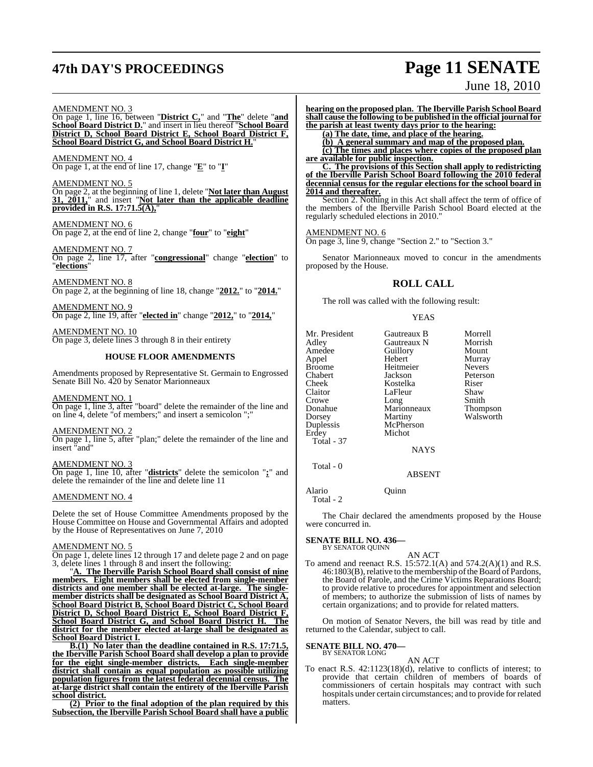## **47th DAY'S PROCEEDINGS Page 11 SENATE**

# June 18, 2010

#### AMENDMENT NO. 3

On page 1, line 16, between "**District C,**" and "**The**" delete "**and School Board District D.**" and insert in lieu thereof "**School Board District D, School Board District E, School Board District F, School Board District G, and School Board District H.**"

AMENDMENT NO. 4 On page 1, at the end of line 17, change "**E**" to "**I**"

#### AMENDMENT NO. 5

On page 2, at the beginning of line 1, delete "**Not later than August 31, 2011,**" and insert "**Not later than the applicable deadline provided in R.S. 17:71.5(A),**"

AMENDMENT NO. 6 On page 2, at the end of line 2, change "**four**" to "**eight**"

AMENDMENT NO. 7 On page 2, line 17, after "**congressional**" change "**election**" to "**elections**"

AMENDMENT NO. 8 On page 2, at the beginning of line 18, change "**2012.**" to "**2014.**"

AMENDMENT NO. 9 On page 2, line 19, after "**elected in**" change "**2012,**" to "**2014,**"

AMENDMENT NO. 10 On page 3, delete lines 3 through 8 in their entirety

#### **HOUSE FLOOR AMENDMENTS**

Amendments proposed by Representative St. Germain to Engrossed Senate Bill No. 420 by Senator Marionneaux

#### AMENDMENT NO. 1

On page 1, line 3, after "board" delete the remainder of the line and on line 4, delete "of members;" and insert a semicolon ";"

#### AMENDMENT NO. 2

On page 1, line 5, after "plan;" delete the remainder of the line and insert "and"

#### AMENDMENT NO. 3

On page 1, line 10, after "**districts**" delete the semicolon "**;**" and delete the remainder of the line and delete line 11

#### AMENDMENT NO. 4

Delete the set of House Committee Amendments proposed by the House Committee on House and Governmental Affairs and adopted by the House of Representatives on June 7, 2010

#### AMENDMENT NO. 5

On page 1, delete lines 12 through 17 and delete page 2 and on page 3, delete lines 1 through 8 and insert the following:

"**A. The Iberville Parish School Board shall consist of nine members. Eight members shall be elected from single-member districts and one member shall be elected at-large. The singlemember districts shall be designated as School Board District A, School Board District B, School Board District C, School Board District D, School Board District E, School Board District F, School Board District G, and School Board District H. The district for the member elected at-large shall be designated as School Board District I.**

**B.(1) No later than the deadline contained in R.S. 17:71.5, the Iberville Parish School Board shall develop a plan to provide for the eight single-member districts. Each single-member district shall contain as equal population as possible utilizing population figures from the latest federal decennial census. The at-large district shall contain the entirety of the Iberville Parish school district.**

**(2) Prior to the final adoption of the plan required by this Subsection, the Iberville Parish School Board shall have a public**

**hearing on the proposed plan. The Iberville Parish School Board shall cause the following to be published in the official journal for the parish at least twenty days prior to the hearing:**

**(a) The date, time, and place of the hearing.**

**(b) A general summary and map of the proposed plan.**

**(c) The times and places where copies of the proposed plan are available for public inspection.**

**C. The provisions of this Section shall apply to redistricting of the Iberville Parish School Board following the 2010 federal decennial census for the regular elections for the school board in 2014 and thereafter.**

Section 2. Nothing in this Act shall affect the term of office of the members of the Iberville Parish School Board elected at the regularly scheduled elections in 2010.

#### AMENDMENT NO. 6

On page 3, line 9, change "Section 2." to "Section 3."

Senator Marionneaux moved to concur in the amendments proposed by the House.

#### **ROLL CALL**

The roll was called with the following result:

YEAS

| Mr. President<br>Adley<br>Amedee<br>Appel<br>Broome<br>Chabert<br>Cheek<br>Claitor<br>Crowe<br>Donahue<br>Dorsey<br>Duplessis<br>Erdey<br>Total - 37 | Gautreaux B<br>Gautreaux N<br>Guillory<br>Hebert<br>Heitmeier<br>Jackson<br>Kostelka<br>LaFleur<br>Long<br>Marionneaux<br>Martiny<br>McPherson<br>Michot | Morrell<br>Morrish<br>Mount<br>Murray<br><b>Nevers</b><br>Peterson<br>Riser<br>Shaw<br>Smith<br>Thompson<br>Walsworth |
|------------------------------------------------------------------------------------------------------------------------------------------------------|----------------------------------------------------------------------------------------------------------------------------------------------------------|-----------------------------------------------------------------------------------------------------------------------|
|                                                                                                                                                      | <b>NAYS</b>                                                                                                                                              |                                                                                                                       |
| Total - 0                                                                                                                                            |                                                                                                                                                          |                                                                                                                       |
|                                                                                                                                                      | <b>ABSENT</b>                                                                                                                                            |                                                                                                                       |

Alario Quinn

Total - 2

The Chair declared the amendments proposed by the House were concurred in.

#### **SENATE BILL NO. 436—**

BY SENATOR QUINN

AN ACT To amend and reenact R.S. 15:572.1(A) and 574.2(A)(1) and R.S. 46:1803(B), relative to the membership of the Board of Pardons, the Board of Parole, and the Crime Victims Reparations Board; to provide relative to procedures for appointment and selection of members; to authorize the submission of lists of names by certain organizations; and to provide for related matters.

On motion of Senator Nevers, the bill was read by title and returned to the Calendar, subject to call.

#### **SENATE BILL NO. 470—**

BY SENATOR LONG

AN ACT To enact R.S. 42:1123(18)(d), relative to conflicts of interest; to provide that certain children of members of boards of commissioners of certain hospitals may contract with such hospitals under certain circumstances; and to provide for related matters.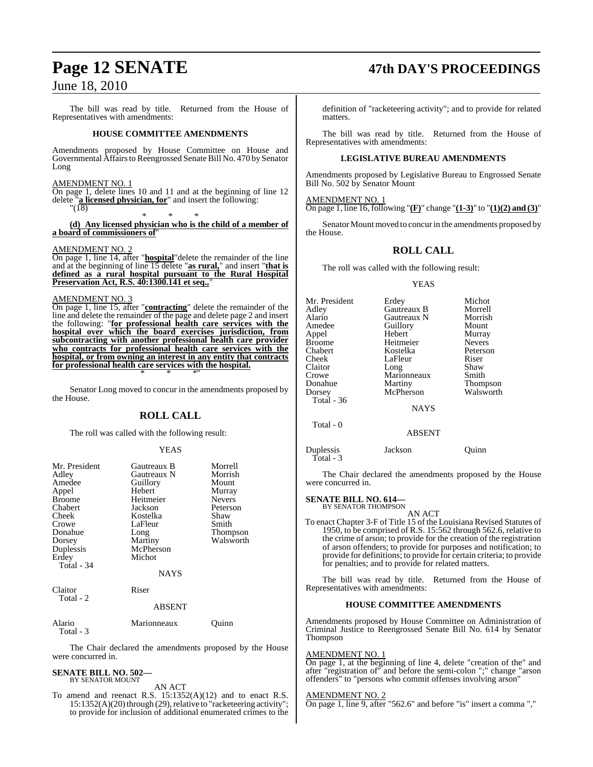The bill was read by title. Returned from the House of Representatives with amendments:

#### **HOUSE COMMITTEE AMENDMENTS**

Amendments proposed by House Committee on House and Governmental Affairsto Reengrossed Senate Bill No. 470 by Senator Long

#### AMENDMENT NO. 1

On page 1, delete lines 10 and 11 and at the beginning of line 12 delete "**a licensed physician, for**" and insert the following:  $\sqrt{18}$ 

\* \* \*

**(d) Any licensed physician who is the child of a member of a board of commissioners of**"

#### AMENDMENT NO. 2

On page 1, line 14, after "**hospital**"delete the remainder of the line and at the beginning of line 15 delete "**as rural,**" and insert "**that is defined as a rural hospital pursuant to the Rural Hospital Preservation Act, R.S. 40:1300.141 et seq.,**"

#### AMENDMENT NO. 3

On page 1, line 15, after "**contracting**" delete the remainder of the line and delete the remainder of the page and delete page 2 and insert the following: "**for professional health care services with the hospital over which the board exercises jurisdiction, from subcontracting with another professional health care provider who contracts for professional health care services with the hospital, or from owning an interest in any entity that contracts for professional health care services with the hospital.** \* \* \*"

Senator Long moved to concur in the amendments proposed by the House.

#### **ROLL CALL**

The roll was called with the following result:

#### YEAS

| Mr. President<br>Adley<br>Amedee<br>Appel<br><b>Broome</b><br>Chabert<br>Cheek<br>Crowe<br>Donahue<br>Dorsey<br>Duplessis<br>Erdey<br>Total - 34 | Gautreaux B<br>Gautreaux N<br>Guillory<br>Hebert<br>Heitmeier<br>Jackson<br>Kostelka<br>LaFleur<br>Long<br>Martiny<br>McPherson<br>Michot<br><b>NAYS</b> | Morrell<br>Morrish<br>Mount<br>Murray<br><b>Nevers</b><br>Peterson<br>Shaw<br>Smith<br>Thompson<br>Walsworth |
|--------------------------------------------------------------------------------------------------------------------------------------------------|----------------------------------------------------------------------------------------------------------------------------------------------------------|--------------------------------------------------------------------------------------------------------------|
| Claitor<br>Total - 2                                                                                                                             | Riser<br><b>ABSENT</b>                                                                                                                                   |                                                                                                              |
| Alario                                                                                                                                           | Marionneaux                                                                                                                                              | Ouınn                                                                                                        |

Total - 3

The Chair declared the amendments proposed by the House were concurred in.

#### **SENATE BILL NO. 502—** BY SENATOR MOUNT

AN ACT

To amend and reenact R.S. 15:1352(A)(12) and to enact R.S. 15:1352(A)(20) through (29), relative to "racketeering activity"; to provide for inclusion of additional enumerated crimes to the

### **Page 12 SENATE 47th DAY'S PROCEEDINGS**

definition of "racketeering activity"; and to provide for related matters.

The bill was read by title. Returned from the House of Representatives with amendments:

#### **LEGISLATIVE BUREAU AMENDMENTS**

Amendments proposed by Legislative Bureau to Engrossed Senate Bill No. 502 by Senator Mount

#### AMENDMENT NO. 1

On page 1, line 16, following "**(F)**" change "**(1-3)**" to "**(1)(2) and (3)**"

Senator Mount moved to concur in the amendments proposed by the House.

#### **ROLL CALL**

The roll was called with the following result:

#### YEAS

| Mr. President     | Erdey       | Michot          |
|-------------------|-------------|-----------------|
| Adley             | Gautreaux B | Morrell         |
| Alario            | Gautreaux N | Morrish         |
| Amedee            | Guillory    | Mount           |
| Appel             | Hebert      | Murray          |
| Broome            | Heitmeier   | <b>Nevers</b>   |
| Chabert           | Kostelka    | Peterson        |
| Cheek             | LaFleur     | Riser           |
| Claitor           | Long        | Shaw            |
| Crowe             | Marionneaux | Smith           |
| Donahue           | Martiny     | <b>Thompson</b> |
| Dorsey            | McPherson   | Walsworth       |
| <b>Total</b> - 36 |             |                 |
|                   | <b>NAYS</b> |                 |
|                   |             |                 |

Total - 0

Total - 3

ABSENT

Duplessis Jackson Quinn

The Chair declared the amendments proposed by the House were concurred in.

### **SENATE BILL NO. 614—**<br>BY SENATOR THOMPSON

AN ACT

To enact Chapter 3-F of Title 15 of the Louisiana Revised Statutes of 1950, to be comprised of R.S. 15:562 through 562.6, relative to the crime of arson; to provide for the creation of the registration of arson offenders; to provide for purposes and notification; to provide for definitions; to provide for certain criteria; to provide for penalties; and to provide for related matters.

The bill was read by title. Returned from the House of Representatives with amendments:

#### **HOUSE COMMITTEE AMENDMENTS**

Amendments proposed by House Committee on Administration of Criminal Justice to Reengrossed Senate Bill No. 614 by Senator Thompson

#### AMENDMENT NO. 1

On page 1, at the beginning of line 4, delete "creation of the" and after "registration of" and before the semi-colon ";" change "arson offenders" to "persons who commit offenses involving arson"

#### AMENDMENT NO. 2

On page 1, line 9, after "562.6" and before "is" insert a comma ","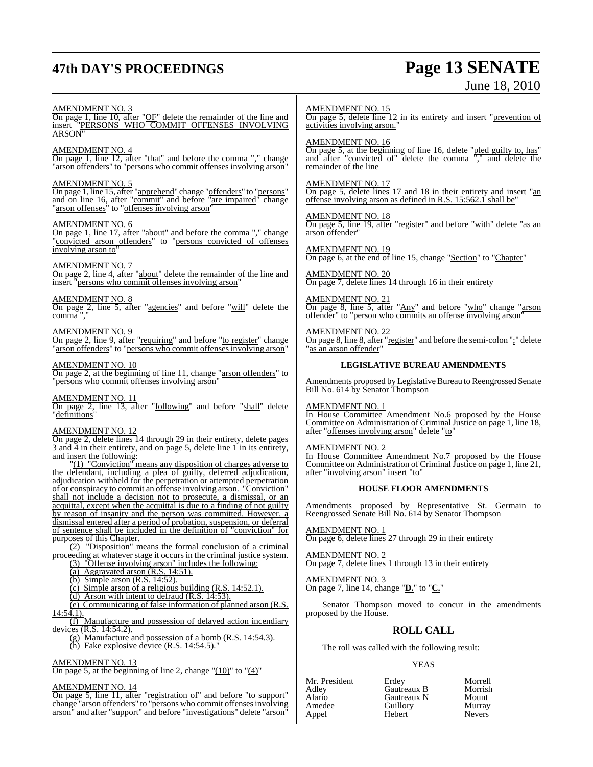## **47th DAY'S PROCEEDINGS Page 13 SENATE**

# June 18, 2010

#### AMENDMENT NO. 3

On page 1, line 10, after "OF" delete the remainder of the line and insert "PERSONS WHO COMMIT OFFENSES INVOLVING ARSON"

#### AMENDMENT NO. 4

On page 1, line 12, after "that" and before the comma "," change "arson offenders" to "persons who commit offenses involving arson"

#### AMENDMENT NO. 5

On page 1, line 15, after "apprehend" change "offenders" to "persons" and on line 16, after "commit" and before "are impaired" change "arson offenses" to "offenses involving arson"

#### AMENDMENT NO. 6

On page 1, line 17, after "about" and before the comma "," change "convicted arson offenders" to "persons convicted of offenses involving arson to

#### AMENDMENT NO. 7

On page 2, line 4, after "about" delete the remainder of the line and insert "persons who commit offenses involving arson"

#### AMENDMENT NO. 8

On page 2, line 5, after "agencies" and before "will" delete the comma ","

#### AMENDMENT NO. 9

On page 2, line 9, after "requiring" and before "to register" change "arson offenders" to "persons who commit offenses involving arson"

#### AMENDMENT NO. 10

On page 2, at the beginning of line 11, change "arson offenders" to 'persons who commit offenses involving arson'

#### AMENDMENT NO. 11

On page 2, line 13, after "following" and before "shall" delete "definitions"

#### AMENDMENT NO. 12

On page 2, delete lines 14 through 29 in their entirety, delete pages 3 and 4 in their entirety, and on page 5, delete line 1 in its entirety, and insert the following:

"(1) "Conviction" means any disposition of charges adverse to the defendant, including a plea of guilty, deferred adjudication, adjudication withheld for the perpetration or attempted perpetration of or conspiracy to commit an offense involving arson. "Conviction" shall not include a decision not to prosecute, a dismissal, or an acquittal, except when the acquittal is due to a finding of not guilty by reason of insanity and the person was committed. However, a dismissal entered after a period of probation, suspension, or deferral of sentence shall be included in the definition of "conviction" for purposes of this Chapter.

"Disposition" means the formal conclusion of a criminal proceeding at whatever stage it occurs in the criminal justice system.

- (3) "Offense involving arson" includes the following:
- (a) Aggravated arson  $(R.S. 14:51)$ .
- (b) Simple arson (R.S. 14:52).
- (c) Simple arson of a religious building (R.S. 14:52.1).
- (d) Arson with intent to defraud (R.S. 14:53).

(e) Communicating of false information of planned arson (R.S.

 $14:54.1$ ). (f) Manufacture and possession of delayed action incendiary

devices (R.S. 14:54.2). (g) Manufacture and possession of a bomb (R.S. 14:54.3).

(h) Fake explosive device  $(R.S. 14:54.5)$ .

#### AMENDMENT NO. 13

On page 5, at the beginning of line 2, change " $(10)$ " to " $(4)$ "

#### AMENDMENT NO. 14

On page 5, line 11, after "registration of" and before "to support" change "arson offenders" to "persons who commit offensesinvolving arson" and after "support" and before "investigations" delete "arson"

#### AMENDMENT NO. 15

On page 5, delete line 12 in its entirety and insert "prevention of activities involving arson."

#### AMENDMENT NO. 16

On page 5, at the beginning of line 16, delete "pled guilty to, has" and after "convicted of" delete the comma "," and delete the remainder of the line

#### AMENDMENT NO. 17

On page 5, delete lines 17 and 18 in their entirety and insert "an offense involving arson as defined in R.S. 15:562.1 shall be"

#### AMENDMENT NO. 18

On page 5, line 19, after "register" and before "with" delete "as an arson offender"

AMENDMENT NO. 19 On page 6, at the end of line 15, change "Section" to "Chapter"

AMENDMENT NO. 20 On page 7, delete lines 14 through 16 in their entirety

AMENDMENT NO. 21 On page 8, line 5, after "Any" and before "who" change "arson offender" to "person who commits an offense involving arson"

#### AMENDMENT NO. 22 On page 8, line 8, after "register" and before the semi-colon ";" delete "as an arson offender"

#### **LEGISLATIVE BUREAU AMENDMENTS**

Amendments proposed by Legislative Bureau to Reengrossed Senate Bill No. 614 by Senator Thompson

#### AMENDMENT NO. 1

In House Committee Amendment No.6 proposed by the House Committee on Administration of Criminal Justice on page 1, line 18, after "offenses involving arson" delete "to"

#### AMENDMENT NO. 2

In House Committee Amendment No.7 proposed by the House Committee on Administration of Criminal Justice on page 1, line 21, after "involving arson" insert "to"

#### **HOUSE FLOOR AMENDMENTS**

Amendments proposed by Representative St. Germain to Reengrossed Senate Bill No. 614 by Senator Thompson

AMENDMENT NO. 1 On page 6, delete lines 27 through 29 in their entirety

AMENDMENT NO. 2 On page 7, delete lines 1 through 13 in their entirety

AMENDMENT NO. 3 On page 7, line 14, change "**D.**" to "**C.**"

Senator Thompson moved to concur in the amendments proposed by the House.

#### **ROLL CALL**

The roll was called with the following result:

#### YEAS

| Mr. President | Erdey       | Morrell       |
|---------------|-------------|---------------|
| Adlev         | Gautreaux B | Morrish       |
| Alario        | Gautreaux N | Mount         |
| Amedee        | Guillory    | Murray        |
| Appel         | Hebert      | <b>Nevers</b> |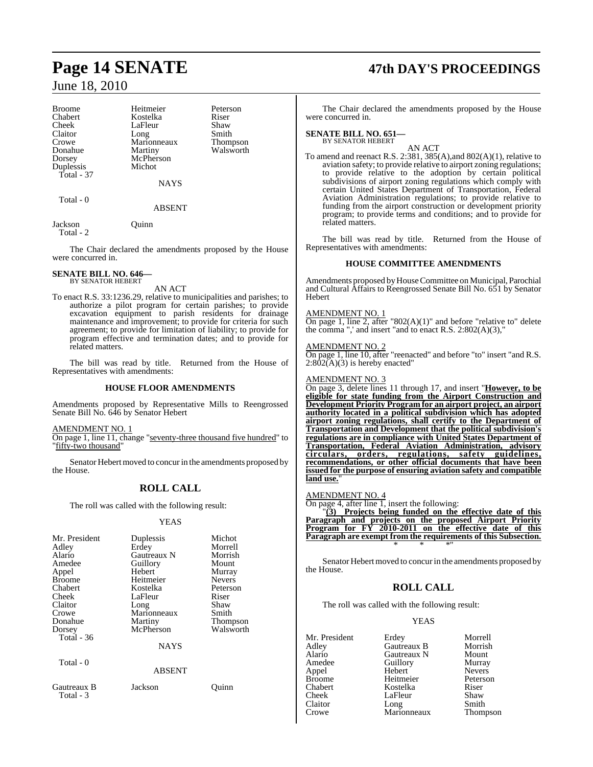Crowe Marionneaux<br>
Donahue Martiny Duplessis Total - 37

Broome Heitmeier Peterson<br>
Chabert Kostelka Riser Chabert Kostelka Riser LaFleur Shaw<br>Long Smith Claitor Long Smith<br>Crowe Marionneaux Thompson Donahue Martiny Walsworth<br>
Dorsey McPherson McPherson<br>Michot

**NAYS** 

ABSENT

Total - 0

Jackson Quinn Total - 2

The Chair declared the amendments proposed by the House were concurred in.

#### **SENATE BILL NO. 646—** BY SENATOR HEBERT

AN ACT

To enact R.S. 33:1236.29, relative to municipalities and parishes; to authorize a pilot program for certain parishes; to provide excavation equipment to parish residents for drainage maintenance and improvement; to provide for criteria for such agreement; to provide for limitation of liability; to provide for program effective and termination dates; and to provide for related matters.

The bill was read by title. Returned from the House of Representatives with amendments:

#### **HOUSE FLOOR AMENDMENTS**

Amendments proposed by Representative Mills to Reengrossed Senate Bill No. 646 by Senator Hebert

AMENDMENT NO. 1

On page 1, line 11, change "seventy-three thousand five hundred" to "fifty-two thousand"

Senator Hebert moved to concur in the amendments proposed by the House.

### **ROLL CALL**

The roll was called with the following result:

#### YEAS

| Mr. President<br>Adley<br>Alario<br>Amedee<br>Appel<br><b>Broome</b><br>Chabert<br>Cheek<br>Claitor<br>Crowe | Duplessis<br>Erdey<br>Gautreaux N<br>Guillory<br>Hebert<br>Heitmeier<br>Kostelka<br>LaFleur<br>Long<br>Marionneaux | Michot<br>Morrell<br>Morrish<br>Mount<br>Murray<br><b>Nevers</b><br>Peterson<br>Riser<br>Shaw<br>Smith |
|--------------------------------------------------------------------------------------------------------------|--------------------------------------------------------------------------------------------------------------------|--------------------------------------------------------------------------------------------------------|
| Donahue<br>Dorsey<br>Total $-36$                                                                             | Martiny<br>McPherson<br><b>NAYS</b>                                                                                | <b>Thompson</b><br>Walsworth                                                                           |
| Total - 0                                                                                                    | <b>ABSENT</b>                                                                                                      |                                                                                                        |
| Gautreaux B<br>Total - 3                                                                                     | Jackson                                                                                                            | Juınn                                                                                                  |

## **Page 14 SENATE 47th DAY'S PROCEEDINGS**

The Chair declared the amendments proposed by the House were concurred in.

### **SENATE BILL NO. 651—** BY SENATOR HEBERT

AN ACT

To amend and reenact R.S. 2:381, 385(A),and 802(A)(1), relative to aviation safety; to provide relative to airport zoning regulations; to provide relative to the adoption by certain political subdivisions of airport zoning regulations which comply with certain United States Department of Transportation, Federal Aviation Administration regulations; to provide relative to funding from the airport construction or development priority program; to provide terms and conditions; and to provide for related matters.

The bill was read by title. Returned from the House of Representatives with amendments:

#### **HOUSE COMMITTEE AMENDMENTS**

Amendments proposed by House Committee on Municipal, Parochial and Cultural Affairs to Reengrossed Senate Bill No. 651 by Senator Hebert

#### AMENDMENT NO. 1

On page 1, line 2, after " $802(A)(1)$ " and before "relative to" delete the comma ",' and insert "and to enact R.S.  $2:802(A)(3)$ ,"

#### AMENDMENT NO. 2

On page 1, line 10, after "reenacted" and before "to" insert "and R.S.  $2:802(A)(3)$  is hereby enacted"

#### AMENDMENT NO. 3

On page 3, delete lines 11 through 17, and insert "**However, to be eligible for state funding from the Airport Construction and Development Priority Program for an airport project, an airport authority located in a political subdivision which has adopted airport zoning regulations, shall certify to the Department of Transportation and Development that the political subdivision's regulations are in compliance with United States Department of Transportation, Federal Aviation Administration, advisory circulars, orders, regulations, safety guidelines, recommendations, or other official documents that have been issued for the purpose of ensuring aviation safety and compatible** land use.

#### AMENDMENT NO. 4

On page 4, after line 1, insert the following:

"**(3) Projects being funded on the effective date of this Paragraph and projects on the proposed Airport Priority Program for FY 2010-2011 on the effective date of this Paragraph are exempt from the requirements of this Subsection.** \* \* \*"

Senator Hebert moved to concur in the amendments proposed by the House.

### **ROLL CALL**

The roll was called with the following result:

#### YEAS

Mr. President Erdey Morrell<br>Adley Gautreaux B Morrish Adley Gautreaux B Morrish Alario Gautreaux N Mount Appel Hebert Nevers Broome Heitmeier Peterson Chabert Kostelka Riser Cheek LaFleur Shaw<br>Claitor Long Smith Claitor Long Smith Claitor Long Smith<br>Crowe Marionneaux Thompson

Amedeu<br>
Amedeu<br>
Amedeu<br>
Amedeu<br>
Nevers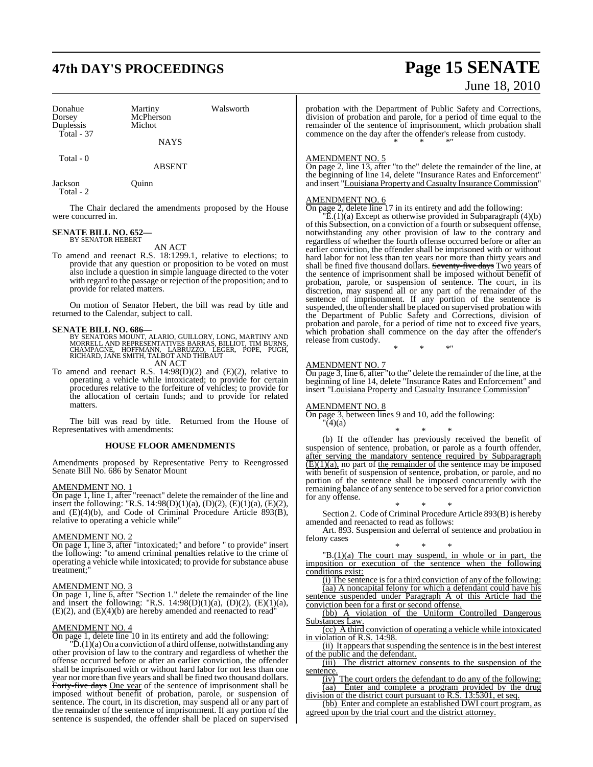## **47th DAY'S PROCEEDINGS Page 15 SENATE**

| Donahue<br>Dorsey<br>Duplessis | Martiny<br>McPherson<br>Michot | Walsworth |
|--------------------------------|--------------------------------|-----------|
| Total - 37                     | <b>NAYS</b>                    |           |
| Total - 0                      | ABSENT                         |           |

Jackson Quinn Total - 2

The Chair declared the amendments proposed by the House were concurred in.

#### **SENATE BILL NO. 652—** BY SENATOR HEBERT

AN ACT

To amend and reenact R.S. 18:1299.1, relative to elections; to provide that any question or proposition to be voted on must also include a question in simple language directed to the voter with regard to the passage or rejection of the proposition; and to provide for related matters.

On motion of Senator Hebert, the bill was read by title and returned to the Calendar, subject to call.

**SENATE BILL NO. 686—**<br>BY SENATORS MOUNT, ALARIO, GUILLORY, LONG, MARTINY AND RORRELL AND REPRESENTATIVES BARRAS, BILLIOT, TIM BURNS,<br>CHAMPAGNE, HOFFMANN, LABRUZZO, LEGER, POPE, PUGH,<br>RICHARD, JANE SMITH, TALBOT AND THIBAU

AN ACT

To amend and reenact R.S. 14:98(D)(2) and (E)(2), relative to operating a vehicle while intoxicated; to provide for certain procedures relative to the forfeiture of vehicles; to provide for the allocation of certain funds; and to provide for related matters.

The bill was read by title. Returned from the House of Representatives with amendments:

#### **HOUSE FLOOR AMENDMENTS**

Amendments proposed by Representative Perry to Reengrossed Senate Bill No. 686 by Senator Mount

#### AMENDMENT NO. 1

On page 1, line 1, after "reenact" delete the remainder of the line and insert the following: "R.S. 14:98(D)(1)(a), (D)(2), (E)(1)(a), (E)(2), and (E)(4)(b), and Code of Criminal Procedure Article 893(B), relative to operating a vehicle while"

#### AMENDMENT NO. 2

On page 1, line 3, after "intoxicated;" and before " to provide" insert the following: "to amend criminal penalties relative to the crime of operating a vehicle while intoxicated; to provide for substance abuse treatment;"

#### AMENDMENT NO. 3

On page 1, line 6, after "Section 1." delete the remainder of the line and insert the following: "R.S.  $14:98(D)(1)(a)$ ,  $(D)(2)$ ,  $(E)(1)(a)$ , (E)(2), and (E)(4)(b) are hereby amended and reenacted to read"

#### AMENDMENT NO. 4

On page 1, delete line 10 in its entirety and add the following:

 $\widetilde{D}$ .(1)(a) On a conviction of a third offense, notwithstanding any other provision of law to the contrary and regardless of whether the offense occurred before or after an earlier conviction, the offender shall be imprisoned with or without hard labor for not less than one year nor more than five years and shall be fined two thousand dollars. Forty-five days One year of the sentence of imprisonment shall be imposed without benefit of probation, parole, or suspension of sentence. The court, in its discretion, may suspend all or any part of the remainder of the sentence of imprisonment. If any portion of the sentence is suspended, the offender shall be placed on supervised

# June 18, 2010

probation with the Department of Public Safety and Corrections, division of probation and parole, for a period of time equal to the remainder of the sentence of imprisonment, which probation shall commence on the day after the offender's release from custody. \* \* \*"

#### AMENDMENT NO. 5

On page 2, line 13, after "to the" delete the remainder of the line, at the beginning of line 14, delete "Insurance Rates and Enforcement" and insert "Louisiana Property and Casualty Insurance Commission"

#### AMENDMENT NO. 6

On page 2, delete line 17 in its entirety and add the following:

"E.(1)(a) Except as otherwise provided in Subparagraph (4)(b) of this Subsection, on a conviction of a fourth or subsequent offense, notwithstanding any other provision of law to the contrary and regardless of whether the fourth offense occurred before or after an earlier conviction, the offender shall be imprisoned with or without hard labor for not less than ten years nor more than thirty years and shall be fined five thousand dollars. Seventy-five days Two years of the sentence of imprisonment shall be imposed without benefit of probation, parole, or suspension of sentence. The court, in its discretion, may suspend all or any part of the remainder of the sentence of imprisonment. If any portion of the sentence is suspended, the offender shall be placed on supervised probation with the Department of Public Safety and Corrections, division of probation and parole, for a period of time not to exceed five years, which probation shall commence on the day after the offender's release from custody.

\* \* \*"

#### AMENDMENT NO. 7

On page 3, line 6, after "to the" delete the remainder of the line, at the beginning of line 14, delete "Insurance Rates and Enforcement" and insert "Louisiana Property and Casualty Insurance Commission"

#### AMENDMENT NO. 8

On page 3, between lines 9 and 10, add the following:  $'(4)(a)$ 

\* \* \*

(b) If the offender has previously received the benefit of suspension of sentence, probation, or parole as a fourth offender, after serving the mandatory sentence required by Subparagraph  $(E)(1)(a)$ , no part of the remainder of the sentence may be imposed with benefit of suspension of sentence, probation, or parole, and no portion of the sentence shall be imposed concurrently with the remaining balance of any sentence to be served for a prior conviction for any offense.

\* \* \* Section 2. Code of Criminal Procedure Article 893(B) is hereby amended and reenacted to read as follows:

Art. 893. Suspension and deferral of sentence and probation in felony cases

\* \* \*  $(B(1)(a)$  The court may suspend, in whole or in part, the imposition or execution of the sentence when the following conditions exist:

 $(i)$  The sentence is for a third conviction of any of the following: (aa) A noncapital felony for which a defendant could have his sentence suspended under Paragraph A of this Article had the conviction been for a first or second offense.

(bb) A violation of the Uniform Controlled Dangerous Substances Law.

(cc) A third conviction of operating a vehicle while intoxicated in violation of R.S. 14:98.

(ii) It appears that suspending the sentence is in the best interest of the public and the defendant.

(iii) The district attorney consents to the suspension of the sentence.

 $(i)$  The court orders the defendant to do any of the following: (aa) Enter and complete a program provided by the drug division of the district court pursuant to R.S. 13:5301, et seq.

(bb) Enter and complete an established DWI court program, as agreed upon by the trial court and the district attorney.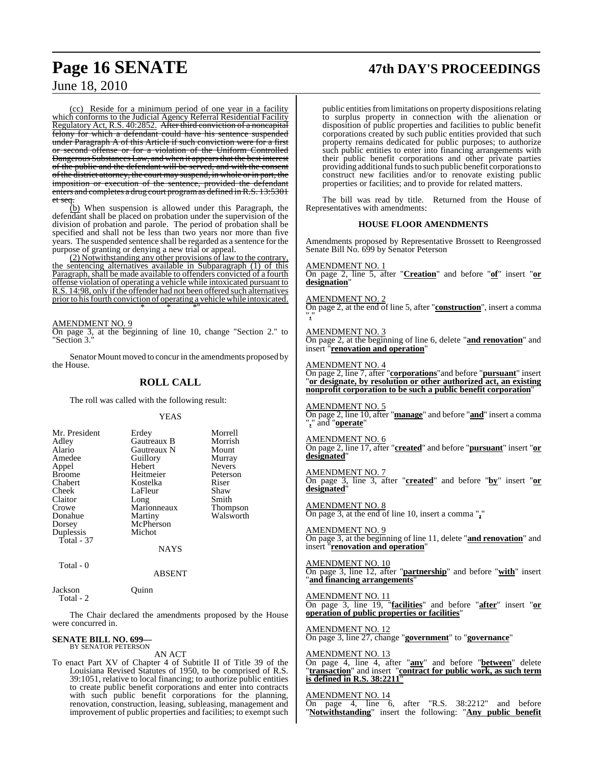## **Page 16 SENATE 47th DAY'S PROCEEDINGS**

### June 18, 2010

(cc) Reside for a minimum period of one year in a facility which conforms to the Judicial Agency Referral Residential Facility Regulatory Act, R.S. 40:2852. After third conviction of a noncapital felony for which a defendant could have his sentence suspended under Paragraph A of this Article if such conviction were for a first or second offense or for a violation of the Uniform Controlled Dangerous Substances Law, and when it appears that the best interest of the public and the defendant will be served, and with the consent of the district attorney, the court may suspend, in whole or in part, the imposition or execution of the sentence, provided the defendant enters and completes a drug court programas defined in R.S. 13:5301 et seq.

(b) When suspension is allowed under this Paragraph, the defendant shall be placed on probation under the supervision of the division of probation and parole. The period of probation shall be specified and shall not be less than two years nor more than five years. The suspended sentence shall be regarded as a sentence for the purpose of granting or denying a new trial or appeal.

(2) Notwithstanding any other provisions of law to the contrary, the sentencing alternatives available in Subparagraph (1) of this Paragraph, shall be made available to offenders convicted of a fourth offense violation of operating a vehicle while intoxicated pursuant to R.S. 14:98, only if the offender had not been offered such alternatives prior to his fourth conviction of operating a vehicle while intoxicated. \* \* \*"

#### AMENDMENT NO. 9

On page 3, at the beginning of line 10, change "Section 2." to "Section 3."

Senator Mount moved to concur in the amendments proposed by the House.

#### **ROLL CALL**

The roll was called with the following result:

#### YEAS

Total - 0

#### ABSENT

Jackson Quinn Total - 2

The Chair declared the amendments proposed by the House were concurred in.

### **SENATE BILL NO. 699—** BY SENATOR PETERSON

AN ACT

To enact Part XV of Chapter 4 of Subtitle II of Title 39 of the Louisiana Revised Statutes of 1950, to be comprised of R.S. 39:1051, relative to local financing; to authorize public entities to create public benefit corporations and enter into contracts with such public benefit corporations for the planning, renovation, construction, leasing, subleasing, management and improvement of public properties and facilities; to exempt such

public entities from limitations on property dispositions relating to surplus property in connection with the alienation or disposition of public properties and facilities to public benefit corporations created by such public entities provided that such property remains dedicated for public purposes; to authorize such public entities to enter into financing arrangements with their public benefit corporations and other private parties providing additional funds to such public benefit corporations to construct new facilities and/or to renovate existing public properties or facilities; and to provide for related matters.

The bill was read by title. Returned from the House of Representatives with amendments:

#### **HOUSE FLOOR AMENDMENTS**

Amendments proposed by Representative Brossett to Reengrossed Senate Bill No. 699 by Senator Peterson

AMENDMENT NO

On page 2, line 5, after "**Creation**" and before "**of**" insert "**or designation**"

AMENDMENT NO. 2

On page 2, at the end of line 5, after "**construction**", insert a comma "**,**"

#### AMENDMENT NO. 3

On page 2, at the beginning of line 6, delete "**and renovation**" and insert "**renovation and operation**"

AMENDMENT NO. 4

On page 2, line 7, after "**corporations**"and before "**pursuant**" insert "**or designate, by resolution or other authorized act, an existing nonprofit corporation to be such a public benefit corporation**"

### AMENDMENT NO. 5

On page 2, line 10, after "**manage**" and before "**and**" insert a comma "**,**" and "**operate**"

#### AMENDMENT NO. 6

On page 2, line 17, after "**created**" and before "**pursuant**" insert "**or designated**"

#### AMENDMENT NO. 7 On page 3, line 3, after "**created**" and before "**by**" insert "**or designated**"

AMENDMENT NO. 8 On page 3, at the end of line 10, insert a comma "**,**"

AMENDMENT NO. 9 On page 3, at the beginning of line 11, delete "**and renovation**" and insert "**renovation and operation**"

AMENDMENT NO. 10 On page 3, line 12, after "**partnership**" and before "**with**" insert "**and financing arrangements**"

AMENDMENT NO. 11 On page 3, line 19, "**facilities**" and before "**after**" insert "**or operation of public properties or facilities**"

AMENDMENT NO. 12 On page 3, line 27, change "**government**" to "**governance**"

#### AMENDMENT NO. 13

On page 4, line 4, after "**any**" and before "**between**" delete "**transaction**" and insert "**contract for public work, as such term is defined in R.S. 38:2211**"

AMENDMENT NO. 14<br>On page 4, line 6, after "R.S.  $38:2212$ " and before "**Notwithstanding**" insert the following: "**Any public benefit**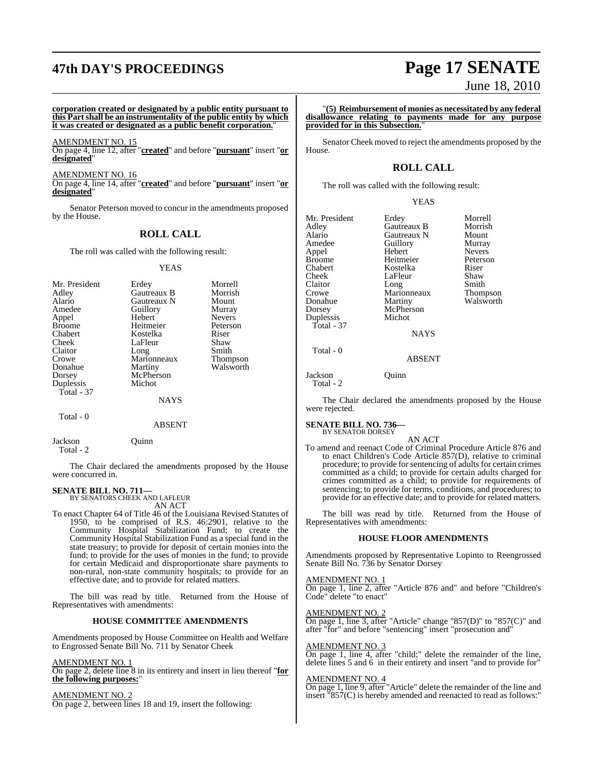## **47th DAY'S PROCEEDINGS Page 17 SENATE**

**corporation created or designated by a public entity pursuant to this Part shall be an instrumentality of the public entity by which it was created or designated as a public benefit corporation.**"

AMENDMENT NO. 15

On page 4, line 12, after "**created**" and before "**pursuant**" insert "**or designated**"

AMENDMENT NO. 16

On page 4, line 14, after "**created**" and before "**pursuant**" insert "**or designated**"

Senator Peterson moved to concur in the amendments proposed by the House.

#### **ROLL CALL**

The roll was called with the following result:

YEAS

| Mr. President<br>Adley<br>Alario<br>Amedee<br>Appel<br><b>Broome</b><br>Chabert<br>Cheek<br>Claitor<br>Crowe<br>Donahue<br>Dorsey<br>Duplessis | Erdey<br>Gautreaux B<br>Gautreaux N<br>Guillory<br>Hebert<br>Heitmeier<br>Kostelka<br>LaFleur<br>Long<br>Marionneaux<br>Martiny<br>McPherson<br>Michot | Morrell<br>Morrish<br>Mount<br>Murray<br><b>Nevers</b><br>Peterson<br>Riser<br>Shaw<br>Smith<br>Thompson<br>Walsworth |
|------------------------------------------------------------------------------------------------------------------------------------------------|--------------------------------------------------------------------------------------------------------------------------------------------------------|-----------------------------------------------------------------------------------------------------------------------|
| Total - 37                                                                                                                                     | NAYS                                                                                                                                                   |                                                                                                                       |
| Total - 0                                                                                                                                      |                                                                                                                                                        |                                                                                                                       |

#### ABSENT

Jackson Quinn Total - 2

The Chair declared the amendments proposed by the House were concurred in.

#### **SENATE BILL NO. 711—** BY SENATORS CHEEK AND LAFLEUR

AN ACT

To enact Chapter 64 of Title 46 of the Louisiana Revised Statutes of 1950, to be comprised of R.S. 46:2901, relative to the Community Hospital Stabilization Fund; to create the Community Hospital Stabilization Fund as a special fund in the state treasury; to provide for deposit of certain monies into the fund; to provide for the uses of monies in the fund; to provide for certain Medicaid and disproportionate share payments to non-rural, non-state community hospitals; to provide for an effective date; and to provide for related matters.

The bill was read by title. Returned from the House of Representatives with amendments:

#### **HOUSE COMMITTEE AMENDMENTS**

Amendments proposed by House Committee on Health and Welfare to Engrossed Senate Bill No. 711 by Senator Cheek

#### AMENDMENT NO. 1

On page 2, delete line 8 in its entirety and insert in lieu thereof "**for the following purposes:**"

AMENDMENT NO. 2 On page 2, between lines 18 and 19, insert the following:

# June 18, 2010

"**(5) Reimbursement of monies as necessitated by any federal disallowance relating to payments made for any purpose provided for in this Subsection.**"

Senator Cheek moved to reject the amendments proposed by the House.

#### **ROLL CALL**

The roll was called with the following result:

|--|--|--|

| Mr. President | Erdey         | Morrell         |
|---------------|---------------|-----------------|
| Adley         | Gautreaux B   | Morrish         |
| Alario        | Gautreaux N   | Mount           |
| Amedee        | Guillory      | Murray          |
| Appel         | Hebert        | <b>Nevers</b>   |
| <b>Broome</b> | Heitmeier     | Peterson        |
| Chabert       | Kostelka      | Riser           |
| Cheek         | LaFleur       | Shaw            |
| Claitor       | Long          | Smith           |
| Crowe         | Marionneaux   | <b>Thompson</b> |
| Donahue       | Martiny       | Walsworth       |
| Dorsey        | McPherson     |                 |
| Duplessis     | Michot        |                 |
| Total - 37    |               |                 |
|               | <b>NAYS</b>   |                 |
| Total - 0     |               |                 |
|               | <b>ADCENT</b> |                 |

ABSENT

Jackson Quinn

Total - 2

The Chair declared the amendments proposed by the House were rejected.

#### **SENATE BILL NO. 736—**

BY SENATOR DORSEY

AN ACT To amend and reenact Code of Criminal Procedure Article 876 and to enact Children's Code Article 857(D), relative to criminal procedure; to provide for sentencing of adults for certain crimes committed as a child; to provide for certain adults charged for crimes committed as a child; to provide for requirements of sentencing; to provide for terms, conditions, and procedures; to provide for an effective date; and to provide for related matters.

The bill was read by title. Returned from the House of Representatives with amendments:

#### **HOUSE FLOOR AMENDMENTS**

Amendments proposed by Representative Lopinto to Reengrossed Senate Bill No. 736 by Senator Dorsey

AMENDMENT NO. 1

On page 1, line 2, after "Article 876 and" and before "Children's Code" delete "to enact"

AMENDMENT NO. 2

On page 1, line 3, after "Article" change "857(D)" to "857(C)" and after "for" and before "sentencing" insert "prosecution and"

#### AMENDMENT NO. 3

On page 1, line 4, after "child;" delete the remainder of the line, delete lines 5 and 6 in their entirety and insert "and to provide for"

#### AMENDMENT NO. 4

On page 1, line 9, after "Article" delete the remainder of the line and insert "857(C) is hereby amended and reenacted to read as follows:"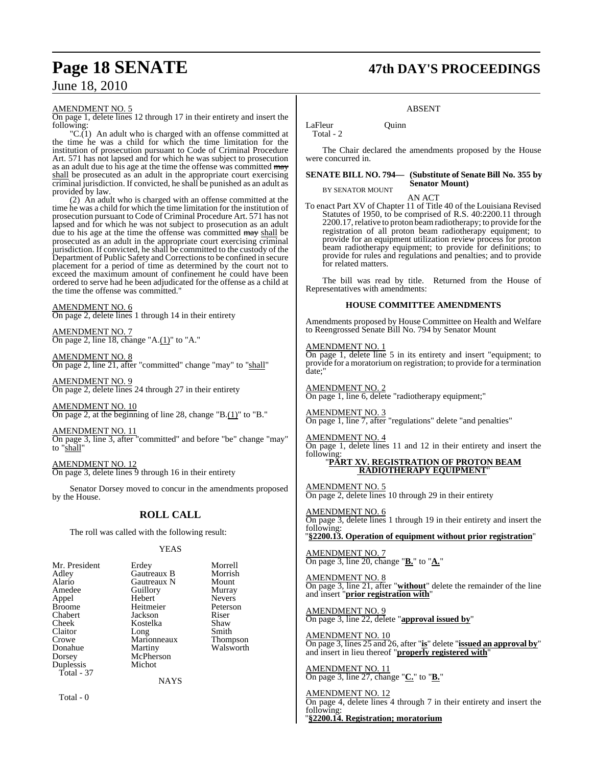#### AMENDMENT NO. 5

On page 1, delete lines 12 through 17 in their entirety and insert the following:

"C.(1) An adult who is charged with an offense committed at the time he was a child for which the time limitation for the institution of prosecution pursuant to Code of Criminal Procedure Art. 571 has not lapsed and for which he was subject to prosecution as an adult due to his age at the time the offense was committed may shall be prosecuted as an adult in the appropriate court exercising criminal jurisdiction. If convicted, he shall be punished as an adult as provided by law.

(2) An adult who is charged with an offense committed at the time he was a child for which the time limitation for the institution of prosecution pursuant to Code of Criminal Procedure Art. 571 has not lapsed and for which he was not subject to prosecution as an adult due to his age at the time the offense was committed may shall be prosecuted as an adult in the appropriate court exercising criminal jurisdiction. If convicted, he shall be committed to the custody of the Department of Public Safety and Corrections to be confined in secure placement for a period of time as determined by the court not to exceed the maximum amount of confinement he could have been ordered to serve had he been adjudicated for the offense as a child at the time the offense was committed."

#### AMENDMENT NO. 6

On page 2, delete lines 1 through 14 in their entirety

AMENDMENT NO. 7 On page 2, line 18, change "A.(1)" to "A."

AMENDMENT NO. 8 On page 2, line 21, after "committed" change "may" to "shall"

AMENDMENT NO. 9 On page 2, delete lines 24 through 27 in their entirety

AMENDMENT NO. 10 On page 2, at the beginning of line 28, change "B.(1)" to "B."

AMENDMENT NO. 11 On page 3, line 3, after "committed" and before "be" change "may" to "shall"

AMENDMENT NO. 12 On page 3, delete lines 9 through 16 in their entirety

Senator Dorsey moved to concur in the amendments proposed by the House.

#### **ROLL CALL**

The roll was called with the following result:

Michot

#### YEAS

**NAYS** 

| Mr. President |
|---------------|
| Adley         |
| Alario        |
| Amedee        |
| Appel         |
| Broome        |
| Chabert       |
| Cheek         |
| Claitor       |
| Crowe         |
| Donahue       |
| Dorsey        |
| Duplessis     |
| Total - 37    |
|               |

Erdey Morrell<br>
Gautreaux B Morrish Gautreaux B Morrish<br>
Gautreaux N Mount Gautreaux N Mount<br>
Guillory Murray Guillory Murray<br>
Hebert Nevers Hebert Nevers<br>
Heitmeier Peterson Heitmeier Jackson Riser<br>Kostelka Shaw Kostelka Shaw<br>Long Smith Long<br>
Marionneaux Thompson Marionneaux<br>Martiny Walsworth McPherson

Total - 0

## **Page 18 SENATE 47th DAY'S PROCEEDINGS**

#### ABSENT

LaFleur Ouinn Total - 2

The Chair declared the amendments proposed by the House were concurred in.

#### **SENATE BILL NO. 794— (Substitute of Senate Bill No. 355 by Senator Mount)** BY SENATOR MOUNT

AN ACT

To enact Part XV of Chapter 11 of Title 40 of the Louisiana Revised Statutes of 1950, to be comprised of R.S. 40:2200.11 through 2200.17, relative to proton beam radiotherapy; to provide for the registration of all proton beam radiotherapy equipment; to provide for an equipment utilization review process for proton beam radiotherapy equipment; to provide for definitions; to provide for rules and regulations and penalties; and to provide for related matters.

The bill was read by title. Returned from the House of Representatives with amendments:

#### **HOUSE COMMITTEE AMENDMENTS**

Amendments proposed by House Committee on Health and Welfare to Reengrossed Senate Bill No. 794 by Senator Mount

AMENDMENT NO. 1 On page 1, delete line 5 in its entirety and insert "equipment; to provide for a moratoriumon registration; to provide for a termination date;"

AMENDMENT NO. 2 On page 1, line 6, delete "radiotherapy equipment;"

AMENDMENT NO. 3 On page 1, line 7, after "regulations" delete "and penalties"

AMENDMENT NO. 4

On page 1, delete lines 11 and 12 in their entirety and insert the following:

#### "**PART XV. REGISTRATION OF PROTON BEAM RADIOTHERAPY EQUIPMENT**"

AMENDMENT NO. 5 On page 2, delete lines 10 through 29 in their entirety

AMENDMENT NO. 6

On page 3, delete lines 1 through 19 in their entirety and insert the following:

"**§2200.13. Operation of equipment without prior registration**"

AMENDMENT NO. 7 On page 3, line 20, change "**B.**" to "**A.**"

AMENDMENT NO. 8 On page 3, line 21, after "**without**" delete the remainder of the line and insert "**prior registration with**"

AMENDMENT NO. 9 On page 3, line 22, delete "**approval issued by**"

AMENDMENT NO. 10 On page 3, lines 25 and 26, after "**is**" delete "**issued an approval by**" and insert in lieu thereof "**properly registered with**"

AMENDMENT NO. 11 On page 3, line 27, change "**C.**" to "**B.**"

AMENDMENT NO. 12 On page 4, delete lines 4 through 7 in their entirety and insert the following:

"**§2200.14. Registration; moratorium**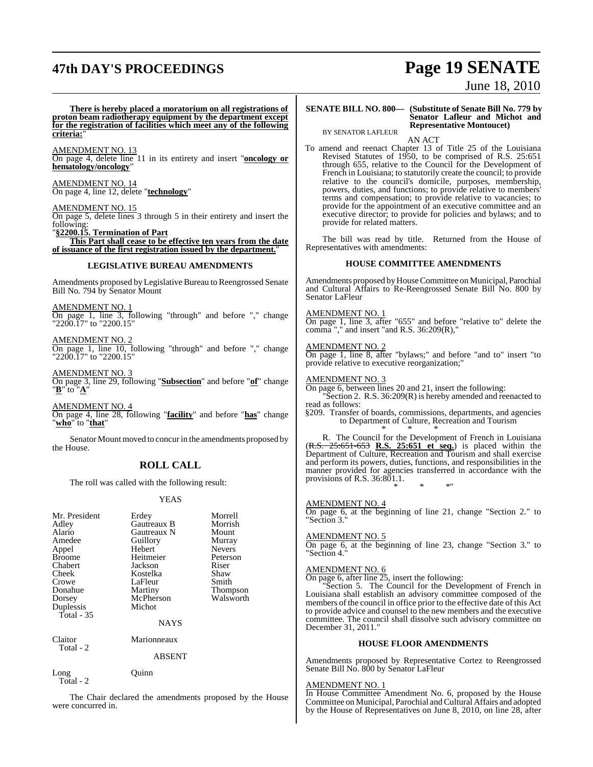## **47th DAY'S PROCEEDINGS Page 19 SENATE**

# June 18, 2010

**There is hereby placed a moratorium on all registrations of proton beam radiotherapy equipment by the department except for the registration of facilities which meet any of the following criteria:**"

AMENDMENT NO. 13 On page 4, delete line 11 in its entirety and insert "**oncology or hematology/oncology**"

AMENDMENT NO. 14 On page 4, line 12, delete "**technology**"

### AMENDMENT NO. 15

On page 5, delete lines 3 through 5 in their entirety and insert the following:

"**§2200.15. Termination of Part**

**This Part shall cease to be effective ten years from the date of issuance of the first registration issued by the department.**"

#### **LEGISLATIVE BUREAU AMENDMENTS**

Amendments proposed by Legislative Bureau to Reengrossed Senate Bill No. 794 by Senator Mount

AMENDMENT NO. 1 On page 1, line 3, following "through" and before "," change "2200.17" to "2200.15"

AMENDMENT NO. 2 On page 1, line 10, following "through" and before "," change "2200.17" to "2200.15"

AMENDMENT NO. 3

On page 3, line 29, following "**Subsection**" and before "**of**" change "**B**" to "**A**"

AMENDMENT NO. 4 On page 4, line 28, following "**facility**" and before "**has**" change "**who**" to "**that**"

Senator Mount moved to concur in the amendments proposed by the House.

### **ROLL CALL**

The roll was called with the following result:

#### YEAS

| Mr. President | Erdey       | Morrell         |
|---------------|-------------|-----------------|
| Adley         | Gautreaux B | Morrish         |
| Alario        | Gautreaux N | Mount           |
| Amedee        | Guillory    | Murray          |
| Appel         | Hebert      | <b>Nevers</b>   |
| <b>Broome</b> | Heitmeier   | Peterson        |
| Chabert       | Jackson     | Riser           |
| Cheek         | Kostelka    | Shaw            |
| Crowe         | LaFleur     | Smith           |
| Donahue       | Martiny     | <b>Thompson</b> |
| Dorsey        | McPherson   | Walsworth       |
| Duplessis     | Michot      |                 |
| Total $-35$   |             |                 |
|               | <b>NAYS</b> |                 |
| Claitor       | Marionneaux |                 |
| Total - 2     |             |                 |
|               | ABSENT      |                 |
| Long          | Ouınn       |                 |
| Total - 2     |             |                 |

The Chair declared the amendments proposed by the House were concurred in.

#### **SENATE BILL NO. 800— (Substitute of Senate Bill No. 779 by Senator Lafleur and Michot and Representative Montoucet)**

BY SENATOR LAFLEUR

AN ACT To amend and reenact Chapter 13 of Title 25 of the Louisiana Revised Statutes of 1950, to be comprised of R.S. 25:651 through 655, relative to the Council for the Development of French in Louisiana; to statutorily create the council; to provide relative to the council's domicile, purposes, membership, powers, duties, and functions; to provide relative to members' terms and compensation; to provide relative to vacancies; to provide for the appointment of an executive committee and an executive director; to provide for policies and bylaws; and to provide for related matters.

The bill was read by title. Returned from the House of Representatives with amendments:

#### **HOUSE COMMITTEE AMENDMENTS**

Amendments proposed by House Committee on Municipal, Parochial and Cultural Affairs to Re-Reengrossed Senate Bill No. 800 by Senator LaFleur

AMENDMENT NO. 1

On page 1, line 3, after "655" and before "relative to" delete the comma "," and insert "and R.S.  $36:209(R)$ ,"

AMENDMENT NO. 2

On page 1, line 8, after "bylaws;" and before "and to" insert "to provide relative to executive reorganization;"

AMENDMENT NO. 3

On page 6, between lines 20 and 21, insert the following: "Section 2. R.S. 36:209(R) is hereby amended and reenacted to read as follows:

§209. Transfer of boards, commissions, departments, and agencies to Department of Culture, Recreation and Tourism \* \* \*

R. The Council for the Development of French in Louisiana (R.S. 25:651-653 **R.S. 25:651 et seq.**) is placed within the Department of Culture, Recreation and Tourism and shall exercise and perform its powers, duties, functions, and responsibilities in the manner provided for agencies transferred in accordance with the provisions of R.S. 36:801.1. \* \* \*"

AMENDMENT NO. 4

On page  $\overline{6}$ , at the beginning of line 21, change "Section 2." to "Section 3.

#### AMENDMENT NO. 5

On page 6, at the beginning of line 23, change "Section 3." to "Section 4."

#### AMENDMENT NO. 6

On page 6, after line 25, insert the following:

"Section 5. The Council for the Development of French in Louisiana shall establish an advisory committee composed of the members of the council in office prior to the effective date of this Act to provide advice and counsel to the new members and the executive committee. The council shall dissolve such advisory committee on December 31, 2011."

#### **HOUSE FLOOR AMENDMENTS**

Amendments proposed by Representative Cortez to Reengrossed Senate Bill No. 800 by Senator LaFleur

#### AMENDMENT NO. 1

In House Committee Amendment No. 6, proposed by the House Committee on Municipal, Parochial and Cultural Affairs and adopted by the House of Representatives on June 8, 2010, on line 28, after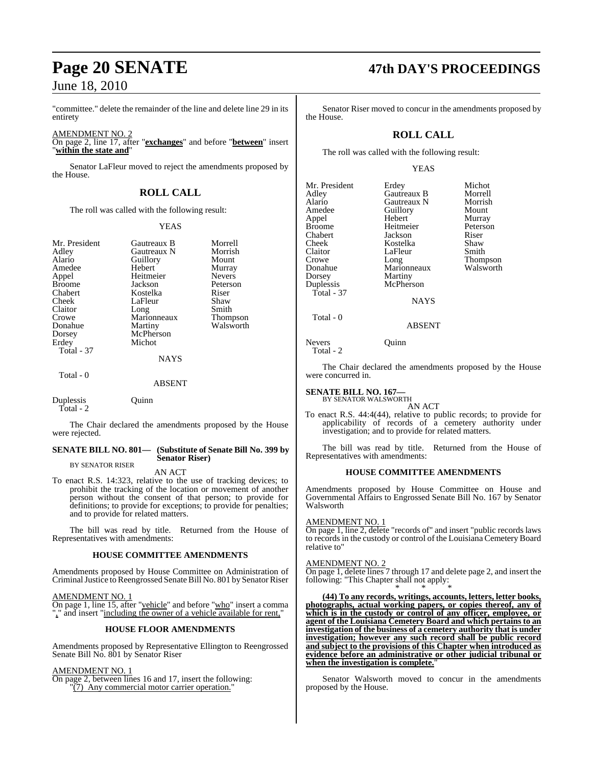"committee." delete the remainder of the line and delete line 29 in its entirety

AMENDMENT NO. 2 On page 2, line 17, after "**exchanges**" and before "**between**" insert "**within the state and**"

Senator LaFleur moved to reject the amendments proposed by the House.

### **ROLL CALL**

The roll was called with the following result:

#### YEAS

| Mr. President<br>Adley<br>Alario<br>Amedee<br>Appel<br><b>Broome</b><br>Chabert<br>Cheek<br>Claitor<br>Crowe<br>Donahue | Gautreaux B<br>Gautreaux N<br>Guillory<br>Hebert<br>Heitmeier<br>Jackson<br>Kostelka<br>LaFleur<br>Long<br>Marionneaux<br>Martiny<br>McPherson | Morrell<br>Morrish<br>Mount<br>Murray<br><b>Nevers</b><br>Peterson<br>Riser<br>Shaw<br>Smith<br>Thompson<br>Walsworth |
|-------------------------------------------------------------------------------------------------------------------------|------------------------------------------------------------------------------------------------------------------------------------------------|-----------------------------------------------------------------------------------------------------------------------|
| Dorsey                                                                                                                  |                                                                                                                                                |                                                                                                                       |
| Erdey<br><b>Total - 37</b>                                                                                              | Michot                                                                                                                                         |                                                                                                                       |
|                                                                                                                         | <b>NAYS</b>                                                                                                                                    |                                                                                                                       |
| Total - 0                                                                                                               | ABSENT                                                                                                                                         |                                                                                                                       |

Duplessis Quinn Total - 2

The Chair declared the amendments proposed by the House were rejected.

#### **SENATE BILL NO. 801— (Substitute of Senate Bill No. 399 by Senator Riser)**

BY SENATOR RISER

AN ACT To enact R.S. 14:323, relative to the use of tracking devices; to prohibit the tracking of the location or movement of another person without the consent of that person; to provide for definitions; to provide for exceptions; to provide for penalties; and to provide for related matters.

The bill was read by title. Returned from the House of Representatives with amendments:

#### **HOUSE COMMITTEE AMENDMENTS**

Amendments proposed by House Committee on Administration of Criminal Justice to Reengrossed Senate Bill No. 801 by Senator Riser

#### AMENDMENT NO. 1

On page 1, line 15, after "vehicle" and before "who" insert a comma "," and insert "including the owner of a vehicle available for rent,"

#### **HOUSE FLOOR AMENDMENTS**

Amendments proposed by Representative Ellington to Reengrossed Senate Bill No. 801 by Senator Riser

#### AMENDMENT NO. 1

On page 2, between lines 16 and 17, insert the following: "(7) Any commercial motor carrier operation."

## **Page 20 SENATE 47th DAY'S PROCEEDINGS**

Senator Riser moved to concur in the amendments proposed by the House.

#### **ROLL CALL**

The roll was called with the following result:

#### YEAS

| Mr. President | Erdey       | Michot        |
|---------------|-------------|---------------|
| Adley         | Gautreaux B | Morrell       |
| Alario        | Gautreaux N | Morrish       |
| Amedee        | Guillory    | Mount         |
| Appel         | Hebert      | Murray        |
| <b>Broome</b> | Heitmeier   | Peterson      |
| Chabert       | Jackson     | Riser         |
| Cheek         | Kostelka    | Shaw          |
| Claitor       | LaFleur     | Smith         |
| Crowe         | Long        | <b>Thomps</b> |
| Donahue       | Marionneaux | Walswc        |
| Dorsey        | Martiny     |               |
| Duplessis     | McPherson   |               |
| Total - 37    |             |               |
|               | <b>NAYS</b> |               |
| Total - 0     |             |               |

Murray<br>Peterson Thompson<br>Walsworth

#### ABSENT

Nevers Ouinn Total - 2

The Chair declared the amendments proposed by the House were concurred in.

### **SENATE BILL NO. 167—** BY SENATOR WALSWORTH

AN ACT

To enact R.S. 44:4(44), relative to public records; to provide for applicability of records of a cemetery authority under investigation; and to provide for related matters.

The bill was read by title. Returned from the House of Representatives with amendments:

#### **HOUSE COMMITTEE AMENDMENTS**

Amendments proposed by House Committee on House and Governmental Affairs to Engrossed Senate Bill No. 167 by Senator Walsworth

#### AMENDMENT NO. 1

On page 1, line 2, delete "records of" and insert "public records laws to records in the custody or control of the Louisiana Cemetery Board relative to"

#### AMENDMENT NO. 2

On page 1, delete lines 7 through 17 and delete page 2, and insert the following: "This Chapter shall not apply:

\* \* \* **(44) To any records, writings, accounts, letters, letter books, photographs, actual working papers, or copies thereof, any of which is in the custody or control of any officer, employee, or agent of the Louisiana Cemetery Board and which pertains to an investigation of the business of a cemetery authority that is under investigation; however any such record shall be public record and subject to the provisions of this Chapter when introduced as evidence before an administrative or other judicial tribunal or when the investigation is complete.**"

Senator Walsworth moved to concur in the amendments proposed by the House.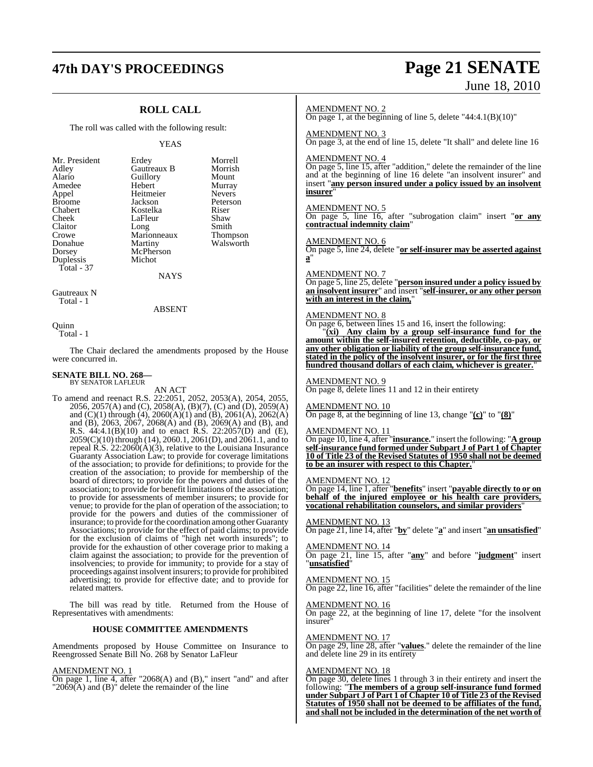### **47th DAY'S PROCEEDINGS Page 21 SENATE**

### **ROLL CALL**

The roll was called with the following result:

Michot

#### YEAS

| Mr. Presidei  |
|---------------|
| Adley         |
| Alario        |
| Amedee        |
| Appel         |
| <b>Broome</b> |
| Chabert       |
| Cheek         |
| Claitor       |
| Crowe         |
| Donahue       |
| Dorsey        |
| Duplessis     |
| Total - 37    |
|               |

nt Erdey Morrell<br>Gautreaux B Morrish **Gautreaux B** Morrish<br> **Guillory** Mount Guillory<br>Hebert Heitmeier<br>Jackson Kostelka Riser<br>LaFleur Shaw LaFleur Shaw<br>Long Smith Marionneaux<br>Martiny McPherson

## Murray<br>Nevers Peterson<br>Riser Long Smith<br>
Marionneaux Thompson Walsworth

Gautreaux N Total - 1

#### ABSENT

**NAYS** 

Quinn Total - 1

The Chair declared the amendments proposed by the House were concurred in.

#### **SENATE BILL NO. 268—** BY SENATOR LAFLEUR

AN ACT

To amend and reenact R.S. 22:2051, 2052, 2053(A), 2054, 2055, 2056, 2057(A) and (C), 2058(A), (B)(7), (C) and (D), 2059(A) and (C)(1) through (4), 2060(A)(1) and (B), 2061(A), 2062(A) and (B), 2063, 2067, 2068(A) and (B), 2069(A) and (B), and R.S. 44:4.1(B)(10) and to enact R.S. 22:2057(D) and (E), 2059(C)(10) through (14), 2060.1, 2061(D), and 2061.1, and to repeal R.S.  $22:2060(A)(3)$ , relative to the Louisiana Insurance Guaranty Association Law; to provide for coverage limitations of the association; to provide for definitions; to provide for the creation of the association; to provide for membership of the board of directors; to provide for the powers and duties of the association; to provide for benefit limitations of the association; to provide for assessments of member insurers; to provide for venue; to provide for the plan of operation of the association; to provide for the powers and duties of the commissioner of insurance; to provide for the coordination among other Guaranty Associations; to provide for the effect of paid claims; to provide for the exclusion of claims of "high net worth insureds"; to provide for the exhaustion of other coverage prior to making a claim against the association; to provide for the prevention of insolvencies; to provide for immunity; to provide for a stay of proceedings against insolvent insurers; to provide for prohibited advertising; to provide for effective date; and to provide for related matters.

The bill was read by title. Returned from the House of Representatives with amendments:

#### **HOUSE COMMITTEE AMENDMENTS**

Amendments proposed by House Committee on Insurance to Reengrossed Senate Bill No. 268 by Senator LaFleur

#### AMENDMENT NO. 1

On page 1, line 4, after "2068(A) and (B)," insert "and" and after  $"2069(A)$  and (B)" delete the remainder of the line

# June 18, 2010

#### AMENDMENT NO. 2

On page 1, at the beginning of line 5, delete "44:4.1 $(B)(10)$ "

#### AMENDMENT NO. 3

On page 3, at the end of line 15, delete "It shall" and delete line 16

#### AMENDMENT NO. 4

On page 5, line 15, after "addition," delete the remainder of the line and at the beginning of line 16 delete "an insolvent insurer" and insert "**any person insured under a policy issued by an insolvent insurer**"

#### AMENDMENT NO. 5

On page 5, line 16, after "subrogation claim" insert "**or any contractual indemnity claim**"

#### AMENDMENT NO. 6

On page 5, line 24, delete "**or self-insurer may be asserted against a**"

#### AMENDMENT NO. 7

On page 5, line 25, delete "**person insured under a policy issued by an insolvent insurer**" and insert "**self-insurer, or any other person with an interest in the claim,**"

#### AMENDMENT NO. 8

On page 6, between lines 15 and 16, insert the following:

"**(xi) Any claim by a group self-insurance fund for the amount within the self-insured retention, deductible, co-pay, or any other obligation or liability of the group self-insurance fund, stated in the policy of the insolvent insurer, or for the first three hundred thousand dollars of each claim, whichever is greater.**"

#### AMENDMENT NO. 9

On page 8, delete lines 11 and 12 in their entirety

#### AMENDMENT NO. 10

On page 8, at the beginning of line 13, change "**(c)**" to "**(8)**"

#### AMENDMENT NO. 11

On page 10, line 4, after "**insurance.**" insert the following: "**A group self-insurance fund formed under Subpart J of Part 1 of Chapter 10 of Title 23 of the Revised Statutes of 1950 shall not be deemed to be an insurer with respect to this Chapter.**"

#### AMENDMENT NO. 12

On page 14, line 1, after "**benefits**" insert "**payable directly to or on behalf of the injured employee or his health care providers, vocational rehabilitation counselors, and similar providers**"

AMENDMENT NO. 13 On page 21, line 14, after "**by**" delete "**a**" and insert "**an unsatisfied**"

#### AMENDMENT NO. 14

On page 21, line 15, after "**any**" and before "**judgment**" insert "**unsatisfied**"

#### AMENDMENT NO. 15

On page 22, line 16, after "facilities" delete the remainder of the line

#### AMENDMENT NO. 16 On page 22, at the beginning of line 17, delete "for the insolvent

insurer

#### AMENDMENT NO. 17

On page 29, line 28, after "**values**." delete the remainder of the line and delete line 29 in its entirety

#### AMENDMENT NO. 18

On page 30, delete lines 1 through 3 in their entirety and insert the following: "**The members of a group self-insurance fund formed under Subpart J of Part 1 of Chapter 10 of Title 23 of the Revised Statutes of 1950 shall not be deemed to be affiliates of the fund, and shall not be included in the determination of the net worth of**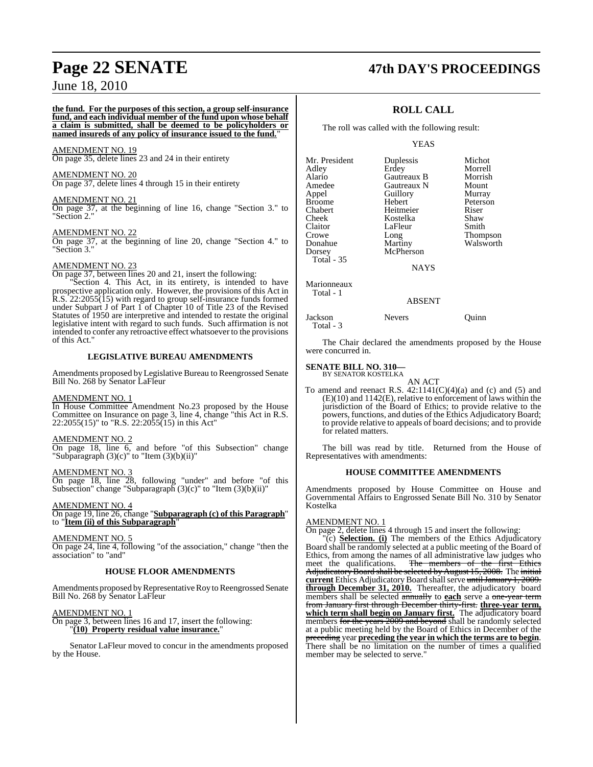### **Page 22 SENATE 47th DAY'S PROCEEDINGS**

### June 18, 2010

#### **the fund. For the purposes of this section, a group self-insurance fund, and each individual member of the fund upon whose behalf a claim is submitted, shall be deemed to be policyholders or named insureds of any policy of insurance issued to the fund.**"

#### AMENDMENT NO. 19

On page 35, delete lines 23 and 24 in their entirety

#### AMENDMENT NO. 20 On page 37, delete lines 4 through 15 in their entirety

#### AMENDMENT NO. 21

On page 37, at the beginning of line 16, change "Section 3." to "Section 2."

#### AMENDMENT NO. 22

On page 37, at the beginning of line 20, change "Section 4." to "Section 3."

#### AMENDMENT NO. 23

On page 37, between lines 20 and 21, insert the following:

Section 4. This Act, in its entirety, is intended to have prospective application only. However, the provisions of this Act in R.S. 22:2055(15) with regard to group self-insurance funds formed under Subpart J of Part 1 of Chapter 10 of Title 23 of the Revised Statutes of 1950 are interpretive and intended to restate the original legislative intent with regard to such funds. Such affirmation is not intended to confer any retroactive effect whatsoever to the provisions of this Act."

#### **LEGISLATIVE BUREAU AMENDMENTS**

Amendments proposed by Legislative Bureau to Reengrossed Senate Bill No. 268 by Senator LaFleur

#### AMENDMENT NO. 1

In House Committee Amendment No.23 proposed by the House Committee on Insurance on page 3, line 4, change "this Act in R.S. 22:2055(15)" to "R.S. 22:2055(15) in this Act"

#### AMENDMENT NO. 2

On page 18, line 6, and before "of this Subsection" change "Subparagraph  $(3)(c)$ " to "Item  $(3)(b)(ii)$ "

#### AMENDMENT NO. 3

On page 18, line 28, following "under" and before "of this Subsection" change "Subparagraph (3)(c)" to "Item (3)(b)(ii)"

#### AMENDMENT NO. 4

On page 19, line 26, change "**Subparagraph (c) of this Paragraph**" to "**Item (ii) of this Subparagraph**"

#### AMENDMENT NO. 5

On page 24, line 4, following "of the association," change "then the association" to "and"

#### **HOUSE FLOOR AMENDMENTS**

Amendments proposed by Representative Roy to Reengrossed Senate Bill No. 268 by Senator LaFleur

#### AMENDMENT NO. 1

On page 3, between lines 16 and 17, insert the following: "**(10) Property residual value insurance.**"

Senator LaFleur moved to concur in the amendments proposed by the House.

#### **ROLL CALL**

The roll was called with the following result:

#### YEAS

| Mr. President | Duplessis   | Michot    |
|---------------|-------------|-----------|
| Adley         | Erdey       | Morrell   |
| Alario        | Gautreaux B | Morrish   |
| Amedee        | Gautreaux N | Mount     |
| Appel         | Guillory    | Murray    |
| <b>Broome</b> | Hebert      | Peterson  |
| Chabert       | Heitmeier   | Riser     |
| Cheek         | Kostelka    | Shaw      |
| Claitor       | LaFleur     | Smith     |
| Crowe         | Long        | Thompson  |
| Donahue       | Martiny     | Walsworth |
| Dorsey        | McPherson   |           |
| Total - 35    |             |           |
|               |             |           |

NAYS

Marionneaux Total - 1

Total - 3

#### ABSENT

Jackson Nevers Quinn

The Chair declared the amendments proposed by the House were concurred in.

### **SENATE BILL NO. 310—**

BY SENATOR KOSTELKA AN ACT

To amend and reenact R.S.  $42:1141(C)(4)(a)$  and (c) and (5) and (E)(10) and 1142(E), relative to enforcement of laws within the jurisdiction of the Board of Ethics; to provide relative to the powers, functions, and duties of the Ethics Adjudicatory Board; to provide relative to appeals of board decisions; and to provide for related matters.

The bill was read by title. Returned from the House of Representatives with amendments:

#### **HOUSE COMMITTEE AMENDMENTS**

Amendments proposed by House Committee on House and Governmental Affairs to Engrossed Senate Bill No. 310 by Senator Kostelka

#### AMENDMENT NO. 1

On page 2, delete lines 4 through 15 and insert the following:

"(c) **Selection. (i)** The members of the Ethics Adjudicatory Board shall be randomly selected at a public meeting of the Board of Ethics, from among the names of all administrative law judges who meet the qualifications. The members of the first Ethics Adjudicatory Board shall be selected by August 15, 2008. The initial **current** Ethics Adjudicatory Board shall serve until January 1, 2009. **through December 31, 2010.** Thereafter, the adjudicatory board members shall be selected annually to **each** serve a one-year term from January first through December thirty-first. **three-year term, which term shall begin on January first.** The adjudicatory board members for the years 2009 and beyond shall be randomly selected at a public meeting held by the Board of Ethics in December of the preceding year **preceding the year in which the terms are to begin**. There shall be no limitation on the number of times a qualified member may be selected to serve."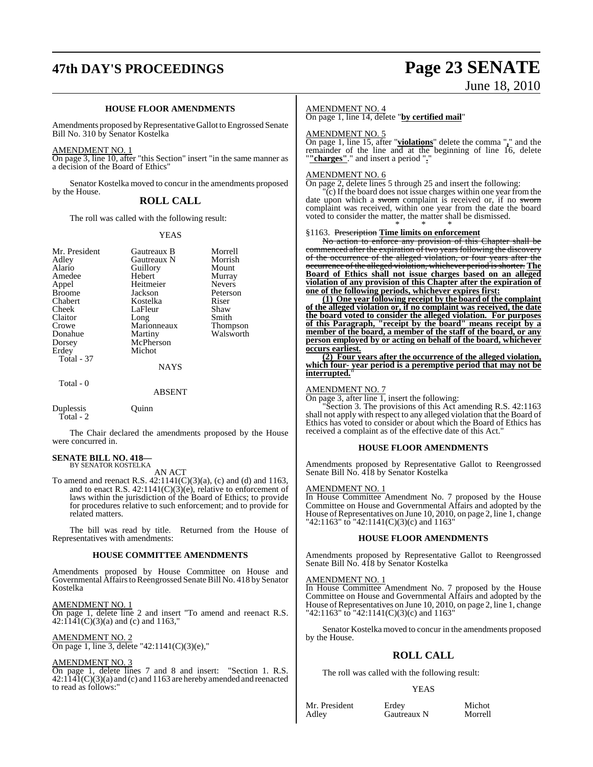## **47th DAY'S PROCEEDINGS Page 23 SENATE**

# June 18, 2010

#### **HOUSE FLOOR AMENDMENTS**

Amendments proposed by Representative Gallot to Engrossed Senate Bill No. 310 by Senator Kostelka

#### AMENDMENT NO. 1

On page 3, line 10, after "this Section" insert "in the same manner as a decision of the Board of Ethics"

Senator Kostelka moved to concur in the amendments proposed by the House.

#### **ROLL CALL**

The roll was called with the following result:

#### YEAS

| Mr. President | Gautreaux B   | Morrell       |
|---------------|---------------|---------------|
| Adley         | Gautreaux N   | Morrish       |
| Alario        | Guillory      | Mount         |
| Amedee        | Hebert        | Murray        |
| Appel         | Heitmeier     | <b>Nevers</b> |
| <b>Broome</b> | Jackson       | Peterson      |
| Chabert       | Kostelka      | Riser         |
| Cheek         | LaFleur       | Shaw          |
| Claitor       | Long          | Smith         |
| Crowe         | Marionneaux   | Thompson      |
| Donahue       | Martiny       | Walsworth     |
| Dorsey        | McPherson     |               |
| Erdey         | Michot        |               |
| Total - 37    |               |               |
|               | <b>NAYS</b>   |               |
| Total - 0     |               |               |
|               | <b>ABSENT</b> |               |
| Duplessis     | <b>Duinn</b>  |               |

The Chair declared the amendments proposed by the House were concurred in.

#### **SENATE BILL NO. 418—** BY SENATOR KOSTELKA

Total - 2

AN ACT

To amend and reenact R.S. 42:1141(C)(3)(a), (c) and (d) and 1163, and to enact R.S. 42:1141(C)(3)(e), relative to enforcement of laws within the jurisdiction of the Board of Ethics; to provide for procedures relative to such enforcement; and to provide for related matters.

The bill was read by title. Returned from the House of Representatives with amendments:

#### **HOUSE COMMITTEE AMENDMENTS**

Amendments proposed by House Committee on House and Governmental Affairs to Reengrossed Senate Bill No. 418 by Senator Kostelka

AMENDMENT NO. 1 On page 1, delete line 2 and insert "To amend and reenact R.S.  $42:1141(C)(3)(a)$  and (c) and 1163,"

AMENDMENT NO. 2 On page 1, line 3, delete "42:1141(C)(3)(e),"

#### AMENDMENT NO. 3

On page 1, delete lines 7 and 8 and insert: "Section 1. R.S.  $42:114I(C)(3)(a)$  and (c) and 1163 are hereby amended and reenacted to read as follows:"

#### AMENDMENT NO. 4

On page 1, line 14, delete "**by certified mail**"

#### AMENDMENT NO. 5

On page 1, line 15, after "**violations**" delete the comma "**,**" and the remainder of the line and at the beginning of line 16, delete "**"charges"**." and insert a period "**.**"

#### AMENDMENT NO. 6

On page 2, delete lines 5 through 25 and insert the following:

"(c) If the board does not issue charges within one year from the date upon which a sworn complaint is received or, if no sworn complaint was received, within one year from the date the board voted to consider the matter, the matter shall be dismissed. \* \* \*

#### §1163. Prescription **Time limits on enforcement**

No action to enforce any provision of this Chapter shall be commenced after the expiration of two years following the discovery of the occurrence of the alleged violation, or four years after the occurrence of the alleged violation, whichever period is shorter. **The Board of Ethics shall not issue charges based on an alleged violation of any provision of this Chapter after the expiration of one of the following periods, whichever expires first:**

**(1) One year following receipt by the board of the complaint of the alleged violation or, if no complaint was received, the date the board voted to consider the alleged violation. For purposes of this Paragraph, "receipt by the board" means receipt by a member of the board, a member of the staff of the board, or any person employed by or acting on behalf of the board, whichever occurs earliest.**

**(2) Four years after the occurrence of the alleged violation, which four- year period is a peremptive period that may not be** interrupted.

#### AMENDMENT NO. 7

On page 3, after line 1, insert the following:

"Section 3. The provisions of this Act amending R.S. 42:1163 shall not apply with respect to any alleged violation that the Board of Ethics has voted to consider or about which the Board of Ethics has received a complaint as of the effective date of this Act."

#### **HOUSE FLOOR AMENDMENTS**

Amendments proposed by Representative Gallot to Reengrossed Senate Bill No. 418 by Senator Kostelka

#### AMENDMENT NO. 1

In House Committee Amendment No. 7 proposed by the House Committee on House and Governmental Affairs and adopted by the House of Representatives on June 10, 2010, on page 2, line 1, change "42:1163" to "42:1141(C)(3)(c) and 1163"

#### **HOUSE FLOOR AMENDMENTS**

Amendments proposed by Representative Gallot to Reengrossed Senate Bill No. 418 by Senator Kostelka

#### AMENDMENT NO. 1

In House Committee Amendment No. 7 proposed by the House Committee on House and Governmental Affairs and adopted by the House of Representatives on June 10, 2010, on page 2, line 1, change "42:1163" to "42:1141(C)(3)(c) and 1163'

Senator Kostelka moved to concur in the amendments proposed by the House.

### **ROLL CALL**

The roll was called with the following result:

#### YEAS

Mr. President Erdey Michot<br>Adley Gautreaux N Morrell Gautreaux N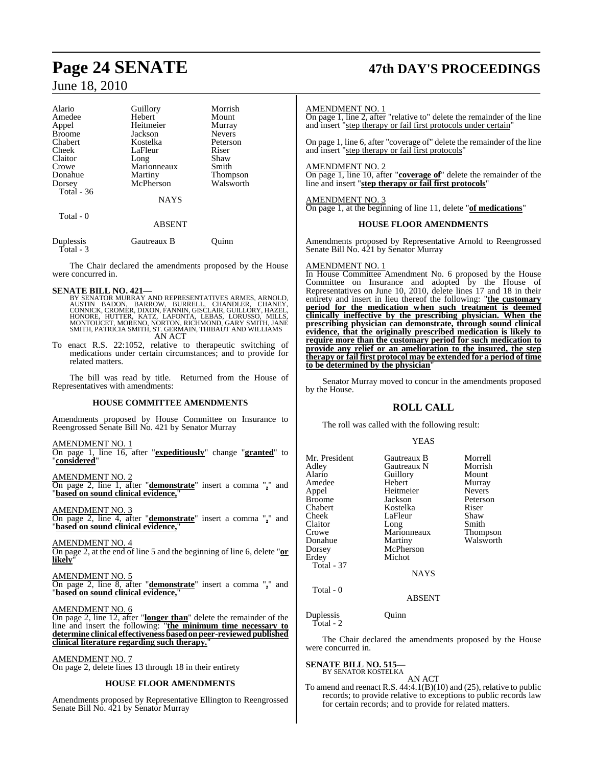| Alario        | Guillory      | Morrish       |
|---------------|---------------|---------------|
| Amedee        | Hebert        | Mount         |
| Appel         | Heitmeier     | Murray        |
| <b>Broome</b> | Jackson       | <b>Nevers</b> |
| Chabert       | Kostelka      | Peterson      |
| Cheek         | LaFleur       | Riser         |
| Claitor       | Long          | Shaw          |
| Crowe         | Marionneaux   | Smith         |
| Donahue       | Martiny       | Thompson      |
| Dorsey        | McPherson     | Walsworth     |
| Total - 36    |               |               |
|               | <b>NAYS</b>   |               |
| Total - 0     |               |               |
|               | <b>ABSENT</b> |               |

| Duplessis<br>Total - 3 | Gautreaux B | Ouinn |
|------------------------|-------------|-------|
|                        |             |       |

The Chair declared the amendments proposed by the House were concurred in.

SENATE BILL NO. 421—<br>BY SENATOR MURRAY AND REPRESENTATIVES ARMES, ARNOLD,<br>AUSTIN BADON, BARROW, BURRELL, CHANDLER, CHANEY,<br>CONNICK, CROMER, DIXON, FANNIN, GISCLAIR, GUILLORY, HAZEL,<br>HONORE, HUTTER, KATZ, LAFONTA, LEBAS, LO AN ACT

To enact R.S. 22:1052, relative to therapeutic switching of medications under certain circumstances; and to provide for related matters.

The bill was read by title. Returned from the House of Representatives with amendments:

#### **HOUSE COMMITTEE AMENDMENTS**

Amendments proposed by House Committee on Insurance to Reengrossed Senate Bill No. 421 by Senator Murray

AMENDMENT NO. 1 On page 1, line 16, after "**expeditiously**" change "**granted**" to "**considered**"

AMENDMENT NO. 2 On page 2, line 1, after "**demonstrate**" insert a comma "**,**" and "**based on sound clinical evidence,**"

AMENDMENT NO. 3

On page 2, line 4, after "**demonstrate**" insert a comma "**,**" and "**based on sound clinical evidence,**"

AMENDMENT NO. 4 On page 2, at the end of line 5 and the beginning of line 6, delete "**or likely**"

AMENDMENT NO. 5 On page 2, line 8, after "**demonstrate**" insert a comma "**,**" and "**based on sound clinical evidence,**"

#### AMENDMENT NO. 6

On page 2, line 12, after "**longer than**" delete the remainder of the line and insert the following: "**the minimum time necessary to determine clinical effectiveness basedonpeer-reviewedpublished clinical literature regarding such therapy.**"

AMENDMENT NO. 7 On page 2, delete lines 13 through 18 in their entirety

#### **HOUSE FLOOR AMENDMENTS**

Amendments proposed by Representative Ellington to Reengrossed Senate Bill No. 421 by Senator Murray

## **Page 24 SENATE 47th DAY'S PROCEEDINGS**

#### AMENDMENT NO. 1

On page 1, line 2, after "relative to" delete the remainder of the line and insert "step therapy or fail first protocols under certain"

On page 1, line 6, after "coverage of" delete the remainder of the line and insert "step therapy or fail first protocols"

#### AMENDMENT NO. 2

On page 1, line 10, after "**coverage of**" delete the remainder of the line and insert "**step therapy or fail first protocols**"

#### AMENDMENT NO. 3

On page 1, at the beginning of line 11, delete "**of medications**"

#### **HOUSE FLOOR AMENDMENTS**

Amendments proposed by Representative Arnold to Reengrossed Senate Bill No. 421 by Senator Murray

#### AMENDMENT NO. 1

In House Committee Amendment No. 6 proposed by the House Committee on Insurance and adopted by the House of Representatives on June 10, 2010, delete lines 17 and 18 in their entirety and insert in lieu thereof the following: "**the customary period for the medication when such treatment is deemed clinically ineffective by the prescribing physician. When the prescribing physician can demonstrate, through sound clinical evidence, that the originally prescribed medication is likely to require more than the customary period for such medication to provide any relief or an amelioration to the insured, the step therapy or fail first protocol may be extended for a period of time to be determined by the physician**"

Senator Murray moved to concur in the amendments proposed by the House.

### **ROLL CALL**

The roll was called with the following result:

#### YEAS

| Mr. President<br>Adley<br>Alario<br>Amedee<br>Appel<br>Broome<br>Chabert<br>Cheek<br>Claitor<br>Crowe<br>Donahue<br>Dorsey<br>Erdev | Gautreaux B<br>Gautreaux N<br>Guillory<br>Hebert<br>Heitmeier<br>Jackson<br>Kostelka<br>LaFleur<br>Long<br>Marionneaux<br>Martiny<br>McPherson<br>Michot | Morrell<br>Morrish<br>Mount<br>Murray<br><b>Nevers</b><br>Peterson<br>Riser<br>Shaw<br>Smith<br><b>Thompson</b><br>Walsworth |
|-------------------------------------------------------------------------------------------------------------------------------------|----------------------------------------------------------------------------------------------------------------------------------------------------------|------------------------------------------------------------------------------------------------------------------------------|
| <b>Total - 37</b>                                                                                                                   |                                                                                                                                                          |                                                                                                                              |
|                                                                                                                                     | <b>NAYS</b>                                                                                                                                              |                                                                                                                              |
| Total - 0                                                                                                                           |                                                                                                                                                          |                                                                                                                              |

#### ABSENT

Duplessis Quinn Total - 2

The Chair declared the amendments proposed by the House were concurred in.

#### **SENATE BILL NO. 515** BY SENATOR KOSTELKA

AN ACT

To amend and reenact R.S.  $44:4.1(B)(10)$  and  $(25)$ , relative to public records; to provide relative to exceptions to public records law for certain records; and to provide for related matters.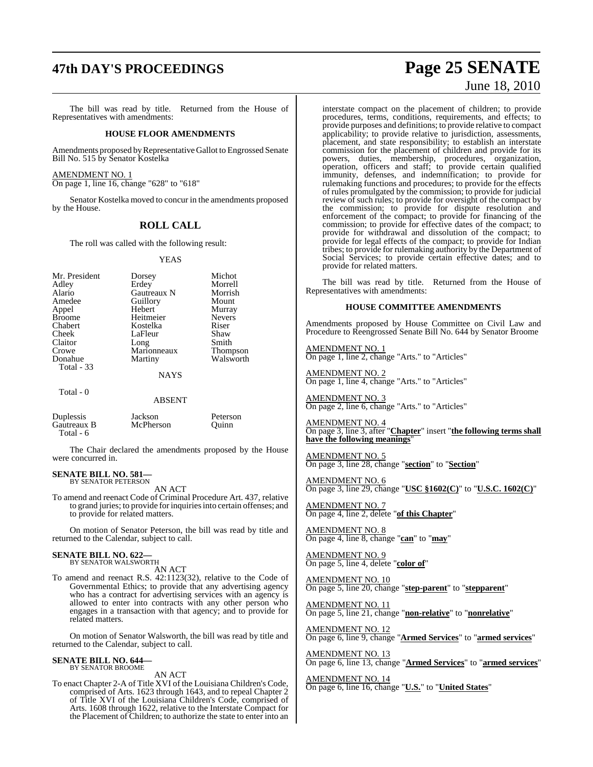## **47th DAY'S PROCEEDINGS Page 25 SENATE**

The bill was read by title. Returned from the House of Representatives with amendments:

#### **HOUSE FLOOR AMENDMENTS**

Amendments proposed by Representative Gallot to Engrossed Senate Bill No. 515 by Senator Kostelka

AMENDMENT NO. 1

On page 1, line 16, change "628" to "618"

Senator Kostelka moved to concur in the amendments proposed by the House.

#### **ROLL CALL**

The roll was called with the following result:

#### YEAS

| Mr. President<br>Adley<br>Alario<br>Amedee<br>Appel<br><b>Broome</b> | Dorsey<br>Erdey<br>Gautreaux N<br>Guillory<br>Hebert<br>Heitmeier | Michot<br>Morrell<br>Morrish<br>Mount<br>Murray<br><b>Nevers</b><br>Riser |
|----------------------------------------------------------------------|-------------------------------------------------------------------|---------------------------------------------------------------------------|
| Chabert<br>Cheek                                                     | Kostelka<br>LaFleur                                               | Shaw                                                                      |
| Claitor                                                              | Long                                                              | Smith                                                                     |
| Crowe                                                                | Marionneaux                                                       | <b>Thompson</b>                                                           |
| Donahue<br>Total - 33                                                | Martiny                                                           | Walsworth                                                                 |
|                                                                      | <b>NAYS</b>                                                       |                                                                           |
| Total - 0                                                            |                                                                   |                                                                           |

**ABSENT** 

Peterson Ouinn

| Duplessis   | Jackson   |
|-------------|-----------|
| Gautreaux B | McPherson |
| Total - 6   |           |

The Chair declared the amendments proposed by the House were concurred in.

#### **SENATE BILL NO. 581—** BY SENATOR PETERSON

AN ACT

To amend and reenact Code of Criminal Procedure Art. 437, relative to grand juries; to provide forinquiriesinto certain offenses; and to provide for related matters.

On motion of Senator Peterson, the bill was read by title and returned to the Calendar, subject to call.

### **SENATE BILL NO. 622—** BY SENATOR WALSWORTH

AN ACT

To amend and reenact R.S. 42:1123(32), relative to the Code of Governmental Ethics; to provide that any advertising agency who has a contract for advertising services with an agency is allowed to enter into contracts with any other person who engages in a transaction with that agency; and to provide for related matters.

On motion of Senator Walsworth, the bill was read by title and returned to the Calendar, subject to call.

### **SENATE BILL NO. 644—** BY SENATOR BROOME

AN ACT

To enact Chapter 2-A of Title XVI of the Louisiana Children's Code, comprised of Arts. 1623 through 1643, and to repeal Chapter 2 of Title XVI of the Louisiana Children's Code, comprised of Arts. 1608 through 1622, relative to the Interstate Compact for the Placement of Children; to authorize the state to enter into an

# June 18, 2010

interstate compact on the placement of children; to provide procedures, terms, conditions, requirements, and effects; to provide purposes and definitions; to provide relative to compact applicability; to provide relative to jurisdiction, assessments, placement, and state responsibility; to establish an interstate commission for the placement of children and provide for its powers, duties, membership, procedures, organization, operation, officers and staff; to provide certain qualified immunity, defenses, and indemnification; to provide for rulemaking functions and procedures; to provide for the effects of rules promulgated by the commission; to provide for judicial review of such rules; to provide for oversight of the compact by the commission; to provide for dispute resolution and enforcement of the compact; to provide for financing of the commission; to provide for effective dates of the compact; to provide for withdrawal and dissolution of the compact; to provide for legal effects of the compact; to provide for Indian tribes; to provide for rulemaking authority by the Department of Social Services; to provide certain effective dates; and to provide for related matters.

The bill was read by title. Returned from the House of Representatives with amendments:

#### **HOUSE COMMITTEE AMENDMENTS**

Amendments proposed by House Committee on Civil Law and Procedure to Reengrossed Senate Bill No. 644 by Senator Broome

AMENDMENT NO. 1 On page 1, line 2, change "Arts." to "Articles"

AMENDMENT NO. 2 On page 1, line 4, change "Arts." to "Articles"

AMENDMENT NO. 3 On page 2, line 6, change "Arts." to "Articles"

AMENDMENT NO. 4 On page 3, line 3, after "**Chapter**" insert "**the following terms shall have the following meanings**"

AMENDMENT NO. 5 On page 3, line 28, change "**section**" to "**Section**"

AMENDMENT NO. 6 On page 3, line 29, change "**USC §1602(C)**" to "**U.S.C. 1602(C)**"

AMENDMENT NO. 7 On page 4, line 2, delete "**of this Chapter**"

AMENDMENT NO. 8 On page 4, line 8, change "**can**" to "**may**"

AMENDMENT NO. 9 On page 5, line 4, delete "**color of**"

AMENDMENT NO. 10 On page 5, line 20, change "**step-parent**" to "**stepparent**"

<u>AMENDMENT NO. 11</u> On page 5, line 21, change "**non-relative**" to "**nonrelative**"

AMENDMENT NO. 12 On page 6, line 9, change "**Armed Services**" to "**armed services**"

AMENDMENT NO. 13 On page 6, line 13, change "**Armed Services**" to "**armed services**"

AMENDMENT NO. 14 On page 6, line 16, change "**U.S.**" to "**United States**"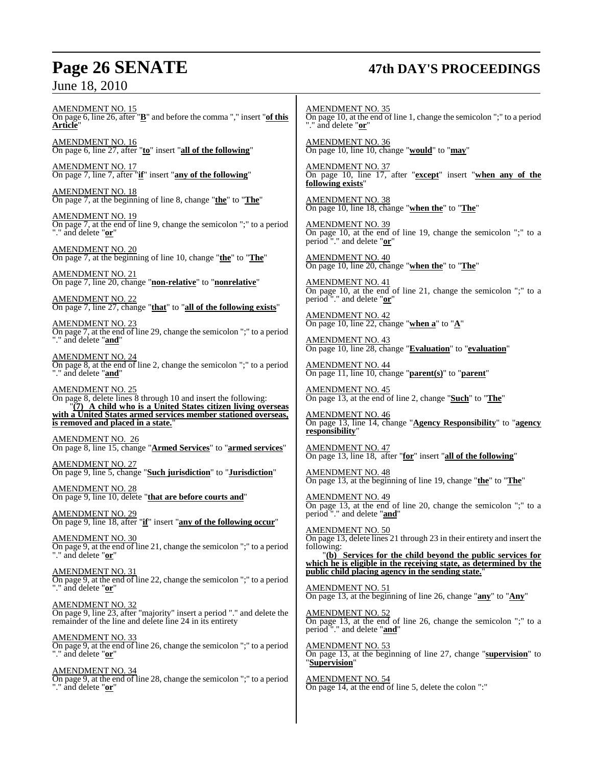## **Page 26 SENATE 47th DAY'S PROCEEDINGS**

AMENDMENT NO. 15 On page 6, line 26, after "**B**" and before the comma "," insert "**of this Article**"

AMENDMENT NO. 16 On page 6, line 27, after "**to**" insert "**all of the following**"

AMENDMENT NO. 17 On page 7, line 7, after "**if**" insert "**any of the following**"

AMENDMENT NO. 18 On page 7, at the beginning of line 8, change "**the**" to "**The**"

AMENDMENT NO. 19 On page 7, at the end of line 9, change the semicolon ";" to a period "." and delete "**or**"

AMENDMENT NO. 20 On page 7, at the beginning of line 10, change "**the**" to "**The**"

AMENDMENT NO. 21 On page 7, line 20, change "**non-relative**" to "**nonrelative**"

AMENDMENT NO. 22 On page 7, line 27, change "**that**" to "**all of the following exists**"

AMENDMENT NO. 23 On page 7, at the end of line 29, change the semicolon ";" to a period "." and delete "**and**"

AMENDMENT NO. 24 On page 8, at the end of line 2, change the semicolon ";" to a period "." and delete "**and**"

AMENDMENT NO. 25 On page 8, delete lines 8 through 10 and insert the following: "**(7) A child who is a United States citizen living overseas with a United States armed services member stationed overseas,** is removed and placed in a state.

AMENDMENT NO. 26 On page 8, line 15, change "**Armed Services**" to "**armed services**"

AMENDMENT NO. 27 On page 9, line 5, change "**Such jurisdiction**" to "**Jurisdiction**"

AMENDMENT NO. 28 On page 9, line 10, delete "**that are before courts and**"

AMENDMENT NO. 29 On page 9, line 18, after "**if**" insert "**any of the following occur**"

AMENDMENT NO. 30 On page 9, at the end of line 21, change the semicolon ";" to a period "." and delete "**or**"

AMENDMENT NO. 31 On page 9, at the end of line 22, change the semicolon ";" to a period "." and delete "**or**"

AMENDMENT NO. 32 On page 9, line 23, after "majority" insert a period "." and delete the remainder of the line and delete line 24 in its entirety

AMENDMENT NO. 33 On page 9, at the end of line 26, change the semicolon ";" to a period "." and delete "**or**"

AMENDMENT NO. 34 On page 9, at the end of line 28, change the semicolon ";" to a period "." and delete "**or**"

AMENDMENT NO. 35 On page 10, at the end of line 1, change the semicolon ";" to a period "." and delete "**or**"

AMENDMENT NO. 36 On page 10, line 10, change "**would**" to "**may**"

AMENDMENT NO. 37 On page 10, line 17, after "**except**" insert "**when any of the following exists**"

AMENDMENT NO. 38 On page 10, line 18, change "**when the**" to "**The**"

AMENDMENT NO. 39 On page 10, at the end of line 19, change the semicolon ";" to a period "." and delete "**or**"

AMENDMENT NO. 40 On page 10, line 20, change "**when the**" to "**The**"

AMENDMENT NO. 41 On page 10, at the end of line 21, change the semicolon ";" to a period "." and delete "**or**"

AMENDMENT NO. 42 On page 10, line 22, change "**when a**" to "**A**"

AMENDMENT NO. 43 On page 10, line 28, change "**Evaluation**" to "**evaluation**"

AMENDMENT NO. 44 On page 11, line 10, change "**parent(s)**" to "**parent**"

AMENDMENT NO. 45 On page 13, at the end of line 2, change "**Such**" to "**The**"

AMENDMENT NO. 46 On page 13, line 14, change "**Agency Responsibility**" to "**agency responsibility**"

AMENDMENT NO. 47 On page 13, line 18, after "**for**" insert "**all of the following**"

AMENDMENT NO. 48 On page 13, at the beginning of line 19, change "**the**" to "**The**"

AMENDMENT NO. 49 On page 13, at the end of line 20, change the semicolon ";" to a period "." and delete "**and**"

AMENDMENT NO. 50 On page 13, delete lines 21 through 23 in their entirety and insert the following: "**(b) Services for the child beyond the public services for**

**which he is eligible in the receiving state, as determined by the public child placing agency in the sending state.**"

AMENDMENT NO. 51 On page 13, at the beginning of line 26, change "**any**" to "**Any**"

AMENDMENT NO. 52 On page 13, at the end of line 26, change the semicolon ";" to a period "." and delete "**and**"

AMENDMENT NO. 53 On page 13, at the beginning of line 27, change "**supervision**" to "**Supervision**"

AMENDMENT NO. 54 On page 14, at the end of line 5, delete the colon ":"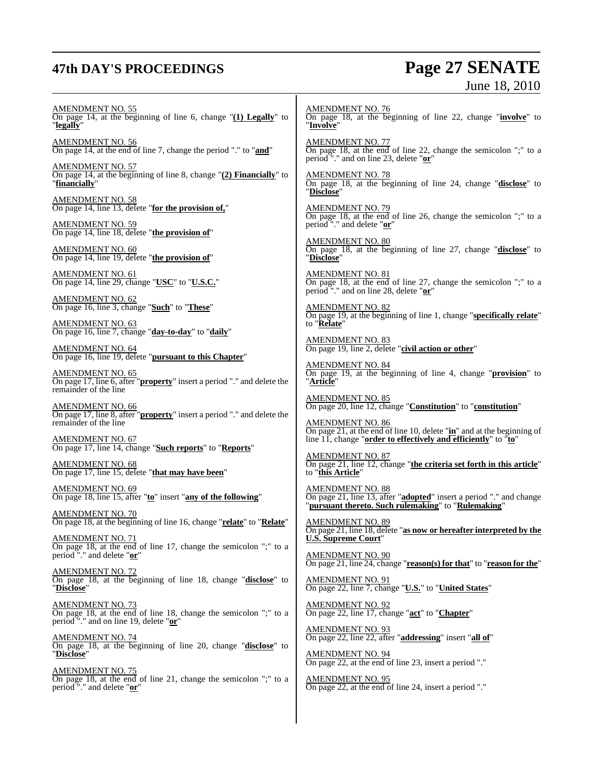## **47th DAY'S PROCEEDINGS Page 27 SENATE**

# June 18, 2010

AMENDMENT NO. 55

On page 14, at the beginning of line 6, change "**(1) Legally**" to "**legally**"

AMENDMENT NO. 56 On page 14, at the end of line 7, change the period "." to "**and**"

AMENDMENT NO. 57 On page 14, at the beginning of line 8, change "**(2) Financially**" to "**financially**"

AMENDMENT NO. 58 On page 14, line 13, delete "**for the provision of,**"

AMENDMENT NO. 59 On page 14, line 18, delete "**the provision of**"

AMENDMENT NO. 60 On page 14, line 19, delete "**the provision of**"

AMENDMENT NO. 61 On page 14, line 29, change "**USC**" to "**U.S.C.**"

AMENDMENT NO. 62 On page 16, line 3, change "**Such**" to "**These**"

AMENDMENT NO. 63 On page 16, line 7, change "**day-to-day**" to "**daily**"

AMENDMENT NO. 64 On page 16, line 19, delete "**pursuant to this Chapter**"

AMENDMENT NO. 65 On page 17, line 6, after "**property**" insert a period "." and delete the remainder of the line

AMENDMENT NO. 66 On page 17, line 8, after "**property**" insert a period "." and delete the remainder of the line

AMENDMENT NO. 67 On page 17, line 14, change "**Such reports**" to "**Reports**"

AMENDMENT NO. 68 On page 17, line 15, delete "**that may have been**"

AMENDMENT NO. 69 On page 18, line 15, after "**to**" insert "**any of the following**"

AMENDMENT NO. 70 On page 18, at the beginning of line 16, change "**relate**" to "**Relate**"

AMENDMENT NO. 71 On page 18, at the end of line 17, change the semicolon ";" to a period "." and delete "**or**"

AMENDMENT NO. 72 On page 18, at the beginning of line 18, change "**disclose**" to "**Disclose**"

AMENDMENT NO. 73 On page 18, at the end of line 18, change the semicolon ";" to a period "." and on line 19, delete "**or**"

AMENDMENT NO. 74 On page 18, at the beginning of line 20, change "**disclose**" to "**Disclose**"

AMENDMENT NO. 75 On page 18, at the end of line 21, change the semicolon ";" to a period "." and delete "**or**"

AMENDMENT NO. 76 On page 18, at the beginning of line 22, change "**involve**" to "**Involve**"

AMENDMENT NO. 77 On page 18, at the end of line 22, change the semicolon ";" to a period "." and on line 23, delete "**or**"

AMENDMENT NO. 78 On page 18, at the beginning of line 24, change "**disclose**" to "**Disclose**"

AMENDMENT NO. 79 On page 18, at the end of line 26, change the semicolon ";" to a period "." and delete "**or**"

AMENDMENT NO. 80 On page 18, at the beginning of line 27, change "**disclose**" to "**Disclose**"

AMENDMENT NO. 81 On page 18, at the end of line 27, change the semicolon ";" to a period "." and on line 28, delete "**or**"

AMENDMENT NO. 82 On page 19, at the beginning of line 1, change "**specifically relate**" to "**Relate**"

AMENDMENT NO. 83 On page 19, line 2, delete "**civil action or other**"

AMENDMENT NO. 84 On page 19, at the beginning of line 4, change "**provision**" to "**Article**"

AMENDMENT NO. 85 On page 20, line 12, change "**Constitution**" to "**constitution**"

AMENDMENT NO. 86 On page 21, at the end of line 10, delete "**in**" and at the beginning of line 11, change "**order to effectively and efficiently**" to "**to**"

AMENDMENT NO. 87 On page 21, line 12, change "**the criteria set forth in this article**" to "**this Article**"

AMENDMENT NO. 88 On page 21, line 13, after "**adopted**" insert a period "." and change "**pursuant thereto. Such rulemaking**" to "**Rulemaking**"

AMENDMENT NO. 89 On page 21, line 18, delete "**as now or hereafter interpreted by the U.S. Supreme Court**"

AMENDMENT NO. 90 On page 21, line 24, change "**reason(s) for that**" to "**reason for the**"

AMENDMENT NO. 91 On page 22, line 7, change "**U.S.**" to "**United States**"

<u>AMENDMENT NO. 92</u> On page 22, line 17, change "**act**" to "**Chapter**"

AMENDMENT NO. 93 On page 22, line 22, after "**addressing**" insert "**all of**"

AMENDMENT NO. 94 On page 22, at the end of line 23, insert a period "."

AMENDMENT NO. 95 On page 22, at the end of line 24, insert a period "."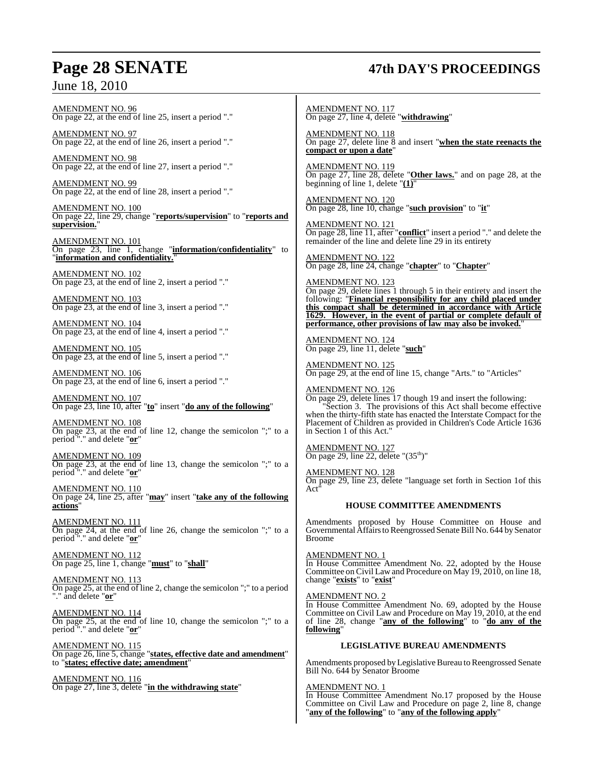### **Page 28 SENATE 47th DAY'S PROCEEDINGS**

AMENDMENT NO. 96 On page 22, at the end of line 25, insert a period "."

AMENDMENT NO. 97 On page 22, at the end of line 26, insert a period "."

AMENDMENT NO. 98 On page 22, at the end of line 27, insert a period "."

AMENDMENT NO. 99 On page 22, at the end of line 28, insert a period "."

AMENDMENT NO. 100 On page 22, line 29, change "**reports/supervision**" to "**reports and supervision.**"

AMENDMENT NO. 101 On page 23, line 1, change "**information/confidentiality**" to "**information and confidentiality.**"

AMENDMENT NO. 102 On page 23, at the end of line 2, insert a period "."

AMENDMENT NO. 103 On page 23, at the end of line 3, insert a period "."

AMENDMENT NO. 104 On page 23, at the end of line 4, insert a period "."

AMENDMENT NO. 105 On page 23, at the end of line 5, insert a period "."

AMENDMENT NO. 106 On page 23, at the end of line 6, insert a period "."

AMENDMENT NO. 107 On page 23, line 10, after "**to**" insert "**do any of the following**"

AMENDMENT NO. 108 On page 23, at the end of line 12, change the semicolon ";" to a period "." and delete "**or**"

AMENDMENT NO. 109 On page 23, at the end of line 13, change the semicolon ";" to a period "." and delete "**or**"

AMENDMENT NO. 110 On page 24, line 25, after "**may**" insert "**take any of the following actions**"

AMENDMENT NO. 111 On page 24, at the end of line 26, change the semicolon ";" to a period "." and delete "**or**"

AMENDMENT NO. 112 On page 25, line 1, change "**must**" to "**shall**"

AMENDMENT NO. 113 On page 25, at the end of line 2, change the semicolon ";" to a period "." and delete "**or**"

AMENDMENT NO. 114 On page 25, at the end of line 10, change the semicolon ";" to a period "." and delete "**or**"

AMENDMENT NO. 115 On page 26, line 5, change "**states, effective date and amendment**" to "**states; effective date; amendment**"

AMENDMENT NO. 116 On page 27, line 3, delete "**in the withdrawing state**" AMENDMENT NO. 117 On page 27, line 4, delete "**withdrawing**"

AMENDMENT NO. 118 On page 27, delete line 8 and insert "**when the state reenacts the compact or upon a date**"

AMENDMENT NO. 119 On page 27, line 28, delete "**Other laws.**" and on page 28, at the beginning of line 1, delete "**(1)**"

AMENDMENT NO. 120 On page 28, line 10, change "**such provision**" to "**it**"

AMENDMENT NO. 121 On page 28, line 11, after "**conflict**" insert a period "." and delete the remainder of the line and delete line 29 in its entirety

AMENDMENT NO. 122 On page 28, line 24, change "**chapter**" to "**Chapter**"

AMENDMENT NO. 123 On page 29, delete lines 1 through 5 in their entirety and insert the following: "**Financial responsibility for any child placed under this compact shall be determined in accordance with Article 1629. However, in the event of partial or complete default of performance, other provisions of law may also be invoked.**"

AMENDMENT NO. 124 On page 29, line 11, delete "**such**"

AMENDMENT NO. 125 On page 29, at the end of line 15, change "Arts." to "Articles"

AMENDMENT NO. 126 On page 29, delete lines 17 though 19 and insert the following: "Section 3. The provisions of this Act shall become effective when the thirty-fifth state has enacted the Interstate Compact for the Placement of Children as provided in Children's Code Article 1636 in Section 1 of this Act."

AMENDMENT NO. 127 On page 29, line 22, delete " $(35<sup>th</sup>)$ "

AMENDMENT NO. 128 On page 29, line 23, delete "language set forth in Section 1of this Act"

#### **HOUSE COMMITTEE AMENDMENTS**

Amendments proposed by House Committee on House and Governmental Affairs to Reengrossed Senate Bill No. 644 by Senator Broome

AMENDMENT NO. 1 In House Committee Amendment No. 22, adopted by the House Committee on Civil Law and Procedure on May 19, 2010, on line 18, change "**exists**" to "**exist**"

#### AMENDMENT NO. 2

In House Committee Amendment No. 69, adopted by the House Committee on Civil Law and Procedure on May 19, 2010, at the end of line 28, change "**any of the following**" to "**do any of the following**"

#### **LEGISLATIVE BUREAU AMENDMENTS**

Amendments proposed by Legislative Bureau to Reengrossed Senate Bill No. 644 by Senator Broome

#### AMENDMENT NO. 1

In House Committee Amendment No.17 proposed by the House Committee on Civil Law and Procedure on page 2, line 8, change "**any of the following**" to "**any of the following apply**"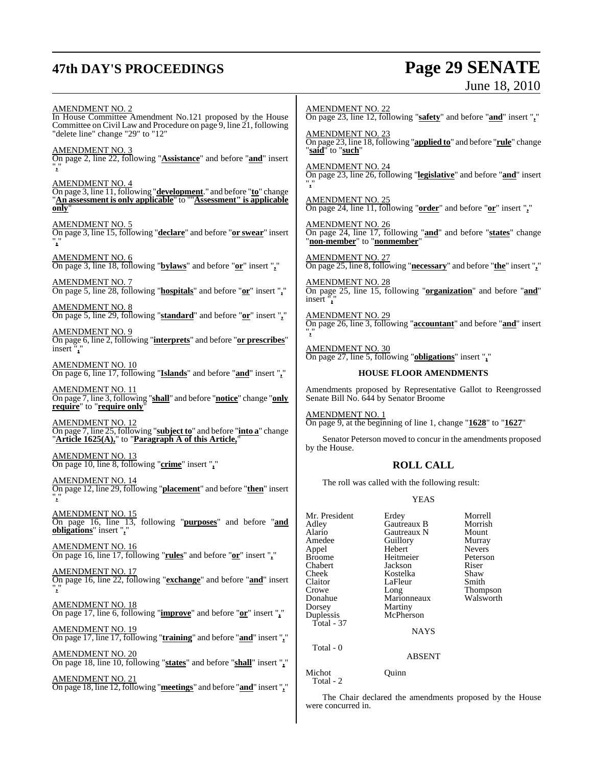## **47th DAY'S PROCEEDINGS Page 29 SENATE**

# June 18, 2010

AMENDMENT NO. 2 In House Committee Amendment No.121 proposed by the House Committee on Civil Law and Procedure on page 9, line 21, following "delete line" change "29" to "12" AMENDMENT NO. 3 On page 2, line 22, following "**Assistance**" and before "**and**" insert "**,**" AMENDMENT NO. 4 On page 3, line 11, following "**development**." and before "**to**" change "**An assessment is only applicable**" to ""**Assessment" is applicable only**" AMENDMENT NO. 5 On page 3, line 15, following "**declare**" and before "**or swear**" insert "**,**" AMENDMENT NO. 6 On page 3, line 18, following "**bylaws**" and before "**or**" insert "**,**" AMENDMENT NO. 7 On page 5, line 28, following "**hospitals**" and before "**or**" insert "**,**" AMENDMENT NO. 8 On page 5, line 29, following "**standard**" and before "**or**" insert "**,**" AMENDMENT NO. 9 On page 6, line 2, following "**interprets**" and before "**or prescribes**" insert "**,**" AMENDMENT NO. 10 On page 6, line 17, following "**Islands**" and before "**and**" insert "**,**" AMENDMENT NO. 11 On page 7, line 3, following "**shall**" and before "**notice**" change "**only require**" to "**require only**" AMENDMENT NO. 12 On page 7, line 25, following "**subject to**" and before "**into a**" change "**Article 1625(A),**" to "**Paragraph A of this Article,**" AMENDMENT NO. 13 On page 10, line 8, following "**crime**" insert "**,**" AMENDMENT NO. 14 On page 12, line 29, following "**placement**" and before "**then**" insert "**,**" AMENDMENT NO. 15 On page 16, line 13, following "**purposes**" and before "**and obligations**" insert "**,**" AMENDMENT NO. 16 On page 16, line 17, following "**rules**" and before "**or**" insert "**,**" AMENDMENT NO. 17 On page 16, line 22, following "**exchange**" and before "**and**" insert "**,**" <u>AMENDMENT NO. 18</u> On page 17, line 6, following "**improve**" and before "**or**" insert "**,**" AMENDMENT NO. 19 On page 17, line 17, following "**training**" and before "**and**" insert "**,**" AMENDMENT NO. 20 On page 18, line 10, following "**states**" and before "**shall**" insert "**,**" AMENDMENT NO. 21 On page 18, line 12, following "**meetings**" and before "**and**" insert "**,**" "**,**" insert<sup>"</sup>, "**,**" by the House. Total - 37 Total - 0 Michot Quinn Total - 2

AMENDMENT NO. 22 On page 23, line 12, following "**safety**" and before "**and**" insert "**,**"

AMENDMENT NO. 23 On page 23, line 18, following "**applied to**" and before "**rule**" change "**said**" to "**such**"

AMENDMENT NO. 24 On page 23, line 26, following "**legislative**" and before "**and**" insert

AMENDMENT NO. 25 On page 24, line 11, following "**order**" and before "**or**" insert "**,**"

AMENDMENT NO. On page 24, line 17, following "**and**" and before "**states**" change "**non-member**" to "**nonmember**"

AMENDMENT NO. 27 On page 25, line 8, following "**necessary**" and before "**the**" insert "**,**"

AMENDMENT NO. 28 On page 25, line 15, following "**organization**" and before "**and**"

AMENDMENT NO. 29 On page 26, line 3, following "**accountant**" and before "**and**" insert

AMENDMENT NO. 30 On page 27, line 5, following "**obligations**" insert "**,**"

#### **HOUSE FLOOR AMENDMENTS**

Amendments proposed by Representative Gallot to Reengrossed Senate Bill No. 644 by Senator Broome

AMENDMENT NO. 1 On page 9, at the beginning of line 1, change "**1628**" to "**1627**"

Senator Peterson moved to concur in the amendments proposed

#### **ROLL CALL**

The roll was called with the following result:

#### YEAS

| Mr. President | Erdey           | Morrell         |
|---------------|-----------------|-----------------|
| Adley         | Gautreaux B     | Morrish         |
| Alario        | Gautreaux N     | Mount           |
| Amedee        | Guillory        | Murray          |
| Appel         | Hebert          | <b>Nevers</b>   |
| <b>Broome</b> | Heitmeier       | Peterson        |
| Chabert       | Jackson         | Riser           |
| Cheek         | Kostelka        | Shaw            |
| Claitor       | LaFleur         | Smith           |
| Crowe         | Long            | <b>Thompson</b> |
| Donahue       | Marionneaux     | Walsworth       |
| Dorsey        | Martiny         |                 |
| Duplessis     | McPherson       |                 |
| Total - 37    |                 |                 |
|               | <b>NI A VZC</b> |                 |

NAYS

ABSENT

The Chair declared the amendments proposed by the House were concurred in.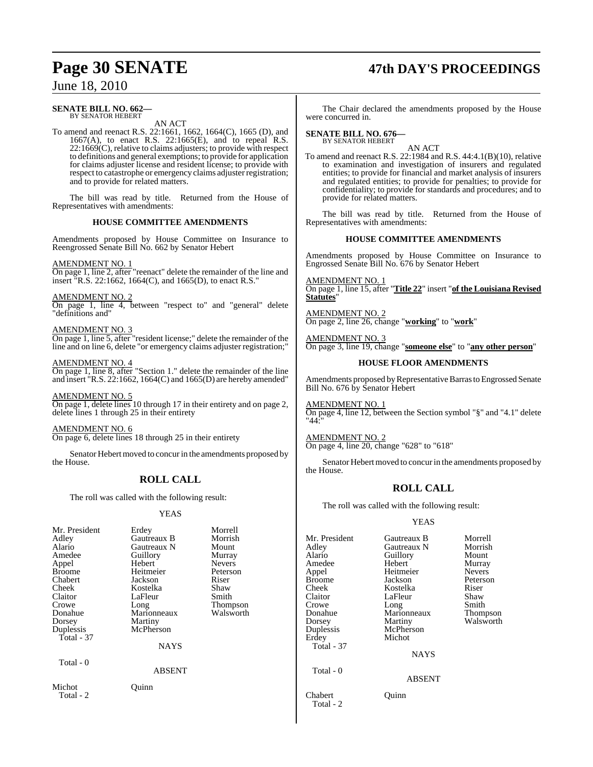## **Page 30 SENATE 47th DAY'S PROCEEDINGS**

### June 18, 2010

#### **SENATE BILL NO. 662—** BY SENATOR HEBERT

AN ACT

To amend and reenact R.S. 22:1661, 1662, 1664(C), 1665 (D), and 1667(A), to enact R.S. 22:1665(E), and to repeal R.S.  $22:1669(C)$ , relative to claims adjusters; to provide with respect to definitions and general exemptions; to provide for application for claims adjuster license and resident license; to provide with respect to catastrophe or emergency claims adjuster registration; and to provide for related matters.

The bill was read by title. Returned from the House of Representatives with amendments:

#### **HOUSE COMMITTEE AMENDMENTS**

Amendments proposed by House Committee on Insurance to Reengrossed Senate Bill No. 662 by Senator Hebert

#### AMENDMENT NO. 1

On page 1, line 2, after "reenact" delete the remainder of the line and insert "R.S. 22:1662, 1664(C), and 1665(D), to enact R.S."

#### AMENDMENT NO. 2

On page 1, line 4, between "respect to" and "general" delete "definitions and"

#### AMENDMENT NO. 3

On page 1, line 5, after "resident license;" delete the remainder of the line and on line 6, delete "or emergency claims adjuster registration;"

#### AMENDMENT NO. 4

On page 1, line 8, after "Section 1." delete the remainder of the line and insert "R.S. 22:1662, 1664(C) and 1665(D) are hereby amended"

AMENDMENT NO. 5 On page 1, delete lines 10 through 17 in their entirety and on page 2, delete lines 1 through 25 in their entirety

AMENDMENT NO. 6 On page 6, delete lines 18 through 25 in their entirety

Senator Hebert moved to concur in the amendments proposed by the House.

### **ROLL CALL**

The roll was called with the following result:

#### YEAS

| Mr. President<br>Adley<br>Alario<br>Amedee<br>Appel<br><b>Broome</b><br>Chabert<br>Cheek<br>Claitor<br>Crowe<br>Donahue<br>Dorsey<br>Duplessis<br>Total $-37$<br>Total - 0 | Erdey<br>Gautreaux B<br>Gautreaux N<br>Guillory<br>Hebert<br>Heitmeier<br>Jackson<br>Kostelka<br>LaFleur<br>Long<br>Marionneaux<br>Martiny<br>McPherson<br><b>NAYS</b><br><b>ABSENT</b> | Morrell<br>Morrish<br>Mount<br>Murray<br><b>Nevers</b><br>Peterson<br>Riser<br>Shaw<br>Smith<br>Thompson<br>Walsworth |
|----------------------------------------------------------------------------------------------------------------------------------------------------------------------------|-----------------------------------------------------------------------------------------------------------------------------------------------------------------------------------------|-----------------------------------------------------------------------------------------------------------------------|
| Michot<br>Total - 2                                                                                                                                                        | Ouinn                                                                                                                                                                                   |                                                                                                                       |
|                                                                                                                                                                            |                                                                                                                                                                                         |                                                                                                                       |

The Chair declared the amendments proposed by the House were concurred in.

### **SENATE BILL NO. 676—** BY SENATOR HEBERT

AN ACT

To amend and reenact R.S. 22:1984 and R.S. 44:4.1(B)(10), relative to examination and investigation of insurers and regulated entities; to provide for financial and market analysis of insurers and regulated entities; to provide for penalties; to provide for confidentiality; to provide for standards and procedures; and to provide for related matters.

The bill was read by title. Returned from the House of Representatives with amendments:

#### **HOUSE COMMITTEE AMENDMENTS**

Amendments proposed by House Committee on Insurance to Engrossed Senate Bill No. 676 by Senator Hebert

AMENDMENT NO. 1 On page 1, line 15, after "**Title 22**" insert "**of the Louisiana Revised Statutes**"

AMENDMENT NO. 2 On page 2, line 26, change "**working**" to "**work**"

AMENDMENT NO. 3 On page 3, line 19, change "**someone else**" to "**any other person**"

#### **HOUSE FLOOR AMENDMENTS**

Amendments proposed byRepresentative Barras to Engrossed Senate Bill No. 676 by Senator Hebert

AMENDMENT NO. 1 On page 4, line 12, between the Section symbol "§" and "4.1" delete "44:"

AMENDMENT NO. 2 On page 4, line 20, change "628" to "618"

Senator Hebert moved to concur in the amendments proposed by the House.

#### **ROLL CALL**

The roll was called with the following result:

#### YEAS

| Mr. President<br>Adlev<br>Alario<br>Amedee<br>Appel<br>Broome<br>Cheek<br>Claitor<br>Crowe<br>Donahue<br>Dorsey<br>Duplessis<br>Erdey<br>Total - 37<br>Total - 0 | Gautreaux B<br>Gautreaux N<br>Guillory<br>Hebert<br>Heitmeier<br>Jackson<br>Kostelka<br>LaFleur<br>Long<br>Marionneaux<br>Martiny<br>McPherson<br>Michot<br><b>NAYS</b><br><b>ABSENT</b> | Morrell<br>Morrish<br>Mount<br>Murray<br><b>Nevers</b><br>Peterson<br>Riser<br>Shaw<br>Smith<br>Thompson<br>Walsworth |
|------------------------------------------------------------------------------------------------------------------------------------------------------------------|------------------------------------------------------------------------------------------------------------------------------------------------------------------------------------------|-----------------------------------------------------------------------------------------------------------------------|
| Chabert<br>Total - 2                                                                                                                                             | Ouınn                                                                                                                                                                                    |                                                                                                                       |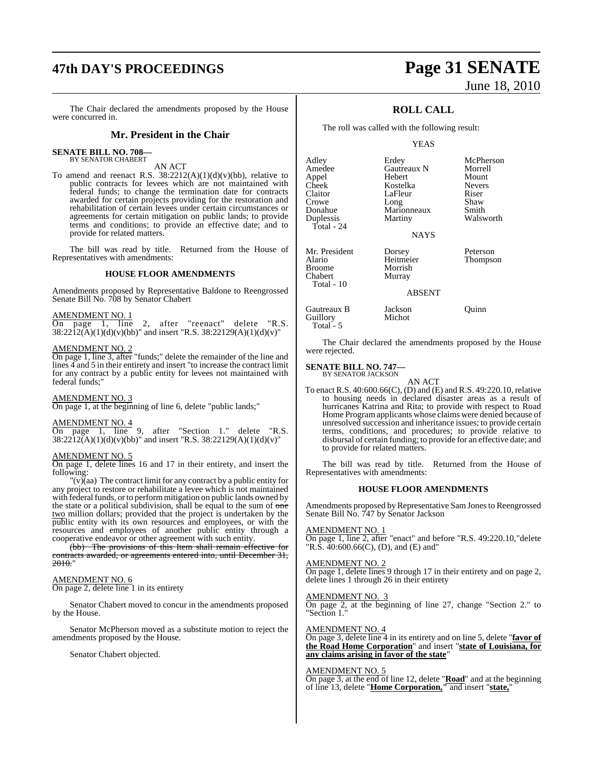## **47th DAY'S PROCEEDINGS Page 31 SENATE**

The Chair declared the amendments proposed by the House were concurred in.

#### **Mr. President in the Chair**

### **SENATE BILL NO. 708—**

BY SENATOR CHABERT

AN ACT To amend and reenact R.S.  $38:2212(A)(1)(d)(v)(bb)$ , relative to public contracts for levees which are not maintained with federal funds; to change the termination date for contracts awarded for certain projects providing for the restoration and rehabilitation of certain levees under certain circumstances or agreements for certain mitigation on public lands; to provide terms and conditions; to provide an effective date; and to provide for related matters.

The bill was read by title. Returned from the House of Representatives with amendments:

#### **HOUSE FLOOR AMENDMENTS**

Amendments proposed by Representative Baldone to Reengrossed Senate Bill No. 708 by Senator Chabert

#### AMENDMENT NO. 1

On page 1, line 2, after "reenact" delete "R.S.  $38:2212(A)(1)(d)(v)(bb)$ " and insert "R.S. 38:22129(A)(1)(d)(v)"

### AMENDMENT NO. 2

On page 1, line 3, after "funds;" delete the remainder of the line and lines 4 and 5 in their entirety and insert "to increase the contract limit for any contract by a public entity for levees not maintained with federal funds;"

#### AMENDMENT NO. 3

On page 1, at the beginning of line 6, delete "public lands;"

#### AMENDMENT NO. 4

On page 1, line 9, after "Section 1." delete "R.S.  $38:2212(A)(1)(d)(v)(bb)'$  and insert "R.S.  $38:22129(A)(1)(d)(v)'$ "

#### AMENDMENT NO. 5

On page 1, delete lines 16 and 17 in their entirety, and insert the following:

"(v)(aa) The contract limit for any contract by a public entity for any project to restore or rehabilitate a levee which is not maintained with federal funds, or to perform mitigation on public lands owned by the state or a political subdivision, shall be equal to the sum of  $\theta$ two million dollars; provided that the project is undertaken by the public entity with its own resources and employees, or with the resources and employees of another public entity through a cooperative endeavor or other agreement with such entity.

(bb) The provisions of this Item shall remain effective for contracts awarded, or agreements entered into, until December 31, 2010."

#### AMENDMENT NO. 6

On page 2, delete line 1 in its entirety

Senator Chabert moved to concur in the amendments proposed by the House.

Senator McPherson moved as a substitute motion to reject the amendments proposed by the House.

Senator Chabert objected.

# June 18, 2010

#### **ROLL CALL**

The roll was called with the following result:

#### YEAS

| Adley<br>Amedee<br>Appel<br>Cheek<br>Claitor<br>Crowe<br>Donahue<br>Duplessis<br>Total - 24 | Erdey<br>Gautreaux N<br>Hebert<br>Kostelka<br>LaFleur<br>Long<br>Marionneaux<br>Martiny<br><b>NAYS</b> | McPherson<br>Morrell<br>Mount<br><b>Nevers</b><br>Riser<br>Shaw<br>Smith<br>Walsworth |
|---------------------------------------------------------------------------------------------|--------------------------------------------------------------------------------------------------------|---------------------------------------------------------------------------------------|
| Mr. President<br>Alario<br><b>Broome</b><br>Chabert<br>Total - 10                           | Dorsey<br>Heitmeier<br>Morrish<br>Murray<br><b>ABSENT</b>                                              | Peterson<br>Thompson                                                                  |
| Gautreaux B<br>Guillory                                                                     | Jackson<br>Michot                                                                                      | uınn                                                                                  |

The Chair declared the amendments proposed by the House were rejected.

#### **SENATE BILL NO. 747—**

Total - 5

BY SENATOR JACKSON AN ACT

To enact R.S. 40:600.66(C), (D) and (E) and R.S. 49:220.10, relative to housing needs in declared disaster areas as a result of hurricanes Katrina and Rita; to provide with respect to Road Home Program applicants whose claims were denied because of unresolved succession and inheritance issues; to provide certain terms, conditions, and procedures; to provide relative to disbursal of certain funding; to provide for an effective date; and to provide for related matters.

The bill was read by title. Returned from the House of Representatives with amendments:

#### **HOUSE FLOOR AMENDMENTS**

Amendments proposed by Representative Sam Jones to Reengrossed Senate Bill No. 747 by Senator Jackson

#### AMENDMENT NO. 1

On page 1, line 2, after "enact" and before "R.S. 49:220.10,"delete "R.S. 40:600.66(C), (D), and (E) and"

#### AMENDMENT NO. 2

On page 1, delete lines 9 through 17 in their entirety and on page 2, delete lines 1 through 26 in their entirety

#### AMENDMENT NO. 3

On page 2, at the beginning of line 27, change "Section 2." to "Section 1."

#### AMENDMENT NO. 4

On page 3, delete line 4 in its entirety and on line 5, delete "**favor of the Road Home Corporation**" and insert "**state of Louisiana, for any claims arising in favor of the state**"

#### AMENDMENT NO. 5

On page 3, at the end of line 12, delete "**Road**" and at the beginning of line 13, delete "**Home Corporation,"** and insert "**state,**"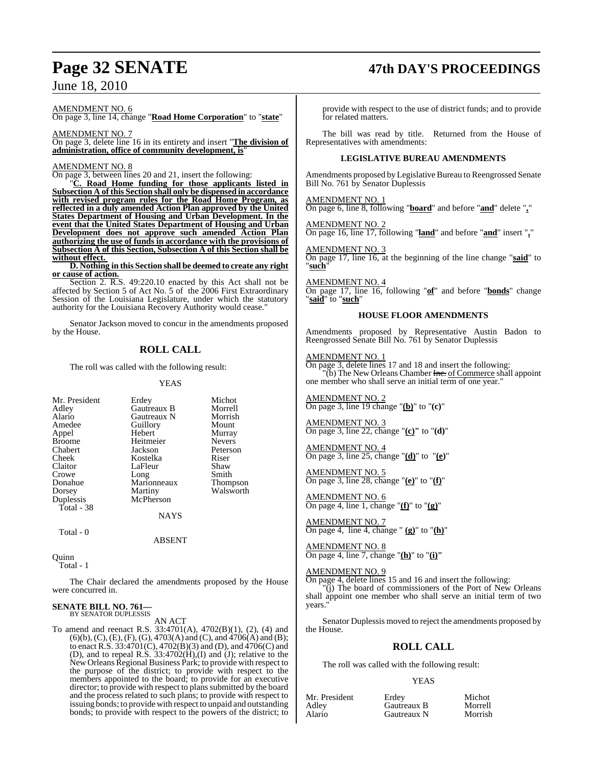#### AMENDMENT NO. 6

On page 3, line 14, change "**Road Home Corporation**" to "**state**"

AMENDMENT NO. 7 On page 3, delete line 16 in its entirety and insert "**The division of administration, office of community development, is**"

#### AMENDMENT NO. 8

On page 3, between lines 20 and 21, insert the following:

"**C. Road Home funding for those applicants listed in Subsection A of this Section shall only be dispensed in accordance with revised program rules for the Road Home Program, as reflected in a duly amended Action Plan approved by the United States Department of Housing and Urban Development. In the event that the United States Department of Housing and Urban Development does not approve such amended Action Plan authorizing the use of funds in accordance with the provisions of Subsection A of this Section, Subsection A of this Section shall be without effect.** 

**D. Nothing in this Section shall be deemed to create any right or cause of action.**

Section 2. R.S. 49:220.10 enacted by this Act shall not be affected by Section 5 of Act No. 5 of the 2006 First Extraordinary Session of the Louisiana Legislature, under which the statutory authority for the Louisiana Recovery Authority would cease."

Senator Jackson moved to concur in the amendments proposed by the House.

#### **ROLL CALL**

The roll was called with the following result:

YEAS

| Mr. President | Erdey       | Michot   |
|---------------|-------------|----------|
| Adley         | Gautreaux B | Morrell  |
| Alario        | Gautreaux N | Morrish  |
| Amedee        | Guillory    | Mount    |
| Appel         | Hebert      | Murray   |
| <b>Broome</b> | Heitmeier   | Nevers   |
| Chabert       | Jackson     | Peterson |
| Cheek         | Kostelka    | Riser    |
| Claitor       | LaFleur     | Shaw     |
| Crowe         | Long        | Smith    |
| Donahue       | Marionneaux | Thomps   |
| Dorsey        | Martiny     | Walswo   |
| Duplessis     | McPherson   |          |
| Total - 38    |             |          |
|               | <b>NAYS</b> |          |
|               |             |          |

lory Mount ert Murray<br>meier Nevers Nevers son Peterson<br>elka Riser g Smith<br>
onneaux Thom onneaux Thompson<br>
inv Walsworth Walsworth

Total - 0

ABSENT

**Ouinn** 

Total - 1

The Chair declared the amendments proposed by the House were concurred in.

#### **SENATE BILL NO. 761—** BY SENATOR DUPLESSIS

AN ACT

To amend and reenact R.S. 33:4701(A), 4702(B)(1), (2), (4) and (6)(b), (C), (E), (F), (G), 4703(A) and (C), and 4706(A) and (B); to enact R.S. 33:4701(C), 4702(B)(3) and (D), and 4706(C) and (D), and to repeal R.S. 33:4702(H),(I) and (J); relative to the New Orleans Regional Business Park; to provide with respect to the purpose of the district; to provide with respect to the members appointed to the board; to provide for an executive director; to provide with respect to plans submitted by the board and the process related to such plans; to provide with respect to issuing bonds; to provide with respect to unpaid and outstanding bonds; to provide with respect to the powers of the district; to

### **Page 32 SENATE 47th DAY'S PROCEEDINGS**

provide with respect to the use of district funds; and to provide for related matters.

The bill was read by title. Returned from the House of Representatives with amendments:

#### **LEGISLATIVE BUREAU AMENDMENTS**

Amendments proposed byLegislative Bureau to Reengrossed Senate Bill No. 761 by Senator Duplessis

#### AMENDMENT NO. 1

On page 6, line 8, following "**board**" and before "**and**" delete "**,**"

### AMENDMENT NO. 2

On page 16, line 17, following "**land**" and before "**and**" insert "**,**"

#### AMENDMENT NO. 3 On page 17, line 16, at the beginning of the line change "**said**" to

"**such**"

#### AMENDMENT NO. 4

On page 17, line 16, following "**of**" and before "**bonds**" change "**said**" to "**such**"

#### **HOUSE FLOOR AMENDMENTS**

Amendments proposed by Representative Austin Badon to Reengrossed Senate Bill No. 761 by Senator Duplessis

#### AMENDMENT NO. 1

On page 3, delete lines 17 and 18 and insert the following:  $\overline{b}$  (b) The New Orleans Chamber Inc. of Commerce shall appoint one member who shall serve an initial term of one year."

AMENDMENT NO. 2 On page 3, line 19 change "**(b)**" to "**(c)**"

AMENDMENT NO. 3 On page 3, line 22, change "**(c)"** to "**(d)**"

AMENDMENT NO. 4 On page 3, line 25, change "**(d)**" to "**(e)**"

AMENDMENT NO. 5 On page 3, line 28, change "**(e)**" to "**(f)**"

AMENDMENT NO. 6 On page 4, line 1, change "**(f)**" to "**(g)**"

AMENDMENT NO. 7 On page 4, line 4, change " **(g)**" to "**(h)**"

#### AMENDMENT NO. 8 On page 4, line 7, change "**(h)**" to "**(i)"**

AMENDMENT NO. 9

On page 4, delete lines 15 and 16 and insert the following:  $(i)$  The board of commissioners of the Port of New Orleans shall appoint one member who shall serve an initial term of two years.

Senator Duplessis moved to reject the amendments proposed by the House.

#### **ROLL CALL**

The roll was called with the following result:

#### YEAS

| Mr. President | Erdev       | Michot  |
|---------------|-------------|---------|
| Adley         | Gautreaux B | Morrell |
| Alario        | Gautreaux N | Morrish |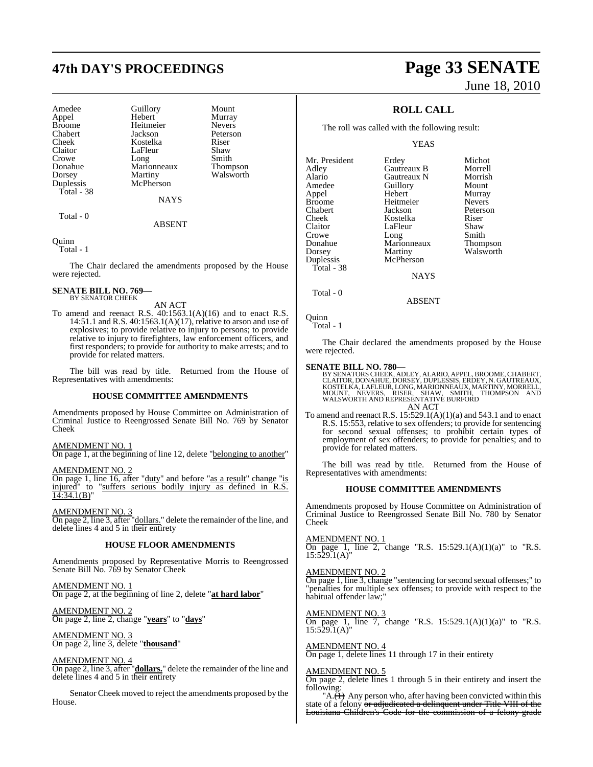## **47th DAY'S PROCEEDINGS Page 33 SENATE**

| Amedee        | Guillory    | Mount           |
|---------------|-------------|-----------------|
| Appel         | Hebert      | Murray          |
| <b>Broome</b> | Heitmeier   | <b>Nevers</b>   |
| Chabert       | Jackson     | Peterson        |
| Cheek         | Kostelka    | Riser           |
| Claitor       | LaFleur     | Shaw            |
| Crowe         | Long        | Smith           |
| Donahue       | Marionneaux | <b>Thompson</b> |
| Dorsey        | Martiny     | Walsworth       |
| Duplessis     | McPherson   |                 |
| Total - $38$  |             |                 |
|               | <b>NAYS</b> |                 |
|               |             |                 |

Total - 0

Quinn

Total - 1

The Chair declared the amendments proposed by the House were rejected.

ABSENT

#### **SENATE BILL NO. 769—** BY SENATOR CHEEK

AN ACT

To amend and reenact R.S. 40:1563.1(A)(16) and to enact R.S. 14:51.1 and R.S. 40:1563.1(A)(17), relative to arson and use of explosives; to provide relative to injury to persons; to provide relative to injury to firefighters, law enforcement officers, and first responders; to provide for authority to make arrests; and to provide for related matters.

The bill was read by title. Returned from the House of Representatives with amendments:

#### **HOUSE COMMITTEE AMENDMENTS**

Amendments proposed by House Committee on Administration of Criminal Justice to Reengrossed Senate Bill No. 769 by Senator Cheek

#### AMENDMENT NO. 1

On page 1, at the beginning of line 12, delete "belonging to another"

AMENDMENT NO. 2

On page 1, line 16, after "duty" and before "as a result" change "is injured" to "suffers serious bodily injury as defined in R.S.  $14:34.1(B)'$ 

AMENDMENT NO. 3

On page 2, line 3, after "dollars." delete the remainder of the line, and delete lines 4 and 5 in their entirety

#### **HOUSE FLOOR AMENDMENTS**

Amendments proposed by Representative Morris to Reengrossed Senate Bill No. 769 by Senator Cheek

AMENDMENT NO. 1 On page 2, at the beginning of line 2, delete "**at hard labor**"

AMENDMENT NO. 2 On page 2, line 2, change "**years**" to "**days**"

AMENDMENT NO. 3 On page 2, line 3, delete "**thousand**"

#### AMENDMENT NO. 4

On page 2, line 3, after "**dollars.**" delete the remainder of the line and delete lines 4 and 5 in their entirety

Senator Cheek moved to reject the amendments proposed by the House.

# June 18, 2010

#### **ROLL CALL**

The roll was called with the following result:

YEAS

| Erdey       | Michot        |
|-------------|---------------|
| Gautreaux B | Morrell       |
| Gautreaux N | Morrish       |
| Guillory    | Mount         |
| Hebert      | Murray        |
| Heitmeier   | <b>Nevers</b> |
| Jackson     | Peterson      |
| Kostelka    | Riser         |
| LaFleur     | Shaw          |
| Long        | Smith         |
|             | Thompson      |
| Martiny     | Walsworth     |
| McPherson   |               |
|             |               |
| <b>NAYS</b> |               |
|             | Marionneaux   |

Total - 0

Quinn

Total - 1

The Chair declared the amendments proposed by the House were rejected.

ABSENT

SENATE BILL NO. 780—<br>BY SENATORS CHEEK, ADLEY, ALARIO, APPEL, BROOME, CHABERT, CLAITOR, DONAHUE, DORSEY, DUPLESSIS, ERDEY, N. GAUTREAUX,<br>KOSTELKA, LAFLEUR, LONG, MARIONNEAUX, MARTINY, MORRELL,<br>MOUNT, NEVERS, RISER, SHAW, S AN ACT

To amend and reenact R.S.  $15:529.1(A)(1)(a)$  and  $543.1$  and to enact R.S. 15:553, relative to sex offenders; to provide for sentencing for second sexual offenses; to prohibit certain types of employment of sex offenders; to provide for penalties; and to provide for related matters.

The bill was read by title. Returned from the House of Representatives with amendments:

#### **HOUSE COMMITTEE AMENDMENTS**

Amendments proposed by House Committee on Administration of Criminal Justice to Reengrossed Senate Bill No. 780 by Senator Cheek

AMENDMENT NO. 1

On page 1, line 2, change "R.S.  $15:529.1(A)(1)(a)$ " to "R.S.  $15:529.1(A)$ "

AMENDMENT NO. 2

On page 1, line 3, change "sentencing forsecond sexual offenses;" to "penalties for multiple sex offenses; to provide with respect to the habitual offender law;"

AMENDMENT NO. 3

On page 1, line 7, change "R.S.  $15:529.1(A)(1)(a)$ " to "R.S.  $15:529.1(A)$ "

#### AMENDMENT NO. 4

On page 1, delete lines 11 through 17 in their entirety

#### AMENDMENT NO. 5

On page 2, delete lines 1 through 5 in their entirety and insert the following:

" $A.\overline{(1)}$  Any person who, after having been convicted within this state of a felony or adjudicated a delinquent under Title VIII of the Louisiana Children's Code for the commission of a felony-grade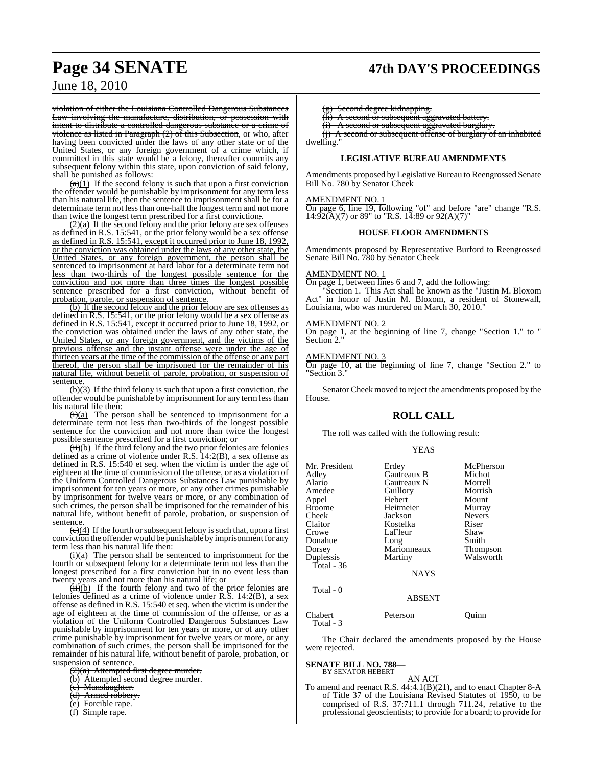### **Page 34 SENATE 47th DAY'S PROCEEDINGS**

### June 18, 2010

violation of either the Louisiana Controlled Dangerous Substances Law involving the manufacture, distribution, or possession with intent to distribute a controlled dangerous substance or a crime of violence as listed in Paragraph  $(2)$  of this Subsection, or who, after having been convicted under the laws of any other state or of the United States, or any foreign government of a crime which, if committed in this state would be a felony, thereafter commits any subsequent felony within this state, upon conviction of said felony, shall be punished as follows:

 $\frac{a}{b(1)}$  If the second felony is such that upon a first conviction the offender would be punishable by imprisonment for any term less than his natural life, then the sentence to imprisonment shall be for a determinate term not less than one-half the longest term and not more than twice the longest term prescribed for a first conviction;.

(2)(a) If the second felony and the prior felony are sex offenses as defined in R.S.  $15:541$ , or the prior felony would be a sex offense as defined in R.S. 15:541, except it occurred prior to June 18, 1992, or the conviction was obtained under the laws of any other state, the United States, or any foreign government, the person shall be sentenced to imprisonment at hard labor for a determinate term not less than two-thirds of the longest possible sentence for the conviction and not more than three times the longest possible sentence prescribed for a first conviction, without benefit of sentence prescribed for a first conviction, probation, parole, or suspension of sentence.

(b) If the second felony and the prior felony are sex offenses as defined in R.S. 15:541, or the prior felony would be a sex offense as defined in R.S. 15:541, except it occurred prior to June 18, 1992, or the conviction was obtained under the laws of any other state, the United States, or any foreign government, and the victims of the previous offense and the instant offense were under the age of thirteen years at the time of the commission of the offense or any part thereof, the person shall be imprisoned for the remainder of his natural life, without benefit of parole, probation, or suspension of sentence.

 $\overline{(b)}(3)$  If the third felony is such that upon a first conviction, the offender would be punishable by imprisonment for any termlessthan his natural life then:

 $\overline{(i)(a)}$  The person shall be sentenced to imprisonment for a determinate term not less than two-thirds of the longest possible sentence for the conviction and not more than twice the longest possible sentence prescribed for a first conviction; or

 $\frac{(ii)(b)}{(ii)(b)}$  If the third felony and the two prior felonies are felonies defined as a crime of violence under R.S. 14:2(B), a sex offense as defined in R.S. 15:540 et seq. when the victim is under the age of eighteen at the time of commission of the offense, or as a violation of the Uniform Controlled Dangerous Substances Law punishable by imprisonment for ten years or more, or any other crimes punishable by imprisonment for twelve years or more, or any combination of such crimes, the person shall be imprisoned for the remainder of his natural life, without benefit of parole, probation, or suspension of sentence.

 $\left(\frac{c}{c}\right)(4)$  If the fourth or subsequent felony is such that, upon a first conviction the offender would be punishable by imprisonment for any term less than his natural life then:

 $\overrightarrow{(i)}(a)$  The person shall be sentenced to imprisonment for the fourth or subsequent felony for a determinate term not less than the longest prescribed for a first conviction but in no event less than twenty years and not more than his natural life; or

 $\frac{\overline{H}}{\overline{H}}$  (b) If the fourth felony and two of the prior felonies are felonies defined as a crime of violence under R.S. 14:2(B), a sex offense as defined in R.S. 15:540 et seq. when the victim is under the age of eighteen at the time of commission of the offense, or as a violation of the Uniform Controlled Dangerous Substances Law punishable by imprisonment for ten years or more, or of any other crime punishable by imprisonment for twelve years or more, or any combination of such crimes, the person shall be imprisoned for the remainder of his natural life, without benefit of parole, probation, or suspension of sentence.

 $(2)(a)$  Attempted first degree murder.

- (b) Attempted second degree murder.
- (c) Manslaughter.
- (d) Armed robbery.
- Forcible rape.
- $(f)$  Simple rape.

Second degree kidnapping.

 $(h)$  A second or subsequent aggravated battery.<br>(i) A second or subsequent aggravated burglar

A second or subsequent aggravated burglary

 $(i)$  A second or subsequent offense of burglary of an inhabited dwelling.

#### **LEGISLATIVE BUREAU AMENDMENTS**

Amendments proposed byLegislative Bureau to Reengrossed Senate Bill No. 780 by Senator Cheek

#### AMENDMENT NO. 1

On page 6, line 19, following "of" and before "are" change "R.S.  $14:92(\text{\AA})(7)$  or 89" to "R.S. 14:89 or 92(A)(7)"

#### **HOUSE FLOOR AMENDMENTS**

Amendments proposed by Representative Burford to Reengrossed Senate Bill No. 780 by Senator Cheek

#### AMENDMENT NO. 1

On page 1, between lines 6 and 7, add the following:

Section 1. This Act shall be known as the "Justin M. Bloxom Act" in honor of Justin M. Bloxom, a resident of Stonewall, Louisiana, who was murdered on March 30, 2010."

#### AMENDMENT NO. 2

On page 1, at the beginning of line 7, change "Section 1." to " Section 2."

#### AMENDMENT NO. 3

On page 10, at the beginning of line 7, change "Section 2." to "Section 3."

Senator Cheek moved to reject the amendments proposed by the House.

#### **ROLL CALL**

The roll was called with the following result:

| Mr. President<br>Adley<br>Alario<br>Amedee<br>Appel<br><b>Broome</b><br>Cheek<br>Claitor<br>Crowe<br>Donahue<br>Dorsey<br>Duplessis<br>Total - $36$ | Erdey<br>Gautreaux B<br>Gautreaux N<br>Guillory<br>Hebert<br>Heitmeier<br>Jackson<br>Kostelka<br>LaFleur<br>Long<br>Marionneaux<br>Martiny<br><b>NAYS</b> | McPherson<br>Michot<br>Morrell<br>Morrish<br>Mount<br>Murray<br><b>Nevers</b><br>Riser<br>Shaw<br>Smith<br>Thompson<br>Walsworth |
|-----------------------------------------------------------------------------------------------------------------------------------------------------|-----------------------------------------------------------------------------------------------------------------------------------------------------------|----------------------------------------------------------------------------------------------------------------------------------|
| Total - 0                                                                                                                                           | ABSENT                                                                                                                                                    |                                                                                                                                  |
| Chabert<br>Total - 3                                                                                                                                | Peterson                                                                                                                                                  | uınn                                                                                                                             |

The Chair declared the amendments proposed by the House were rejected.

#### **SENATE BILL NO. 788—** BY SENATOR HEBERT

AN ACT

To amend and reenact R.S. 44:4.1(B)(21), and to enact Chapter 8-A of Title 37 of the Louisiana Revised Statutes of 1950, to be comprised of R.S. 37:711.1 through 711.24, relative to the professional geoscientists; to provide for a board; to provide for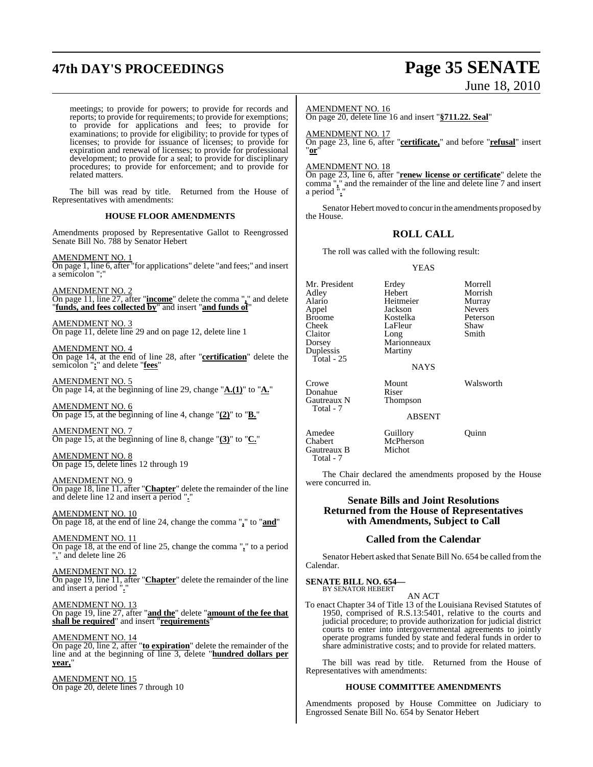## **47th DAY'S PROCEEDINGS Page 35 SENATE**

# June 18, 2010

meetings; to provide for powers; to provide for records and reports; to provide for requirements; to provide for exemptions; to provide for applications and fees; to provide for examinations; to provide for eligibility; to provide for types of licenses; to provide for issuance of licenses; to provide for expiration and renewal of licenses; to provide for professional development; to provide for a seal; to provide for disciplinary procedures; to provide for enforcement; and to provide for related matters.

The bill was read by title. Returned from the House of Representatives with amendments:

#### **HOUSE FLOOR AMENDMENTS**

Amendments proposed by Representative Gallot to Reengrossed Senate Bill No. 788 by Senator Hebert

AMENDMENT NO. 1 On page 1, line 6, after "for applications" delete "and fees;" and insert a semicolon ";"

AMENDMENT NO. 2 On page 11, line 27, after "**income**" delete the comma "**,**" and delete "**funds, and fees collected by**" and insert "**and funds of**"

AMENDMENT NO. 3 On page 11, delete line 29 and on page 12, delete line 1

AMENDMENT NO. 4 On page 14, at the end of line 28, after "**certification**" delete the semicolon "**;**" and delete "**fees**"

AMENDMENT NO. 5 On page 14, at the beginning of line 29, change "**A.(1)**" to "**A.**"

AMENDMENT NO. 6 On page 15, at the beginning of line 4, change "**(2)**" to "**B.**"

AMENDMENT NO. 7 On page 15, at the beginning of line 8, change "**(3)**" to "**C.**"

AMENDMENT NO. 8 On page 15, delete lines 12 through 19

AMENDMENT NO. 9 On page 18, line 11, after "**Chapter**" delete the remainder of the line and delete line 12 and insert a period "**.**"

AMENDMENT NO. 10 On page 18, at the end of line 24, change the comma "**,**" to "**and**"

AMENDMENT NO. 11 On page 18, at the end of line 25, change the comma "**,**" to a period "**.**" and delete line 26

AMENDMENT NO. 12 On page 19, line 11, after "**Chapter**" delete the remainder of the line and insert a period "**.**"

AMENDMENT NO. 13 On page 19, line 27, after "**and the**" delete "**amount of the fee that shall be required**" and insert "**requirements**"

AMENDMENT NO. 14 On page 20, line 2, after "**to expiration**" delete the remainder of the line and at the beginning of line 3, delete "**hundred dollars per year,**"

AMENDMENT NO. 15 On page 20, delete lines 7 through 10

#### AMENDMENT NO. 16

On page 20, delete line 16 and insert "**§711.22. Seal**"

AMENDMENT NO. 17 On page 23, line 6, after "**certificate,**" and before "**refusal**" insert "**or**"

AMENDMENT NO. 18

On page 23, line 6, after "**renew license or certificate**" delete the comma "**,**" and the remainder of the line and delete line 7 and insert a period "**.**"

Senator Hebert moved to concurin the amendments proposed by the House.

#### **ROLL CALL**

The roll was called with the following result:

#### YEAS

Mr. President Erdey Morrell Adley Hebert Morrish Alario Heitmeier Murray Appel Jackson Nevers Broome Kostelka Peterson Cheek LaFleur Shaw<br>Claitor Long Smith Claitor Long<br>Dorsey Maric Duplessis Total - 25

Total - 7

Marionneaux<br>Martiny

Crowe Mount Walsworth<br>
Donahue Riser Donahue Riser<br>Gautreaux N Thompson Gautreaux N Total - 7

ABSENT

NAYS

Amedee Guillory Quinn<br>Chabert McPherson McPherson<br>Michot Gautreaux B

The Chair declared the amendments proposed by the House were concurred in.

#### **Senate Bills and Joint Resolutions Returned from the House of Representatives with Amendments, Subject to Call**

#### **Called from the Calendar**

Senator Hebert asked that Senate Bill No. 654 be called fromthe Calendar.

**SENATE BILL NO. 654—** BY SENATOR HEBERT

AN ACT

To enact Chapter 34 of Title 13 of the Louisiana Revised Statutes of 1950, comprised of R.S.13:5401, relative to the courts and judicial procedure; to provide authorization for judicial district courts to enter into intergovernmental agreements to jointly operate programs funded by state and federal funds in order to share administrative costs; and to provide for related matters.

The bill was read by title. Returned from the House of Representatives with amendments:

#### **HOUSE COMMITTEE AMENDMENTS**

Amendments proposed by House Committee on Judiciary to Engrossed Senate Bill No. 654 by Senator Hebert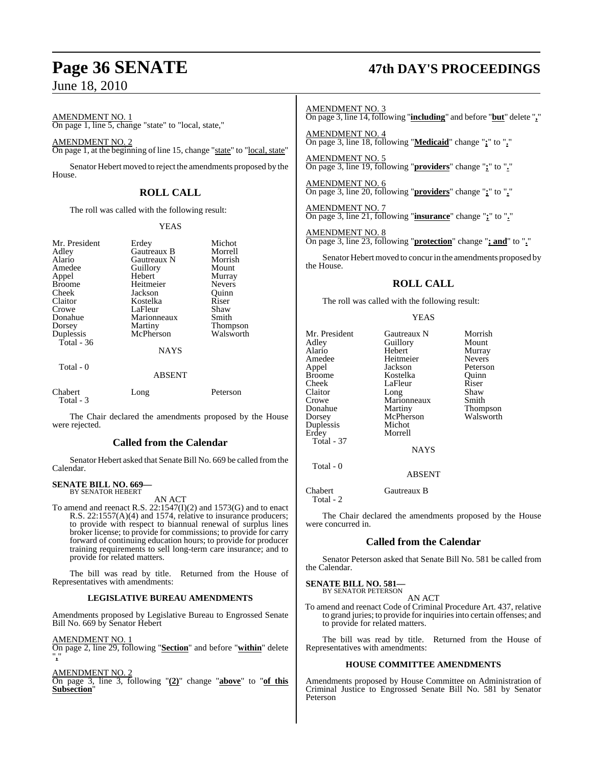AMENDMENT NO. 1 On page 1, line 5, change "state" to "local, state,"

AMENDMENT NO. 2 On page 1, at the beginning of line 15, change "state" to "local, state"

Senator Hebert moved to reject the amendments proposed by the House.

### **ROLL CALL**

The roll was called with the following result:

#### YEAS

| Mr. President        | Erdey         | Michot        |
|----------------------|---------------|---------------|
| Adley                | Gautreaux B   | Morrell       |
| Alario               | Gautreaux N   | Morrish       |
| Amedee               | Guillory      | Mount         |
| Appel                | Hebert        | Murray        |
| <b>Broome</b>        | Heitmeier     | <b>Nevers</b> |
| Cheek                | Jackson       | Ouinn         |
| Claitor              | Kostelka      | Riser         |
| Crowe                | LaFleur       | Shaw          |
| Donahue              | Marionneaux   | Smith         |
| Dorsey               | Martiny       | Thompson      |
| Duplessis            | McPherson     | Walsworth     |
| Total - 36           |               |               |
|                      | <b>NAYS</b>   |               |
| Total - 0            |               |               |
|                      | <b>ABSENT</b> |               |
| Chabert<br>Total - 3 | Long          | Peterson      |

The Chair declared the amendments proposed by the House were rejected.

#### **Called from the Calendar**

Senator Hebert asked that Senate Bill No. 669 be called fromthe Calendar.

#### **SENATE BILL NO. 669—** BY SENATOR HEBERT

AN ACT

To amend and reenact R.S. 22:1547(I)(2) and 1573(G) and to enact R.S. 22:1557(A)(4) and 1574, relative to insurance producers; to provide with respect to biannual renewal of surplus lines broker license; to provide for commissions; to provide for carry forward of continuing education hours; to provide for producer training requirements to sell long-term care insurance; and to provide for related matters.

The bill was read by title. Returned from the House of Representatives with amendments:

#### **LEGISLATIVE BUREAU AMENDMENTS**

Amendments proposed by Legislative Bureau to Engrossed Senate Bill No. 669 by Senator Hebert

#### AMENDMENT NO. 1

On page 2, line 29, following "**Section**" and before "**within**" delete "**,**"

#### AMENDMENT NO. 2

On page 3, line 3, following "**(2)**" change "**above**" to "**of this Subsection**"

## **Page 36 SENATE 47th DAY'S PROCEEDINGS**

AMENDMENT NO. 3

On page 3, line 14, following "**including**" and before "**but**" delete "**,**"

AMENDMENT NO. 4 On page 3, line 18, following "**Medicaid**" change "**;**" to "**.**"

AMENDMENT NO. 5 On page 3, line 19, following "**providers**" change "**;**" to "**.**"

AMENDMENT NO. 6 On page 3, line 20, following "**providers**" change "**;**" to "**.**"

AMENDMENT NO. 7 On page 3, line 21, following "**insurance**" change "**;**" to "**.**"

#### AMENDMENT NO. 8

On page 3, line 23, following "**protection**" change "**; and**" to "**.**"

Senator Hebert moved to concur in the amendments proposed by the House.

### **ROLL CALL**

The roll was called with the following result:

YEAS

| Mr. President | Gautreaux N   | Morrish       |
|---------------|---------------|---------------|
| Adley         | Guillory      | Mount         |
| Alario        | Hebert        | Murray        |
| Amedee        | Heitmeier     | <b>Nevers</b> |
| Appel         | Jackson       | Peterson      |
| Broome        | Kostelka      | Ouinn         |
| Cheek         | LaFleur       | Riser         |
| Claitor       | Long          | Shaw          |
| Crowe         | Marionneaux   | Smith         |
| Donahue       | Martiny       | Thompson      |
| Dorsey        | McPherson     | Walsworth     |
| Duplessis     | Michot        |               |
| Erdey         | Morrell       |               |
| Total - 37    |               |               |
|               | <b>NAYS</b>   |               |
| Total - 0     |               |               |
|               | <b>ABSENT</b> |               |

Chabert Gautreaux B Total - 2

The Chair declared the amendments proposed by the House were concurred in.

#### **Called from the Calendar**

Senator Peterson asked that Senate Bill No. 581 be called from the Calendar.

### **SENATE BILL NO. 581—** BY SENATOR PETERSON

AN ACT To amend and reenact Code of Criminal Procedure Art. 437, relative to grand juries; to provide forinquiriesinto certain offenses; and to provide for related matters.

The bill was read by title. Returned from the House of Representatives with amendments:

#### **HOUSE COMMITTEE AMENDMENTS**

Amendments proposed by House Committee on Administration of Criminal Justice to Engrossed Senate Bill No. 581 by Senator Peterson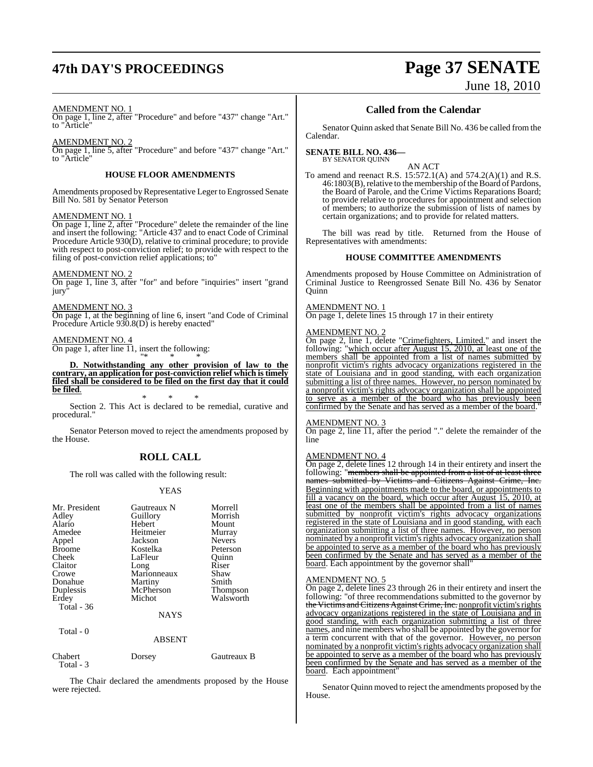## **47th DAY'S PROCEEDINGS Page 37 SENATE**

# June 18, 2010

#### AMENDMENT NO. 1

On page 1, line 2, after "Procedure" and before "437" change "Art." to "Article"

#### AMENDMENT NO. 2

On page 1, line 5, after "Procedure" and before "437" change "Art." to "Article"

#### **HOUSE FLOOR AMENDMENTS**

Amendments proposed by Representative Leger to Engrossed Senate Bill No. 581 by Senator Peterson

#### AMENDMENT NO. 1

On page 1, line 2, after "Procedure" delete the remainder of the line and insert the following: "Article 437 and to enact Code of Criminal Procedure Article 930(D), relative to criminal procedure; to provide with respect to post-conviction relief; to provide with respect to the filing of post-conviction relief applications; to"

#### AMENDMENT NO. 2

On page 1, line 3, after "for" and before "inquiries" insert "grand jury

#### AMENDMENT NO. 3

On page 1, at the beginning of line 6, insert "and Code of Criminal Procedure Article 930.8(D) is hereby enacted"

#### AMENDMENT NO. 4

On page 1, after line 11, insert the following: "\* \* \*

**D. Notwithstanding any other provision of law to the contrary, an application for post-conviction relief which istimely filed shall be considered to be filed on the first day that it could be filed**.

\* \* \* Section 2. This Act is declared to be remedial, curative and procedural."

Senator Peterson moved to reject the amendments proposed by the House.

#### **ROLL CALL**

The roll was called with the following result:

#### YEAS

| Mr. President        | Gautreaux N   | Morrell       |
|----------------------|---------------|---------------|
| Adley                | Guillory      | Morrish       |
| Alario               | Hebert        | Mount         |
| Amedee               | Heitmeier     | Murray        |
| Appel                | Jackson       | <b>Nevers</b> |
| <b>Broome</b>        | Kostelka      | Peterson      |
| Cheek                | LaFleur       | Quinn         |
| Claitor              | Long          | Riser         |
| Crowe                | Marionneaux   | Shaw          |
| Donahue              | Martiny       | Smith         |
| Duplessis            | McPherson     | Thompson      |
| Erdey                | Michot        | Walsworth     |
| Total $-36$          |               |               |
|                      | <b>NAYS</b>   |               |
| Total - 0            |               |               |
|                      | <b>ABSENT</b> |               |
| Chabert<br>Total - 3 | Dorsey        | Gautreaux B   |

The Chair declared the amendments proposed by the House were rejected.

#### **Called from the Calendar**

Senator Quinn asked that Senate Bill No. 436 be called from the Calendar.

#### **SENATE BILL NO. 436—** BY SENATOR QUINN

AN ACT

To amend and reenact R.S. 15:572.1(A) and 574.2(A)(1) and R.S. 46:1803(B), relative to the membership of the Board of Pardons, the Board of Parole, and the Crime Victims Reparations Board; to provide relative to procedures for appointment and selection of members; to authorize the submission of lists of names by certain organizations; and to provide for related matters.

The bill was read by title. Returned from the House of Representatives with amendments:

#### **HOUSE COMMITTEE AMENDMENTS**

Amendments proposed by House Committee on Administration of Criminal Justice to Reengrossed Senate Bill No. 436 by Senator Quinn

#### AMENDMENT NO. 1

On page 1, delete lines 15 through 17 in their entirety

#### AMENDMENT NO. 2

On page 2, line 1, delete "Crimefighters, Limited." and insert the following: "which occur after August 15, 2010, at least one of the members shall be appointed from a list of names submitted by nonprofit victim's rights advocacy organizations registered in the state of Louisiana and in good standing, with each organization submitting a list of three names. However, no person nominated by a nonprofit victim's rights advocacy organization shall be appointed to serve as a member of the board who has previously been confirmed by the Senate and has served as a member of the board.

#### AMENDMENT NO. 3

On page 2, line 11, after the period "." delete the remainder of the line

#### AMENDMENT NO. 4

On page 2, delete lines 12 through 14 in their entirety and insert the following: "<del>members shall be appointed from a list of at least three</del><br>names, submitted, by Victims, and Citizens, Against, Crime, Inc. submitted by Victims and Citizens Against Crime,

Beginning with appointments made to the board, or appointments to fill a vacancy on the board, which occur after August 15, 2010, at least one of the members shall be appointed from a list of names submitted by nonprofit victim's rights advocacy organizations registered in the state of Louisiana and in good standing, with each organization submitting a list of three names. However, no person nominated by a nonprofit victim's rights advocacy organization shall be appointed to serve as a member of the board who has previously been confirmed by the Senate and has served as a member of the board. Each appointment by the governor shall"

#### AMENDMENT NO. 5

On page 2, delete lines 23 through 26 in their entirety and insert the following: "of three recommendations submitted to the governor by the Victims and Citizens Against Crime, Inc. nonprofit victim's rights advocacy organizations registered in the state of Louisiana and in good standing, with each organization submitting a list of three names, and nine members who shall be appointed by the governor for a term concurrent with that of the governor. However, no person nominated by a nonprofit victim's rights advocacy organization shall be appointed to serve as a member of the board who has previously been confirmed by the Senate and has served as a member of the board. Each appointment"

Senator Quinn moved to reject the amendments proposed by the House.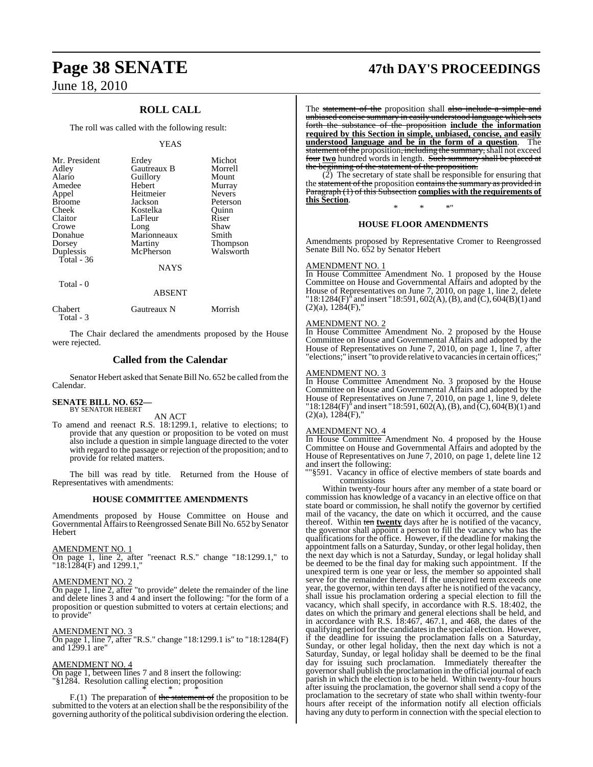### **ROLL CALL**

The roll was called with the following result:

#### YEAS

| Mr. President<br>Adley<br>Alario<br>Amedee<br>Appel<br><b>Broome</b><br>Cheek<br>Claitor<br>Crowe<br>Donahue<br>Dorsey<br>Duplessis | Erdey<br>Gautreaux B<br>Guillory<br>Hebert<br>Heitmeier<br>Jackson<br>Kostelka<br>LaFleur<br>Long<br>Marionneaux<br>Martiny<br>McPherson | Michot<br>Morrell<br>Mount<br>Murray<br><b>Nevers</b><br>Peterson<br>Ouinn<br>Riser<br>Shaw<br>Smith<br><b>Thompson</b><br>Walsworth |
|-------------------------------------------------------------------------------------------------------------------------------------|------------------------------------------------------------------------------------------------------------------------------------------|--------------------------------------------------------------------------------------------------------------------------------------|
| Total - $36$                                                                                                                        | <b>NAYS</b>                                                                                                                              |                                                                                                                                      |
| Total - 0                                                                                                                           |                                                                                                                                          |                                                                                                                                      |

|                      | <b>ABSENT</b> |         |
|----------------------|---------------|---------|
| Chabert<br>Total - 3 | Gautreaux N   | Morrish |

The Chair declared the amendments proposed by the House were rejected.

### **Called from the Calendar**

Senator Hebert asked that Senate Bill No. 652 be called from the Calendar.

### **SENATE BILL NO. 652—** BY SENATOR HEBERT

AN ACT

To amend and reenact R.S. 18:1299.1, relative to elections; to provide that any question or proposition to be voted on must also include a question in simple language directed to the voter with regard to the passage or rejection of the proposition; and to provide for related matters.

The bill was read by title. Returned from the House of Representatives with amendments:

#### **HOUSE COMMITTEE AMENDMENTS**

Amendments proposed by House Committee on House and Governmental Affairs to Reengrossed Senate Bill No. 652 by Senator **Hebert** 

#### AMENDMENT NO. 1

On page 1, line 2, after "reenact R.S." change "18:1299.1," to "18:1284(F) and 1299.1,"

#### AMENDMENT NO. 2

On page 1, line 2, after "to provide" delete the remainder of the line and delete lines 3 and 4 and insert the following: "for the form of a proposition or question submitted to voters at certain elections; and to provide"

AMENDMENT NO. 3

On page 1, line 7, after "R.S." change "18:1299.1 is" to "18:1284(F) and 1299.1 are"

AMENDMENT NO. 4 On page 1, between lines 7 and 8 insert the following: "§1284. Resolution calling election; proposition

\* \* \* F.(1) The preparation of the statement of the proposition to be submitted to the voters at an election shall be the responsibility of the governing authority of the political subdivision ordering the election.

## **Page 38 SENATE 47th DAY'S PROCEEDINGS**

The statement of the proposition shall also include a simple and unbiased concise summary in easily understood language which sets forth the substance of the proposition **include the information required by this Section in simple, unbiased, concise, and easily understood language and be in the form of a question**. The statement of the proposition, including the summary, shall not exceed four <u>two</u> hundred words in length. Such summary shall be placed at the beginning of the statement of the proposition. beginning of the statement of the proposition.

 $(2)$  The secretary of state shall be responsible for ensuring that the statement of the proposition contains the summary as Paragraph (1) of this Subsection **complies with the requirements of this Section**.

### \* \* \*" **HOUSE FLOOR AMENDMENTS**

Amendments proposed by Representative Cromer to Reengrossed Senate Bill No. 652 by Senator Hebert

#### **AMENDMENT NO.**

In House Committee Amendment No. 1 proposed by the House Committee on House and Governmental Affairs and adopted by the House of Representatives on June 7, 2010, on page 1, line 2, delete "18:1284(F)" and insert "18:591, 602(A), (B), and (C), 604(B)(1) and  $(2)(a)$ ,  $1284(F)$ ,

#### AMENDMENT NO. 2

In House Committee Amendment No. 2 proposed by the House Committee on House and Governmental Affairs and adopted by the House of Representatives on June 7, 2010, on page 1, line 7, after "elections;" insert "to provide relative to vacancies in certain offices;"

#### AMENDMENT NO. 3

In House Committee Amendment No. 3 proposed by the House Committee on House and Governmental Affairs and adopted by the House of Representatives on June 7, 2010, on page 1, line 9, delete  $18:1284(F)$ <sup>n</sup> and insert "18:591, 602(A), (B), and (C), 604(B)(1) and  $(2)(a)$ ,  $1284(F)$ ,

#### AMENDMENT NO. 4

In House Committee Amendment No. 4 proposed by the House Committee on House and Governmental Affairs and adopted by the House of Representatives on June 7, 2010, on page 1, delete line 12 and insert the following:

""§591. Vacancy in office of elective members of state boards and commissions

Within twenty-four hours after any member of a state board or commission has knowledge of a vacancy in an elective office on that state board or commission, he shall notify the governor by certified mail of the vacancy, the date on which it occurred, and the cause thereof. Within ten **twenty** days after he is notified of the vacancy, the governor shall appoint a person to fill the vacancy who has the qualifications for the office. However, if the deadline for making the appointment falls on a Saturday, Sunday, or other legal holiday, then the next day which is not a Saturday, Sunday, or legal holiday shall be deemed to be the final day for making such appointment. If the unexpired term is one year or less, the member so appointed shall serve for the remainder thereof. If the unexpired term exceeds one year, the governor, within ten days after he is notified of the vacancy, shall issue his proclamation ordering a special election to fill the vacancy, which shall specify, in accordance with R.S. 18:402, the dates on which the primary and general elections shall be held, and in accordance with R.S. 18:467, 467.1, and 468, the dates of the qualifying period forthe candidatesin the special election. However, if the deadline for issuing the proclamation falls on a Saturday, Sunday, or other legal holiday, then the next day which is not a Saturday, Sunday, or legal holiday shall be deemed to be the final day for issuing such proclamation. Immediately thereafter the governorshall publish the proclamation in the official journal of each parish in which the election is to be held. Within twenty-four hours after issuing the proclamation, the governor shall send a copy of the proclamation to the secretary of state who shall within twenty-four hours after receipt of the information notify all election officials having any duty to perform in connection with the special election to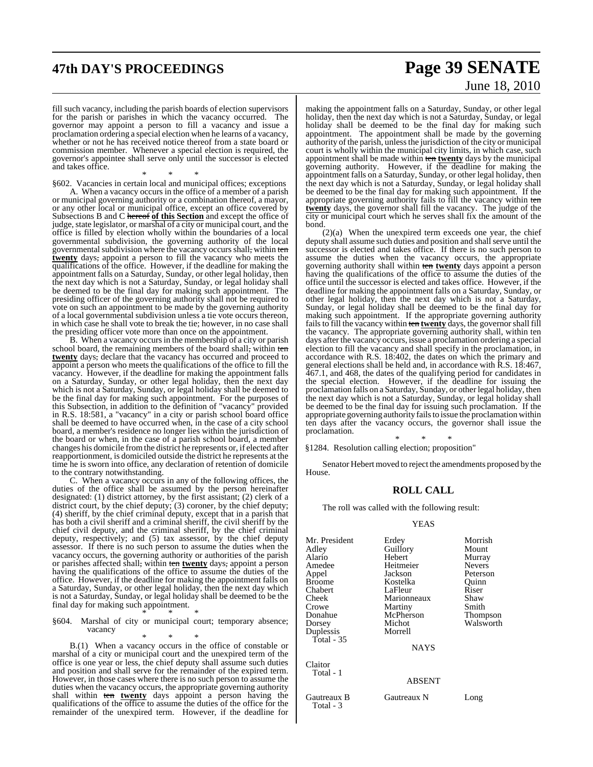## **47th DAY'S PROCEEDINGS Page 39 SENATE** June 18, 2010

fill such vacancy, including the parish boards of election supervisors for the parish or parishes in which the vacancy occurred. The governor may appoint a person to fill a vacancy and issue a proclamation ordering a special election when he learns of a vacancy, whether or not he has received notice thereof from a state board or commission member. Whenever a special election is required, the governor's appointee shall serve only until the successor is elected and takes office.

\* \* \*

§602. Vacancies in certain local and municipal offices; exceptions A. When a vacancy occurs in the office of a member of a parish or municipal governing authority or a combination thereof, a mayor, or any other local or municipal office, except an office covered by Subsections B and C hereof **of this Section** and except the office of judge, state legislator, or marshal of a city or municipal court, and the office is filled by election wholly within the boundaries of a local governmental subdivision, the governing authority of the local governmental subdivision where the vacancy occurs shall, within ten **twenty** days, appoint a person to fill the vacancy who meets the qualifications of the office. However, if the deadline for making the appointment falls on a Saturday, Sunday, or other legal holiday, then the next day which is not a Saturday, Sunday, or legal holiday shall be deemed to be the final day for making such appointment. The presiding officer of the governing authority shall not be required to vote on such an appointment to be made by the governing authority of a local governmental subdivision unless a tie vote occurs thereon, in which case he shall vote to break the tie; however, in no case shall the presiding officer vote more than once on the appointment.

B. When a vacancy occurs in the membership of a city or parish school board, the remaining members of the board shall, within ten **twenty** days, declare that the vacancy has occurred and proceed to appoint a person who meets the qualifications of the office to fill the vacancy. However, if the deadline for making the appointment falls on a Saturday, Sunday, or other legal holiday, then the next day which is not a Saturday, Sunday, or legal holiday shall be deemed to be the final day for making such appointment. For the purposes of this Subsection, in addition to the definition of "vacancy" provided in R.S. 18:581, a "vacancy" in a city or parish school board office shall be deemed to have occurred when, in the case of a city school board, a member's residence no longer lies within the jurisdiction of the board or when, in the case of a parish school board, a member changes his domicile fromthe district he represents or, if elected after reapportionment, is domiciled outside the district he represents at the time he is sworn into office, any declaration of retention of domicile to the contrary notwithstanding.

C. When a vacancy occurs in any of the following offices, the duties of the office shall be assumed by the person hereinafter designated: (1) district attorney, by the first assistant; (2) clerk of a district court, by the chief deputy; (3) coroner, by the chief deputy; (4) sheriff, by the chief criminal deputy, except that in a parish that has both a civil sheriff and a criminal sheriff, the civil sheriff by the chief civil deputy, and the criminal sheriff, by the chief criminal deputy, respectively; and (5) tax assessor, by the chief deputy assessor. If there is no such person to assume the duties when the vacancy occurs, the governing authority or authorities of the parish or parishes affected shall, within ten **twenty** days, appoint a person having the qualifications of the office to assume the duties of the office. However, if the deadline for making the appointment falls on a Saturday, Sunday, or other legal holiday, then the next day which is not a Saturday, Sunday, or legal holiday shall be deemed to be the final day for making such appointment.

#### \* \* \* §604. Marshal of city or municipal court; temporary absence; vacancy

\* \* \* B.(1) When a vacancy occurs in the office of constable or marshal of a city or municipal court and the unexpired term of the office is one year or less, the chief deputy shall assume such duties and position and shall serve for the remainder of the expired term. However, in those cases where there is no such person to assume the duties when the vacancy occurs, the appropriate governing authority shall within ten **twenty** days appoint a person having the qualifications of the office to assume the duties of the office for the remainder of the unexpired term. However, if the deadline for

making the appointment falls on a Saturday, Sunday, or other legal holiday, then the next day which is not a Saturday, Sunday, or legal holiday shall be deemed to be the final day for making such appointment. The appointment shall be made by the governing authority of the parish, unless the jurisdiction of the city or municipal court is wholly within the municipal city limits, in which case, such appointment shall be made within ten twenty days by the municipal governing authority. However, if the deadline for making the appointment falls on a Saturday, Sunday, or other legal holiday, then the next day which is not a Saturday, Sunday, or legal holiday shall be deemed to be the final day for making such appointment. If the appropriate governing authority fails to fill the vacancy within ten **twenty** days, the governor shall fill the vacancy. The judge of the city or municipal court which he serves shall fix the amount of the bond.

 $(2)(a)$  When the unexpired term exceeds one year, the chief deputy shall assume such duties and position and shall serve until the successor is elected and takes office. If there is no such person to assume the duties when the vacancy occurs, the appropriate governing authority shall within ten **twenty** days appoint a person having the qualifications of the office to assume the duties of the office until the successor is elected and takes office. However, if the deadline for making the appointment falls on a Saturday, Sunday, or other legal holiday, then the next day which is not a Saturday, Sunday, or legal holiday shall be deemed to be the final day for making such appointment. If the appropriate governing authority fails to fill the vacancy within ten twenty days, the governor shall fill the vacancy. The appropriate governing authority shall, within ten days after the vacancy occurs, issue a proclamation ordering a special election to fill the vacancy and shall specify in the proclamation, in accordance with R.S. 18:402, the dates on which the primary and general elections shall be held and, in accordance with  $\dot{R}$ . S. 18:467, 467.1, and 468, the dates of the qualifying period for candidates in the special election. However, if the deadline for issuing the proclamation falls on a Saturday, Sunday, or other legal holiday, then the next day which is not a Saturday, Sunday, or legal holiday shall be deemed to be the final day for issuing such proclamation. If the appropriate governing authority fails to issue the proclamation within ten days after the vacancy occurs, the governor shall issue the proclamation. \* \* \*

§1284. Resolution calling election; proposition"

Senator Hebert moved to reject the amendments proposed by the House.

#### **ROLL CALL**

The roll was called with the following result:

#### YEAS

| Mr. President<br>Adley<br>Alario<br>Amedee<br>Appel<br>Broome<br>Chabert<br>Cheek<br>Crowe<br>Donahue<br>Dorsey<br>Duplessis<br>Total - 35 | Erdey<br>Guillory<br>Hebert<br>Heitmeier<br>Jackson<br>Kostelka<br>LaFleur<br>Marionneaux<br>Martiny<br>McPherson<br>Michot<br>Morrell<br><b>NAYS</b> | Morrish<br>Mount<br>Murray<br><b>Nevers</b><br>Peterson<br>Ouinn<br>Riser<br>Shaw<br>Smith<br>Thompson<br>Walsworth |
|--------------------------------------------------------------------------------------------------------------------------------------------|-------------------------------------------------------------------------------------------------------------------------------------------------------|---------------------------------------------------------------------------------------------------------------------|
| Claitor<br>Total - 1                                                                                                                       | <b>ABSENT</b>                                                                                                                                         |                                                                                                                     |
|                                                                                                                                            |                                                                                                                                                       |                                                                                                                     |

Gautreaux B Gautreaux N Long Total - 3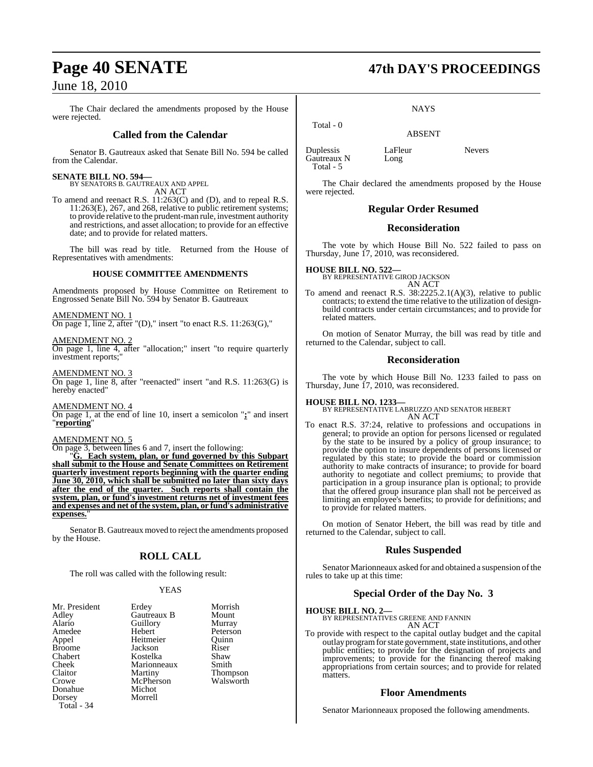The Chair declared the amendments proposed by the House were rejected.

### **Called from the Calendar**

Senator B. Gautreaux asked that Senate Bill No. 594 be called from the Calendar.

**SENATE BILL NO. 594—** BY SENATORS B. GAUTREAUX AND APPEL AN ACT

To amend and reenact R.S. 11:263(C) and (D), and to repeal R.S. 11:263(E), 267, and 268, relative to public retirement systems; to provide relative to the prudent-man rule, investment authority and restrictions, and asset allocation; to provide for an effective date; and to provide for related matters.

The bill was read by title. Returned from the House of Representatives with amendments:

#### **HOUSE COMMITTEE AMENDMENTS**

Amendments proposed by House Committee on Retirement to Engrossed Senate Bill No. 594 by Senator B. Gautreaux

AMENDMENT NO. 1 On page 1, line 2, after "(D)," insert "to enact R.S. 11:263(G),"

AMENDMENT NO. 2 On page 1, line 4, after "allocation;" insert "to require quarterly investment reports;"

AMENDMENT NO. 3 On page 1, line 8, after "reenacted" insert "and R.S. 11:263(G) is hereby enacted"

AMENDMENT NO. 4 On page 1, at the end of line 10, insert a semicolon "**;**" and insert "**reporting**"

#### AMENDMENT NO. 5

On page 3, between lines 6 and 7, insert the following:

"**G. Each system, plan, or fund governed by this Subpart shall submit to the House and Senate Committees on Retirement quarterly investment reports beginning with the quarter ending June 30, 2010, which shall be submitted no later than sixty days after the end of the quarter. Such reports shall contain the system, plan, or fund's investment returns net of investment fees and expenses and net of the system, plan, or fund's administrative expenses.**"

Senator B. Gautreaux moved to reject the amendments proposed by the House.

### **ROLL CALL**

The roll was called with the following result:

#### YEAS

| Mr. President | Erdey       | Morrish               |
|---------------|-------------|-----------------------|
| Adley         | Gautreaux B | Mount                 |
| Alario        | Guillory    | Murray                |
| Amedee        | Hebert      | Peterson              |
| Appel         | Heitmeier   | Ouinn                 |
| <b>Broome</b> | Jackson     | Riser                 |
| Chabert       | Kostelka    | Shaw                  |
| Cheek         | Marionneaux | Smith                 |
| Claitor       | Martiny     | Thompson<br>Walsworth |
| Crowe         | McPherson   |                       |
| Donahue       | Michot      |                       |
| Dorsey        | Morrell     |                       |
| Total - 34    |             |                       |

## **Page 40 SENATE 47th DAY'S PROCEEDINGS**

**NAYS** 

ABSENT

Duplessis LaFleur Nevers<br>
Gautreaux N Long Gautreaux N Total - 5

Total - 0

The Chair declared the amendments proposed by the House were rejected.

### **Regular Order Resumed**

#### **Reconsideration**

The vote by which House Bill No. 522 failed to pass on Thursday, June 17, 2010, was reconsidered.

**HOUSE BILL NO. 522—** BY REPRESENTATIVE GIROD JACKSON AN ACT

To amend and reenact R.S. 38:2225.2.1(A)(3), relative to public contracts; to extend the time relative to the utilization of designbuild contracts under certain circumstances; and to provide for related matters.

On motion of Senator Murray, the bill was read by title and returned to the Calendar, subject to call.

#### **Reconsideration**

The vote by which House Bill No. 1233 failed to pass on Thursday, June 17, 2010, was reconsidered.

#### **HOUSE BILL NO. 1233—**

BY REPRESENTATIVE LABRUZZO AND SENATOR HEBERT AN ACT

To enact R.S. 37:24, relative to professions and occupations in general; to provide an option for persons licensed or regulated by the state to be insured by a policy of group insurance; to provide the option to insure dependents of persons licensed or regulated by this state; to provide the board or commission authority to make contracts of insurance; to provide for board authority to negotiate and collect premiums; to provide that participation in a group insurance plan is optional; to provide that the offered group insurance plan shall not be perceived as limiting an employee's benefits; to provide for definitions; and to provide for related matters.

On motion of Senator Hebert, the bill was read by title and returned to the Calendar, subject to call.

### **Rules Suspended**

Senator Marionneaux asked for and obtained a suspension of the rules to take up at this time:

### **Special Order of the Day No. 3**

**HOUSE BILL NO. 2—**

BY REPRESENTATIVES GREENE AND FANNIN AN ACT

To provide with respect to the capital outlay budget and the capital outlay program for state government, state institutions, and other public entities; to provide for the designation of projects and improvements; to provide for the financing thereof making appropriations from certain sources; and to provide for related matters.

### **Floor Amendments**

Senator Marionneaux proposed the following amendments.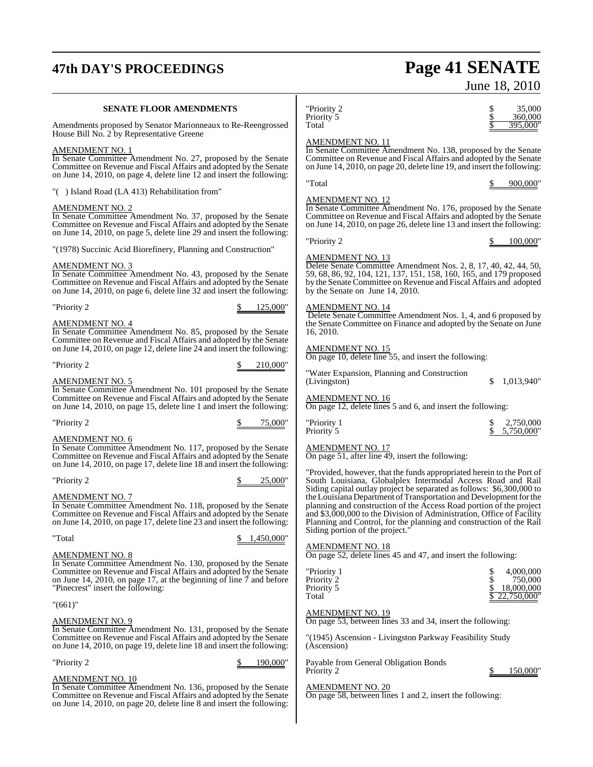## **47th DAY'S PROCEEDINGS Page 41 SENATE**

#### **SENATE FLOOR AMENDMENTS**

Amendments proposed by Senator Marionneaux to Re-Reengrossed House Bill No. 2 by Representative Greene

#### AMENDMENT NO. 1

In Senate Committee Amendment No. 27, proposed by the Senate Committee on Revenue and Fiscal Affairs and adopted by the Senate on June 14, 2010, on page 4, delete line 12 and insert the following:

"( ) Island Road (LA 413) Rehabilitation from"

#### AMENDMENT NO. 2

In Senate Committee Amendment No. 37, proposed by the Senate Committee on Revenue and Fiscal Affairs and adopted by the Senate on June 14, 2010, on page 5, delete line 29 and insert the following:

"(1978) Succinic Acid Biorefinery, Planning and Construction"

#### AMENDMENT NO. 3

In Senate Committee Amendment No. 43, proposed by the Senate Committee on Revenue and Fiscal Affairs and adopted by the Senate on June 14, 2010, on page 6, delete line 32 and insert the following:

"Priority 2 \$ 125,000"

#### AMENDMENT NO. 4

In Senate Committee Amendment No. 85, proposed by the Senate Committee on Revenue and Fiscal Affairs and adopted by the Senate on June 14, 2010, on page 12, delete line 24 and insert the following:

"Priority 2 \$ 210,000"

AMENDMENT NO. 5

In Senate Committee Amendment No. 101 proposed by the Senate Committee on Revenue and Fiscal Affairs and adopted by the Senate on June 14, 2010, on page 15, delete line 1 and insert the following:

 $\frac{\$ \qquad \qquad }{3} \qquad \frac{75,000}{7}$ 

AMENDMENT NO. 6

In Senate Committee Amendment No. 117, proposed by the Senate Committee on Revenue and Fiscal Affairs and adopted by the Senate on June 14, 2010, on page 17, delete line 18 and insert the following:

"Priority 2 \$ 25,000"

#### AMENDMENT NO. 7

In Senate Committee Amendment No. 118, proposed by the Senate Committee on Revenue and Fiscal Affairs and adopted by the Senate on June 14, 2010, on page 17, delete line 23 and insert the following:

"Total \$ 1,450,000"

AMENDMENT NO. 8

In Senate Committee Amendment No. 130, proposed by the Senate Committee on Revenue and Fiscal Affairs and adopted by the Senate on June 14, 2010, on page 17, at the beginning of line 7 and before "Pinecrest" insert the following:

"(661)"

#### AMENDMENT NO. 9

In Senate Committee Amendment No. 131, proposed by the Senate Committee on Revenue and Fiscal Affairs and adopted by the Senate on June 14, 2010, on page 19, delete line 18 and insert the following:

"Priority 2 \$ 190,000"

#### AMENDMENT NO. 10

In Senate Committee Amendment No. 136, proposed by the Senate Committee on Revenue and Fiscal Affairs and adopted by the Senate on June 14, 2010, on page 20, delete line 8 and insert the following:

| Jui |
|-----|
|     |

"Priority 2 \$ 35,000 Priority 5  $\frac{$}{8}$  360,000<br>Total  $\frac{$}{8}$  395,000 Total \$ 395,000"

#### AMENDMENT NO. 11

In Senate Committee Amendment No. 138, proposed by the Senate Committee on Revenue and Fiscal Affairs and adopted by the Senate on June 14, 2010, on page 20, delete line 19, and insert the following:

"Total \$ 900,000"

#### AMENDMENT NO. 12

In Senate Committee Amendment No. 176, proposed by the Senate Committee on Revenue and Fiscal Affairs and adopted by the Senate on June 14, 2010, on page 26, delete line 13 and insert the following:

#### AMENDMENT NO. 13

Delete Senate Committee Amendment Nos. 2, 8, 17, 40, 42, 44, 50, 59, 68, 86, 92, 104, 121, 137, 151, 158, 160, 165, and 179 proposed by the Senate Committee on Revenue and Fiscal Affairs and adopted by the Senate on June 14, 2010.

#### AMENDMENT NO. 14

Delete Senate Committee Amendment Nos. 1, 4, and 6 proposed by the Senate Committee on Finance and adopted by the Senate on June 16, 2010.

#### AMENDMENT NO. 15

On page 10, delete line 55, and insert the following:

"Water Expansion, Planning and Construction (Livingston) \$ 1,013,940"

AMENDMENT NO. 16

On page 12, delete lines 5 and 6, and insert the following:

| "Priority 1 | 2,750,000    |
|-------------|--------------|
| Priority 5  | \$5,750,000" |

#### AMENDMENT NO. 17

On page 51, after line 49, insert the following:

"Provided, however, that the funds appropriated herein to the Port of South Louisiana, Globalplex Intermodal Access Road and Rail Siding capital outlay project be separated as follows: \$6,300,000 to the Louisiana Department of Transportation and Development for the planning and construction of the Access Road portion of the project and \$3,000,000 to the Division of Administration, Office of Facility Planning and Control, for the planning and construction of the Rail Siding portion of the project.

#### AMENDMENT NO. 18

On page 52, delete lines 45 and 47, and insert the following:

| "Priority 1 | 4,000,000     |  |
|-------------|---------------|--|
| Priority 2  | 750,000       |  |
| Priority 5  | 18,000,000    |  |
| Total       | \$22,750,000" |  |

#### AMENDMENT NO. 19

On page 53, between lines 33 and 34, insert the following:

"(1945) Ascension - Livingston Parkway Feasibility Study (Ascension)

Payable from General Obligation Bonds

Priority 2 \$ 150,000"

#### AMENDMENT NO. 20

On page 58, between lines 1 and 2, insert the following:

ne 18, 2010

"Priority 2 \$ 100,000"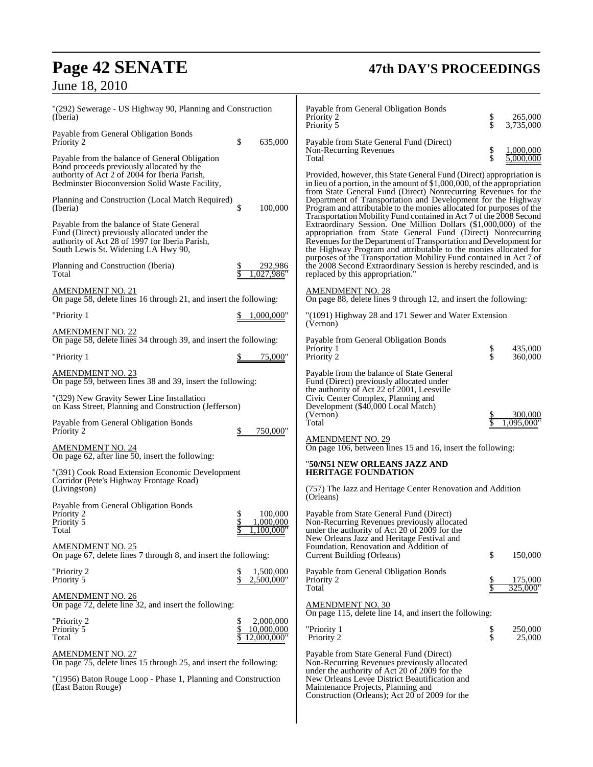## **Page 42 SENATE 47th DAY'S PROCEEDINGS**

## June 18, 2010

| 265,000<br>3,735,000                                                                                                                                                                                                                                                                                                                          |
|-----------------------------------------------------------------------------------------------------------------------------------------------------------------------------------------------------------------------------------------------------------------------------------------------------------------------------------------------|
| 1,000,000                                                                                                                                                                                                                                                                                                                                     |
| 5.000.000<br>Provided, however, this State General Fund (Direct) appropriation is<br>in lieu of a portion, in the amount of $$1,000,000$ , of the appropriation<br>from State General Fund (Direct) Nonrecurring Revenues for the                                                                                                             |
| Department of Transportation and Development for the Highway<br>Program and attributable to the monies allocated for purposes of the<br>Transportation Mobility Fund contained in Act 7 of the 2008 Second                                                                                                                                    |
| Extraordinary Session. One Million Dollars (\$1,000,000) of the<br>appropriation from State General Fund (Direct) Nonrecurring<br>Revenues for the Department of Transportation and Development for<br>the Highway Program and attributable to the monies allocated for<br>purposes of the Transportation Mobility Fund contained in Act 7 of |
| the 2008 Second Extraordinary Session is hereby rescinded, and is                                                                                                                                                                                                                                                                             |
| On page 88, delete lines 9 through 12, and insert the following:                                                                                                                                                                                                                                                                              |
|                                                                                                                                                                                                                                                                                                                                               |
| 435,000                                                                                                                                                                                                                                                                                                                                       |
| 360,000                                                                                                                                                                                                                                                                                                                                       |
| 300,000<br>,095,000"                                                                                                                                                                                                                                                                                                                          |
|                                                                                                                                                                                                                                                                                                                                               |
|                                                                                                                                                                                                                                                                                                                                               |
|                                                                                                                                                                                                                                                                                                                                               |
|                                                                                                                                                                                                                                                                                                                                               |
|                                                                                                                                                                                                                                                                                                                                               |
| 150,000                                                                                                                                                                                                                                                                                                                                       |
| <u>175,000</u>                                                                                                                                                                                                                                                                                                                                |
| 325,000"                                                                                                                                                                                                                                                                                                                                      |
|                                                                                                                                                                                                                                                                                                                                               |
| 250,000<br>25,000                                                                                                                                                                                                                                                                                                                             |
|                                                                                                                                                                                                                                                                                                                                               |
|                                                                                                                                                                                                                                                                                                                                               |
| \$<br>\$<br>\$<br>\$<br>"(1091) Highway 28 and 171 Sewer and Water Extension<br>\$<br>\$<br>On page 106, between lines 15 and 16, insert the following:<br>(757) The Jazz and Heritage Center Renovation and Addition<br>\$<br>On page 115, delete line 14, and insert the following:<br>\$<br>\$                                             |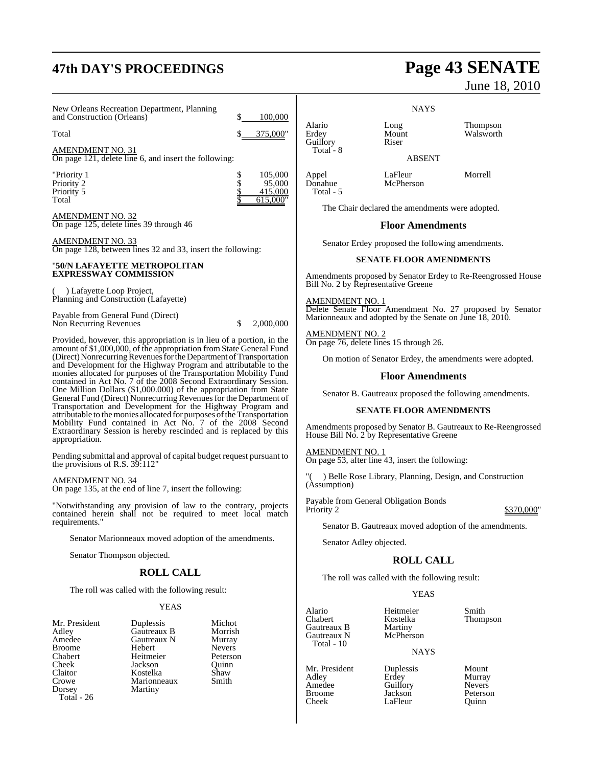## **47th DAY'S PROCEEDINGS Page 43 SENATE**

New Orleans Recreation Department, Planning and Construction (Orleans)  $\qquad \qquad$  \$ 100,000

Total \$ 375,000"

AMENDMENT NO. 31 On page 121, delete line 6, and insert the following:

"Priority 1 \$ 105,000<br>Priority 2 \$ 95,000 Priority 2  $\frac{1}{5}$  95,000<br>Priority 5  $\frac{415,000}{5}$ Priority 5<br>Total

AMENDMENT NO. 32 On page 125, delete lines 39 through 46

AMENDMENT NO. 33 On page 128, between lines 32 and 33, insert the following:

#### "**50/N LAFAYETTE METROPOLITAN EXPRESSWAY COMMISSION**

( ) Lafayette Loop Project, Planning and Construction (Lafayette)

Payable from General Fund (Direct) Non Recurring Revenues  $$ 2,000,000$ 

Provided, however, this appropriation is in lieu of a portion, in the amount of \$1,000,000, of the appropriation from State General Fund (Direct) Nonrecurring Revenues for the Department of Transportation and Development for the Highway Program and attributable to the monies allocated for purposes of the Transportation Mobility Fund contained in Act No. 7 of the 2008 Second Extraordinary Session. One Million Dollars (\$1,000.000) of the appropriation from State General Fund (Direct) Nonrecurring Revenues for the Department of Transportation and Development for the Highway Program and attributable to the monies allocated for purposes of the Transportation Mobility Fund contained in Act No. 7 of the 2008 Second Extraordinary Session is hereby rescinded and is replaced by this appropriation.

Pending submittal and approval of capital budget request pursuant to the provisions of R.S. 39:112"

AMENDMENT NO. 34 On page 135, at the end of line 7, insert the following:

"Notwithstanding any provision of law to the contrary, projects contained herein shall not be required to meet local match requirements."

Senator Marionneaux moved adoption of the amendments.

Senator Thompson objected.

### **ROLL CALL**

The roll was called with the following result:

#### YEAS

**NAYS** Alario Long Thompson Mount Walsworth<br>Riser

ABSENT

Appel LaFleur Morrell McPherson

 $615,000$ "

Guillory Total - 8

Total - 5

June 18, 2010

The Chair declared the amendments were adopted.

#### **Floor Amendments**

Senator Erdey proposed the following amendments.

#### **SENATE FLOOR AMENDMENTS**

Amendments proposed by Senator Erdey to Re-Reengrossed House Bill No. 2 by Representative Greene

AMENDMENT NO. 1 Delete Senate Floor Amendment No. 27 proposed by Senator Marionneaux and adopted by the Senate on June 18, 2010.

AMENDMENT NO. 2 On page 76, delete lines 15 through 26.

On motion of Senator Erdey, the amendments were adopted.

#### **Floor Amendments**

Senator B. Gautreaux proposed the following amendments.

#### **SENATE FLOOR AMENDMENTS**

Amendments proposed by Senator B. Gautreaux to Re-Reengrossed House Bill No. 2 by Representative Greene

AMENDMENT NO. 1 On page 53, after line 43, insert the following:

) Belle Rose Library, Planning, Design, and Construction (Assumption)

Payable from General Obligation Bonds Priority 2  $\frac{$370,000}{$}$ 

Senator B. Gautreaux moved adoption of the amendments.

Senator Adley objected.

### **ROLL CALL**

The roll was called with the following result:

Guillory

LaFleur

#### YEAS

Alario Heitmeier Smith Gautreaux B Martiny<br>Gautreaux N McPherson Gautreaux N Total - 10

Mr. President Duplessis Mount<br>Adley Erdey Murray Adley Erdey Murray Broome Jackson Peterson<br>Cheek LaFleur Ouinn

Kostelka Thompson<br>Martiny

#### NAYS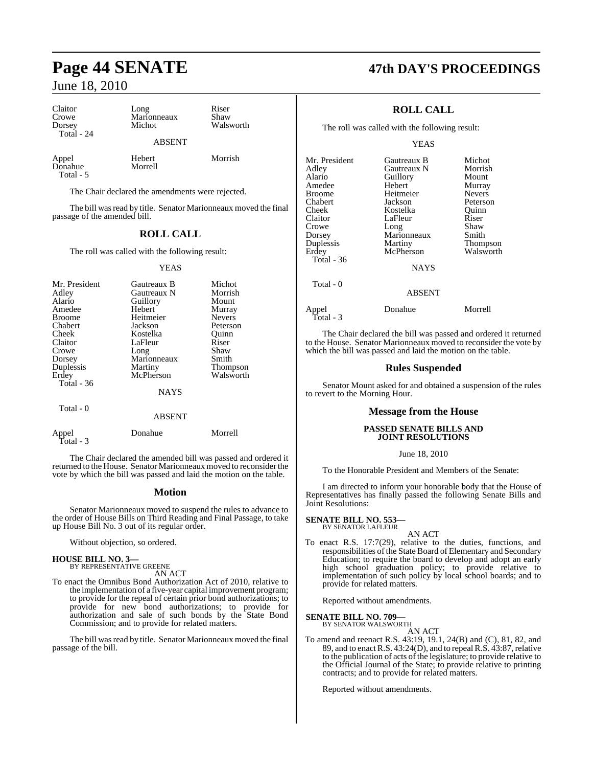Claitor Long Riser<br>Crowe Marionneaux Shaw Crowe Marionneaux<br>Dorsey Michot Total - 24

ABSENT

Walsworth

Appel Hebert Morrish  $D$ onahue Total - 5

The Chair declared the amendments were rejected.

The bill was read by title. Senator Marionneaux moved the final passage of the amended bill.

### **ROLL CALL**

The roll was called with the following result:

#### YEAS

| Mr. President<br>Adley<br>Alario<br>Amedee<br><b>Broome</b><br>Chabert<br>Cheek<br>Claitor<br>Crowe<br>Dorsey | Gautreaux B<br>Gautreaux N<br>Guillory<br>Hebert<br>Heitmeier<br>Jackson<br>Kostelka<br>LaFleur<br>Long<br>Marionneaux | Michot<br>Morrish<br>Mount<br>Murray<br><b>Nevers</b><br>Peterson<br>Ouinn<br>Riser<br>Shaw<br>Smith |
|---------------------------------------------------------------------------------------------------------------|------------------------------------------------------------------------------------------------------------------------|------------------------------------------------------------------------------------------------------|
| Duplessis<br>Erdey<br>Total - 36                                                                              | Martiny<br>McPherson                                                                                                   | Thompson<br>Walsworth                                                                                |
|                                                                                                               | <b>NAYS</b>                                                                                                            |                                                                                                      |
| Total - 0                                                                                                     |                                                                                                                        |                                                                                                      |

#### ABSENT

| Appel<br>Total - 3 | Donahue | Morrell |
|--------------------|---------|---------|
|                    |         |         |

The Chair declared the amended bill was passed and ordered it returned to the House. Senator Marionneaux moved to reconsider the vote by which the bill was passed and laid the motion on the table.

#### **Motion**

Senator Marionneaux moved to suspend the rules to advance to the order of House Bills on Third Reading and Final Passage, to take up House Bill No. 3 out of its regular order.

Without objection, so ordered.

#### **HOUSE BILL NO. 3—** BY REPRESENTATIVE GREENE

AN ACT

To enact the Omnibus Bond Authorization Act of 2010, relative to the implementation of a five-year capital improvement program; to provide for the repeal of certain prior bond authorizations; to provide for new bond authorizations; to provide for authorization and sale of such bonds by the State Bond Commission; and to provide for related matters.

The bill was read by title. Senator Marionneaux moved the final passage of the bill.

### **Page 44 SENATE 47th DAY'S PROCEEDINGS**

### **ROLL CALL**

The roll was called with the following result:

#### YEAS

| Mr. President | Gautreaux B | Michot          |
|---------------|-------------|-----------------|
| Adley         | Gautreaux N | Morrish         |
| Alario        | Guillory    | Mount           |
| Amedee        | Hebert      | Murray          |
| <b>Broome</b> | Heitmeier   | <b>Nevers</b>   |
| Chabert       | Jackson     | Peterson        |
| Cheek         | Kostelka    | Ouinn           |
| Claitor       | LaFleur     | Riser           |
| Crowe         | Long        | Shaw            |
| Dorsey        | Marionneaux | Smith           |
| Duplessis     | Martiny     | <b>Thompson</b> |
| Erdey         | McPherson   | Walsworth       |
| Total - 36    |             |                 |
|               | <b>NAYS</b> |                 |
| Total - 0     |             |                 |
|               | ABSENT      |                 |

Appel Donahue Morrell Total - 3

The Chair declared the bill was passed and ordered it returned to the House. Senator Marionneaux moved to reconsider the vote by which the bill was passed and laid the motion on the table.

#### **Rules Suspended**

Senator Mount asked for and obtained a suspension of the rules to revert to the Morning Hour.

#### **Message from the House**

#### **PASSED SENATE BILLS AND JOINT RESOLUTIONS**

#### June 18, 2010

To the Honorable President and Members of the Senate:

I am directed to inform your honorable body that the House of Representatives has finally passed the following Senate Bills and Joint Resolutions:

#### **SENATE BILL NO. 553—** BY SENATOR LAFLEUR

- AN ACT
- To enact R.S. 17:7(29), relative to the duties, functions, and responsibilities of the State Board of Elementary and Secondary Education; to require the board to develop and adopt an early high school graduation policy; to provide relative to implementation of such policy by local school boards; and to provide for related matters.

Reported without amendments.

### **SENATE BILL NO. 709—** BY SENATOR WALSWORTH

AN ACT To amend and reenact R.S. 43:19, 19.1, 24(B) and (C), 81, 82, and 89, and to enactR.S. 43:24(D), and to repealR.S. 43:87, relative to the publication of acts of the legislature; to provide relative to the Official Journal of the State; to provide relative to printing contracts; and to provide for related matters.

Reported without amendments.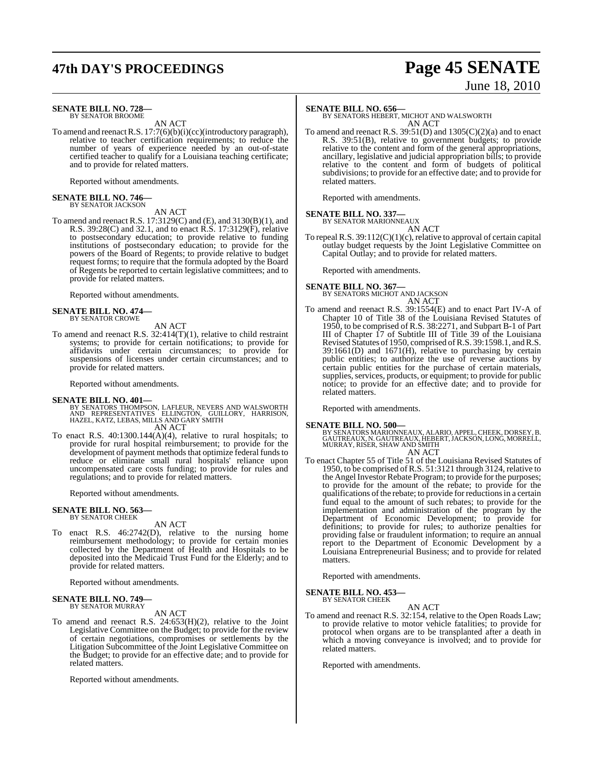## **47th DAY'S PROCEEDINGS Page 45 SENATE**

# June 18, 2010

#### **SENATE BILL NO. 728—** BY SENATOR BROOME

AN ACT

To amend and reenactR.S. 17:7(6)(b)(i)(cc)(introductory paragraph), relative to teacher certification requirements; to reduce the number of years of experience needed by an out-of-state certified teacher to qualify for a Louisiana teaching certificate; and to provide for related matters.

Reported without amendments.

### **SENATE BILL NO. 746—** BY SENATOR JACKSON

AN ACT

To amend and reenact R.S. 17:3129(C) and (E), and 3130(B)(1), and R.S. 39:28(C) and 32.1, and to enact R.S. 17:3129(F), relative to postsecondary education; to provide relative to funding institutions of postsecondary education; to provide for the powers of the Board of Regents; to provide relative to budget request forms; to require that the formula adopted by the Board of Regents be reported to certain legislative committees; and to provide for related matters.

Reported without amendments.

#### **SENATE BILL NO. 474—** BY SENATOR CROWE

AN ACT

To amend and reenact R.S. 32:414(T)(1), relative to child restraint systems; to provide for certain notifications; to provide for affidavits under certain circumstances; to provide for suspensions of licenses under certain circumstances; and to provide for related matters.

Reported without amendments.

- **SENATE BILL NO. 401—**<br>BY SENATORS THOMPSON, LAFLEUR, NEVERS AND WALSWORTH<br>AND REPRESENTATIVES ELLINGTON, GUILLORY, HARRISON,<br>HAZEL, KATZ, LEBAS, MILLS AND GARY SMITH AN ACT
- To enact R.S. 40:1300.144(A)(4), relative to rural hospitals; to provide for rural hospital reimbursement; to provide for the development of payment methods that optimize federal funds to reduce or eliminate small rural hospitals' reliance upon uncompensated care costs funding; to provide for rules and regulations; and to provide for related matters.

Reported without amendments.

**SENATE BILL NO. 563—** BY SENATOR CHEEK

AN ACT

To enact R.S. 46:2742(D), relative to the nursing home reimbursement methodology; to provide for certain monies collected by the Department of Health and Hospitals to be deposited into the Medicaid Trust Fund for the Elderly; and to provide for related matters.

Reported without amendments.

### **SENATE BILL NO. 749—** BY SENATOR MURRAY

AN ACT

To amend and reenact R.S. 24:653(H)(2), relative to the Joint Legislative Committee on the Budget; to provide for the review of certain negotiations, compromises or settlements by the Litigation Subcommittee of the Joint Legislative Committee on the Budget; to provide for an effective date; and to provide for related matters.

Reported without amendments.

**SENATE BILL NO. 656—** BY SENATORS HEBERT, MICHOT AND WALSWORTH AN ACT

To amend and reenact R.S.  $39:51(D)$  and  $1305(C)(2)(a)$  and to enact R.S. 39:51(B), relative to government budgets; to provide relative to the content and form of the general appropriations, ancillary, legislative and judicial appropriation bills; to provide relative to the content and form of budgets of political subdivisions; to provide for an effective date; and to provide for related matters.

Reported with amendments.

#### **SENATE BILL NO. 337—**

BY SENATOR MARIONNEAUX

AN ACT To repeal R.S. 39:112(C)(1)(c), relative to approval of certain capital outlay budget requests by the Joint Legislative Committee on Capital Outlay; and to provide for related matters.

Reported with amendments.

**SENATE BILL NO. 367—** BY SENATORS MICHOT AND JACKSON

AN ACT

To amend and reenact R.S. 39:1554(E) and to enact Part IV-A of Chapter 10 of Title 38 of the Louisiana Revised Statutes of 1950, to be comprised of R.S. 38:2271, and Subpart B-1 of Part III of Chapter 17 of Subtitle III of Title 39 of the Louisiana Revised Statutes of 1950, comprised of R.S. 39:1598.1, and R.S. 39:1661(D) and 1671(H), relative to purchasing by certain public entities; to authorize the use of reverse auctions by certain public entities for the purchase of certain materials, supplies, services, products, or equipment; to provide for public notice; to provide for an effective date; and to provide for related matters.

Reported with amendments.

**SENATE BILL NO. 500—**<br>BY SENATORS MARIONNEAUX, ALARIO, APPEL, CHEEK, DORSEY, B.<br>GAUTREAUX, N. GAUTREAUX, HEBERT, JACKSON, LONG, MORRELL,<br>MURRAY, RISER, SHAW AND SMITH AN ACT

To enact Chapter 55 of Title 51 of the Louisiana Revised Statutes of 1950, to be comprised ofR.S. 51:3121 through 3124, relative to the Angel Investor Rebate Program; to provide for the purposes; to provide for the amount of the rebate; to provide for the qualifications of the rebate; to provide for reductions in a certain fund equal to the amount of such rebates; to provide for the implementation and administration of the program by the Department of Economic Development; to provide for definitions; to provide for rules; to authorize penalties for providing false or fraudulent information; to require an annual report to the Department of Economic Development by a Louisiana Entrepreneurial Business; and to provide for related matters.

Reported with amendments.

**SENATE BILL NO. 453—**

BY SENATOR CHEEK AN ACT

To amend and reenact R.S. 32:154, relative to the Open Roads Law; to provide relative to motor vehicle fatalities; to provide for protocol when organs are to be transplanted after a death in which a moving conveyance is involved; and to provide for related matters.

Reported with amendments.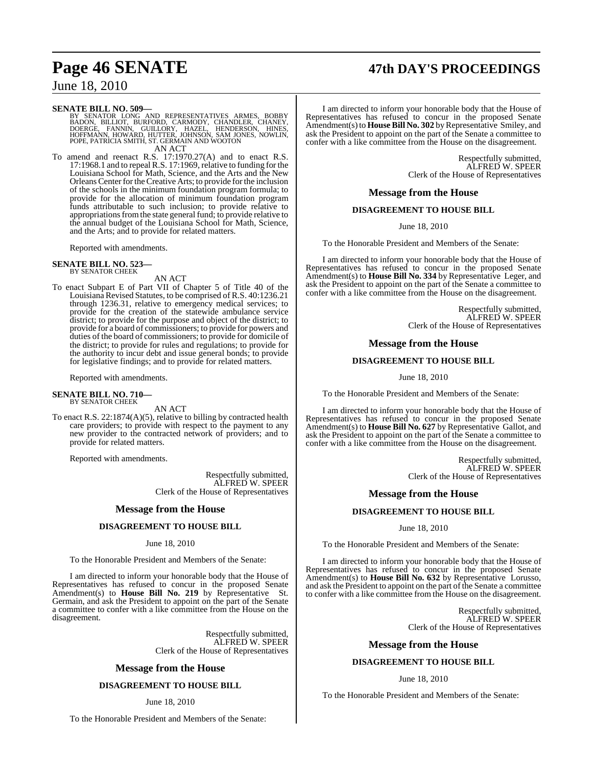## **Page 46 SENATE 47th DAY'S PROCEEDINGS**

June 18, 2010

#### **SENATE BILL NO. 509—**

BY SENATOR LONG AND REPRESENTATIVES ARMES, BOBBY<br>BADON, BILLIOT, BURFORD, CARMODY, CHANDLER, CHANEY,<br>DOERGE, FANNIN, GUILLORY, HAZEL, HENDERSON, HINES,<br>HOFFMANN, HOWARD, HUTTER, JOHNSON, SAM JONES, NOWLIN,<br>POPE,PATRICIA SM AN ACT

To amend and reenact R.S. 17:1970.27(A) and to enact R.S. 17:1968.1 and to repeal R.S. 17:1969, relative to funding for the Louisiana School for Math, Science, and the Arts and the New OrleansCenterfortheCreative Arts; to provide for the inclusion of the schools in the minimum foundation program formula; to provide for the allocation of minimum foundation program funds attributable to such inclusion; to provide relative to appropriations from the state general fund; to provide relative to the annual budget of the Louisiana School for Math, Science, and the Arts; and to provide for related matters.

Reported with amendments.

#### **SENATE BILL NO. 523—** BY SENATOR CHEEK

AN ACT

To enact Subpart E of Part VII of Chapter 5 of Title 40 of the Louisiana Revised Statutes, to be comprised of R.S. 40:1236.21 through 1236.31, relative to emergency medical services; to provide for the creation of the statewide ambulance service district; to provide for the purpose and object of the district; to provide for a board of commissioners; to provide for powers and duties of the board of commissioners; to provide for domicile of the district; to provide for rules and regulations; to provide for the authority to incur debt and issue general bonds; to provide for legislative findings; and to provide for related matters.

Reported with amendments.

### **SENATE BILL NO. 710—** BY SENATOR CHEEK

AN ACT

To enact R.S. 22:1874(A)(5), relative to billing by contracted health care providers; to provide with respect to the payment to any new provider to the contracted network of providers; and to provide for related matters.

Reported with amendments.

Respectfully submitted, ALFRED W. SPEER Clerk of the House of Representatives

#### **Message from the House**

#### **DISAGREEMENT TO HOUSE BILL**

#### June 18, 2010

To the Honorable President and Members of the Senate:

I am directed to inform your honorable body that the House of Representatives has refused to concur in the proposed Senate Amendment(s) to **House Bill No. 219** by Representative St. Germain, and ask the President to appoint on the part of the Senate a committee to confer with a like committee from the House on the disagreement.

> Respectfully submitted, ALFRED W. SPEER Clerk of the House of Representatives

#### **Message from the House**

#### **DISAGREEMENT TO HOUSE BILL**

June 18, 2010

To the Honorable President and Members of the Senate:

I am directed to inform your honorable body that the House of Representatives has refused to concur in the proposed Senate Amendment(s) to **House Bill No. 302** by Representative Smiley, and ask the President to appoint on the part of the Senate a committee to confer with a like committee from the House on the disagreement.

> Respectfully submitted, ALFRED W. SPEER Clerk of the House of Representatives

#### **Message from the House**

#### **DISAGREEMENT TO HOUSE BILL**

June 18, 2010

To the Honorable President and Members of the Senate:

I am directed to inform your honorable body that the House of Representatives has refused to concur in the proposed Senate Amendment(s) to **House Bill No. 334** by Representative Leger, and ask the President to appoint on the part of the Senate a committee to confer with a like committee from the House on the disagreement.

> Respectfully submitted, ALFRED W. SPEER Clerk of the House of Representatives

#### **Message from the House**

#### **DISAGREEMENT TO HOUSE BILL**

June 18, 2010

To the Honorable President and Members of the Senate:

I am directed to inform your honorable body that the House of Representatives has refused to concur in the proposed Senate Amendment(s) to **House Bill No. 627** by Representative Gallot, and ask the President to appoint on the part of the Senate a committee to confer with a like committee from the House on the disagreement.

> Respectfully submitted, ALFRED W. SPEER Clerk of the House of Representatives

#### **Message from the House**

#### **DISAGREEMENT TO HOUSE BILL**

June 18, 2010

To the Honorable President and Members of the Senate:

I am directed to inform your honorable body that the House of Representatives has refused to concur in the proposed Senate Amendment(s) to **House Bill No. 632** by Representative Lorusso, and ask the President to appoint on the part of the Senate a committee to confer with a like committee from the House on the disagreement.

> Respectfully submitted, ALFRED W. SPEER Clerk of the House of Representatives

#### **Message from the House**

#### **DISAGREEMENT TO HOUSE BILL**

June 18, 2010

To the Honorable President and Members of the Senate: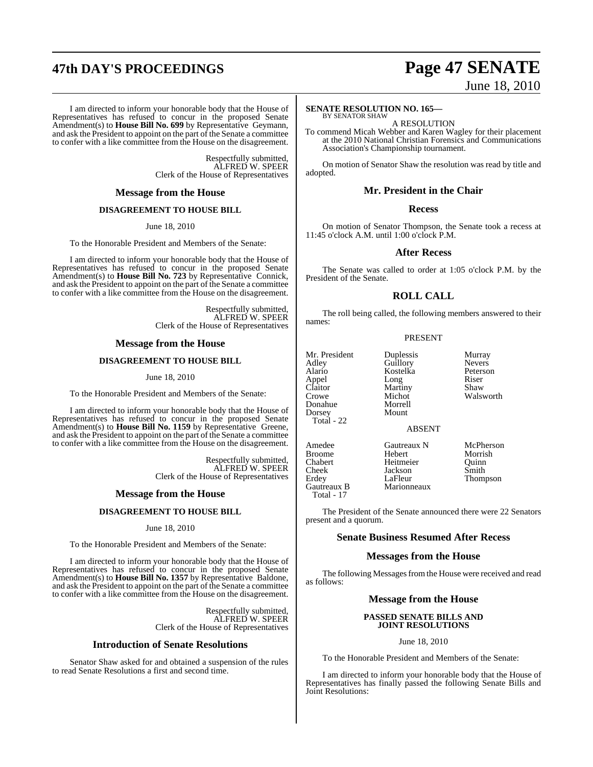## **47th DAY'S PROCEEDINGS Page 47 SENATE**

#### I am directed to inform your honorable body that the House of Representatives has refused to concur in the proposed Senate Amendment(s) to **House Bill No. 699** by Representative Geymann, and ask the President to appoint on the part of the Senate a committee to confer with a like committee from the House on the disagreement.

Respectfully submitted, ALFRED W. SPEER Clerk of the House of Representatives

#### **Message from the House**

#### **DISAGREEMENT TO HOUSE BILL**

June 18, 2010

To the Honorable President and Members of the Senate:

I am directed to inform your honorable body that the House of Representatives has refused to concur in the proposed Senate Amendment(s) to **House Bill No. 723** by Representative Connick, and ask the President to appoint on the part of the Senate a committee to confer with a like committee from the House on the disagreement.

> Respectfully submitted, ALFRED W. SPEER Clerk of the House of Representatives

#### **Message from the House**

#### **DISAGREEMENT TO HOUSE BILL**

#### June 18, 2010

To the Honorable President and Members of the Senate:

I am directed to inform your honorable body that the House of Representatives has refused to concur in the proposed Senate Amendment(s) to **House Bill No. 1159** by Representative Greene, and ask the President to appoint on the part ofthe Senate a committee to confer with a like committee from the House on the disagreement.

> Respectfully submitted, ALFRED W. SPEER Clerk of the House of Representatives

#### **Message from the House**

#### **DISAGREEMENT TO HOUSE BILL**

#### June 18, 2010

To the Honorable President and Members of the Senate:

I am directed to inform your honorable body that the House of Representatives has refused to concur in the proposed Senate Amendment(s) to **House Bill No. 1357** by Representative Baldone, and ask the President to appoint on the part of the Senate a committee to confer with a like committee from the House on the disagreement.

> Respectfully submitted, ALFRED W. SPEER Clerk of the House of Representatives

#### **Introduction of Senate Resolutions**

Senator Shaw asked for and obtained a suspension of the rules to read Senate Resolutions a first and second time.

# June 18, 2010

#### **SENATE RESOLUTION NO. 165—** BY SENATOR SHAW

A RESOLUTION

To commend Micah Webber and Karen Wagley for their placement at the 2010 National Christian Forensics and Communications Association's Championship tournament.

On motion of Senator Shaw the resolution was read by title and adopted.

#### **Mr. President in the Chair**

#### **Recess**

On motion of Senator Thompson, the Senate took a recess at 11:45 o'clock A.M. until 1:00 o'clock P.M.

#### **After Recess**

The Senate was called to order at 1:05 o'clock P.M. by the President of the Senate.

#### **ROLL CALL**

The roll being called, the following members answered to their names:

#### PRESENT

Mr. President Duplessis Murray<br>Adley Guillory Nevers Alario Kostelka Peters<br>
Appel Long Riser Appel Long Riser<br>Claitor Martiny Shaw Claitor Martiny<br>Crowe Michot Donahue Morrel<br>Dorsey Mount Dorsey Total - 22

Total - 17

Guillory<br>
Kostelka Peterson Michot Walsworth<br>Morrell

#### ABSENT

Amedee Gautreaux N McPherson<br>Broome Hebert Morrish Broome Hebert Morrish<br>Chabert Heitmeier Ouinn Chabert Heitmeier Quinn Cheek Jackson<br>Erdey LaFleur Gautreaux B Marionneaux

Thompson

The President of the Senate announced there were 22 Senators present and a quorum.

#### **Senate Business Resumed After Recess**

#### **Messages from the House**

The following Messages from the House were received and read as follows:

#### **Message from the House**

#### **PASSED SENATE BILLS AND JOINT RESOLUTIONS**

#### June 18, 2010

To the Honorable President and Members of the Senate:

I am directed to inform your honorable body that the House of Representatives has finally passed the following Senate Bills and Joint Resolutions: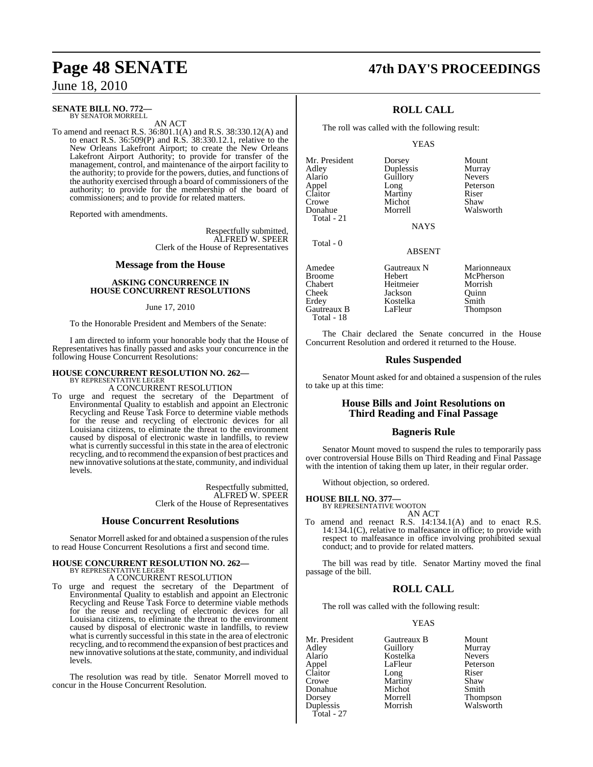#### **SENATE BILL NO. 772—** BY SENATOR MORRELL

AN ACT

To amend and reenact R.S. 36:801.1(A) and R.S. 38:330.12(A) and to enact R.S. 36:509(P) and R.S. 38:330.12.1, relative to the New Orleans Lakefront Airport; to create the New Orleans Lakefront Airport Authority; to provide for transfer of the management, control, and maintenance of the airport facility to the authority; to provide for the powers, duties, and functions of the authority exercised through a board of commissioners of the authority; to provide for the membership of the board of commissioners; and to provide for related matters.

Reported with amendments.

Respectfully submitted, ALFRED W. SPEER Clerk of the House of Representatives

#### **Message from the House**

#### **ASKING CONCURRENCE IN HOUSE CONCURRENT RESOLUTIONS**

#### June 17, 2010

To the Honorable President and Members of the Senate:

I am directed to inform your honorable body that the House of Representatives has finally passed and asks your concurrence in the following House Concurrent Resolutions:

### **HOUSE CONCURRENT RESOLUTION NO. 262—** BY REPRESENTATIVE LEGER

A CONCURRENT RESOLUTION

To urge and request the secretary of the Department of Environmental Quality to establish and appoint an Electronic Recycling and Reuse Task Force to determine viable methods for the reuse and recycling of electronic devices for all Louisiana citizens, to eliminate the threat to the environment caused by disposal of electronic waste in landfills, to review what is currently successful in this state in the area of electronic recycling, and to recommend the expansion of best practices and new innovative solutions at the state, community, and individual levels.

> Respectfully submitted, ALFRED W. SPEER Clerk of the House of Representatives

#### **House Concurrent Resolutions**

Senator Morrell asked for and obtained a suspension of the rules to read House Concurrent Resolutions a first and second time.

### **HOUSE CONCURRENT RESOLUTION NO. 262—** BY REPRESENTATIVE LEGER A CONCURRENT RESOLUTION

- 
- To urge and request the secretary of the Department of Environmental Quality to establish and appoint an Electronic Recycling and Reuse Task Force to determine viable methods for the reuse and recycling of electronic devices for all Louisiana citizens, to eliminate the threat to the environment caused by disposal of electronic waste in landfills, to review what is currently successful in this state in the area of electronic recycling, and to recommend the expansion of best practices and new innovative solutions at the state, community, and individual levels.

The resolution was read by title. Senator Morrell moved to concur in the House Concurrent Resolution.

## **Page 48 SENATE 47th DAY'S PROCEEDINGS**

### **ROLL CALL**

The roll was called with the following result:

#### YEAS

Mr. President Dorsey Mount<br>Adley Duplessis Murray Alario Guillory<br>
Appel Long Appel Long Peterson<br>Claitor Martiny Riser Claitor Martiny Riser<br>Crowe Michot Shaw Crowe Michot<br>Donahue Morrell Total - 21

Total - 0

**Duplessis Murray<br>
Guillory Nevers** Walsworth

NAYS

#### ABSENT

Amedee Gautreaux N Marionneaux<br>Broome Hebert McPherson Broome Hebert McPherson Heitmeier Cheek Jackson Quinn<br>Erdey Kostelka Smith Gautreaux B Total - 18

Kostelka Smith<br>LaFleur Thompson

The Chair declared the Senate concurred in the House Concurrent Resolution and ordered it returned to the House.

#### **Rules Suspended**

Senator Mount asked for and obtained a suspension of the rules to take up at this time:

#### **House Bills and Joint Resolutions on Third Reading and Final Passage**

#### **Bagneris Rule**

Senator Mount moved to suspend the rules to temporarily pass over controversial House Bills on Third Reading and Final Passage with the intention of taking them up later, in their regular order.

Without objection, so ordered.

#### **HOUSE BILL NO. 377—**

BY REPRESENTATIVE WOOTON AN ACT

To amend and reenact R.S. 14:134.1(A) and to enact R.S. 14:134.1(C), relative to malfeasance in office; to provide with respect to malfeasance in office involving prohibited sexual conduct; and to provide for related matters.

The bill was read by title. Senator Martiny moved the final passage of the bill.

### **ROLL CALL**

The roll was called with the following result:

#### YEAS

Mr. President Gautreaux B Mount<br>Adley Guillory Murray Adley Guillory Murray Kostelka<br>LaFleur Appel LaFleur Peters<br>Claitor Long Riser<br>Crowe Martiny Shaw Crowe **Martiny** Shaw<br>
Donahue Michot Smith Donahue Michot<br>
Dorsey Morrell Duplessis Total - 27

LaFleur Peterson<br>Long Riser Morrell Thompson<br>Morrish Walsworth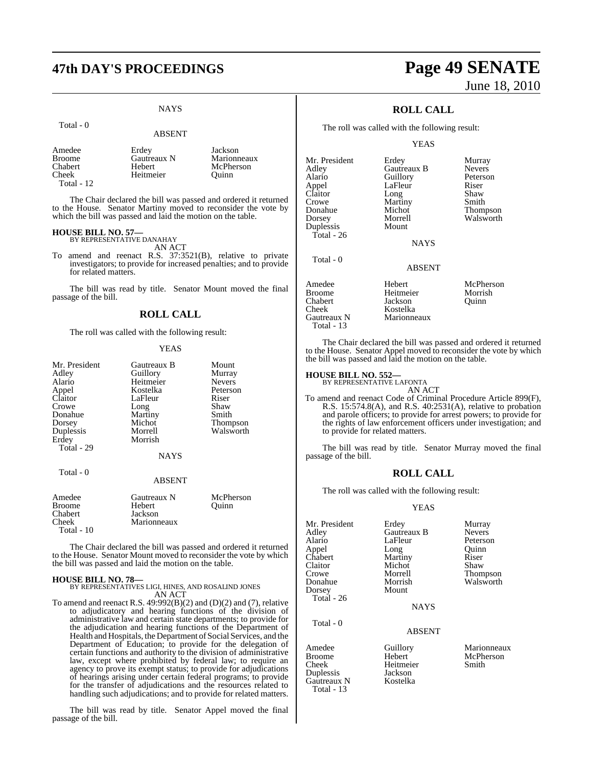## **47th DAY'S PROCEEDINGS Page 49 SENATE**

### **NAYS**

#### Total - 0

#### ABSENT

| Amedee       | Erdey       | Jackson     |
|--------------|-------------|-------------|
| Broome       | Gautreaux N | Marionneaux |
| Chabert      | Hebert      | McPherson   |
| Cheek        | Heitmeier   | Ouinn       |
| Total - $12$ |             |             |

The Chair declared the bill was passed and ordered it returned to the House. Senator Martiny moved to reconsider the vote by which the bill was passed and laid the motion on the table.

#### **HOUSE BILL NO. 57—**

BY REPRESENTATIVE DANAHAY AN ACT

To amend and reenact R.S. 37:3521(B), relative to private investigators; to provide for increased penalties; and to provide for related matters.

The bill was read by title. Senator Mount moved the final passage of the bill.

#### **ROLL CALL**

The roll was called with the following result:

#### YEAS

| Mr. President<br>Adley<br>Alario<br>Appel<br>Claitor<br>Crowe<br>Donahue<br>Dorsey<br>Duplessis<br>Erdey<br>Total - 29 | Gautreaux B<br>Guillory<br>Heitmeier<br>Kostelka<br>LaFleur<br>Long<br>Martiny<br>Michot<br>Morrell<br>Morrish | Mount<br>Murray<br><b>Nevers</b><br>Peterson<br>Riser<br>Shaw<br>Smith<br>Thompson<br>Walsworth |
|------------------------------------------------------------------------------------------------------------------------|----------------------------------------------------------------------------------------------------------------|-------------------------------------------------------------------------------------------------|
| Total - 0                                                                                                              | <b>NAYS</b><br><b>ABSENT</b>                                                                                   |                                                                                                 |
| Amedee<br><b>Broome</b><br>Chabert<br>Cheek                                                                            | Gautreaux N<br>Hebert<br>Jackson<br>Marionneaux                                                                | McPherson<br>Ouinn                                                                              |

The Chair declared the bill was passed and ordered it returned to the House. Senator Mount moved to reconsider the vote by which the bill was passed and laid the motion on the table.

#### **HOUSE BILL NO. 78—**

 $Total - 10$ 

BY REPRESENTATIVES LIGI, HINES, AND ROSALIND JONES AN ACT

To amend and reenact R.S.  $49:992(B)(2)$  and  $(D)(2)$  and  $(7)$ , relative to adjudicatory and hearing functions of the division of administrative law and certain state departments; to provide for the adjudication and hearing functions of the Department of Health and Hospitals, the Department of Social Services, and the Department of Education; to provide for the delegation of certain functions and authority to the division of administrative law, except where prohibited by federal law; to require an agency to prove its exempt status; to provide for adjudications of hearings arising under certain federal programs; to provide for the transfer of adjudications and the resources related to handling such adjudications; and to provide for related matters.

The bill was read by title. Senator Appel moved the final passage of the bill.

# June 18, 2010

### **ROLL CALL**

The roll was called with the following result:

#### YEAS

| Mr. President | Erdey         | Murray        |
|---------------|---------------|---------------|
| Adley         | Gautreaux B   | <b>Nevers</b> |
| Alario        | Guillory      | Peterson      |
| Appel         | LaFleur       | Riser         |
| Claitor       | Long          | Shaw          |
| Crowe         | Martiny       | Smith         |
| Donahue       | Michot        | Thompson      |
| Dorsey        | Morrell       | Walsworth     |
| Duplessis     | Mount         |               |
| Total - 26    |               |               |
|               | NAYS          |               |
| Total - 0     |               |               |
|               | <b>ABSENT</b> |               |
| Amedee        | Hebert        | McPherson     |
| <b>Broome</b> | Heitmeier     | Morrish       |
| Chabert       | Jackson       | Quinn         |
| Cheek         | Kostelka      |               |
| Gautreaux N   | Marionneaux   |               |
| Total - 13    |               |               |

The Chair declared the bill was passed and ordered it returned to the House. Senator Appel moved to reconsider the vote by which the bill was passed and laid the motion on the table.

### **HOUSE BILL NO. 552—** BY REPRESENTATIVE LAFONTA

Duplessis Jackson

Gautreaux N Total - 13

AN ACT

To amend and reenact Code of Criminal Procedure Article 899(F), R.S. 15:574.8(A), and R.S. 40:2531(A), relative to probation and parole officers; to provide for arrest powers; to provide for the rights of law enforcement officers under investigation; and to provide for related matters.

The bill was read by title. Senator Murray moved the final passage of the bill.

#### **ROLL CALL**

The roll was called with the following result:

#### YEAS

| Mr. President    | Erdey              | Murray                   |
|------------------|--------------------|--------------------------|
| Adlev            | Gautreaux B        | <b>Nevers</b>            |
| Alario           | LaFleur            | Peterson                 |
| Appel            | Long               | Ouinn                    |
| Chabert          | Martiny            | Riser                    |
| Claitor          | Michot             | Shaw                     |
| Crowe            | Morrell            | <b>Thompson</b>          |
| Donahue          | Morrish            | Walsworth                |
| Dorsey           | Mount              |                          |
| Total - 26       |                    |                          |
|                  | <b>NAYS</b>        |                          |
| Total - 0        |                    |                          |
|                  | <b>ABSENT</b>      |                          |
| Amedee<br>Broome | Guillory<br>Hebert | Marionneaux<br>McPherson |
|                  |                    |                          |

Cheek Heitmeier Smith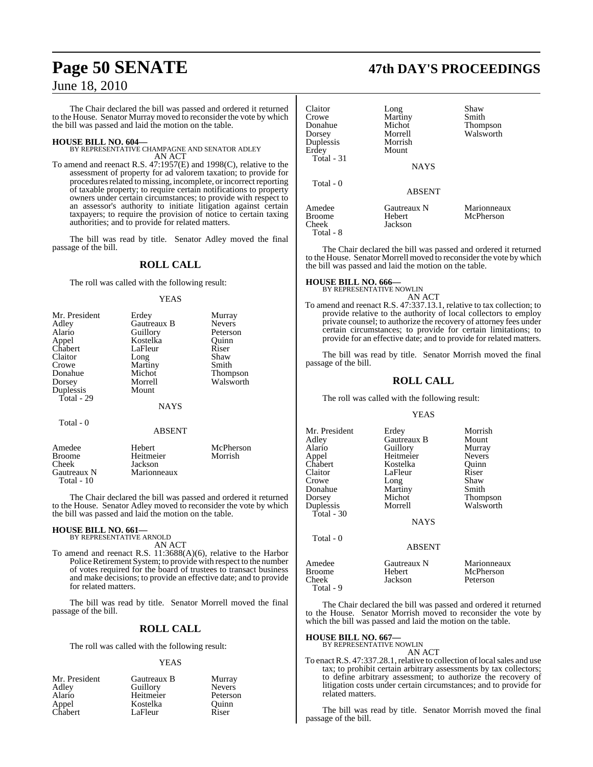The Chair declared the bill was passed and ordered it returned to the House. Senator Murray moved to reconsider the vote by which the bill was passed and laid the motion on the table.

**HOUSE BILL NO. 604—** BY REPRESENTATIVE CHAMPAGNE AND SENATOR ADLEY AN ACT

To amend and reenact R.S. 47:1957(E) and 1998(C), relative to the assessment of property for ad valorem taxation; to provide for procedures related to missing, incomplete, or incorrect reporting of taxable property; to require certain notifications to property owners under certain circumstances; to provide with respect to an assessor's authority to initiate litigation against certain taxpayers; to require the provision of notice to certain taxing authorities; and to provide for related matters.

The bill was read by title. Senator Adley moved the final passage of the bill.

#### **ROLL CALL**

The roll was called with the following result:

#### **YEAS**

| Mr. President | Erdey         | Murray          |
|---------------|---------------|-----------------|
| Adley         | Gautreaux B   | <b>Nevers</b>   |
| Alario        | Guillory      | Peterson        |
| Appel         | Kostelka      | Ouinn           |
| Chabert       | LaFleur       | Riser           |
| Claitor       | Long          | Shaw            |
| Crowe         | Martiny       | Smith           |
| Donahue       | Michot        | <b>Thompson</b> |
| Dorsey        | Morrell       | Walsworth       |
| Duplessis     | Mount         |                 |
| Total - 29    |               |                 |
|               | <b>NAYS</b>   |                 |
| Total - 0     |               |                 |
|               | <b>ABSENT</b> |                 |

| Amedee        | Hebert      | McPherson |
|---------------|-------------|-----------|
| <b>Broome</b> | Heitmeier   | Morrish   |
| <b>Cheek</b>  | Jackson     |           |
| Gautreaux N   | Marionneaux |           |
| Total $-10$   |             |           |

The Chair declared the bill was passed and ordered it returned to the House. Senator Adley moved to reconsider the vote by which the bill was passed and laid the motion on the table.

#### **HOUSE BILL NO. 661—** BY REPRESENTATIVE ARNOLD

AN ACT

To amend and reenact R.S. 11:3688(A)(6), relative to the Harbor Police Retirement System; to provide with respect to the number of votes required for the board of trustees to transact business and make decisions; to provide an effective date; and to provide for related matters.

The bill was read by title. Senator Morrell moved the final passage of the bill.

#### **ROLL CALL**

The roll was called with the following result:

#### YEAS

| Gautreaux B | Murray        |
|-------------|---------------|
| Guillory    | <b>Nevers</b> |
|             | Peterson      |
| Kostelka    | Quinn         |
| LaFleur     | Riser         |
|             | Heitmeier     |

### **Page 50 SENATE 47th DAY'S PROCEEDINGS**

| Claitor<br>Crowe<br>Donahue<br>Dorsey<br>Duplessis<br>Erdey<br>Total - 31 | Long<br>Martiny<br>Michot<br>Morrell<br>Morrish<br>Mount<br><b>NAYS</b> | Shaw<br>Smith<br>Thompson<br>Walsworth |
|---------------------------------------------------------------------------|-------------------------------------------------------------------------|----------------------------------------|
| Total - 0                                                                 | <b>ABSENT</b>                                                           |                                        |
| Amedee<br>Broome<br>Cheek<br>Total - 8                                    | Gautreaux N<br>Hebert<br>Jackson                                        | Marionneaux<br>McPherson               |

The Chair declared the bill was passed and ordered it returned to the House. Senator Morrell moved to reconsider the vote by which the bill was passed and laid the motion on the table.

#### **HOUSE BILL NO. 666—**

BY REPRESENTATIVE NOWLIN AN ACT

To amend and reenact R.S. 47:337.13.1, relative to tax collection; to provide relative to the authority of local collectors to employ private counsel; to authorize the recovery of attorney fees under certain circumstances; to provide for certain limitations; to provide for an effective date; and to provide for related matters.

The bill was read by title. Senator Morrish moved the final passage of the bill.

#### **ROLL CALL**

The roll was called with the following result:

#### YEAS

| Mr. President<br>Adlev<br>Alario<br>Appel<br>Chabert<br>Claitor<br>Crowe<br>Donahue<br>Dorsey<br>Duplessis | Erdey<br>Gautreaux B<br>Guillory<br>Heitmeier<br>Kostelka<br>LaFleur<br>Long<br>Martiny<br>Michot<br>Morrell | Morrish<br>Mount<br>Murray<br><b>Nevers</b><br>Ouinn<br>Riser<br>Shaw<br>Smith<br><b>Thompson</b><br>Walsworth |
|------------------------------------------------------------------------------------------------------------|--------------------------------------------------------------------------------------------------------------|----------------------------------------------------------------------------------------------------------------|
| Total - 30                                                                                                 | <b>NAYS</b>                                                                                                  |                                                                                                                |
| Total - 0                                                                                                  | <b>ABSENT</b>                                                                                                |                                                                                                                |
| $\Delta$ medee                                                                                             | Gautreauv N                                                                                                  | Marionnea                                                                                                      |

| Amedee    | Gautreaux N | Marionneaux |
|-----------|-------------|-------------|
| Broome    | Hebert      | McPherson   |
| Cheek     | Jackson     | Peterson    |
| Total - 9 |             |             |

The Chair declared the bill was passed and ordered it returned to the House. Senator Morrish moved to reconsider the vote by which the bill was passed and laid the motion on the table.

### **HOUSE BILL NO. 667—** BY REPRESENTATIVE NOWLIN

AN ACT

To enact R.S. 47:337.28.1, relative to collection of local sales and use tax; to prohibit certain arbitrary assessments by tax collectors; to define arbitrary assessment; to authorize the recovery of litigation costs under certain circumstances; and to provide for related matters.

The bill was read by title. Senator Morrish moved the final passage of the bill.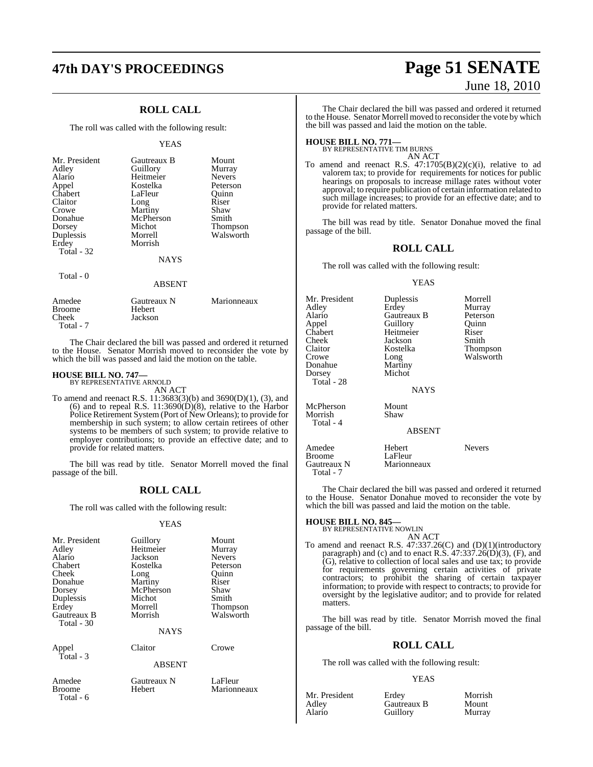### **ROLL CALL**

The roll was called with the following result:

#### YEAS

| Mr. President<br>Adley<br>Alario<br>Appel<br>Chabert | Gautreaux B<br>Guillory<br>Heitmeier<br>Kostelka<br>LaFleur | Mount<br>Murray<br><b>Nevers</b><br>Peterson<br>Ouinn |
|------------------------------------------------------|-------------------------------------------------------------|-------------------------------------------------------|
| Claitor                                              | Long                                                        | Riser                                                 |
| Crowe                                                | Martiny                                                     | Shaw                                                  |
| Donahue                                              | McPherson                                                   | Smith                                                 |
| Dorsey                                               | Michot                                                      | <b>Thompson</b>                                       |
| Duplessis                                            | Morrell                                                     | Walsworth                                             |
| Erdey                                                | Morrish                                                     |                                                       |
| Total - 32                                           |                                                             |                                                       |
|                                                      | <b>NAYS</b>                                                 |                                                       |
| Total - 0                                            |                                                             |                                                       |
|                                                      | <b>ABSENT</b>                                               |                                                       |
| $\Delta$ madaa                                       | $C_{\text{outroouv}}$ N                                     | $M$ orionnoquy                                        |

| Amedee        | Gautreaux N | Marionneaux |
|---------------|-------------|-------------|
| <b>Broome</b> | Hebert      |             |
| Cheek         | Jackson     |             |
| Total - 7     |             |             |

The Chair declared the bill was passed and ordered it returned to the House. Senator Morrish moved to reconsider the vote by which the bill was passed and laid the motion on the table.

### **HOUSE BILL NO. 747—** BY REPRESENTATIVE ARNOLD

AN ACT

To amend and reenact R.S. 11:3683(3)(b) and 3690(D)(1), (3), and (6) and to repeal R.S. 11:3690(D)(8), relative to the Harbor Police Retirement System (Port of New Orleans); to provide for membership in such system; to allow certain retirees of other systems to be members of such system; to provide relative to employer contributions; to provide an effective date; and to provide for related matters.

The bill was read by title. Senator Morrell moved the final passage of the bill.

#### **ROLL CALL**

The roll was called with the following result:

#### YEAS

| Mr. President      | Guillory    | Mount         |  |  |
|--------------------|-------------|---------------|--|--|
| Adley              | Heitmeier   | Murray        |  |  |
| Alario             | Jackson     | <b>Nevers</b> |  |  |
| Chabert            | Kostelka    | Peterson      |  |  |
| Cheek              | Long        | Quinn         |  |  |
| Donahue            | Martiny     | Riser         |  |  |
| Dorsey             | McPherson   | Shaw          |  |  |
| Duplessis          | Michot      | Smith         |  |  |
| Erdey              | Morrell     | Thompson      |  |  |
| <b>Gautreaux B</b> | Morrish     | Walsworth     |  |  |
| Total - 30         |             |               |  |  |
| <b>NAYS</b>        |             |               |  |  |
| Appel              | Claitor     | Crowe         |  |  |
| $\text{Total} - 3$ |             |               |  |  |
| <b>ABSENT</b>      |             |               |  |  |
| Amedee             | Gautreaux N | LaFleur       |  |  |
| Broome             | Hebert      | Marionneaux   |  |  |
| Total - 6          |             |               |  |  |
|                    |             |               |  |  |

### **47th DAY'S PROCEEDINGS Page 51 SENATE** June 18, 2010

The Chair declared the bill was passed and ordered it returned to the House. Senator Morrell moved to reconsider the vote by which the bill was passed and laid the motion on the table.

### **HOUSE BILL NO. 771—** BY REPRESENTATIVE TIM BURNS

AN ACT

To amend and reenact R.S. 47:1705(B)(2)(c)(i), relative to ad valorem tax; to provide for requirements for notices for public hearings on proposals to increase millage rates without voter approval; to require publication of certain information related to such millage increases; to provide for an effective date; and to provide for related matters.

The bill was read by title. Senator Donahue moved the final passage of the bill.

### **ROLL CALL**

The roll was called with the following result:

#### YEAS

| Mr. President<br>Adley<br>Alario<br>Appel<br>Chabert<br>Cheek<br>Claitor<br>Crowe<br>Donahue<br>Dorsey<br>Total - 28 | Duplessis<br>Erdey<br>Gautreaux B<br>Guillory<br>Heitmeier<br>Jackson<br>Kostelka<br>Long<br>Martiny<br>Michot | Morrell<br>Murray<br>Peterson<br>Quinn<br>Riser<br>Smith<br>Thompson<br>Walsworth |
|----------------------------------------------------------------------------------------------------------------------|----------------------------------------------------------------------------------------------------------------|-----------------------------------------------------------------------------------|
|                                                                                                                      | <b>NAYS</b>                                                                                                    |                                                                                   |
| McPherson<br>Morrish<br>Total - 4                                                                                    | Mount<br>Shaw<br>ABSENT                                                                                        |                                                                                   |
| Amedee<br><b>Broome</b><br>Gautreaux N                                                                               | Hebert<br>LaFleur<br>Marionneaux                                                                               | <b>Nevers</b>                                                                     |

The Chair declared the bill was passed and ordered it returned to the House. Senator Donahue moved to reconsider the vote by which the bill was passed and laid the motion on the table.

### **HOUSE BILL NO. 845—** BY REPRESENTATIVE NOWLIN

Total - 7

AN ACT

To amend and reenact R.S. 47:337.26(C) and (D)(1)(introductory paragraph) and (c) and to enact R.S.  $47:337.26(D)(3)$ , (F), and (G), relative to collection of local sales and use tax; to provide for requirements governing certain activities of private contractors; to prohibit the sharing of certain taxpayer information; to provide with respect to contracts; to provide for oversight by the legislative auditor; and to provide for related matters.

The bill was read by title. Senator Morrish moved the final passage of the bill.

#### **ROLL CALL**

The roll was called with the following result:

#### YEAS

| Mr. President | Erdev       | Morrish |
|---------------|-------------|---------|
| Adlev         | Gautreaux B | Mount   |
| Alario        | Guillory    | Murray  |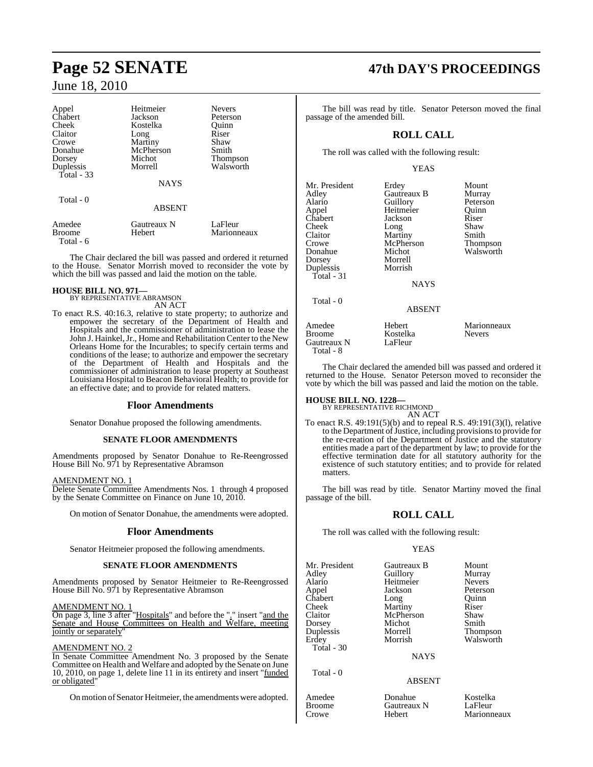| Appel         | Heitmeier      | <b>Nevers</b>   |
|---------------|----------------|-----------------|
| Chabert       | Jackson        | Peterson        |
| Cheek         | Kostelka       | Ouinn           |
| Claitor       | Long           | Riser           |
| Crowe         | <b>Martiny</b> | Shaw            |
| Donahue       | McPherson      | Smith           |
| Dorsey        | Michot         | <b>Thompson</b> |
| Duplessis     | Morrell        | Walsworth       |
| Total - 33    |                |                 |
|               | <b>NAYS</b>    |                 |
| Total - 0     |                |                 |
|               | <b>ABSENT</b>  |                 |
| Amedee        | Gautreaux N    | LaFleur         |
| <b>Broome</b> | Hebert         | Marionneaux     |
| Total - 6     |                |                 |

The Chair declared the bill was passed and ordered it returned to the House. Senator Morrish moved to reconsider the vote by which the bill was passed and laid the motion on the table.

## **HOUSE BILL NO. 971—** BY REPRESENTATIVE ABRAMSON

AN ACT

To enact R.S. 40:16.3, relative to state property; to authorize and empower the secretary of the Department of Health and Hospitals and the commissioner of administration to lease the John J. Hainkel, Jr., Home and Rehabilitation Center to the New Orleans Home for the Incurables; to specify certain terms and conditions of the lease; to authorize and empower the secretary of the Department of Health and Hospitals and the commissioner of administration to lease property at Southeast Louisiana Hospital to Beacon Behavioral Health; to provide for an effective date; and to provide for related matters.

#### **Floor Amendments**

Senator Donahue proposed the following amendments.

#### **SENATE FLOOR AMENDMENTS**

Amendments proposed by Senator Donahue to Re-Reengrossed House Bill No. 971 by Representative Abramson

#### AMENDMENT NO. 1

Delete Senate Committee Amendments Nos. 1 through 4 proposed by the Senate Committee on Finance on June 10, 2010.

On motion of Senator Donahue, the amendments were adopted.

#### **Floor Amendments**

Senator Heitmeier proposed the following amendments.

#### **SENATE FLOOR AMENDMENTS**

Amendments proposed by Senator Heitmeier to Re-Reengrossed House Bill No. 971 by Representative Abramson

#### AMENDMENT NO. 1

On page 3, line 3 after "Hospitals" and before the "." insert "and the Senate and House Committees on Health and Welfare, meeting jointly or separately'

#### AMENDMENT NO. 2

In Senate Committee Amendment No. 3 proposed by the Senate Committee on Health and Welfare and adopted by the Senate on June 10, 2010, on page 1, delete line 11 in its entirety and insert "funded or obligated"

On motion of Senator Heitmeier, the amendments were adopted.

## **Page 52 SENATE 47th DAY'S PROCEEDINGS**

The bill was read by title. Senator Peterson moved the final passage of the amended bill.

### **ROLL CALL**

The roll was called with the following result:

#### YEAS

| Mr. President<br>Adley<br>Alario<br>Appel<br>Chabert<br>Cheek<br>Claitor<br>Crowe<br>Donahue<br>Dorsey<br>Duplessis<br>Total - 31 | Erdey<br>Gautreaux B<br>Guillory<br>Heitmeier<br>Jackson<br>Long<br>Martiny<br>McPherson<br>Michot<br>Morrell<br>Morrish<br>NAYS | Mount<br>Murray<br>Peterson<br>Ouinn<br>Riser<br>Shaw<br>Smith<br>Thompson<br>Walsworth |
|-----------------------------------------------------------------------------------------------------------------------------------|----------------------------------------------------------------------------------------------------------------------------------|-----------------------------------------------------------------------------------------|
| Total - 0                                                                                                                         | <b>ABSENT</b>                                                                                                                    |                                                                                         |
| Amedee<br><b>Broome</b><br>Gautreaux N                                                                                            | Hebert<br>Kostelka<br>LaFleur                                                                                                    | Marionnea<br>Nevers                                                                     |

Gautreaux N Total - 8

ert Marionneaux<br> **America**<br>
Hebert Mevers

The Chair declared the amended bill was passed and ordered it returned to the House. Senator Peterson moved to reconsider the vote by which the bill was passed and laid the motion on the table.

## **HOUSE BILL NO. 1228—** BY REPRESENTATIVE RICHMOND

AN ACT

To enact R.S. 49:191(5)(b) and to repeal R.S. 49:191(3)(l), relative to the Department of Justice, including provisions to provide for the re-creation of the Department of Justice and the statutory entities made a part of the department by law; to provide for the effective termination date for all statutory authority for the existence of such statutory entities; and to provide for related matters.

The bill was read by title. Senator Martiny moved the final passage of the bill.

#### **ROLL CALL**

The roll was called with the following result:

#### YEAS

Mr. President Gautreaux B Mount<br>Adley Guillory Murray Adley Guillory Murray Alario Heitmeier Nevers Chabert Long Quinn<br>Cheek Martiny Riser Claitor McPherson Shaw<br>
Dorsey Michot Smith Dorsey Michot<br>
Duplessis Morrell Duplessis Morrell Thompson Total - 30

Total - 0

Jackson Peterson<br>
Long Ouinn Martiny

Walsworth

NAYS

#### ABSENT

Amedee Donahue Kostelka Broome Gautreaux N<br>Crowe Hebert

Marionneaux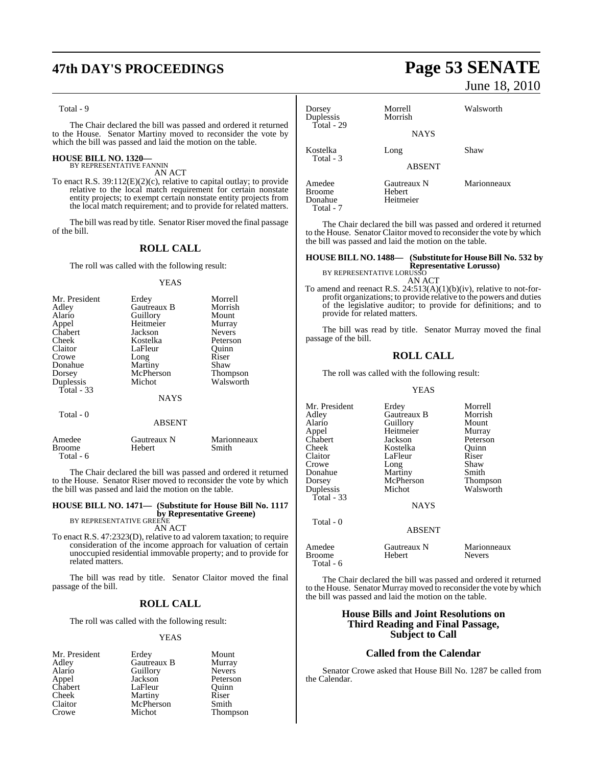## **47th DAY'S PROCEEDINGS Page 53 SENATE**

#### Total - 9

The Chair declared the bill was passed and ordered it returned to the House. Senator Martiny moved to reconsider the vote by which the bill was passed and laid the motion on the table.

#### **HOUSE BILL NO. 1320—** BY REPRESENTATIVE FANNIN

AN ACT

To enact R.S. 39:112(E)(2)(c), relative to capital outlay; to provide relative to the local match requirement for certain nonstate entity projects; to exempt certain nonstate entity projects from the local match requirement; and to provide for related matters.

The bill was read by title. Senator Riser moved the final passage of the bill.

### **ROLL CALL**

The roll was called with the following result:

#### YEAS

| Mr. President | Erdey       | Morrell         |
|---------------|-------------|-----------------|
| Adley         | Gautreaux B | Morrish         |
| Alario        | Guillory    | Mount           |
| Appel         | Heitmeier   | Murray          |
| Chabert       | Jackson     | <b>Nevers</b>   |
| Cheek         | Kostelka    | Peterson        |
| Claitor       | LaFleur     | Ouinn           |
| Crowe         | Long        | Riser           |
| Donahue       | Martiny     | Shaw            |
| Dorsey        | McPherson   | <b>Thompson</b> |
| Duplessis     | Michot      | Walsworth       |
| Total - 33    |             |                 |
|               | <b>NAYS</b> |                 |
| Total - 0     |             |                 |

#### ABSENT

| Amedee    | Gautreaux N | Marionneaux |
|-----------|-------------|-------------|
| Broome    | Hebert      | Smith       |
| Total - 6 |             |             |

The Chair declared the bill was passed and ordered it returned to the House. Senator Riser moved to reconsider the vote by which the bill was passed and laid the motion on the table.

#### **HOUSE BILL NO. 1471— (Substitute for House Bill No. 1117 by Representative Greene)** BY REPRESENTATIVE GREENE

AN ACT

To enact R.S. 47:2323(D), relative to ad valorem taxation; to require consideration of the income approach for valuation of certain unoccupied residential immovable property; and to provide for related matters.

The bill was read by title. Senator Claitor moved the final passage of the bill.

#### **ROLL CALL**

The roll was called with the following result:

#### YEAS

| Mr. President | Erdey       | Mount         |
|---------------|-------------|---------------|
| Adley         | Gautreaux B | Murray        |
| Alario        | Guillory    | <b>Nevers</b> |
| Appel         | Jackson     | Peterson      |
| Chabert       | LaFleur     | Ouinn         |
| Cheek         | Martiny     | Riser         |
| Claitor       | McPherson   | Smith         |
| Crowe         | Michot      | Thompson      |

June 18, 2010

| Dorsey<br>Duplessis<br>Total - 29        | Morrell<br>Morrish                 | Walsworth   |
|------------------------------------------|------------------------------------|-------------|
|                                          | <b>NAYS</b>                        |             |
| Kostelka<br>Total - 3                    | Long<br>ABSENT                     | Shaw        |
| Amedee<br>Broome<br>Donahue<br>Total - 7 | Gautreaux N<br>Hebert<br>Heitmeier | Marionneaux |

The Chair declared the bill was passed and ordered it returned to the House. Senator Claitor moved to reconsider the vote by which the bill was passed and laid the motion on the table.

### **HOUSE BILL NO. 1488— (Substitute for HouseBill No. 532 by Representative Lorusso)** BY REPRESENTATIVE LORUSSO

AN ACT

To amend and reenact R.S. 24:513(A)(1)(b)(iv), relative to not-forprofit organizations; to provide relative to the powers and duties of the legislative auditor; to provide for definitions; and to provide for related matters.

The bill was read by title. Senator Murray moved the final passage of the bill.

### **ROLL CALL**

The roll was called with the following result:

#### YEAS

| Mr. President<br>Adley<br>Alario<br>Appel<br>Chabert<br>Cheek<br>Claitor<br>Crowe<br>Donahue<br>Dorsey | Erdey<br>Gautreaux B<br>Guillory<br>Heitmeier<br>Jackson<br>Kostelka<br>LaFleur<br>Long<br>Martiny<br>McPherson | Morrell<br>Morrish<br>Mount<br>Murray<br>Peterson<br>Ouinn<br>Riser<br>Shaw<br>Smith<br><b>Thompson</b> |
|--------------------------------------------------------------------------------------------------------|-----------------------------------------------------------------------------------------------------------------|---------------------------------------------------------------------------------------------------------|
| Duplessis<br>Total - 33                                                                                | Michot<br><b>NAYS</b>                                                                                           | Walsworth                                                                                               |
| Total - 0                                                                                              | <b>ABSENT</b>                                                                                                   |                                                                                                         |
| $\sim$                                                                                                 | <b>B</b> T                                                                                                      | $\cdots$                                                                                                |

| Amedee<br>Broome<br>Total - 6 | Gautreaux N<br>Hebert | Marionneaux<br><b>Nevers</b> |  |
|-------------------------------|-----------------------|------------------------------|--|
|                               |                       |                              |  |

The Chair declared the bill was passed and ordered it returned to the House. Senator Murray moved to reconsider the vote by which the bill was passed and laid the motion on the table.

#### **House Bills and Joint Resolutions on Third Reading and Final Passage, Subject to Call**

#### **Called from the Calendar**

Senator Crowe asked that House Bill No. 1287 be called from the Calendar.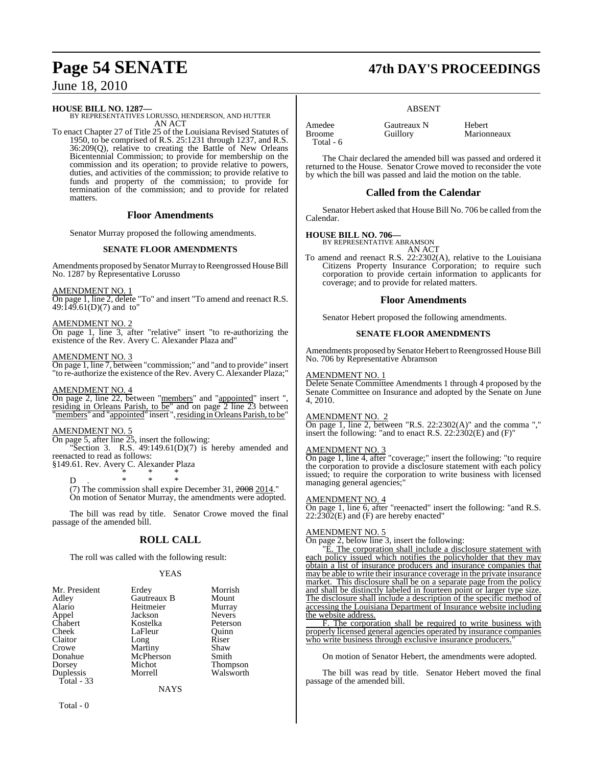#### **HOUSE BILL NO. 1287—**

BY REPRESENTATIVES LORUSSO, HENDERSON, AND HUTTER AN ACT

To enact Chapter 27 of Title 25 of the Louisiana Revised Statutes of 1950, to be comprised of R.S. 25:1231 through 1237, and R.S. 36:209(Q), relative to creating the Battle of New Orleans Bicentennial Commission; to provide for membership on the commission and its operation; to provide relative to powers, duties, and activities of the commission; to provide relative to funds and property of the commission; to provide for termination of the commission; and to provide for related matters.

#### **Floor Amendments**

Senator Murray proposed the following amendments.

#### **SENATE FLOOR AMENDMENTS**

Amendments proposed by Senator Murray to Reengrossed House Bill No. 1287 by Representative Lorusso

AMENDMENT NO. 1

On page 1, line 2, delete "To" and insert "To amend and reenact R.S.  $49:149.61(D)(7)$  and to"

#### AMENDMENT NO. 2

On page 1, line 3, after "relative" insert "to re-authorizing the existence of the Rev. Avery C. Alexander Plaza and"

#### AMENDMENT NO. 3

On page 1, line 7, between "commission;" and "and to provide" insert "to re-authorize the existence of the Rev. AveryC. Alexander Plaza;"

#### AMENDMENT NO. 4

On page 2, line 22, between "members" and "appointed" insert ", residing in Orleans Parish, to be" and on page 2 line 23 between "members" and "appointed" insert ", residing in Orleans Parish, to be"

#### AMENDMENT NO. 5

On page 5, after line 25, insert the following:

"Section 3. R.S.  $49:149.61(D)(7)$  is hereby amended and reenacted to read as follows:

§149.61. Rev. Avery C. Alexander Plaza \* \* \*

D . \* \* \*

(7) The commission shall expire December 31, 2008 2014." On motion of Senator Murray, the amendments were adopted.

The bill was read by title. Senator Crowe moved the final passage of the amended bill.

### **ROLL CALL**

The roll was called with the following result:

#### YEAS

| Mr. President | Erdey       | Morrish       |
|---------------|-------------|---------------|
| Adley         | Gautreaux B | Mount         |
| Alario        | Heitmeier   | Murray        |
| Appel         | Jackson     | <b>Nevers</b> |
| Chabert       | Kostelka    | Peterson      |
| Cheek         | LaFleur     | Ouinn         |
| Claitor       | Long        | Riser         |
| Crowe         | Martiny     | Shaw          |
| Donahue       | McPherson   | Smith         |
| Dorsey        | Michot      | Thompson      |
| Duplessis     | Morrell     | Walsworth     |
| Total $-33$   |             |               |

## **Page 54 SENATE 47th DAY'S PROCEEDINGS**

#### ABSENT

Amedee Gautreaux N Hebert Total - 6

Marionneaux

The Chair declared the amended bill was passed and ordered it returned to the House. Senator Crowe moved to reconsider the vote by which the bill was passed and laid the motion on the table.

#### **Called from the Calendar**

Senator Hebert asked that House Bill No. 706 be called from the Calendar.

**HOUSE BILL NO. 706—** BY REPRESENTATIVE ABRAMSON AN ACT

To amend and reenact R.S. 22:2302(A), relative to the Louisiana Citizens Property Insurance Corporation; to require such corporation to provide certain information to applicants for coverage; and to provide for related matters.

#### **Floor Amendments**

Senator Hebert proposed the following amendments.

#### **SENATE FLOOR AMENDMENTS**

Amendments proposed by Senator Hebert to Reengrossed House Bill No. 706 by Representative Abramson

#### AMENDMENT NO. 1

Delete Senate Committee Amendments 1 through 4 proposed by the Senate Committee on Insurance and adopted by the Senate on June 4, 2010.

#### AMENDMENT NO. 2

On page 1, line 2, between "R.S. 22:2302(A)" and the comma "." insert the following: "and to enact R.S.  $22:2302(E)$  and  $(F)$ "

#### AMENDMENT NO. 3

On page 1, line 4, after "coverage;" insert the following: "to require the corporation to provide a disclosure statement with each policy issued; to require the corporation to write business with licensed managing general agencies;

#### AMENDMENT NO. 4

On page 1, line 6, after "reenacted" insert the following: "and R.S.  $22:\overline{2302(E)}$  and (F) are hereby enacted"

#### AMENDMENT NO. 5

On page 2, below line 3, insert the following:

E. The corporation shall include a disclosure statement with each policy issued which notifies the policyholder that they may obtain a list of insurance producers and insurance companies that may be able to write their insurance coverage in the private insurance market. This disclosure shall be on a separate page from the policy and shall be distinctly labeled in fourteen point or larger type size. The disclosure shall include a description of the specific method of accessing the Louisiana Department of Insurance website including the website address.

F. The corporation shall be required to write business with properly licensed general agencies operated by insurance companies who write business through exclusive insurance producers.

On motion of Senator Hebert, the amendments were adopted.

The bill was read by title. Senator Hebert moved the final passage of the amended bill.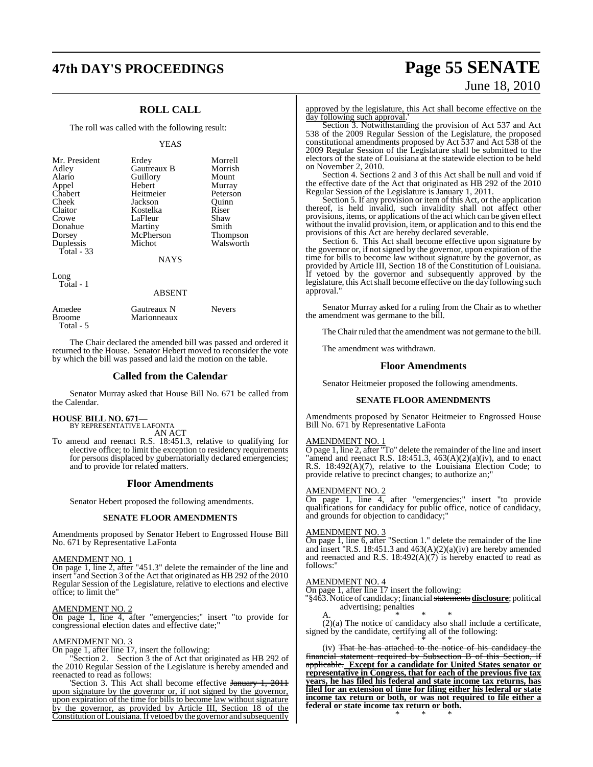### **ROLL CALL**

The roll was called with the following result:

#### YEAS

| Mr. President<br>Adley<br>Alario<br>Appel<br>Chabert<br>Cheek<br>Claitor<br>Crowe | Erdey<br>Gautreaux B<br>Guillory<br>Hebert<br>Heitmeier<br>Jackson<br>Kostelka<br>LaFleur | Morrell<br>Morrish<br>Mount<br>Murray<br>Peterson<br>Ouinn<br>Riser<br>Shaw |
|-----------------------------------------------------------------------------------|-------------------------------------------------------------------------------------------|-----------------------------------------------------------------------------|
| Dorsey<br>Duplessis<br>Total - 33                                                 | McPherson<br>Michot                                                                       | Thompson<br>Walsworth                                                       |
|                                                                                   | <b>NAYS</b>                                                                               |                                                                             |
| Long<br>Total - 1                                                                 |                                                                                           |                                                                             |

#### ABSENT

| Amedee<br><b>Broome</b> | Gautreaux N<br>Marionneaux | <b>Nevers</b> |
|-------------------------|----------------------------|---------------|
| Total - 5               |                            |               |

The Chair declared the amended bill was passed and ordered it returned to the House. Senator Hebert moved to reconsider the vote by which the bill was passed and laid the motion on the table.

#### **Called from the Calendar**

Senator Murray asked that House Bill No. 671 be called from the Calendar.

#### **HOUSE BILL NO. 671—**

BY REPRESENTATIVE LAFONTA AN ACT

To amend and reenact R.S. 18:451.3, relative to qualifying for elective office; to limit the exception to residency requirements for persons displaced by gubernatorially declared emergencies; and to provide for related matters.

#### **Floor Amendments**

Senator Hebert proposed the following amendments.

#### **SENATE FLOOR AMENDMENTS**

Amendments proposed by Senator Hebert to Engrossed House Bill No. 671 by Representative LaFonta

#### AMENDMENT NO. 1

On page 1, line 2, after "451.3" delete the remainder of the line and insert "and Section 3 of the Act that originated as HB 292 of the 2010 Regular Session of the Legislature, relative to elections and elective office; to limit the"

#### AMENDMENT NO. 2

On page 1, line 4, after "emergencies;" insert "to provide for congressional election dates and effective date;"

#### AMENDMENT NO. 3

On page 1, after line 17, insert the following:

'Section 2. Section 3 the of Act that originated as HB 292 of the 2010 Regular Session of the Legislature is hereby amended and reenacted to read as follows:

Section 3. This Act shall become effective January 1, 2011 upon signature by the governor or, if not signed by the governor, upon expiration of the time for bills to become law without signature by the governor, as provided by Article III, Section 18 of the Constitution of Louisiana. If vetoed by the governor and subsequently

## **47th DAY'S PROCEEDINGS Page 55 SENATE** June 18, 2010

approved by the legislature, this Act shall become effective on the day following such approval.'

Section 3. Notwithstanding the provision of Act 537 and Act 538 of the 2009 Regular Session of the Legislature, the proposed constitutional amendments proposed by Act 537 and Act 538 of the 2009 Regular Session of the Legislature shall be submitted to the electors of the state of Louisiana at the statewide election to be held on November 2, 2010.

Section 4. Sections 2 and 3 of this Act shall be null and void if the effective date of the Act that originated as HB 292 of the 2010 Regular Session of the Legislature is January 1, 2011.

Section 5. If any provision or item of this Act, or the application thereof, is held invalid, such invalidity shall not affect other provisions, items, or applications of the act which can be given effect without the invalid provision, item, or application and to this end the provisions of this Act are hereby declared severable.

Section 6. This Act shall become effective upon signature by the governor or, if notsigned by the governor, upon expiration of the time for bills to become law without signature by the governor, as provided by Article III, Section 18 of the Constitution of Louisiana. If vetoed by the governor and subsequently approved by the legislature, this Act shall become effective on the day following such approval."

Senator Murray asked for a ruling from the Chair as to whether the amendment was germane to the bill.

The Chair ruled that the amendment was not germane to the bill.

The amendment was withdrawn.

#### **Floor Amendments**

Senator Heitmeier proposed the following amendments.

#### **SENATE FLOOR AMENDMENTS**

Amendments proposed by Senator Heitmeier to Engrossed House Bill No. 671 by Representative LaFonta

#### AMENDMENT NO. 1

O page 1, line 2, after "To" delete the remainder of the line and insert "amend and reenact R.S. 18:451.3,  $463(A)(2)(a)(iv)$ , and to enact R.S. 18:492(A)(7), relative to the Louisiana Election Code; to provide relative to precinct changes; to authorize an;"

#### AMENDMENT NO. 2

On page 1, line 4, after "emergencies;" insert "to provide qualifications for candidacy for public office, notice of candidacy, and grounds for objection to candidacy;"

#### AMENDMENT NO. 3

On page 1, line 6, after "Section 1." delete the remainder of the line and insert "R.S. 18:451.3 and  $463(A)(2)(a)(iv)$  are hereby amended and reenacted and R.S. 18:492(A)(7) is hereby enacted to read as follows:"

#### AMENDMENT NO. 4

On page 1, after line 17 insert the following:

"§463. Notice of candidacy; financial statements **disclosure**; political advertising; penalties

A.  $\bullet$  \* \* \*

(2)(a) The notice of candidacy also shall include a certificate, signed by the candidate, certifying all of the following: \* \* \*

(iv) That he has attached to the notice of his candidacy the financial statement required by Subsection B of this Section, if applicable. **Except for a candidate for United States senator or representative in Congress, that for each of the previous five tax years, he has filed his federal and state income tax returns, has filed for an extension of time for filing either his federal or state income tax return or both, or was not required to file either a federal or state income tax return or both.** \* \* \*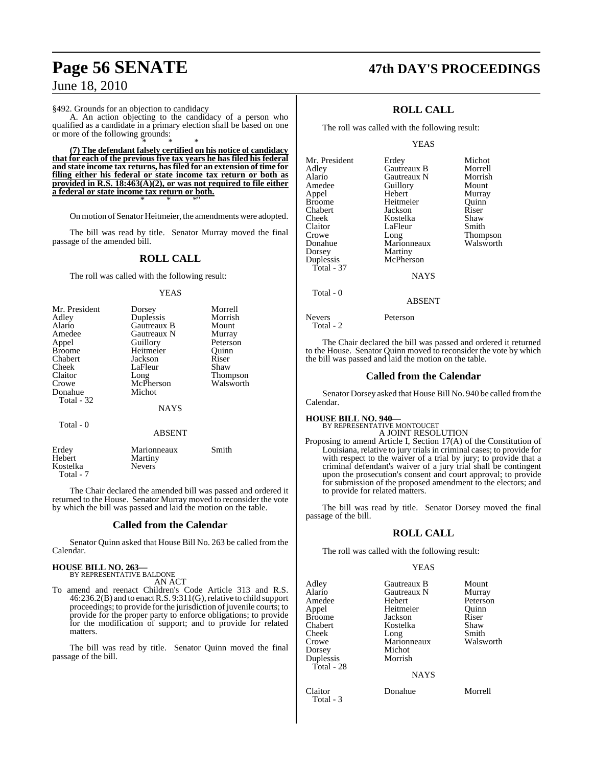#### §492. Grounds for an objection to candidacy

A. An action objecting to the candidacy of a person who qualified as a candidate in a primary election shall be based on one or more of the following grounds: \* \* \*

**(7) The defendant falsely certified on his notice of candidacy that for each of the previous five tax years he has filed his federal and state income tax returns, hasfiled for an extension of time for filing either his federal or state income tax return or both as provided in R.S. 18:463(A)(2), or was not required to file either a federal or state income tax return or both.** \* \* \*"

On motion of Senator Heitmeier, the amendments were adopted.

The bill was read by title. Senator Murray moved the final passage of the amended bill.

#### **ROLL CALL**

The roll was called with the following result:

#### YEAS

| Mr. President | Dorsey      | Morrell   |
|---------------|-------------|-----------|
| Adley         | Duplessis   | Morrish   |
| Alario        | Gautreaux B | Mount     |
| Amedee        | Gautreaux N | Murray    |
| Appel         | Guillory    | Peterson  |
| <b>Broome</b> | Heitmeier   | Quinn     |
| Chabert       | Jackson     | Riser     |
| Cheek         | LaFleur     | Shaw      |
| Claitor       | Long        | Thompson  |
| Crowe         | McPherson   | Walsworth |
| Donahue       | Michot      |           |
| Total - 32    |             |           |
|               | <b>NAYS</b> |           |
| Total - 0     |             |           |
|               | ABSENT      |           |

| Erdev<br>Hebert       | Marionneaux<br>Martiny | Smith |
|-----------------------|------------------------|-------|
| Kostelka<br>Total - 7 | <b>Nevers</b>          |       |

The Chair declared the amended bill was passed and ordered it returned to the House. Senator Murray moved to reconsider the vote by which the bill was passed and laid the motion on the table.

#### **Called from the Calendar**

Senator Quinn asked that House Bill No. 263 be called from the Calendar.

### **HOUSE BILL NO. 263—** BY REPRESENTATIVE BALDONE

AN ACT

To amend and reenact Children's Code Article 313 and R.S. 46:236.2(B) and to enactR.S. 9:311(G),relative to child support proceedings; to provide for the jurisdiction of juvenile courts; to provide for the proper party to enforce obligations; to provide for the modification of support; and to provide for related matters.

The bill was read by title. Senator Quinn moved the final passage of the bill.

### **Page 56 SENATE 47th DAY'S PROCEEDINGS**

### **ROLL CALL**

The roll was called with the following result:

#### YEAS

| Mr. President | Erdey         | Michot    |
|---------------|---------------|-----------|
| Adley         | Gautreaux B   | Morrell   |
| Alario        | Gautreaux N   | Morrish   |
| Amedee        | Guillory      | Mount     |
| Appel         | Hebert        | Murray    |
| Broome        | Heitmeier     | Ouinn     |
| Chabert       | Jackson       | Riser     |
| Cheek         | Kostelka      | Shaw      |
| Claitor       | LaFleur       | Smith     |
| Crowe         | Long          | Thompson  |
| Donahue       | Marionneaux   | Walsworth |
| Dorsey        | Martiny       |           |
| Duplessis     | McPherson     |           |
| Total - 37    |               |           |
|               | <b>NAYS</b>   |           |
| Total - 0     |               |           |
|               | <b>ABSENT</b> |           |

The Chair declared the bill was passed and ordered it returned to the House. Senator Quinn moved to reconsider the vote by which the bill was passed and laid the motion on the table.

#### **Called from the Calendar**

Senator Dorsey asked that House Bill No. 940 be called fromthe Calendar.

#### **HOUSE BILL NO. 940—**

Nevers Peterson

Total - 2

### BY REPRESENTATIVE MONTOUCET

A JOINT RESOLUTION Proposing to amend Article I, Section 17(A) of the Constitution of Louisiana, relative to jury trials in criminal cases; to provide for with respect to the waiver of a trial by jury; to provide that a criminal defendant's waiver of a jury trial shall be contingent upon the prosecution's consent and court approval; to provide for submission of the proposed amendment to the electors; and to provide for related matters.

The bill was read by title. Senator Dorsey moved the final passage of the bill.

#### **ROLL CALL**

The roll was called with the following result:

#### YEAS

| Adley<br>Alario<br>Amedee<br>Appel<br><b>Broome</b><br>Chabert<br>Cheek<br>Crowe<br>Dorsey<br>Duplessis<br>Total - 28 | Gautreaux B<br>Gautreaux N<br>Hebert<br>Heitmeier<br>Jackson<br>Kostelka<br>Long<br>Marionneaux<br>Michot<br>Morrish<br><b>NAYS</b> | Mount<br>Murray<br>Peterson<br>Ouinn<br>Riser<br>Shaw<br>Smith<br>Walsworth |
|-----------------------------------------------------------------------------------------------------------------------|-------------------------------------------------------------------------------------------------------------------------------------|-----------------------------------------------------------------------------|
| Claitor<br>Total - 3                                                                                                  | Donahue                                                                                                                             | Morrell                                                                     |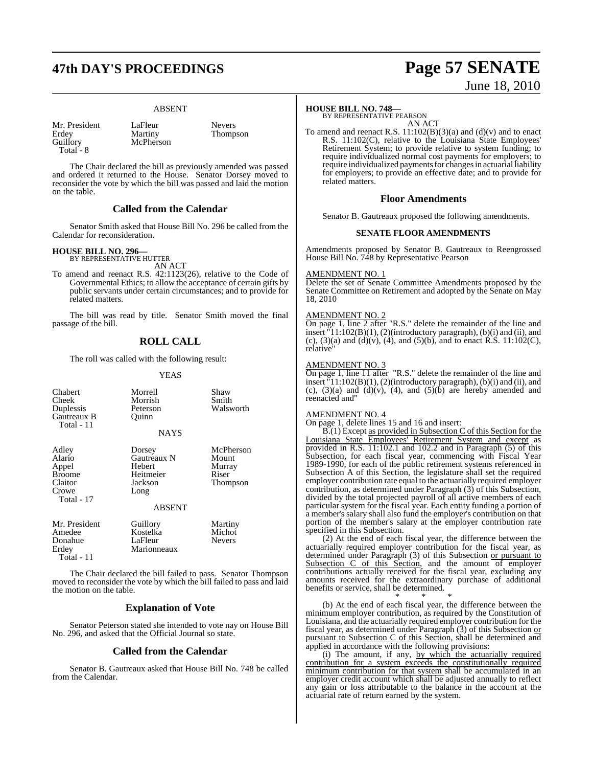## **47th DAY'S PROCEEDINGS Page 57 SENATE**

#### ABSENT

Mr. President LaFleur Nevers<br>Erdev Martiny Thomps Erdey Martiny Thompson<br>Guillory McPherson Total - 8

McPherson

The Chair declared the bill as previously amended was passed and ordered it returned to the House. Senator Dorsey moved to reconsider the vote by which the bill was passed and laid the motion on the table.

#### **Called from the Calendar**

Senator Smith asked that House Bill No. 296 be called from the Calendar for reconsideration.

### **HOUSE BILL NO. 296—** BY REPRESENTATIVE HUTTER

AN ACT

To amend and reenact R.S. 42:1123(26), relative to the Code of Governmental Ethics; to allow the acceptance of certain gifts by public servants under certain circumstances; and to provide for related matters.

The bill was read by title. Senator Smith moved the final passage of the bill.

### **ROLL CALL**

The roll was called with the following result:

#### YEAS

| Chabert<br>Cheek<br>Duplessis<br>Gautreaux B<br>Total - 11                  | Morrell<br>Morrish<br>Peterson<br>Ouinn<br><b>NAYS</b>                    | Shaw<br>Smith<br>Walsworth                        |
|-----------------------------------------------------------------------------|---------------------------------------------------------------------------|---------------------------------------------------|
| Adley<br>Alario<br>Appel<br><b>Broome</b><br>Claitor<br>Crowe<br>Total - 17 | Dorsey<br>Gautreaux N<br>Hebert<br>Heitmeier<br>Jackson<br>Long<br>ABSENT | McPherson<br>Mount<br>Murray<br>Riser<br>Thompson |
| Mr. President<br>Amedee<br>Donahue<br>Erdey<br>Total - 11                   | Guillory<br>Kostelka<br>LaFleur<br>Marionneaux                            | Martiny<br>Michot<br><b>Nevers</b>                |
|                                                                             |                                                                           | <b>CONTRACTOR</b><br>$\sim$                       |

The Chair declared the bill failed to pass. Senator Thompson moved to reconsider the vote by which the bill failed to pass and laid the motion on the table.

#### **Explanation of Vote**

Senator Peterson stated she intended to vote nay on House Bill No. 296, and asked that the Official Journal so state.

#### **Called from the Calendar**

Senator B. Gautreaux asked that House Bill No. 748 be called from the Calendar.

#### **HOUSE BILL NO. 748—**

BY REPRESENTATIVE PEARSON AN ACT

To amend and reenact R.S.  $11:102(B)(3)(a)$  and  $(d)(v)$  and to enact R.S. 11:102(C), relative to the Louisiana State Employees' Retirement System; to provide relative to system funding; to require individualized normal cost payments for employers; to require individualized payments for changes in actuarial liability for employers; to provide an effective date; and to provide for related matters.

#### **Floor Amendments**

Senator B. Gautreaux proposed the following amendments.

#### **SENATE FLOOR AMENDMENTS**

Amendments proposed by Senator B. Gautreaux to Reengrossed House Bill No. 748 by Representative Pearson

#### AMENDMENT NO. 1

Delete the set of Senate Committee Amendments proposed by the Senate Committee on Retirement and adopted by the Senate on May 18, 2010

#### AMENDMENT NO. 2

On page 1, line 2 after "R.S." delete the remainder of the line and insert "11:102(B)(1), (2)(introductory paragraph), (b)(i) and (ii), and (c), (3)(a) and (d)(v), (4), and (5)(b), and to enact R.S. 11:102(C), relative"

#### AMENDMENT NO. 3

On page 1, line 11 after "R.S." delete the remainder of the line and insert "11:102(B)(1), (2)(introductory paragraph), (b)(i) and (ii), and (c),  $(3)(a)$  and  $(d)(v)$ ,  $(4)$ , and  $(5)(b)$  are hereby amended and reenacted and"

#### AMENDMENT NO. 4

On page 1, delete lines 15 and 16 and insert:

B.(1) Except as provided in Subsection C of this Section for the Louisiana State Employees' Retirement System and except as provided in R.S. 11:102.1 and 102.2 and in Paragraph (5) of this Subsection, for each fiscal year, commencing with Fiscal Year 1989-1990, for each of the public retirement systems referenced in Subsection A of this Section, the legislature shall set the required employer contribution rate equal to the actuarially required employer contribution, as determined under Paragraph (3) of this Subsection, divided by the total projected payroll of all active members of each particular system for the fiscal year. Each entity funding a portion of a member's salary shall also fund the employer's contribution on that portion of the member's salary at the employer contribution rate specified in this Subsection.

(2) At the end of each fiscal year, the difference between the actuarially required employer contribution for the fiscal year, as determined under Paragraph (3) of this Subsection <u>or pursuant to</u> Subsection C of this Section, and the amount of employer contributions actually received for the fiscal year, excluding any amounts received for the extraordinary purchase of additional benefits or service, shall be determined.

\* \* \* (b) At the end of each fiscal year, the difference between the minimum employer contribution, as required by the Constitution of Louisiana, and the actuarially required employer contribution for the fiscal year, as determined under Paragraph (3) of this Subsection or pursuant to Subsection C of this Section, shall be determined and applied in accordance with the following provisions:

(i) The amount, if any, by which the actuarially required contribution for a system exceeds the constitutionally required minimum contribution for that system shall be accumulated in an employer credit account which shall be adjusted annually to reflect any gain or loss attributable to the balance in the account at the actuarial rate of return earned by the system.

# June 18, 2010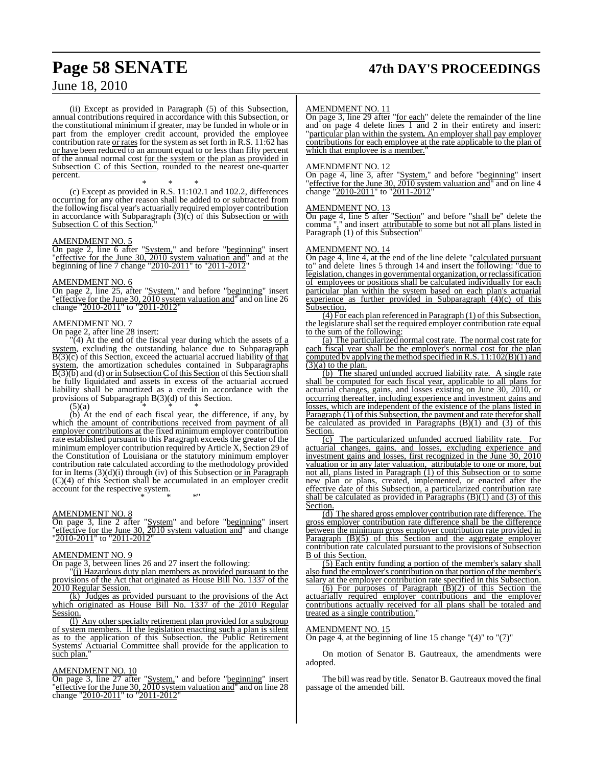## **Page 58 SENATE 47th DAY'S PROCEEDINGS**

### June 18, 2010

(ii) Except as provided in Paragraph (5) of this Subsection, annual contributions required in accordance with this Subsection, or the constitutional minimum if greater, may be funded in whole or in part from the employer credit account, provided the employee contribution rate or rates for the system as set forth in R.S. 11:62 has or have been reduced to an amount equal to or less than fifty percent of the annual normal cost for the system or the plan as provided in Subsection C of this Section, rounded to the nearest one-quarter percent.

\* \* \* (c) Except as provided in R.S. 11:102.1 and 102.2, differences occurring for any other reason shall be added to or subtracted from the following fiscal year's actuarially required employer contribution in accordance with Subparagraph  $(3)(c)$  of this Subsection or with Subsection C of this Section.

#### AMENDMENT NO. 5

On page 2, line 6 after "System," and before "beginning" insert Off page 2, the o and by seem, and service examing and at the "effective for the June 30, 2010 system valuation and" and at the beginning of line 7 change "2010-2011" to "2011-2012"

#### AMENDMENT NO. 6

On page 2, line 25, after "System," and before "beginning" insert "effective for the June 30, 2010 system valuation and" and on line 26 change "2010-2011" to "2011-2012"

#### AMENDMENT NO. 7

On page 2, after line 28 insert:

 $(4)$  At the end of the fiscal year during which the assets of a  $system$ , excluding the outstanding balance due to Subparagraph  $B(3)(c)$  of this Section, exceed the actuarial accrued liability of that system, the amortization schedules contained in Subparagraphs  $\overline{B(3)(b)}$  and (d) or in Subsection C of this Section of this Section shall be fully liquidated and assets in excess of the actuarial accrued liability shall be amortized as a credit in accordance with the provisions of Subparagraph B(3)(d) of this Section.

 $(5)(a)$ 

(b) At the end of each fiscal year, the difference, if any, by which the amount of contributions received from payment of all employer contributions at the fixed minimum employer contribution rate established pursuant to this Paragraph exceeds the greater of the minimumemployer contribution required by Article X, Section 29 of the Constitution of Louisiana or the statutory minimum employer contribution rate calculated according to the methodology provided for in Items  $(3)(d)(i)$  through (iv) of this Subsection or in Paragraph (C)(4) of this Section shall be accumulated in an employer credit account for the respective system.

\* \* \*"

#### AMENDMENT NO. 8

On page 3, line 2 after "System" and before "beginning" insert "effective for the June 30, 2010 system valuation and" and change "2010-2011" to "2011-2012"

#### AMENDMENT NO. 9

On page 3, between lines 26 and 27 insert the following:

"(j) Hazardous duty plan members as provided pursuant to the provisions of the Act that originated as House Bill No. 1337 of the 2010 Regular Session.

(k) Judges as provided pursuant to the provisions of the Act which originated as House Bill No. 1337 of the 2010 Regular Session.

(l) Any other specialty retirement plan provided for a subgroup of system members. If the legislation enacting such a plan is silent as to the application of this Subsection, the Public Retirement Systems' Actuarial Committee shall provide for the application to such plan."

#### AMENDMENT NO. 10

On page 3, line 27 after "System," and before "beginning" insert "effective for the June 30, 2010 system valuation and" and on line 28 change "2010-2011" to "2011-2012"

#### AMENDMENT NO. 11

On page 3, line 29 after "for each" delete the remainder of the line and on page 4 delete lines 1 and 2 in their entirety and insert: "particular plan within the system*.* An employer shall pay employer contributions for each employee at the rate applicable to the plan of which that employee is a member.

#### AMENDMENT NO. 12

On page 4, line 3, after "System," and before "beginning" insert "effective for the June 30, 2010 system valuation and" and on line 4 change "2010-2011" to "2011-2012

#### AMENDMENT NO. 13

On page 4, line 5 after "Section" and before "shall be" delete the comma "," and insert attributable to some but not all plans listed in Paragraph (1) of this Subsection"

#### AMENDMENT NO. 14

On page 4, line 4, at the end of the line delete "calculated pursuant to" and delete lines 5 through 14 and insert the following: "due to legislation, changes in governmental organization, or reclassification of employees or positions shall be calculated individually for each particular plan within the system based on each plan's actuarial experience as further provided in Subparagraph  $(4)(c)$  of this Subsection.

(4) For each plan referenced in Paragraph (1) of this Subsection, the legislature shall set the required employer contribution rate equal to the sum of the following:

(a) The particularized normal cost rate. The normal cost rate for each fiscal year shall be the employer's normal cost for the plan computed by applying the method specified in R.S.  $11:102(B)(1)$  and  $(3)(a)$  to the plan.

(b) The shared unfunded accrued liability rate. A single rate shall be computed for each fiscal year, applicable to all plans for actuarial changes, gains, and losses existing on June 30, 2010, or occurring thereafter, including experience and investment gains and losses, which are independent of the existence of the plans listed in **Paragraph (1) of this Subsection, the payment and rate therefor shall** be calculated as provided in Paragraphs (B)(1) and (3) of this Section.

(c) The particularized unfunded accrued liability rate. For actuarial changes, gains, and losses, excluding experience and investment gains and losses, first recognized in the June 30, 2010 valuation or in any later valuation, attributable to one or more, but not all, plans listed in Paragraph (1) of this Subsection or to some new plan or plans, created, implemented, or enacted after the effective date of this Subsection, a particularized contribution rate shall be calculated as provided in Paragraphs  $(B)(1)$  and  $(3)$  of this Section.

(d) The shared gross employer contribution rate difference. The gross employer contribution rate difference shall be the difference between the minimum gross employer contribution rate provided in Paragraph (B)(5) of this Section and the aggregate employer contribution rate calculated pursuant to the provisions of Subsection B of this Section.

(5) Each entity funding a portion of the member's salary shall also fund the employer's contribution on that portion of the member's salary at the employer contribution rate specified in this Subsection.

 $(6)$  For purposes of Paragraph  $(\overline{B})(2)$  of this Section the actuarially required employer contributions and the employer contributions actually received for all plans shall be totaled and treated as a single contribution.

#### AMENDMENT NO. 15

On page 4, at the beginning of line 15 change  $"(\underline{4})"$  to  $"(\overline{7})"$ 

On motion of Senator B. Gautreaux, the amendments were adopted.

The bill was read by title. Senator B. Gautreaux moved the final passage of the amended bill.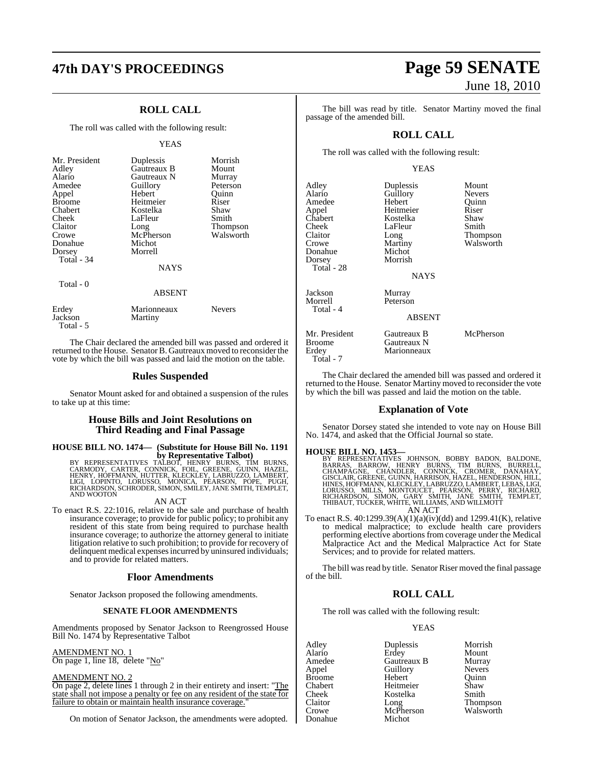### **ROLL CALL**

The roll was called with the following result:

#### YEAS

| Mr. President<br>Adley<br>Alario<br>Amedee<br>Appel<br><b>Broome</b><br>Chabert<br>Cheek<br>Claitor<br>Crowe<br>Donahue<br>Dorsey<br>Total - 34<br>Total - 0 | Duplessis<br>Gautreaux B<br>Gautreaux N<br>Guillory<br>Hebert<br>Heitmeier<br>Kostelka<br>LaFleur<br>Long<br>McPherson<br>Michot<br>Morrell<br><b>NAYS</b><br><b>ABSENT</b> | Morrish<br>Mount<br>Murray<br>Peterson<br>Quinn<br>Riser<br>Shaw<br>Smith<br>Thompson<br>Walsworth |
|--------------------------------------------------------------------------------------------------------------------------------------------------------------|-----------------------------------------------------------------------------------------------------------------------------------------------------------------------------|----------------------------------------------------------------------------------------------------|
| Erdey<br>Jackson                                                                                                                                             | Marionneaux<br>Martiny                                                                                                                                                      | <b>Nevers</b>                                                                                      |

The Chair declared the amended bill was passed and ordered it returned to the House. Senator B. Gautreaux moved to reconsider the vote by which the bill was passed and laid the motion on the table.

#### **Rules Suspended**

Senator Mount asked for and obtained a suspension of the rules to take up at this time:

#### **House Bills and Joint Resolutions on Third Reading and Final Passage**

## **HOUSE BILL NO. 1474— (Substitute for House Bill No. 1191**

**by Representative Talbot)**<br>BY REPRESENTATIVES TALBOT, HENRY BURNS, TIM BURNS,<br>CARMODY, CARTER, CONNICK, FOIL, GREENE, GUINN, HAZEL,<br>HENRY, HOFFMANN, HUTTER, KLECKLEY, LABRUZZO, LAMBERT,<br>RICHARDSON, SCHRODER, SIMON, SMILEY

#### AN ACT

To enact R.S. 22:1016, relative to the sale and purchase of health insurance coverage; to provide for public policy; to prohibit any resident of this state from being required to purchase health insurance coverage; to authorize the attorney general to initiate litigation relative to such prohibition; to provide for recovery of delinquent medical expenses incurred by uninsured individuals; and to provide for related matters.

#### **Floor Amendments**

Senator Jackson proposed the following amendments.

#### **SENATE FLOOR AMENDMENTS**

Amendments proposed by Senator Jackson to Reengrossed House Bill No. 1474 by Representative Talbot

#### AMENDMENT NO. 1 On page 1, line 18, delete "No"

#### AMENDMENT NO. 2

Total - 5

On page 2, delete lines 1 through 2 in their entirety and insert: "The state shall not impose a penalty or fee on any resident of the state for failure to obtain or maintain health insurance coverage.

On motion of Senator Jackson, the amendments were adopted.

## **47th DAY'S PROCEEDINGS Page 59 SENATE** June 18, 2010

The bill was read by title. Senator Martiny moved the final passage of the amended bill.

### **ROLL CALL**

The roll was called with the following result:

#### YEAS

| Adley<br>Alario<br>Amedee<br>Appel<br>Chabert<br>Cheek<br>Claitor<br>Crowe<br>Donahue<br>Dorsey<br>Total - 28 | Duplessis<br>Guillory<br>Hebert<br>Heitmeier<br>Kostelka<br>LaFleur<br>Long<br>Martiny<br>Michot<br>Morrish<br><b>NAYS</b> | Mount<br><b>Nevers</b><br>Quinn<br>Riser<br>Shaw<br>Smith<br>Thompson<br>Walsworth |
|---------------------------------------------------------------------------------------------------------------|----------------------------------------------------------------------------------------------------------------------------|------------------------------------------------------------------------------------|
| Jackson<br>Morrell<br>Total - 4                                                                               | Murray<br>Peterson<br>ABSENT                                                                                               |                                                                                    |
| Mr. President<br>Broome<br>Erdev<br>Total - 7                                                                 | Gautreaux B<br>Gautreaux N<br>Marionneaux                                                                                  | McPherson                                                                          |

The Chair declared the amended bill was passed and ordered it returned to the House. Senator Martiny moved to reconsider the vote by which the bill was passed and laid the motion on the table.

#### **Explanation of Vote**

Senator Dorsey stated she intended to vote nay on House Bill No. 1474, and asked that the Official Journal so state.

#### **HOUSE BILL NO. 1453—**

BY REPRESENTATIVES JOHNSON, BOBBY BADON, BALDONE,<br>BARRAS, BARROW, HENRY BURNS, TIM BURNS, BURRELL,<br>CHAMPAGNE, CHANDLER, CONNICK, CROMER, DANAHAY,<br>GISCLAIR,GREENE,GUINN,HARRISON,HAZEL,HENDERSON,HILL,<br>HINES,HOFFMANN,KLECKLEY AN ACT

To enact R.S. 40:1299.39(A)(1)(a)(iv)(dd) and 1299.41(K), relative to medical malpractice; to exclude health care providers performing elective abortions from coverage under the Medical Malpractice Act and the Medical Malpractice Act for State Services; and to provide for related matters.

The bill was read by title. Senator Riser moved the final passage of the bill.

### **ROLL CALL**

The roll was called with the following result:

#### YEAS

Adley Duplessis Morrish<br>Alario Erdev Mount Alario Erdey Mount Amedee Gautreaux B Murray<br>
Appel Guillory Nevers Broome **Hebert** Quinn<br>Chabert Heitmeier Shaw Heitmeier Cheek Kostelka Smith<br>Claitor Long Thom Claitor Long Thompson McPherson<br>Michot Donahue

Guillory<br>
Hebert Ouinn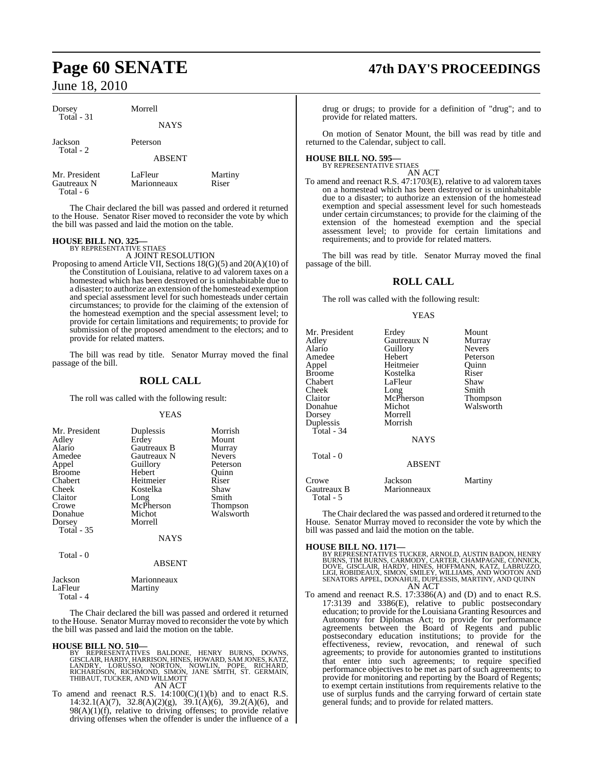| Dorsey<br>Total $-31$                     | Morrell                |                  |
|-------------------------------------------|------------------------|------------------|
|                                           | <b>NAYS</b>            |                  |
| Jackson<br>Total - 2                      | Peterson               |                  |
|                                           | <b>ABSENT</b>          |                  |
| Mr. President<br>Gautreaux N<br>Total - 6 | LaFleur<br>Marionneaux | Martiny<br>Riser |

The Chair declared the bill was passed and ordered it returned to the House. Senator Riser moved to reconsider the vote by which the bill was passed and laid the motion on the table.

### **HOUSE BILL NO. 325—** BY REPRESENTATIVE STIAES

A JOINT RESOLUTION

Proposing to amend Article VII, Sections 18(G)(5) and 20(A)(10) of the Constitution of Louisiana, relative to ad valorem taxes on a homestead which has been destroyed or is uninhabitable due to a disaster; to authorize an extension of the homestead exemption and special assessment level for such homesteads under certain circumstances; to provide for the claiming of the extension of the homestead exemption and the special assessment level; to provide for certain limitations and requirements; to provide for submission of the proposed amendment to the electors; and to provide for related matters.

The bill was read by title. Senator Murray moved the final passage of the bill.

### **ROLL CALL**

The roll was called with the following result:

#### YEAS

| Mr. President     | Duplessis   | Morrish         |
|-------------------|-------------|-----------------|
| Adley             | Erdey       | Mount           |
| Alario            | Gautreaux B | Murray          |
| Amedee            | Gautreaux N | <b>Nevers</b>   |
| Appel             | Guillory    | Peterson        |
| <b>Broome</b>     | Hebert      | Ouinn           |
| Chabert           | Heitmeier   | Riser           |
| Cheek             | Kostelka    | Shaw            |
| Claitor           | Long        | Smith           |
| Crowe             | McPherson   | <b>Thompson</b> |
| Donahue           | Michot      | Walsworth       |
| Dorsey            | Morrell     |                 |
| <b>Total - 35</b> |             |                 |
|                   | NAYS        |                 |

Total - 0

#### ABSENT

| Jackson   | Marionneaux |
|-----------|-------------|
| LaFleur   | Martiny     |
| Total - 4 |             |

The Chair declared the bill was passed and ordered it returned to the House. Senator Murray moved to reconsider the vote by which the bill was passed and laid the motion on the table.

**HOUSE BILL NO. 510—**<br>BY REPRESENTATIVES BALDONE, HENRY BURNS, DOWNS,<br>GISCLAIR, HARDY, HARRISON, HINES, HOWARD, SAMJONES, KATZ,<br>LANDRY, LORUSSO, NORTON, NOWLIN, POPE, RICHARD,<br>RICHARDSON, RICHMOND, SIMON, JANE SMITH, ST. G AN ACT

To amend and reenact R.S.  $14:100(C)(1)(b)$  and to enact R.S. 14:32.1(A)(7), 32.8(A)(2)(g),  $39.1(A)(6)$ , 39.2(A)(6), and  $98(A)(1)(f)$ , relative to driving offenses; to provide relative driving offenses when the offender is under the influence of a

## **Page 60 SENATE 47th DAY'S PROCEEDINGS**

drug or drugs; to provide for a definition of "drug"; and to provide for related matters.

On motion of Senator Mount, the bill was read by title and returned to the Calendar, subject to call.

### **HOUSE BILL NO. 595—** BY REPRESENTATIVE STIAES

AN ACT

To amend and reenact R.S. 47:1703(E), relative to ad valorem taxes on a homestead which has been destroyed or is uninhabitable due to a disaster; to authorize an extension of the homestead exemption and special assessment level for such homesteads under certain circumstances; to provide for the claiming of the extension of the homestead exemption and the special assessment level; to provide for certain limitations and requirements; and to provide for related matters.

The bill was read by title. Senator Murray moved the final passage of the bill.

### **ROLL CALL**

The roll was called with the following result:

#### YEAS

| Mr. President            | Erdey         | Mount         |
|--------------------------|---------------|---------------|
| Adlev                    | Gautreaux N   | Murray        |
| Alario                   | Guillory      | <b>Nevers</b> |
| Amedee                   | Hebert        | Peterson      |
| Appel                    | Heitmeier     | Quinn         |
| Broome                   | Kostelka      | Riser         |
| Chabert                  | LaFleur       | Shaw          |
| Cheek                    | Long          | Smith         |
| Claitor                  | McPherson     | Thompson      |
| Donahue                  | Michot        | Walsworth     |
| Dorsey                   | Morrell       |               |
| Duplessis                | Morrish       |               |
| Total - 34               |               |               |
|                          | <b>NAYS</b>   |               |
| Total - 0                |               |               |
|                          | <b>ABSENT</b> |               |
| Crowe                    | Jackson       | Martiny       |
| Gautreaux B<br>Total - 5 | Marionneaux   |               |

The Chair declared the was passed and ordered it returned to the House. Senator Murray moved to reconsider the vote by which the bill was passed and laid the motion on the table.

#### **HOUSE BILL NO. 1171—**

| BY REPRESENTATIVES TUCKER, ARNOLD, AUSTIN BADON, HENRY   |
|----------------------------------------------------------|
| BURNS, TIM BURNS, CARMODY, CARTER, CHAMPAGNE, CONNICK.   |
| DOVE, GISCLAIR, HARDY, HINES, HOFFMANN, KATZ, LABRUZZO,  |
| LIGI. ROBIDEAUX. SIMON. SMILEY. WILLIAMS. AND WOOTON AND |
| SENATORS APPEL, DONAHUE, DUPLESSIS, MARTINY, AND OUINN   |
| AN ACT                                                   |

To amend and reenact R.S. 17:3386(A) and (D) and to enact R.S. 17:3139 and 3386(E), relative to public postsecondary education; to provide for the Louisiana Granting Resources and Autonomy for Diplomas Act; to provide for performance agreements between the Board of Regents and public postsecondary education institutions; to provide for the effectiveness, review, revocation, and renewal of such agreements; to provide for autonomies granted to institutions that enter into such agreements; to require specified performance objectives to be met as part of such agreements; to provide for monitoring and reporting by the Board of Regents; to exempt certain institutions from requirements relative to the use of surplus funds and the carrying forward of certain state general funds; and to provide for related matters.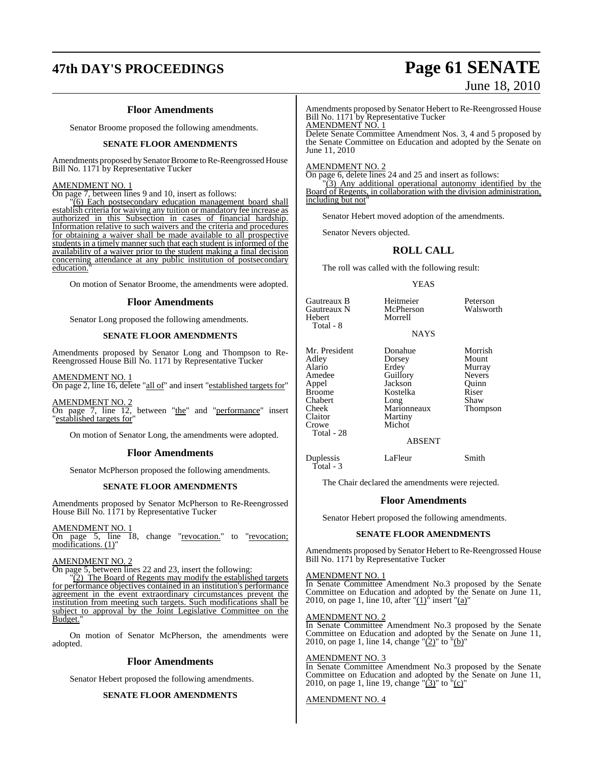## **47th DAY'S PROCEEDINGS Page 61 SENATE**

### **Floor Amendments**

Senator Broome proposed the following amendments.

#### **SENATE FLOOR AMENDMENTS**

Amendments proposed bySenator Broome to Re-Reengrossed House Bill No. 1171 by Representative Tucker

#### AMENDMENT NO. 1

On page 7, between lines 9 and 10, insert as follows:

"(6) Each postsecondary education management board shall establish criteria for waiving any tuition or mandatory fee increase as authorized in this Subsection in cases of financial hardship. Information relative to such waivers and the criteria and procedures for obtaining a waiver shall be made available to all prospective students in a timely manner such that each student is informed of the availability of a waiver prior to the student making a final decision concerning attendance at any public institution of postsecondary education.

On motion of Senator Broome, the amendments were adopted.

#### **Floor Amendments**

Senator Long proposed the following amendments.

#### **SENATE FLOOR AMENDMENTS**

Amendments proposed by Senator Long and Thompson to Re-Reengrossed House Bill No. 1171 by Representative Tucker

AMENDMENT NO. 1 On page 2, line 16, delete "all of" and insert "established targets for"

AMENDMENT NO. 2 On page 7, line 12, between "the" and "performance" insert "established targets for

On motion of Senator Long, the amendments were adopted.

#### **Floor Amendments**

Senator McPherson proposed the following amendments.

#### **SENATE FLOOR AMENDMENTS**

Amendments proposed by Senator McPherson to Re-Reengrossed House Bill No. 1171 by Representative Tucker

AMENDMENT NO. 1

On page 5, line 18, change "revocation." to "revocation; modifications. (1)"

#### AMENDMENT NO. 2

On page 5, between lines 22 and 23, insert the following:

"(2) The Board of Regents may modify the established targets for performance objectives contained in an institution's performance agreement in the event extraordinary circumstances prevent the institution from meeting such targets. Such modifications shall be subject to approval by the Joint Legislative Committee on the Budget.

On motion of Senator McPherson, the amendments were adopted.

#### **Floor Amendments**

Senator Hebert proposed the following amendments.

#### **SENATE FLOOR AMENDMENTS**

# June 18, 2010

Amendments proposed by Senator Hebert to Re-Reengrossed House Bill No. 1171 by Representative Tucker

AMENDMENT NO. 1 Delete Senate Committee Amendment Nos. 3, 4 and 5 proposed by the Senate Committee on Education and adopted by the Senate on June 11, 2010

AMENDMENT NO. 2

On page 6, delete lines 24 and 25 and insert as follows:

 $(3)$  Any additional operational autonomy identified by the Board of Regents, in collaboration with the division administration, including but not

Senator Hebert moved adoption of the amendments.

Senator Nevers objected.

#### **ROLL CALL**

The roll was called with the following result:

YEAS

Gautreaux N<br>Hebert Morrell

Mr. President Donahue Morrish<br>Adley Dorsey Mount Adley Dorsey<br>Alario Erdey Alario Erdey Murray Amedee Guillory Nevers<br>Appel Jackson Quinn Appel Jackson Quinn Chabert Long Shaw<br>Cheek Marionneaux Thompson Cheek Marionneaux<br>Claitor Martiny Claitor Martiny<br>Crowe Michot Total - 28

Total - 3

Total - 8

Kostelka Riser<br>Long Shaw Michot

Gautreaux B Heitmeier Peterson<br>Gautreaux N McPherson Walsworth

#### NAYS

ABSENT

Duplessis LaFleur Smith

The Chair declared the amendments were rejected.

#### **Floor Amendments**

Senator Hebert proposed the following amendments.

#### **SENATE FLOOR AMENDMENTS**

Amendments proposed by Senator Hebert to Re-Reengrossed House Bill No. 1171 by Representative Tucker

#### AMENDMENT NO. 1

In Senate Committee Amendment No.3 proposed by the Senate Committee on Education and adopted by the Senate on June 11, 2010, on page 1, line 10, after " $(1)$ <sup>"</sup> insert " $(a)$ "

#### AMENDMENT NO. 2

In Senate Committee Amendment No.3 proposed by the Senate Committee on Education and adopted by the Senate on June 11, 2010, on page 1, line 14, change " $(2)$ " to " $(b)$ "

#### AMENDMENT NO. 3

In Senate Committee Amendment No.3 proposed by the Senate Committee on Education and adopted by the Senate on June 11, 2010, on page 1, line 19, change " $(3)$ " to " $(c)$ "

AMENDMENT NO. 4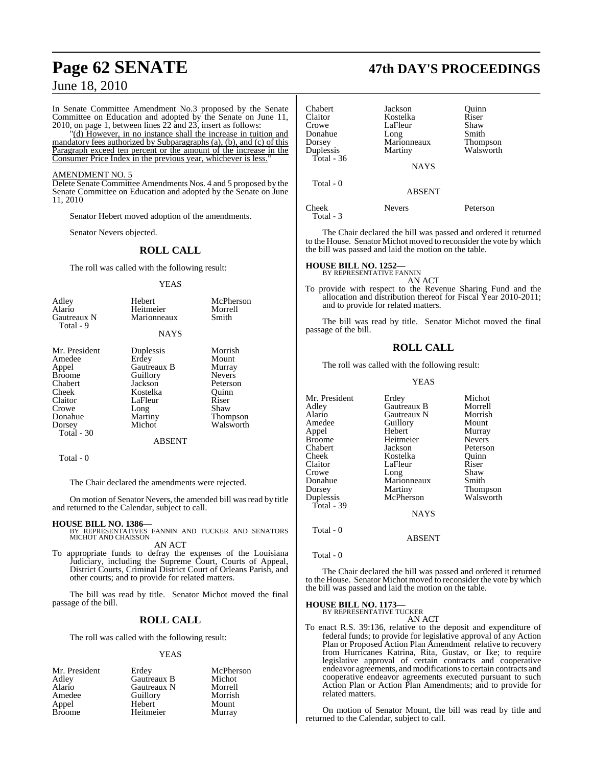In Senate Committee Amendment No.3 proposed by the Senate Committee on Education and adopted by the Senate on June 11, 2010, on page 1, between lines 22 and 23, insert as follows:

"(d) However, in no instance shall the increase in tuition and mandatory fees authorized by Subparagraphs (a), (b), and (c) of this Paragraph exceed ten percent or the amount of the increase in the Consumer Price Index in the previous year, whichever is less.

#### AMENDMENT NO. 5

Delete Senate Committee Amendments Nos. 4 and 5 proposed by the Senate Committee on Education and adopted by the Senate on June 11, 2010

Senator Hebert moved adoption of the amendments.

Senator Nevers objected.

#### **ROLL CALL**

The roll was called with the following result:

YEAS

| Adley<br>Alario<br>Gautreaux N<br>Total - 9 | Hebert<br>Heitmeier<br>Marionneaux | McPherson<br>Morrell<br>Smith |
|---------------------------------------------|------------------------------------|-------------------------------|
|                                             | <b>NAYS</b>                        |                               |
| Mr. President                               | Duplessis                          | Morrish                       |
| Amedee                                      | Erdey                              | Mount                         |
| Appel                                       | Gautreaux B                        | Murray                        |
| Broome                                      | Guillory                           | <b>Nevers</b>                 |
| Chabert                                     | Jackson                            | Peterson                      |
| Cheek                                       | Kostelka                           | Ouinn                         |
| Claitor                                     | LaFleur                            | Riser                         |
| Crowe                                       | Long                               | Shaw                          |
| Donahue                                     | Martiny                            | Thompson                      |
| Dorsey                                      | Michot                             | Walsworth                     |
| Total - 30                                  |                                    |                               |

#### ABSENT

Total - 0

The Chair declared the amendments were rejected.

On motion of Senator Nevers, the amended bill was read by title and returned to the Calendar, subject to call.

- **HOUSE BILL NO. 1386—** BY REPRESENTATIVES FANNIN AND TUCKER AND SENATORS MICHOT AND CHAISSON AN ACT
- To appropriate funds to defray the expenses of the Louisiana Judiciary, including the Supreme Court, Courts of Appeal, District Courts, Criminal District Court of Orleans Parish, and other courts; and to provide for related matters.

The bill was read by title. Senator Michot moved the final passage of the bill.

### **ROLL CALL**

The roll was called with the following result:

#### YEAS

| Mr. President | Erdey       | McPherson |
|---------------|-------------|-----------|
| Adley         | Gautreaux B | Michot    |
| Alario        | Gautreaux N | Morrell   |
| Amedee        | Guillory    | Morrish   |
| Appel         | Hebert      | Mount     |
| <b>Broome</b> | Heitmeier   | Murray    |

### **Page 62 SENATE 47th DAY'S PROCEEDINGS**

| Chabert            | Jackson       | Quinn           |
|--------------------|---------------|-----------------|
| Claitor            | Kostelka      | Riser           |
| Crowe              | LaFleur       | Shaw            |
| Donahue            | Long          | Smith           |
| Dorsey             | Marionneaux   | <b>Thompson</b> |
| Duplessis          | Martiny       | Walsworth       |
| Total - 36         |               |                 |
|                    | <b>NAYS</b>   |                 |
| Total - 0          |               |                 |
|                    | <b>ABSENT</b> |                 |
| Cheek<br>Total - 3 | <b>Nevers</b> | Peterson        |
|                    |               |                 |

The Chair declared the bill was passed and ordered it returned to the House. Senator Michot moved to reconsider the vote by which the bill was passed and laid the motion on the table.

#### **HOUSE BILL NO. 1252—**

BY REPRESENTATIVE FANNIN AN ACT

To provide with respect to the Revenue Sharing Fund and the allocation and distribution thereof for Fiscal Year 2010-2011; and to provide for related matters.

The bill was read by title. Senator Michot moved the final passage of the bill.

#### **ROLL CALL**

The roll was called with the following result:

#### YEAS

| Mr. President |             | Michot        |
|---------------|-------------|---------------|
|               | Erdey       |               |
| Adley         | Gautreaux B | Morrell       |
| Alario        | Gautreaux N | Morrish       |
| Amedee        | Guillory    | Mount         |
| Appel         | Hebert      | Murray        |
| Broome        | Heitmeier   | <b>Nevers</b> |
| Chabert       | Jackson     | Peterson      |
| Cheek         | Kostelka    | Ouinn         |
| Claitor       | LaFleur     | Riser         |
| Crowe         | Long        | Shaw          |
| Donahue       | Marionneaux | Smith         |
| Dorsey        | Martiny     | Thompson      |
| Duplessis     | McPherson   | Walsworth     |
| Total - 39    |             |               |
|               | <b>NAYS</b> |               |
| Total - 0     |             |               |

Total - 0

The Chair declared the bill was passed and ordered it returned to the House. Senator Michot moved to reconsider the vote by which the bill was passed and laid the motion on the table.

ABSENT

### **HOUSE BILL NO. 1173—** BY REPRESENTATIVE TUCKER

AN ACT

To enact R.S. 39:136, relative to the deposit and expenditure of federal funds; to provide for legislative approval of any Action Plan or Proposed Action Plan Amendment relative to recovery from Hurricanes Katrina, Rita, Gustav, or Ike; to require legislative approval of certain contracts and cooperative endeavor agreements, and modificationsto certain contracts and cooperative endeavor agreements executed pursuant to such Action Plan or Action Plan Amendments; and to provide for related matters.

On motion of Senator Mount, the bill was read by title and returned to the Calendar, subject to call.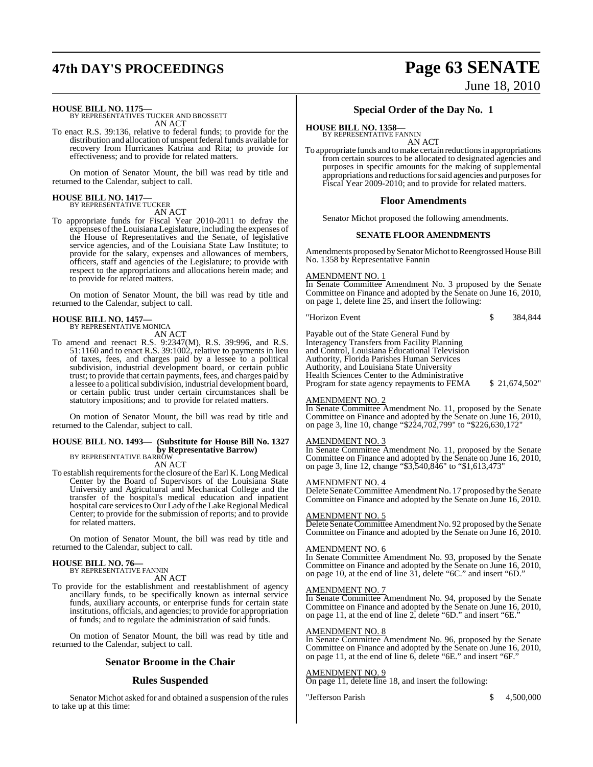## **47th DAY'S PROCEEDINGS Page 63 SENATE** June 18, 2010

**HOUSE BILL NO. 1175—** BY REPRESENTATIVES TUCKER AND BROSSETT AN ACT

To enact R.S. 39:136, relative to federal funds; to provide for the distribution and allocation of unspent federal funds available for recovery from Hurricanes Katrina and Rita; to provide for effectiveness; and to provide for related matters.

On motion of Senator Mount, the bill was read by title and returned to the Calendar, subject to call.

### **HOUSE BILL NO. 1417—** BY REPRESENTATIVE TUCKER

AN ACT

To appropriate funds for Fiscal Year 2010-2011 to defray the expenses ofthe Louisiana Legislature, including the expenses of the House of Representatives and the Senate, of legislative service agencies, and of the Louisiana State Law Institute; to provide for the salary, expenses and allowances of members, officers, staff and agencies of the Legislature; to provide with respect to the appropriations and allocations herein made; and to provide for related matters.

On motion of Senator Mount, the bill was read by title and returned to the Calendar, subject to call.

#### **HOUSE BILL NO. 1457—** BY REPRESENTATIVE MONICA

AN ACT

To amend and reenact R.S. 9:2347(M), R.S. 39:996, and R.S. 51:1160 and to enact R.S. 39:1002, relative to payments in lieu of taxes, fees, and charges paid by a lessee to a political subdivision, industrial development board, or certain public trust; to provide that certain payments, fees, and charges paid by a lessee to a political subdivision, industrial development board, or certain public trust under certain circumstances shall be statutory impositions; and to provide for related matters.

On motion of Senator Mount, the bill was read by title and returned to the Calendar, subject to call.

#### **HOUSE BILL NO. 1493— (Substitute for House Bill No. 1327 by Representative Barrow)** BY REPRESENTATIVE BARROW

AN ACT

To establish requirements for the closure of the Earl K. Long Medical Center by the Board of Supervisors of the Louisiana State University and Agricultural and Mechanical College and the transfer of the hospital's medical education and inpatient hospital care services to Our Lady of the Lake Regional Medical Center; to provide for the submission of reports; and to provide for related matters.

On motion of Senator Mount, the bill was read by title and returned to the Calendar, subject to call.

## **HOUSE BILL NO. 76—** BY REPRESENTATIVE FANNIN

AN ACT

To provide for the establishment and reestablishment of agency ancillary funds, to be specifically known as internal service funds, auxiliary accounts, or enterprise funds for certain state institutions, officials, and agencies; to provide for appropriation of funds; and to regulate the administration of said funds.

On motion of Senator Mount, the bill was read by title and returned to the Calendar, subject to call.

#### **Senator Broome in the Chair**

#### **Rules Suspended**

Senator Michot asked for and obtained a suspension of the rules to take up at this time:

### **Special Order of the Day No. 1**

### **HOUSE BILL NO. 1358—**

BY REPRESENTATIVE FANNIN AN ACT

To appropriate funds and to make certain reductions in appropriations from certain sources to be allocated to designated agencies and purposes in specific amounts for the making of supplemental appropriations and reductions for said agencies and purposes for Fiscal Year 2009-2010; and to provide for related matters.

#### **Floor Amendments**

Senator Michot proposed the following amendments.

#### **SENATE FLOOR AMENDMENTS**

Amendments proposed by Senator Michot to Reengrossed House Bill No. 1358 by Representative Fannin

#### AMENDMENT NO. 1

In Senate Committee Amendment No. 3 proposed by the Senate Committee on Finance and adopted by the Senate on June 16, 2010, on page 1, delete line 25, and insert the following:

"Horizon Event \$ 384,844

Payable out of the State General Fund by Interagency Transfers from Facility Planning and Control, Louisiana Educational Television Authority, Florida Parishes Human Services Authority, and Louisiana State University Health Sciences Center to the Administrative Program for state agency repayments to FEMA  $$ 21,674,502"$ 

#### AMENDMENT NO. 2

In Senate Committee Amendment No. 11, proposed by the Senate Committee on Finance and adopted by the Senate on June 16, 2010, on page 3, line 10, change "\$224,702,799" to "\$226,630,172"

#### AMENDMENT NO. 3

In Senate Committee Amendment No. 11, proposed by the Senate Committee on Finance and adopted by the Senate on June 16, 2010, on page 3, line 12, change "\$3,540,846" to "\$1,613,473"

#### AMENDMENT NO. 4

Delete Senate Committee Amendment No. 17 proposed by the Senate Committee on Finance and adopted by the Senate on June 16, 2010.

#### AMENDMENT NO. 5

Delete Senate Committee Amendment No. 92 proposed by the Senate Committee on Finance and adopted by the Senate on June 16, 2010.

#### AMENDMENT NO. 6

In Senate Committee Amendment No. 93, proposed by the Senate Committee on Finance and adopted by the Senate on June 16, 2010, on page 10, at the end of line 31, delete "6C." and insert "6D."

#### AMENDMENT NO. 7

In Senate Committee Amendment No. 94, proposed by the Senate Committee on Finance and adopted by the Senate on June 16, 2010, on page 11, at the end of line 2, delete "6D." and insert "6E."

#### AMENDMENT NO. 8

In Senate Committee Amendment No. 96, proposed by the Senate Committee on Finance and adopted by the Senate on June 16, 2010, on page 11, at the end of line 6, delete "6E." and insert "6F."

#### AMENDMENT NO. 9

On page 11, delete line 18, and insert the following:

"Jefferson Parish  $$ 4,500,000$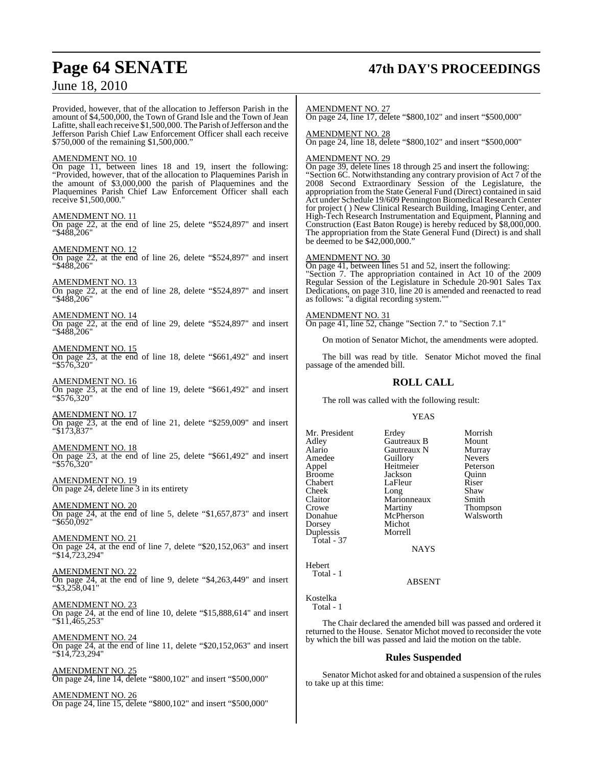## **Page 64 SENATE 47th DAY'S PROCEEDINGS**

### June 18, 2010

Provided, however, that of the allocation to Jefferson Parish in the amount of \$4,500,000, the Town of Grand Isle and the Town of Jean Lafitte, shall each receive \$1,500,000. The Parish of Jefferson and the Jefferson Parish Chief Law Enforcement Officer shall each receive \$750,000 of the remaining \$1,500,000."

#### AMENDMENT NO. 10

On page 11, between lines 18 and 19, insert the following: "Provided, however, that of the allocation to Plaquemines Parish in the amount of \$3,000,000 the parish of Plaquemines and the Plaquemines Parish Chief Law Enforcement Officer shall each receive \$1,500,000."

#### AMENDMENT NO. 11

On page 22, at the end of line 25, delete "\$524,897" and insert "\$488,206"

AMENDMENT NO. 12 On page 22, at the end of line 26, delete "\$524,897" and insert "\$488,206"

AMENDMENT NO. 13 On page 22, at the end of line 28, delete "\$524,897" and insert "\$488,206"

AMENDMENT NO. 14 On page 22, at the end of line 29, delete "\$524,897" and insert "\$488,206"

AMENDMENT NO. 15 On page 23, at the end of line 18, delete "\$661,492" and insert "\$576,320"

AMENDMENT NO. 16 On page 23, at the end of line 19, delete "\$661,492" and insert "\$576,320"

AMENDMENT NO. 17 On page 23, at the end of line 21, delete "\$259,009" and insert "\$173,837"

AMENDMENT NO. 18 On page 23, at the end of line 25, delete "\$661,492" and insert "\$576,320"

AMENDMENT NO. 19 On page 24, delete line 3 in its entirety

AMENDMENT NO. 20 On page 24, at the end of line 5, delete "\$1,657,873" and insert "\$650,092"

AMENDMENT NO. 21 On page 24, at the end of line 7, delete "\$20,152,063" and insert "\$14,723,294"

AMENDMENT NO. 22 On page 24, at the end of line 9, delete "\$4,263,449" and insert "\$3,258,041"

AMENDMENT NO. 23 On page 24, at the end of line 10, delete "\$15,888,614" and insert "\$11,465,253"

AMENDMENT NO. 24 On page 24, at the end of line 11, delete "\$20,152,063" and insert "\$14,723,294"

AMENDMENT NO. 25 On page 24, line 14, delete "\$800,102" and insert "\$500,000"

AMENDMENT NO. 26 On page 24, line 15, delete "\$800,102" and insert "\$500,000" AMENDMENT NO. 27

On page 24, line 17, delete "\$800,102" and insert "\$500,000"

AMENDMENT NO. 28 On page 24, line 18, delete "\$800,102" and insert "\$500,000"

#### AMENDMENT NO. 29

On page 39, delete lines 18 through 25 and insert the following: "Section 6C. Notwithstanding any contrary provision of Act 7 of the 2008 Second Extraordinary Session of the Legislature, the appropriation from the State General Fund (Direct) contained in said Act under Schedule 19/609 Pennington Biomedical Research Center for project ( ) New Clinical Research Building, Imaging Center, and High-Tech Research Instrumentation and Equipment, Planning and Construction (East Baton Rouge) is hereby reduced by \$8,000,000. The appropriation from the State General Fund (Direct) is and shall be deemed to be \$42,000,000."

#### AMENDMENT NO. 30

On page 41, between lines 51 and 52, insert the following: "Section 7. The appropriation contained in Act 10 of the 2009 Regular Session of the Legislature in Schedule 20-901 Sales Tax Dedications, on page 310, line 20 is amended and reenacted to read as follows: "a digital recording system.""

#### AMENDMENT NO. 31

On page 41, line 52, change "Section 7." to "Section 7.1"

On motion of Senator Michot, the amendments were adopted.

The bill was read by title. Senator Michot moved the final passage of the amended bill.

### **ROLL CALL**

The roll was called with the following result:

Long

McPherson<br>Michot

#### YEAS

Mr. President Erdey Morrish<br>Adley Gautreaux B Mount Adley Gautreaux B Mount Alario Gautreaux N Murray Amedee Guillory Nevers<br>
Appel Heitmeier Peterson Appel Heitmeier Peterson Broome Jackson Quinn<br>
Chabert LaFleur Riser Chabert LaFleur Riser<br>Cheek Long Shaw Claitor Marionneaux Smith<br>Crowe Martiny Thom Crowe Martiny Thompson Dorsey Michot<br>
Dunlessis Morrell Duplessis Total - 37

NAYS

Hebert Total - 1

ABSENT

Kostelka Total - 1

The Chair declared the amended bill was passed and ordered it returned to the House. Senator Michot moved to reconsider the vote by which the bill was passed and laid the motion on the table.

#### **Rules Suspended**

Senator Michot asked for and obtained a suspension of the rules to take up at this time: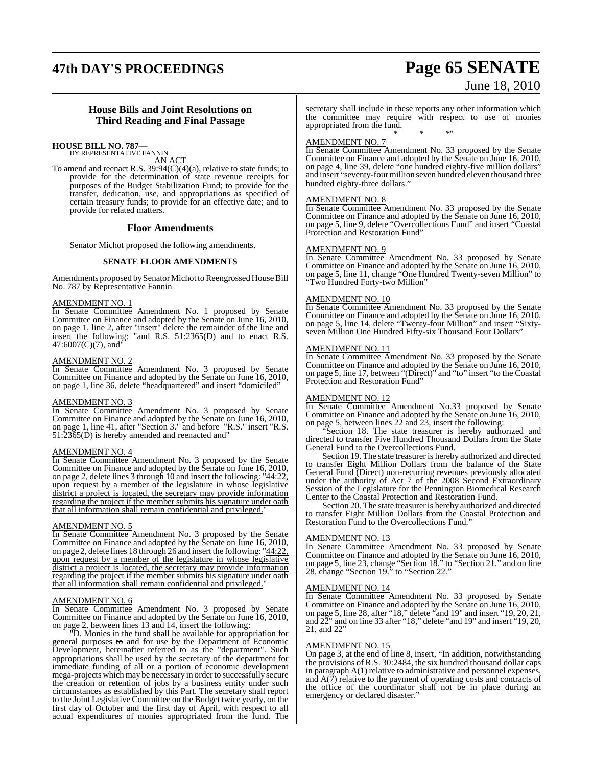## **47th DAY'S PROCEEDINGS Page 65 SENATE**

# June 18, 2010

#### **House Bills and Joint Resolutions on Third Reading and Final Passage**

#### **HOUSE BILL NO. 787—**

BY REPRESENTATIVE FANNIN

AN ACT To amend and reenact R.S. 39:94(C)(4)(a), relative to state funds; to provide for the determination of state revenue receipts for purposes of the Budget Stabilization Fund; to provide for the transfer, dedication, use, and appropriations as specified of certain treasury funds; to provide for an effective date; and to provide for related matters.

#### **Floor Amendments**

Senator Michot proposed the following amendments.

#### **SENATE FLOOR AMENDMENTS**

Amendments proposed by Senator Michot to Reengrossed House Bill No. 787 by Representative Fannin

#### AMENDMENT NO. 1

In Senate Committee Amendment No. 1 proposed by Senate Committee on Finance and adopted by the Senate on June 16, 2010, on page 1, line 2, after "insert" delete the remainder of the line and insert the following: "and R.S. 51:2365(D) and to enact R.S.  $47:6007(C)(7)$ , and"

#### AMENDMENT NO. 2

In Senate Committee Amendment No. 3 proposed by Senate Committee on Finance and adopted by the Senate on June 16, 2010, on page 1, line 36, delete "headquartered" and insert "domiciled"

### AMENDMENT NO. 3

In Senate Committee Amendment No. 3 proposed by Senate Committee on Finance and adopted by the Senate on June 16, 2010, on page 1, line 41, after "Section 3." and before "R.S." insert "R.S. 51:2365(D) is hereby amended and reenacted and"

#### AMENDMENT NO. 4

In Senate Committee Amendment No. 3 proposed by the Senate Committee on Finance and adopted by the Senate on June 16, 2010, on page 2, delete lines 3 through 10 and insert the following: "44:22, upon request by a member of the legislature in whose legislative district a project is located, the secretary may provide information regarding the project if the member submits his signature under oath that all information shall remain confidential and privileged."

#### AMENDMENT NO. 5

In Senate Committee Amendment No. 3 proposed by the Senate Committee on Finance and adopted by the Senate on June 16, 2010, on page 2, delete lines 18 through 26 and insert the following: "44:22, upon request by a member of the legislature in whose legislative district a project is located, the secretary may provide information regarding the project if the member submits his signature under oath that all information shall remain confidential and privileged."

#### AMENDMENT NO. 6

In Senate Committee Amendment No. 3 proposed by Senate Committee on Finance and adopted by the Senate on June 16, 2010, on page 2, between lines 13 and 14, insert the following:

"D. Monies in the fund shall be available for appropriation for general purposes to and <u>for</u> use by the Department of Economic Development, hereinafter referred to as the "department". Such appropriations shall be used by the secretary of the department for immediate funding of all or a portion of economic development mega-projects which may be necessary in orderto successfully secure the creation or retention of jobs by a business entity under such circumstances as established by this Part. The secretary shall report to the Joint Legislative Committee on the Budget twice yearly, on the first day of October and the first day of April, with respect to all actual expenditures of monies appropriated from the fund. The secretary shall include in these reports any other information which the committee may require with respect to use of monies appropriated from the fund. \* \* \*"

#### AMENDMENT NO. 7

In Senate Committee Amendment No. 33 proposed by the Senate Committee on Finance and adopted by the Senate on June 16, 2010, on page 4, line 39, delete "one hundred eighty-five million dollars" and insert "seventy-four million seven hundred eleven thousand three hundred eighty-three dollars."

#### AMENDMENT NO. 8

In Senate Committee Amendment No. 33 proposed by the Senate Committee on Finance and adopted by the Senate on June 16, 2010, on page 5, line 9, delete "Overcollections Fund" and insert "Coastal Protection and Restoration Fund"

#### AMENDMENT NO. 9

In Senate Committee Amendment No. 33 proposed by Senate Committee on Finance and adopted by the Senate on June 16, 2010, on page 5, line 11, change "One Hundred Twenty-seven Million" to "Two Hundred Forty-two Million"

#### AMENDMENT NO. 10

In Senate Committee Amendment No. 33 proposed by the Senate Committee on Finance and adopted by the Senate on June 16, 2010, on page 5, line 14, delete "Twenty-four Million" and insert "Sixtyseven Million One Hundred Fifty-six Thousand Four Dollars"

#### AMENDMENT NO. 11

In Senate Committee Amendment No. 33 proposed by the Senate Committee on Finance and adopted by the Senate on June 16, 2010, on page 5, line 17, between "(Direct)" and "to" insert "to the Coastal Protection and Restoration Fund"

#### AMENDMENT NO. 12

In Senate Committee Amendment No.33 proposed by Senate Committee on Finance and adopted by the Senate on June 16, 2010, on page 5, between lines 22 and 23, insert the following:

Section 18. The state treasurer is hereby authorized and directed to transfer Five Hundred Thousand Dollars from the State General Fund to the Overcollections Fund.

Section 19. The state treasurer is hereby authorized and directed to transfer Eight Million Dollars from the balance of the State General Fund (Direct) non-recurring revenues previously allocated under the authority of Act 7 of the 2008 Second Extraordinary Session of the Legislature for the Pennington Biomedical Research Center to the Coastal Protection and Restoration Fund.

Section 20. The state treasurer is hereby authorized and directed to transfer Eight Million Dollars from the Coastal Protection and Restoration Fund to the Overcollections Fund."

#### AMENDMENT NO. 13

In Senate Committee Amendment No. 33 proposed by Senate Committee on Finance and adopted by the Senate on June 16, 2010, on page 5, line 23, change "Section 18." to "Section 21." and on line 28, change "Section 19." to "Section 22."

#### AMENDMENT NO. 14

In Senate Committee Amendment No. 33 proposed by Senate Committee on Finance and adopted by the Senate on June 16, 2010, on page 5, line 28, after "18," delete "and 19" and insert "19, 20, 21, and 22" and on line 33 after "18," delete "and 19" and insert "19, 20, 21, and 22"

#### AMENDMENT NO. 15

On page 3, at the end of line 8, insert, "In addition, notwithstanding the provisions of R.S. 30:2484, the six hundred thousand dollar caps in paragraph A(1) relative to administrative and personnel expenses, and  $A(7)$  relative to the payment of operating costs and contracts of the office of the coordinator shall not be in place during an emergency or declared disaster."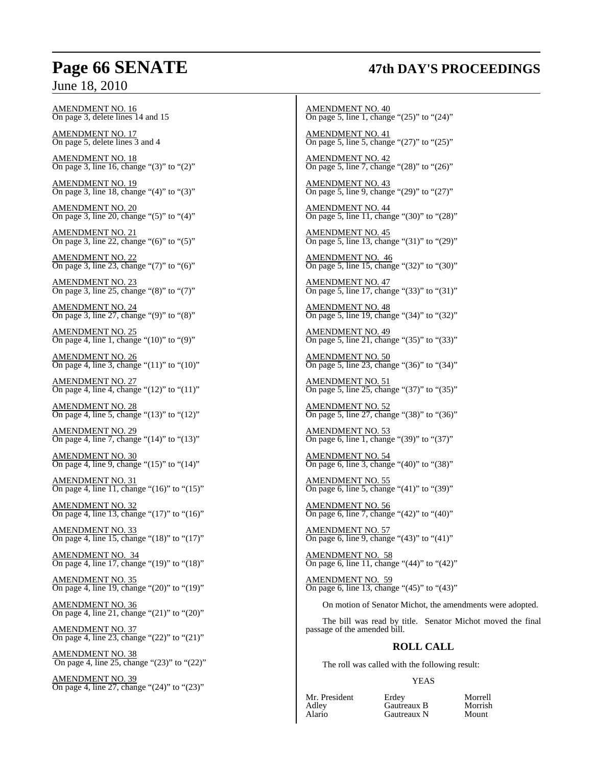## **Page 66 SENATE 47th DAY'S PROCEEDINGS**

### June 18, 2010

AMENDMENT NO. 16 On page 3, delete lines 14 and 15

AMENDMENT NO. 17 On page 5, delete lines 3 and 4

AMENDMENT NO. 18 On page 3, line 16, change " $(3)$ " to " $(2)$ "

AMENDMENT NO. 19 On page 3, line 18, change " $(4)$ " to " $(3)$ "

AMENDMENT NO. 20 On page 3, line 20, change "(5)" to "(4)"

AMENDMENT NO. 21 On page 3, line 22, change "(6)" to "(5)"

AMENDMENT NO. 22 On page 3, line 23, change "(7)" to "(6)"

AMENDMENT NO. 23 On page 3, line 25, change "(8)" to "(7)"

AMENDMENT NO. 24  $\overline{\text{On page 3, line 27, change}}$  "(9)" to "(8)"

AMENDMENT NO. 25 On page 4, line 1, change " $(10)$ " to " $(9)$ "

AMENDMENT NO. 26 On page 4, line 3, change " $(11)$ " to " $(10)$ "

AMENDMENT NO. 27 On page 4, line 4, change " $(12)$ " to " $(11)$ "

AMENDMENT NO. 28 On page 4, line 5, change "(13)" to "(12)"

AMENDMENT NO. 29 On page 4, line 7, change "(14)" to "(13)"

AMENDMENT NO. 30 On page 4, line 9, change "(15)" to "(14)"

AMENDMENT NO. 31 On page 4, line 11, change " $(16)$ " to " $(15)$ "

AMENDMENT NO. 32 On page 4, line 13, change "(17)" to "(16)"

AMENDMENT NO. 33 On page 4, line 15, change "(18)" to "(17)"

AMENDMENT NO. 34 On page 4, line 17, change "(19)" to "(18)"

AMENDMENT NO. 35 On page 4, line 19, change "(20)" to "(19)"

AMENDMENT NO. 36 On page 4, line 21, change "(21)" to "(20)"

AMENDMENT NO. 37 On page 4, line 23, change "(22)" to "(21)"

AMENDMENT NO. 38 On page 4, line 25, change "(23)" to "(22)"

AMENDMENT NO. 39 On page 4, line 27, change "(24)" to "(23)"

AMENDMENT NO. 40 On page 5, line 1, change "(25)" to "(24)"

AMENDMENT NO. 41 On page 5, line 5, change " $(27)$ " to " $(25)$ "

AMENDMENT NO. 42

On page 5, line 7, change "(28)" to "(26)"

AMENDMENT NO. 43 On page 5, line 9, change " $(29)$ " to " $(27)$ "

AMENDMENT NO. 44 On page 5, line 11, change "(30)" to "(28)"

AMENDMENT NO. 45 On page 5, line 13, change "(31)" to "(29)"

AMENDMENT NO. 46 On page 5, line 15, change "(32)" to "(30)"

AMENDMENT NO. 47 On page 5, line 17, change "(33)" to "(31)"

AMENDMENT NO. 48 On page 5, line 19, change "(34)" to "(32)"

AMENDMENT NO. 49 On page 5, line 21, change "(35)" to "(33)"

AMENDMENT NO. 50 On page 5, line 23, change "(36)" to "(34)"

AMENDMENT NO. 51 On page 5, line 25, change "(37)" to "(35)"

AMENDMENT NO. 52 On page 5, line 27, change "(38)" to "(36)"

AMENDMENT NO. 53 On page 6, line 1, change "(39)" to "(37)"

AMENDMENT NO. 54 On page 6, line 3, change "(40)" to "(38)"

AMENDMENT NO. 55 On page 6, line 5, change "(41)" to "(39)"

AMENDMENT NO. 56 On page 6, line 7, change "(42)" to "(40)"

AMENDMENT NO. 57 On page 6, line 9, change "(43)" to "(41)"

AMENDMENT NO. 58 On page 6, line 11, change " $(44)$ " to " $(42)$ "

AMENDMENT NO. 59 On page 6, line 13, change "(45)" to "(43)"

On motion of Senator Michot, the amendments were adopted.

The bill was read by title. Senator Michot moved the final passage of the amended bill.

### **ROLL CALL**

The roll was called with the following result:

#### YEAS

Adley Gautreaux B Morrish

Mr. President Erdey Morrell<br>Adley Gautreaux B Morrish Gautreaux N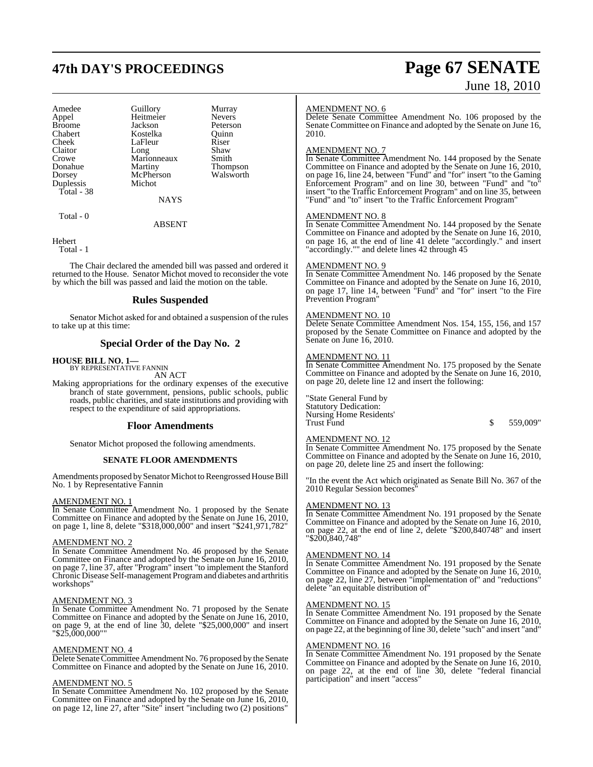## **47th DAY'S PROCEEDINGS Page 67 SENATE**

| Amedee        |                       | Murray                |  |
|---------------|-----------------------|-----------------------|--|
|               |                       |                       |  |
| Appel         | Guillory<br>Heitmeier | <b>Nevers</b>         |  |
| <b>Broome</b> | Jackson               | Peterson              |  |
| Chabert       | Kostelka              | Quinn                 |  |
| Cheek         | LaFleur               | Riser                 |  |
| Claitor       | Long                  | Shaw                  |  |
| Crowe         | Marionneaux           | Smith                 |  |
| Donahue       | Martiny               | Thompson<br>Walsworth |  |
| Dorsey        | McPherson             |                       |  |
| Duplessis     | Michot                |                       |  |
| Total - 38    |                       |                       |  |
|               | NAYS                  |                       |  |

Total - 0

#### ABSENT

**Hebert** 

Total - 1

The Chair declared the amended bill was passed and ordered it returned to the House. Senator Michot moved to reconsider the vote by which the bill was passed and laid the motion on the table.

### **Rules Suspended**

Senator Michot asked for and obtained a suspension of the rules to take up at this time:

### **Special Order of the Day No. 2**

### **HOUSE BILL NO. 1—** BY REPRESENTATIVE FANNIN

AN ACT

Making appropriations for the ordinary expenses of the executive branch of state government, pensions, public schools, public roads, public charities, and state institutions and providing with respect to the expenditure of said appropriations.

#### **Floor Amendments**

Senator Michot proposed the following amendments.

#### **SENATE FLOOR AMENDMENTS**

Amendments proposed by Senator Michot to Reengrossed House Bill No. 1 by Representative Fannin

#### AMENDMENT NO. 1

In Senate Committee Amendment No. 1 proposed by the Senate Committee on Finance and adopted by the Senate on June 16, 2010, on page 1, line 8, delete "\$318,000,000" and insert "\$241,971,782"

#### AMENDMENT NO. 2

In Senate Committee Amendment No. 46 proposed by the Senate Committee on Finance and adopted by the Senate on June 16, 2010, on page 7, line 37, after "Program" insert "to implement the Stanford Chronic Disease Self-management Program and diabetes and arthritis workshops"

#### AMENDMENT NO. 3

In Senate Committee Amendment No. 71 proposed by the Senate Committee on Finance and adopted by the Senate on June 16, 2010, on page 9, at the end of line 30, delete "\$25,000,000" and insert "\$25,000,000""

#### AMENDMENT NO. 4

Delete Senate Committee Amendment No. 76 proposed by the Senate Committee on Finance and adopted by the Senate on June 16, 2010.

#### AMENDMENT NO. 5

In Senate Committee Amendment No. 102 proposed by the Senate Committee on Finance and adopted by the Senate on June 16, 2010, on page 12, line 27, after "Site" insert "including two (2) positions"

#### AMENDMENT NO. 6

Delete Senate Committee Amendment No. 106 proposed by the Senate Committee on Finance and adopted by the Senate on June 16, 2010.

#### AMENDMENT NO. 7

In Senate Committee Amendment No. 144 proposed by the Senate Committee on Finance and adopted by the Senate on June 16, 2010, on page 16, line 24, between "Fund" and "for" insert "to the Gaming Enforcement Program" and on line 30, between "Fund" and "to" insert "to the Traffic Enforcement Program" and on line 35, between "Fund" and "to" insert "to the Traffic Enforcement Program"

#### AMENDMENT NO. 8

In Senate Committee Amendment No. 144 proposed by the Senate Committee on Finance and adopted by the Senate on June 16, 2010, on page 16, at the end of line 41 delete "accordingly." and insert "accordingly."" and delete lines 42 through 45

#### AMENDMENT NO. 9

In Senate Committee Amendment No. 146 proposed by the Senate Committee on Finance and adopted by the Senate on June 16, 2010, on page 17, line 14, between "Fund" and "for" insert "to the Fire Prevention Program"

#### AMENDMENT NO. 10

Delete Senate Committee Amendment Nos. 154, 155, 156, and 157 proposed by the Senate Committee on Finance and adopted by the Senate on June 16, 2010.

#### AMENDMENT NO. 11

In Senate Committee Amendment No. 175 proposed by the Senate Committee on Finance and adopted by the Senate on June 16, 2010, on page 20, delete line 12 and insert the following:

"State General Fund by Statutory Dedication: Nursing Home Residents' Trust Fund \$ 559,009"

### AMENDMENT NO. 12

In Senate Committee Amendment No. 175 proposed by the Senate Committee on Finance and adopted by the Senate on June 16, 2010, on page 20, delete line 25 and insert the following:

"In the event the Act which originated as Senate Bill No. 367 of the 2010 Regular Session becomes"

#### AMENDMENT NO. 13

In Senate Committee Amendment No. 191 proposed by the Senate Committee on Finance and adopted by the Senate on June 16, 2010, on page 22, at the end of line 2, delete "\$200,840748" and insert "\$200,840,748"

#### AMENDMENT NO. 14

In Senate Committee Amendment No. 191 proposed by the Senate Committee on Finance and adopted by the Senate on June 16, 2010, on page 22, line 27, between "implementation of" and "reductions" delete "an equitable distribution of"

#### AMENDMENT NO. 15

In Senate Committee Amendment No. 191 proposed by the Senate Committee on Finance and adopted by the Senate on June 16, 2010, on page 22, at the beginning of line 30, delete "such" and insert "and"

#### AMENDMENT NO. 16

In Senate Committee Amendment No. 191 proposed by the Senate Committee on Finance and adopted by the Senate on June 16, 2010, on page 22, at the end of line 30, delete "federal financial participation" and insert "access"

# June 18, 2010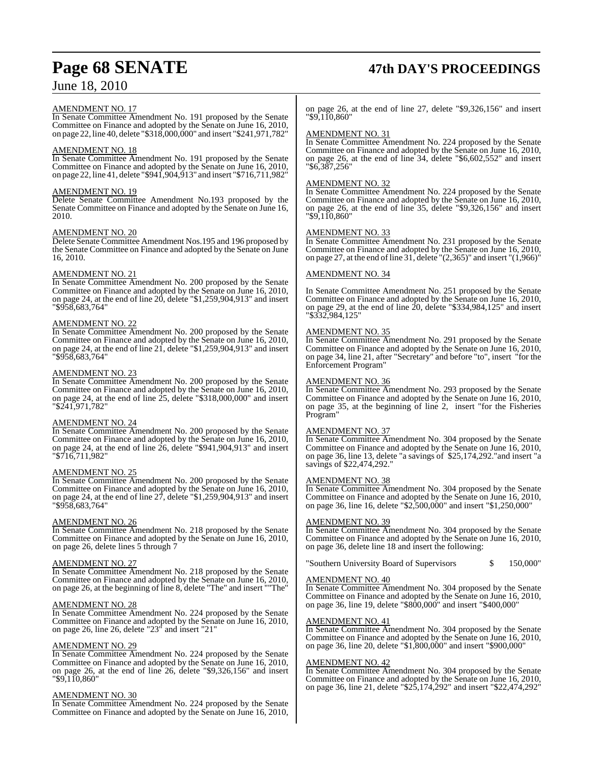#### AMENDMENT NO. 17

In Senate Committee Amendment No. 191 proposed by the Senate Committee on Finance and adopted by the Senate on June 16, 2010, on page 22, line 40, delete "\$318,000,000" and insert "\$241,971,782"

#### AMENDMENT NO. 18

In Senate Committee Amendment No. 191 proposed by the Senate Committee on Finance and adopted by the Senate on June 16, 2010, on page 22, line 41, delete "\$941,904,913" and insert "\$716,711,982"

#### AMENDMENT NO. 19

Delete Senate Committee Amendment No.193 proposed by the Senate Committee on Finance and adopted by the Senate on June 16, 2010.

#### AMENDMENT NO. 20

Delete Senate Committee Amendment Nos.195 and 196 proposed by the Senate Committee on Finance and adopted by the Senate on June 16, 2010.

#### AMENDMENT NO. 21

In Senate Committee Amendment No. 200 proposed by the Senate Committee on Finance and adopted by the Senate on June 16, 2010, on page 24, at the end of line 20, delete "\$1,259,904,913" and insert "\$958,683,764"

#### AMENDMENT NO. 22

In Senate Committee Amendment No. 200 proposed by the Senate Committee on Finance and adopted by the Senate on June 16, 2010, on page 24, at the end of line 21, delete "\$1,259,904,913" and insert "\$958,683,764"

#### AMENDMENT NO. 23

In Senate Committee Amendment No. 200 proposed by the Senate Committee on Finance and adopted by the Senate on June 16, 2010, on page 24, at the end of line 25, delete "\$318,000,000" and insert "\$241,971,782"

#### AMENDMENT NO. 24

In Senate Committee Amendment No. 200 proposed by the Senate Committee on Finance and adopted by the Senate on June 16, 2010, on page 24, at the end of line 26, delete "\$941,904,913" and insert "\$716,711,982"

#### AMENDMENT NO. 25

In Senate Committee Amendment No. 200 proposed by the Senate Committee on Finance and adopted by the Senate on June 16, 2010, on page 24, at the end of line 27, delete "\$1,259,904,913" and insert "\$958,683,764"

#### AMENDMENT NO. 26

In Senate Committee Amendment No. 218 proposed by the Senate Committee on Finance and adopted by the Senate on June 16, 2010, on page 26, delete lines 5 through 7

#### AMENDMENT NO. 27

In Senate Committee Amendment No. 218 proposed by the Senate Committee on Finance and adopted by the Senate on June 16, 2010, on page 26, at the beginning of line 8, delete "The" and insert ""The"

#### AMENDMENT NO. 28

In Senate Committee Amendment No. 224 proposed by the Senate Committee on Finance and adopted by the Senate on June 16, 2010, on page 26, line 26, delete "23" and insert "21"

#### AMENDMENT NO. 29

In Senate Committee Amendment No. 224 proposed by the Senate Committee on Finance and adopted by the Senate on June 16, 2010, on page 26, at the end of line 26, delete "\$9,326,156" and insert "\$9,110,860"

#### AMENDMENT NO. 30

In Senate Committee Amendment No. 224 proposed by the Senate Committee on Finance and adopted by the Senate on June 16, 2010,

on page 26, at the end of line 27, delete "\$9,326,156" and insert "\$9,110,860"

### AMENDMENT NO. 31

In Senate Committee Amendment No. 224 proposed by the Senate Committee on Finance and adopted by the Senate on June 16, 2010, on page 26, at the end of line 34, delete "\$6,602,552" and insert "\$6,387,256"

#### AMENDMENT NO. 32

In Senate Committee Amendment No. 224 proposed by the Senate Committee on Finance and adopted by the Senate on June 16, 2010, on page 26, at the end of line 35, delete "\$9,326,156" and insert "\$9,110,860"

#### AMENDMENT NO. 33

In Senate Committee Amendment No. 231 proposed by the Senate Committee on Finance and adopted by the Senate on June 16, 2010, on page 27, at the end of line 31, delete " $(2,365)$ " and insert " $(1,966)$ "

#### AMENDMENT NO. 34

In Senate Committee Amendment No. 251 proposed by the Senate Committee on Finance and adopted by the Senate on June 16, 2010, on page 29, at the end of line 20, delete "\$334,984,125" and insert "\$332,984,125"

#### AMENDMENT NO. 35

In Senate Committee Amendment No. 291 proposed by the Senate Committee on Finance and adopted by the Senate on June 16, 2010, on page 34, line 21, after "Secretary" and before "to", insert "for the Enforcement Program"

#### AMENDMENT NO. 36

In Senate Committee Amendment No. 293 proposed by the Senate Committee on Finance and adopted by the Senate on June 16, 2010, on page 35, at the beginning of line 2, insert "for the Fisheries Program"

#### AMENDMENT NO. 37

In Senate Committee Amendment No. 304 proposed by the Senate Committee on Finance and adopted by the Senate on June 16, 2010, on page 36, line 13, delete "a savings of \$25,174,292."and insert "a savings of \$22,474,292.

#### AMENDMENT NO. 38

In Senate Committee Amendment No. 304 proposed by the Senate Committee on Finance and adopted by the Senate on June 16, 2010, on page 36, line 16, delete "\$2,500,000" and insert "\$1,250,000"

#### AMENDMENT NO. 39

In Senate Committee Amendment No. 304 proposed by the Senate Committee on Finance and adopted by the Senate on June 16, 2010, on page 36, delete line 18 and insert the following:

"Southern University Board of Supervisors \$ 150,000"

#### AMENDMENT NO. 40

In Senate Committee Amendment No. 304 proposed by the Senate Committee on Finance and adopted by the Senate on June 16, 2010, on page 36, line 19, delete "\$800,000" and insert "\$400,000"

#### AMENDMENT NO. 41

In Senate Committee Amendment No. 304 proposed by the Senate Committee on Finance and adopted by the Senate on June 16, 2010, on page 36, line 20, delete "\$1,800,000" and insert "\$900,000"

#### AMENDMENT NO. 42

In Senate Committee Amendment No. 304 proposed by the Senate Committee on Finance and adopted by the Senate on June 16, 2010, on page 36, line 21, delete "\$25,174,292" and insert "\$22,474,292"

## **Page 68 SENATE 47th DAY'S PROCEEDINGS**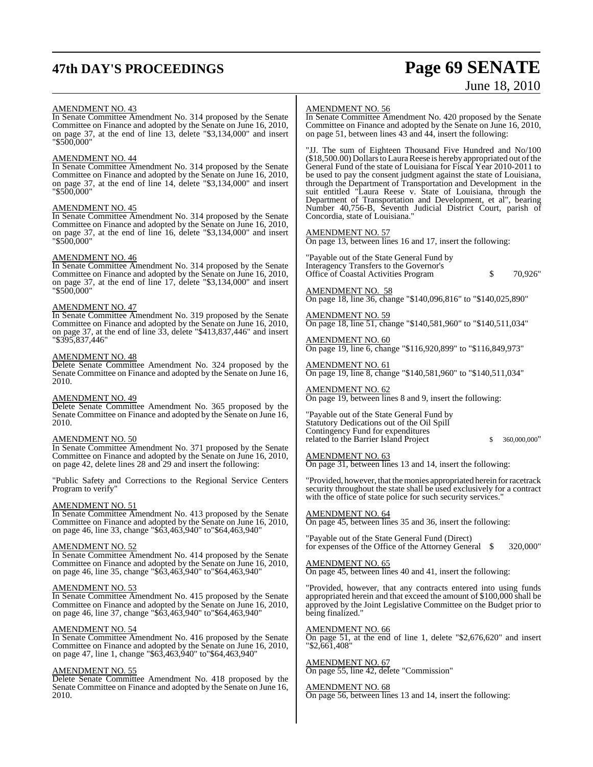## **47th DAY'S PROCEEDINGS Page 69 SENATE**

# June 18, 2010

#### AMENDMENT NO. 43

In Senate Committee Amendment No. 314 proposed by the Senate Committee on Finance and adopted by the Senate on June 16, 2010, on page 37, at the end of line 13, delete "\$3,134,000" and insert "\$500,000"

#### AMENDMENT NO. 44

In Senate Committee Amendment No. 314 proposed by the Senate Committee on Finance and adopted by the Senate on June 16, 2010, on page 37, at the end of line 14, delete "\$3,134,000" and insert "\$500,000"

#### AMENDMENT NO. 45

In Senate Committee Amendment No. 314 proposed by the Senate Committee on Finance and adopted by the Senate on June 16, 2010, on page 37, at the end of line 16, delete "\$3,134,000" and insert "\$500,000"

#### AMENDMENT NO. 46

In Senate Committee Amendment No. 314 proposed by the Senate Committee on Finance and adopted by the Senate on June 16, 2010, on page 37, at the end of line 17, delete "\$3,134,000" and insert "\$500,000"

#### AMENDMENT NO. 47

In Senate Committee Amendment No. 319 proposed by the Senate Committee on Finance and adopted by the Senate on June 16, 2010, on page 37, at the end of line 33, delete "\$413,837,446" and insert "\$395,837,446"

#### AMENDMENT NO. 48

Delete Senate Committee Amendment No. 324 proposed by the Senate Committee on Finance and adopted by the Senate on June 16, 2010.

#### AMENDMENT NO. 49

Delete Senate Committee Amendment No. 365 proposed by the Senate Committee on Finance and adopted by the Senate on June 16, 2010.

#### AMENDMENT NO. 50

In Senate Committee Amendment No. 371 proposed by the Senate Committee on Finance and adopted by the Senate on June 16, 2010, on page 42, delete lines 28 and 29 and insert the following:

"Public Safety and Corrections to the Regional Service Centers Program to verify"

#### AMENDMENT NO. 51

In Senate Committee Amendment No. 413 proposed by the Senate Committee on Finance and adopted by the Senate on June 16, 2010, on page 46, line 33, change "\$63,463,940" to"\$64,463,940"

#### AMENDMENT NO. 52

In Senate Committee Amendment No. 414 proposed by the Senate Committee on Finance and adopted by the Senate on June 16, 2010, on page 46, line 35, change "\$63,463,940" to"\$64,463,940"

#### AMENDMENT NO. 53

In Senate Committee Amendment No. 415 proposed by the Senate Committee on Finance and adopted by the Senate on June 16, 2010, on page 46, line 37, change "\$63,463,940" to"\$64,463,940"

#### AMENDMENT NO. 54

In Senate Committee Amendment No. 416 proposed by the Senate Committee on Finance and adopted by the Senate on June 16, 2010, on page 47, line 1, change "\$63,463,940" to"\$64,463,940"

#### AMENDMENT NO. 55

Delete Senate Committee Amendment No. 418 proposed by the Senate Committee on Finance and adopted by the Senate on June 16, 2010.

#### AMENDMENT NO. 56

In Senate Committee Amendment No. 420 proposed by the Senate Committee on Finance and adopted by the Senate on June 16, 2010, on page 51, between lines 43 and 44, insert the following:

"JJ. The sum of Eighteen Thousand Five Hundred and No/100 (\$18,500.00) Dollars to Laura Reese is hereby appropriated out of the General Fund of the state of Louisiana for Fiscal Year 2010-2011 to be used to pay the consent judgment against the state of Louisiana, through the Department of Transportation and Development in the suit entitled "Laura Reese v. State of Louisiana, through the Department of Transportation and Development, et al", bearing Number 40,756-B, Seventh Judicial District Court, parish of Concordia, state of Louisiana."

#### AMENDMENT NO. 57

On page 13, between lines 16 and 17, insert the following:

"Payable out of the State General Fund by Interagency Transfers to the Governor's Office of Coastal Activities Program \$ 70,926"

AMENDMENT NO. 58 On page 18, line 36, change "\$140,096,816" to "\$140,025,890"

AMENDMENT NO. 59 On page 18, line 51, change "\$140,581,960" to "\$140,511,034"

AMENDMENT NO. 60 On page 19, line 6, change "\$116,920,899" to "\$116,849,973"

AMENDMENT NO. 61 On page 19, line 8, change "\$140,581,960" to "\$140,511,034"

AMENDMENT NO. 62 On page 19, between lines 8 and 9, insert the following:

"Payable out of the State General Fund by Statutory Dedications out of the Oil Spill Contingency Fund for expenditures related to the Barrier Island Project  $$360,000,000"$ 

#### AMENDMENT NO. 63

On page 31, between lines 13 and 14, insert the following:

"Provided, however, that the monies appropriated herein for racetrack security throughout the state shall be used exclusively for a contract with the office of state police for such security services."

#### AMENDMENT NO. 64

On page 45, between lines 35 and 36, insert the following:

"Payable out of the State General Fund (Direct) for expenses of the Office of the Attorney General  $\quad$  320,000"

AMENDMENT NO. 65 On page 45, between lines 40 and 41, insert the following:

"Provided, however, that any contracts entered into using funds

appropriated herein and that exceed the amount of \$100,000 shall be approved by the Joint Legislative Committee on the Budget prior to being finalized."

#### AMENDMENT NO. 66

On page 51, at the end of line 1, delete "\$2,676,620" and insert "\$2,661,408"

#### AMENDMENT NO. 67

On page 55, line 42, delete "Commission"

#### AMENDMENT NO. 68

On page 56, between lines 13 and 14, insert the following: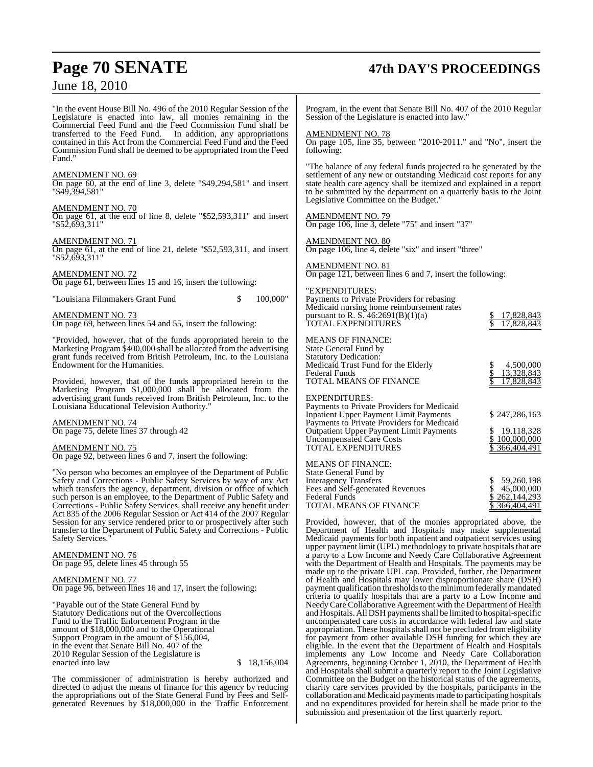## **Page 70 SENATE 47th DAY'S PROCEEDINGS**

"In the event House Bill No. 496 of the 2010 Regular Session of the Legislature is enacted into law, all monies remaining in the Commercial Feed Fund and the Feed Commission Fund shall be transferred to the Feed Fund. In addition, any appropriations contained in this Act from the Commercial Feed Fund and the Feed Commission Fund shall be deemed to be appropriated from the Feed Fund.'

#### AMENDMENT NO. 69

On page 60, at the end of line 3, delete "\$49,294,581" and insert "\$49,394,581"

### AMENDMENT NO. 70

On page 61, at the end of line 8, delete "\$52,593,311" and insert "\$52,693,311"

#### AMENDMENT NO. 71

On page 61, at the end of line 21, delete "\$52,593,311, and insert "\$52,693,311"

#### AMENDMENT NO. 72

On page 61, between lines 15 and 16, insert the following:

"Louisiana Filmmakers Grant Fund \$ 100,000"

AMENDMENT NO. 73 On page 69, between lines 54 and 55, insert the following:

"Provided, however, that of the funds appropriated herein to the Marketing Program \$400,000 shall be allocated from the advertising grant funds received from British Petroleum, Inc. to the Louisiana Endowment for the Humanities.

Provided, however, that of the funds appropriated herein to the Marketing Program \$1,000,000 shall be allocated from the advertising grant funds received from British Petroleum, Inc. to the Louisiana Educational Television Authority."

AMENDMENT NO. 74 On page 75, delete lines 37 through 42

AMENDMENT NO. 75 On page 92, between lines 6 and 7, insert the following:

"No person who becomes an employee of the Department of Public Safety and Corrections - Public Safety Services by way of any Act which transfers the agency, department, division or office of which such person is an employee, to the Department of Public Safety and Corrections - Public Safety Services, shall receive any benefit under Act 835 of the 2006 Regular Session or Act 414 of the 2007 Regular Session for any service rendered prior to or prospectively after such transfer to the Department of Public Safety and Corrections - Public Safety Services."

AMENDMENT NO. 76 On page 95, delete lines 45 through 55

AMENDMENT NO. 77 On page 96, between lines 16 and 17, insert the following:

"Payable out of the State General Fund by Statutory Dedications out of the Overcollections Fund to the Traffic Enforcement Program in the amount of \$18,000,000 and to the Operational Support Program in the amount of \$156,004, in the event that Senate Bill No. 407 of the 2010 Regular Session of the Legislature is

 $$18,156,004$ 

The commissioner of administration is hereby authorized and directed to adjust the means of finance for this agency by reducing the appropriations out of the State General Fund by Fees and Selfgenerated Revenues by \$18,000,000 in the Traffic Enforcement Program, in the event that Senate Bill No. 407 of the 2010 Regular Session of the Legislature is enacted into law."

### **MENDMENT NO. 78**

On page 105, line 35, between "2010-2011." and "No", insert the following:

"The balance of any federal funds projected to be generated by the settlement of any new or outstanding Medicaid cost reports for any state health care agency shall be itemized and explained in a report to be submitted by the department on a quarterly basis to the Joint Legislative Committee on the Budget."

#### AMENDMENT NO. 79

On page 106, line 3, delete "75" and insert "37"

AMENDMENT NO. 80 On page 106, line 4, delete "six" and insert "three"

AMENDMENT NO. 81 On page 121, between lines 6 and 7, insert the following:

#### "EXPENDITURES:

| ети енен скоз<br>Payments to Private Providers for rebasing<br>Medicaid nursing home reimbursement rates<br>pursuant to R. S. $46:2691(B)(1)(a)$<br><b>TOTAL EXPENDITURES</b>                                                                                                       | 17,828,843<br>17,828,843                                  |
|-------------------------------------------------------------------------------------------------------------------------------------------------------------------------------------------------------------------------------------------------------------------------------------|-----------------------------------------------------------|
| <b>MEANS OF FINANCE:</b><br>State General Fund by<br><b>Statutory Dedication:</b><br>Medicaid Trust Fund for the Elderly<br>Federal Funds<br><b>TOTAL MEANS OF FINANCE</b>                                                                                                          | 4,500,000<br>13,328,843<br>17,828,843                     |
| <b>EXPENDITURES:</b><br>Payments to Private Providers for Medicaid<br><b>Inpatient Upper Payment Limit Payments</b><br>Payments to Private Providers for Medicaid<br><b>Outpatient Upper Payment Limit Payments</b><br><b>Uncompensated Care Costs</b><br><b>TOTAL EXPENDITURES</b> | \$247,286,163<br>19,118,328<br>100,000,000<br>366,404,491 |
| <b>MEANS OF FINANCE:</b><br>State General Fund by<br><b>Interagency Transfers</b><br>Eggs and Calf congrated Davanues                                                                                                                                                               | \$ 59,260,198<br>$\sqrt{45}$ 000.000                      |

Fees and Self-generated Revenues \$ 45,000,000<br>Federal Funds \$ 262,144,293  $\frac{$262,144,293}{{$366,404,491}}$ TOTAL MEANS OF FINANCE

Provided, however, that of the monies appropriated above, the Department of Health and Hospitals may make supplemental Medicaid payments for both inpatient and outpatient services using upper payment limit (UPL) methodology to private hospitals that are a party to a Low Income and Needy Care Collaborative Agreement with the Department of Health and Hospitals. The payments may be made up to the private UPL cap. Provided, further, the Department of Health and Hospitals may lower disproportionate share (DSH) payment qualification thresholds to the minimum federally mandated criteria to qualify hospitals that are a party to a Low Income and NeedyCare Collaborative Agreement with the Department of Health and Hospitals. All DSH payments shall be limited to hospital-specific uncompensated care costs in accordance with federal law and state appropriation. These hospitals shall not be precluded from eligibility for payment from other available DSH funding for which they are eligible. In the event that the Department of Health and Hospitals implements any Low Income and Needy Care Collaboration Agreements, beginning October 1, 2010, the Department of Health and Hospitals shall submit a quarterly report to the Joint Legislative Committee on the Budget on the historical status of the agreements, charity care services provided by the hospitals, participants in the collaboration and Medicaid payments made to participating hospitals and no expenditures provided for herein shall be made prior to the submission and presentation of the first quarterly report.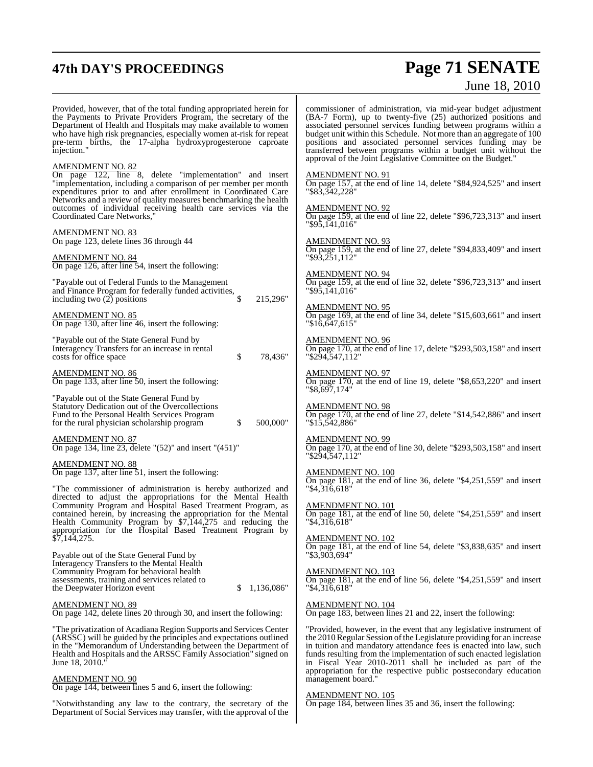## **47th DAY'S PROCEEDINGS Page 71 SENATE** June 18, 2010

| Provided, however, that of the total funding appropriated herein for<br>the Payments to Private Providers Program, the secretary of the<br>Department of Health and Hospitals may make available to women<br>who have high risk pregnancies, especially women at-risk for repeat<br>pre-term births, the 17-alpha hydroxyprogesterone caproate<br>injection." | commissioner of administration, via mid-year budget adjustment<br>(BA-7 Form), up to twenty-five (25) authorized positions and<br>associated personnel services funding between programs within a<br>budget unit within this Schedule. Not more than an aggregate of 100<br>positions and associated personnel services funding may be<br>transferred between programs within a budget unit without the<br>approval of the Joint Legislative Committee on the Budget." |
|---------------------------------------------------------------------------------------------------------------------------------------------------------------------------------------------------------------------------------------------------------------------------------------------------------------------------------------------------------------|------------------------------------------------------------------------------------------------------------------------------------------------------------------------------------------------------------------------------------------------------------------------------------------------------------------------------------------------------------------------------------------------------------------------------------------------------------------------|
| <b>AMENDMENT NO. 82</b><br>On page 122, line 8, delete "implementation" and insert<br>"implementation, including a comparison of per member per month<br>expenditures prior to and after enrollment in Coordinated Care                                                                                                                                       | <b>AMENDMENT NO. 91</b><br>On page 157, at the end of line 14, delete "\$84,924,525" and insert<br>"\$83,342,228"                                                                                                                                                                                                                                                                                                                                                      |
| Networks and a review of quality measures benchmarking the health<br>outcomes of individual receiving health care services via the<br>Coordinated Care Networks,"                                                                                                                                                                                             | <b>AMENDMENT NO. 92</b><br>On page 159, at the end of line 22, delete "\$96,723,313" and insert<br>"\$95.141.016"                                                                                                                                                                                                                                                                                                                                                      |
| AMENDMENT NO. 83<br>On page 123, delete lines 36 through 44                                                                                                                                                                                                                                                                                                   | <b>AMENDMENT NO. 93</b><br>On page 159, at the end of line 27, delete "\$94,833,409" and insert                                                                                                                                                                                                                                                                                                                                                                        |
| AMENDMENT NO. 84<br>On page 126, after line 54, insert the following:                                                                                                                                                                                                                                                                                         | $"$ \$93,251,112"<br><b>AMENDMENT NO. 94</b>                                                                                                                                                                                                                                                                                                                                                                                                                           |
| "Payable out of Federal Funds to the Management"<br>and Finance Program for federally funded activities,<br>including two $(2)$ positions<br>S.<br>215,296"                                                                                                                                                                                                   | On page 159, at the end of line 32, delete "\$96,723,313" and insert<br>"\$95,141,016"                                                                                                                                                                                                                                                                                                                                                                                 |
| <b>AMENDMENT NO. 85</b><br>On page 130, after line 46, insert the following:                                                                                                                                                                                                                                                                                  | <b>AMENDMENT NO. 95</b><br>On page 169, at the end of line 34, delete " $$15,603,661"$ and insert<br>"\$16,647,615"                                                                                                                                                                                                                                                                                                                                                    |
| "Payable out of the State General Fund by<br>Interagency Transfers for an increase in rental<br>costs for office space<br>\$<br>78,436"                                                                                                                                                                                                                       | <b>AMENDMENT NO. 96</b><br>On page 170, at the end of line 17, delete "\$293,503,158" and insert<br>"\$294,547,112"                                                                                                                                                                                                                                                                                                                                                    |
| <u>AMENDMENT NO. 86</u><br>On page 133, after line 50, insert the following:                                                                                                                                                                                                                                                                                  | <b>AMENDMENT NO. 97</b><br>On page 170, at the end of line 19, delete "\$8,653,220" and insert<br>"\$8,697,174"                                                                                                                                                                                                                                                                                                                                                        |
| "Payable out of the State General Fund by<br>Statutory Dedication out of the Overcollections<br>Fund to the Personal Health Services Program<br>500,000"<br>for the rural physician scholarship program<br>\$                                                                                                                                                 | <b>AMENDMENT NO. 98</b><br>On page 170, at the end of line 27, delete "\$14,542,886" and insert<br>"\$15,542,886"                                                                                                                                                                                                                                                                                                                                                      |
| <b>AMENDMENT NO. 87</b><br>On page 134, line 23, delete "(52)" and insert "(451)"                                                                                                                                                                                                                                                                             | AMENDMENT NO. 99<br>On page 170, at the end of line 30, delete "\$293,503,158" and insert<br>"\$294,547,112"                                                                                                                                                                                                                                                                                                                                                           |
| AMENDMENT NO. 88<br>On page 137, after line 51, insert the following:<br>"The commissioner of administration is hereby authorized and                                                                                                                                                                                                                         | <b>AMENDMENT NO. 100</b><br>On page 181, at the end of line 36, delete " $$4,251,559"$ and insert<br>$"\$4.\overline{316.618"$                                                                                                                                                                                                                                                                                                                                         |
| directed to adjust the appropriations for the Mental Health<br>Community Program and Hospital Based Treatment Program, as<br>contained herein, by increasing the appropriation for the Mental                                                                                                                                                                 | <b>AMENDMENT NO. 101</b><br>On page 181, at the end of line 50, delete " $$4,251,559"$ and insert                                                                                                                                                                                                                                                                                                                                                                      |
| Health Community Program by \$7,144,275 and reducing the<br>appropriation for the Hospital Based Treatment Program by<br>$\frac{1}{37}$ , 144, 275.                                                                                                                                                                                                           | " \$4,316,618"<br><b>AMENDMENT NO. 102</b>                                                                                                                                                                                                                                                                                                                                                                                                                             |
| Payable out of the State General Fund by                                                                                                                                                                                                                                                                                                                      | On page 181, at the end of line 54, delete "\$3,838,635" and insert<br>"\$3,903,694"                                                                                                                                                                                                                                                                                                                                                                                   |
| Interagency Transfers to the Mental Health<br>Community Program for behavioral health<br>assessments, training and services related to<br>1,136,086"<br>the Deepwater Horizon event<br>S                                                                                                                                                                      | <b>AMENDMENT NO. 103</b><br>On page 181, at the end of line 56, delete "\$4,251,559" and insert<br>"\$4,316,618"                                                                                                                                                                                                                                                                                                                                                       |
| <u>AMENDMENT NO. 89</u><br>On page 142, delete lines 20 through 30, and insert the following:                                                                                                                                                                                                                                                                 | <b>AMENDMENT NO. 104</b><br>On page 183, between lines 21 and 22, insert the following:                                                                                                                                                                                                                                                                                                                                                                                |
| "The privatization of Acadiana Region Supports and Services Center<br>(ARSSC) will be guided by the principles and expectations outlined<br>in the "Memorandum of Understanding between the Department of<br>Health and Hospitals and the ARSSC Family Association" signed on<br>June 18, 2010.'                                                              | "Provided, however, in the event that any legislative instrument of<br>the 2010 Regular Session of the Legislature providing for an increase<br>in tuition and mandatory attendance fees is enacted into law, such<br>funds resulting from the implementation of such enacted legislation<br>in Fiscal Year 2010-2011 shall be included as part of the                                                                                                                 |
| AMENDMENT NO. 90<br>On page 144, between lines 5 and 6, insert the following:                                                                                                                                                                                                                                                                                 | appropriation for the respective public postsecondary education<br>management board."                                                                                                                                                                                                                                                                                                                                                                                  |
| "Notwithstanding any law to the contrary, the secretary of the<br>Department of Social Services may transfer, with the approval of the                                                                                                                                                                                                                        | <b>AMENDMENT NO. 105</b><br>On page 184, between lines 35 and 36, insert the following:                                                                                                                                                                                                                                                                                                                                                                                |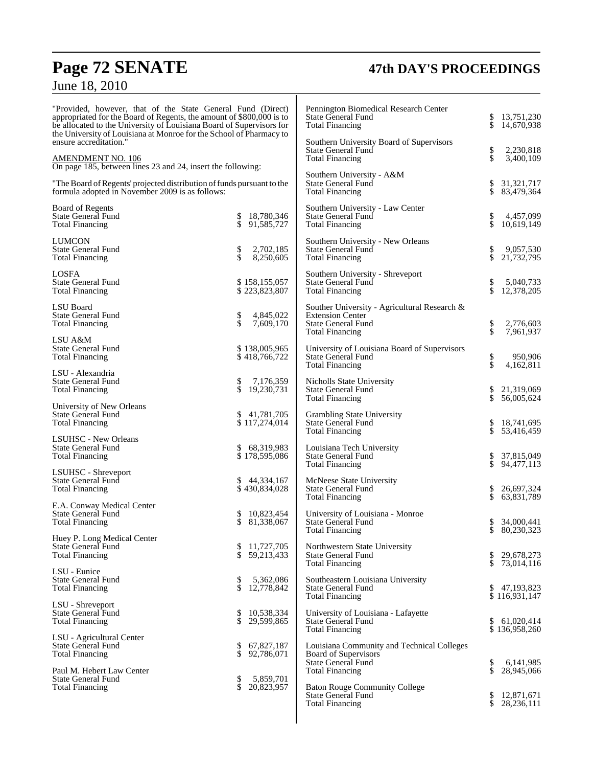## **Page 72 SENATE 47th DAY'S PROCEEDINGS**

## June 18, 2010

| "Provided, however, that of the State General Fund (Direct)<br>appropriated for the Board of Regents, the amount of \$800,000 is to<br>be allocated to the University of Louisiana Board of Supervisors for<br>the University of Louisiana at Monroe for the School of Pharmacy to<br>ensure accreditation."<br><b>AMENDMENT NO. 106</b><br>On page 185, between lines 23 and 24, insert the following:<br>"The Board of Regents' projected distribution of funds pursuant to the<br>formula adopted in November 2009 is as follows: |                                                     | Pennington Biomedical Research Center<br>State General Fund<br><b>Total Financing</b>                                          | \$       | 13,751,230<br>14,670,938               |
|--------------------------------------------------------------------------------------------------------------------------------------------------------------------------------------------------------------------------------------------------------------------------------------------------------------------------------------------------------------------------------------------------------------------------------------------------------------------------------------------------------------------------------------|-----------------------------------------------------|--------------------------------------------------------------------------------------------------------------------------------|----------|----------------------------------------|
|                                                                                                                                                                                                                                                                                                                                                                                                                                                                                                                                      |                                                     | Southern University Board of Supervisors<br><b>State General Fund</b><br><b>Total Financing</b>                                | \$<br>\$ | 2,230,818<br>3,400,109                 |
|                                                                                                                                                                                                                                                                                                                                                                                                                                                                                                                                      |                                                     | Southern University - A&M<br><b>State General Fund</b><br><b>Total Financing</b>                                               | \$       | 31, 321, 717<br>83,479,364             |
| Board of Regents<br>State General Fund<br><b>Total Financing</b>                                                                                                                                                                                                                                                                                                                                                                                                                                                                     | 18,780,346<br>\$<br>\$<br>91,585,727                | Southern University - Law Center<br><b>State General Fund</b><br><b>Total Financing</b>                                        | \$<br>\$ | 4,457,099<br>10.619.149                |
| <b>LUMCON</b><br><b>State General Fund</b><br><b>Total Financing</b>                                                                                                                                                                                                                                                                                                                                                                                                                                                                 | 2,702,185<br>\$<br>\$<br>8,250,605                  | Southern University - New Orleans<br><b>State General Fund</b><br><b>Total Financing</b>                                       | \$<br>\$ | 9,057,530<br>21,732,795                |
| <b>LOSFA</b><br><b>State General Fund</b><br><b>Total Financing</b>                                                                                                                                                                                                                                                                                                                                                                                                                                                                  | \$158,155,057<br>\$223,823,807                      | Southern University - Shreveport<br><b>State General Fund</b><br><b>Total Financing</b>                                        | \$<br>\$ | 5,040,733<br>12,378,205                |
| LSU Board<br><b>State General Fund</b><br><b>Total Financing</b>                                                                                                                                                                                                                                                                                                                                                                                                                                                                     | \$<br>\$<br>4,845,022<br>7,609,170                  | Souther University - Agricultural Research &<br><b>Extension Center</b><br><b>State General Fund</b><br><b>Total Financing</b> | \$<br>\$ | 2,776,603<br>7,961,937                 |
| LSU A&M<br><b>State General Fund</b><br><b>Total Financing</b>                                                                                                                                                                                                                                                                                                                                                                                                                                                                       | \$138,005,965<br>\$418,766,722                      | University of Louisiana Board of Supervisors<br><b>State General Fund</b><br><b>Total Financing</b>                            | \$<br>\$ | 950,906<br>4,162,811                   |
| LSU - Alexandria<br><b>State General Fund</b><br><b>Total Financing</b>                                                                                                                                                                                                                                                                                                                                                                                                                                                              | 7,176,359<br>\$<br>\$<br>19,230,731                 | <b>Nicholls State University</b><br><b>State General Fund</b><br><b>Total Financing</b>                                        | \$<br>\$ | 21,319,069<br>56,005,624               |
| University of New Orleans<br>State General Fund<br><b>Total Financing</b>                                                                                                                                                                                                                                                                                                                                                                                                                                                            | 41,781,705<br>\$<br>\$117,274,014                   | Grambling State University<br><b>State General Fund</b><br><b>Total Financing</b>                                              | \$       | 18,741,695<br>53,416,459               |
| <b>LSUHSC</b> - New Orleans<br><b>State General Fund</b><br><b>Total Financing</b>                                                                                                                                                                                                                                                                                                                                                                                                                                                   | \$<br>68,319,983<br>\$178,595,086                   | Louisiana Tech University<br><b>State General Fund</b><br><b>Total Financing</b>                                               | \$       | 37,815,049<br>94,477,113               |
| LSUHSC - Shreveport<br><b>State General Fund</b><br><b>Total Financing</b>                                                                                                                                                                                                                                                                                                                                                                                                                                                           | 44,334,167<br>\$<br>\$430,834,028                   | McNeese State University<br><b>State General Fund</b><br><b>Total Financing</b>                                                | \$       | 26,697,324<br>63,831,789               |
| E.A. Conway Medical Center<br><b>State General Fund</b><br><b>Total Financing</b>                                                                                                                                                                                                                                                                                                                                                                                                                                                    | 10,823,454<br>\$<br>\$<br>81,338,067                | University of Louisiana - Monroe<br><b>State General Fund</b><br>Total Financing                                               | \$<br>\$ | 34,000,441<br>80,230,323               |
| Huey P. Long Medical Center<br><b>State General Fund</b><br><b>Total Financing</b>                                                                                                                                                                                                                                                                                                                                                                                                                                                   | 11,727,705<br>\$<br>\$<br>59,213,433                | Northwestern State University<br><b>State General Fund</b><br><b>Total Financing</b>                                           | \$       | 29,678,273<br>73,014,116               |
| LSU - Eunice<br><b>State General Fund</b><br><b>Total Financing</b>                                                                                                                                                                                                                                                                                                                                                                                                                                                                  | \$<br>5,362,086<br>\$<br>12,778,842                 | Southeastern Louisiana University<br>State General Fund<br><b>Total Financing</b>                                              | \$       | 47,193,823<br>\$116,931,147            |
| LSU - Shreveport<br>State General Fund<br><b>Total Financing</b>                                                                                                                                                                                                                                                                                                                                                                                                                                                                     | \$<br>10,538,334<br>\$<br>29,599,865                | University of Louisiana - Lafayette<br><b>State General Fund</b><br><b>Total Financing</b>                                     | \$       | 61,020,414<br>\$136,958,260            |
| LSU - Agricultural Center<br><b>State General Fund</b><br><b>Total Financing</b>                                                                                                                                                                                                                                                                                                                                                                                                                                                     | \$<br>67,827,187<br>\$<br>92,786,071                | Louisiana Community and Technical Colleges<br>Board of Supervisors<br>State General Fund                                       | \$       | 6,141,985                              |
| Paul M. Hebert Law Center<br>State General Fund<br><b>Total Financing</b>                                                                                                                                                                                                                                                                                                                                                                                                                                                            | 5,859,701<br>\$<br>$\dot{\mathbb{S}}$<br>20,823,957 | <b>Total Financing</b><br><b>Baton Rouge Community College</b><br><b>State General Fund</b><br><b>Total Financing</b>          | \$<br>\$ | 28,945,066<br>12,871,671<br>28,236,111 |
|                                                                                                                                                                                                                                                                                                                                                                                                                                                                                                                                      |                                                     |                                                                                                                                |          |                                        |

T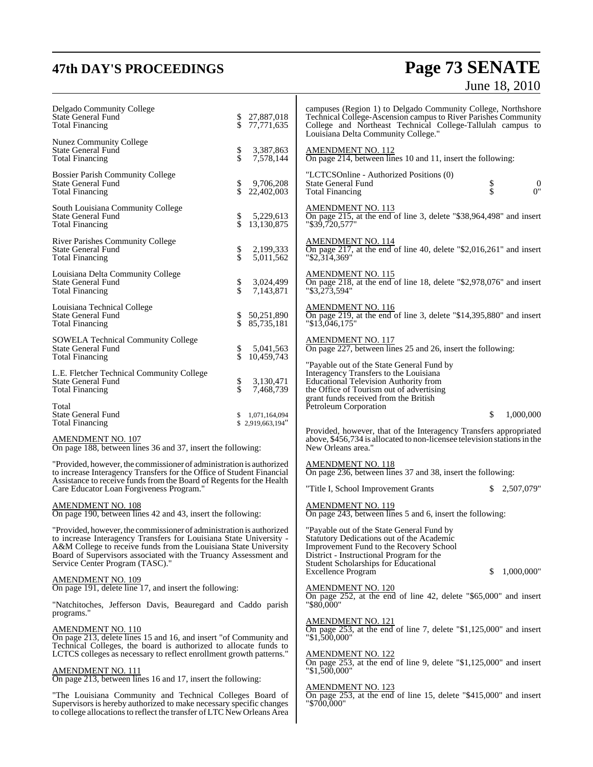# **47th DAY'S PROCEEDINGS Page 73 SENATE** June 18, 2010

| Delgado Community College<br>State General Fund<br><b>Total Financing</b>                                                                                                                                                                                                                                            | 27,887,018<br>\$<br>\$<br>77,771,635 | campuses (Region 1) to Delgado Community College, Northshore<br>Technical College-Ascension campus to River Parishes Community<br>College and Northeast Technical College-Tallulah campus to<br>Louisiana Delta Community College."              |
|----------------------------------------------------------------------------------------------------------------------------------------------------------------------------------------------------------------------------------------------------------------------------------------------------------------------|--------------------------------------|--------------------------------------------------------------------------------------------------------------------------------------------------------------------------------------------------------------------------------------------------|
| <b>Nunez Community College</b><br><b>State General Fund</b><br><b>Total Financing</b>                                                                                                                                                                                                                                | \$<br>\$<br>3,387,863<br>7,578,144   | <b>AMENDMENT NO. 112</b><br>On page 214, between lines 10 and 11, insert the following:                                                                                                                                                          |
| <b>Bossier Parish Community College</b><br><b>State General Fund</b><br><b>Total Financing</b>                                                                                                                                                                                                                       | \$<br>9,706,208<br>\$<br>22,402,003  | "LCTCSOnline - Authorized Positions (0)<br><b>State General Fund</b><br>\$<br>Տ<br>$\mathbf{0}$<br>0 <sup>n</sup><br><b>Total Financing</b>                                                                                                      |
| South Louisiana Community College<br><b>State General Fund</b><br><b>Total Financing</b>                                                                                                                                                                                                                             | 5,229,613<br>\$<br>\$<br>13,130,875  | <b>AMENDMENT NO. 113</b><br>On page 215, at the end of line 3, delete "\$38,964,498" and insert<br>"\$39.720.577"                                                                                                                                |
| River Parishes Community College<br><b>State General Fund</b><br><b>Total Financing</b>                                                                                                                                                                                                                              | \$<br>\$<br>2,199,333<br>5,011,562   | <b>AMENDMENT NO. 114</b><br>On page 217, at the end of line 40, delete " $$2,016,261"$ and insert<br>"\$2,314,369"                                                                                                                               |
| Louisiana Delta Community College<br><b>State General Fund</b><br><b>Total Financing</b>                                                                                                                                                                                                                             | \$<br>\$<br>3,024,499<br>7,143,871   | <b>AMENDMENT NO. 115</b><br>On page 218, at the end of line 18, delete "\$2,978,076" and insert<br>"\$3,273,594"                                                                                                                                 |
| Louisiana Technical College<br><b>State General Fund</b><br><b>Total Financing</b>                                                                                                                                                                                                                                   | \$<br>50,251,890<br>\$<br>85,735,181 | <b>AMENDMENT NO. 116</b><br>On page 219, at the end of line 3, delete " $$14,395,880$ " and insert<br>$"\$1\overline{3,0}46,175"$                                                                                                                |
| <b>SOWELA Technical Community College</b><br><b>State General Fund</b><br><b>Total Financing</b>                                                                                                                                                                                                                     | \$<br>5,041,563<br>\$<br>10,459,743  | <u>AMENDMENT NO. 117</u><br>On page 227, between lines 25 and 26, insert the following:                                                                                                                                                          |
| L.E. Fletcher Technical Community College<br><b>State General Fund</b><br><b>Total Financing</b>                                                                                                                                                                                                                     | \$<br>\$<br>3,130,471<br>7,468,739   | "Payable out of the State General Fund by<br>Interagency Transfers to the Louisiana<br><b>Educational Television Authority from</b><br>the Office of Tourism out of advertising<br>grant funds received from the British                         |
| Total<br><b>State General Fund</b><br><b>Total Financing</b>                                                                                                                                                                                                                                                         | 1,071,164,094<br>\$2,919,663,194"    | Petroleum Corporation<br>\$<br>1,000,000                                                                                                                                                                                                         |
| <b>AMENDMENT NO. 107</b><br>On page 188, between lines 36 and 37, insert the following:                                                                                                                                                                                                                              |                                      | Provided, however, that of the Interagency Transfers appropriated<br>above, \$456,734 is allocated to non-licensee television stations in the<br>New Orleans area."                                                                              |
| "Provided, however, the commissioner of administration is authorized<br>to increase Interagency Transfers for the Office of Student Financial<br>Assistance to receive funds from the Board of Regents for the Health                                                                                                |                                      | <b>AMENDMENT NO. 118</b><br>On page 236, between lines 37 and 38, insert the following:                                                                                                                                                          |
| Care Educator Loan Forgiveness Program."                                                                                                                                                                                                                                                                             |                                      | \$2.507.079"<br>"Title I, School Improvement Grants                                                                                                                                                                                              |
| <b>AMENDMENT NO. 108</b><br>On page 190, between lines 42 and 43, insert the following:                                                                                                                                                                                                                              |                                      | <b>AMENDMENT NO. 119</b><br>On page 243, between lines 5 and 6, insert the following:                                                                                                                                                            |
| "Provided, however, the commissioner of administration is authorized<br>to increase Interagency Transfers for Louisiana State University -<br>A&M College to receive funds from the Louisiana State University<br>Board of Supervisors associated with the Truancy Assessment and<br>Service Center Program (TASC)." |                                      | "Payable out of the State General Fund by<br>Statutory Dedications out of the Academic<br>Improvement Fund to the Recovery School<br>District - Instructional Program for the<br><b>Student Scholarships for Educational</b><br>1,000,000"<br>\$ |
| <u>AMENDMENT NO. 109</u><br>On page 191, delete line 17, and insert the following:                                                                                                                                                                                                                                   |                                      | <b>Excellence Program</b><br><b>AMENDMENT NO. 120</b>                                                                                                                                                                                            |
| "Natchitoches, Jefferson Davis, Beauregard and Caddo parish<br>programs."                                                                                                                                                                                                                                            |                                      | On page 252, at the end of line 42, delete "\$65,000" and insert<br>"\$80,000"                                                                                                                                                                   |
| AMENDMENT NO. 110<br>On page 213, delete lines 15 and 16, and insert "of Community and<br>Technical Colleges, the board is authorized to allocate funds to<br>LCTCS colleges as necessary to reflect enrollment growth patterns."                                                                                    |                                      | <b>AMENDMENT NO. 121</b><br>On page $253$ , at the end of line 7, delete "\$1,125,000" and insert<br>"\$1,500,000"<br><b>AMENDMENT NO. 122</b>                                                                                                   |
| <u>AMENDMENT NO. 111</u><br>On page 213, between lines 16 and 17, insert the following:                                                                                                                                                                                                                              |                                      | On page $253$ , at the end of line 9, delete "\$1,125,000" and insert<br>"\$1,500,000"                                                                                                                                                           |
| "The Louisiana Community and Technical Colleges Board of<br>Supervisors is hereby authorized to make necessary specific changes<br>to college allocations to reflect the transfer of LTC New Orleans Area                                                                                                            |                                      | <b>AMENDMENT NO. 123</b><br>On page $253$ , at the end of line 15, delete "\$415,000" and insert<br>"\$700,000"                                                                                                                                  |
|                                                                                                                                                                                                                                                                                                                      |                                      |                                                                                                                                                                                                                                                  |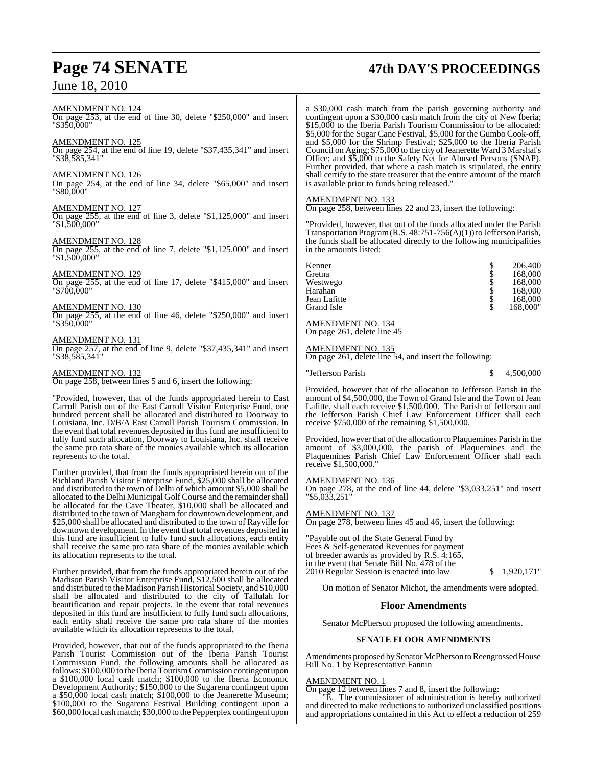# **Page 74 SENATE 47th DAY'S PROCEEDINGS**

AMENDMENT NO. 124 On page 253, at the end of line 30, delete "\$250,000" and insert "\$350,000"

### AMENDMENT NO. 125

On page 254, at the end of line 19, delete "\$37,435,341" and insert "\$38,585,341"

#### AMENDMENT NO. 126

On page 254, at the end of line 34, delete "\$65,000" and insert "\$80,000"

#### AMENDMENT NO. 127

On page 255, at the end of line 3, delete "\$1,125,000" and insert "\$1,500,000"

#### AMENDMENT NO. 128

On page 255, at the end of line 7, delete "\$1,125,000" and insert "\$1,500,000"

#### AMENDMENT NO. 129

On page 255, at the end of line 17, delete "\$415,000" and insert "\$700,000"

#### AMENDMENT NO. 130

On page 255, at the end of line 46, delete "\$250,000" and insert "\$350,000"

#### AMENDMENT NO. 131

On page 257, at the end of line 9, delete "\$37,435,341" and insert "\$38,585,341"

#### AMENDMENT NO. 132

On page 258, between lines 5 and 6, insert the following:

"Provided, however, that of the funds appropriated herein to East Carroll Parish out of the East Carroll Visitor Enterprise Fund, one hundred percent shall be allocated and distributed to Doorway to Louisiana, Inc. D/B/A East Carroll Parish Tourism Commission. In the event that total revenues deposited in this fund are insufficient to fully fund such allocation, Doorway to Louisiana, Inc. shall receive the same pro rata share of the monies available which its allocation represents to the total.

Further provided, that from the funds appropriated herein out of the Richland Parish Visitor Enterprise Fund, \$25,000 shall be allocated and distributed to the town of Delhi of which amount \$5,000 shall be allocated to the Delhi Municipal Golf Course and the remainder shall be allocated for the Cave Theater, \$10,000 shall be allocated and distributed to the town of Mangham for downtown development, and \$25,000 shall be allocated and distributed to the town of Rayville for downtown development. In the event that total revenues deposited in this fund are insufficient to fully fund such allocations, each entity shall receive the same pro rata share of the monies available which its allocation represents to the total.

Further provided, that from the funds appropriated herein out of the Madison Parish Visitor Enterprise Fund, \$12,500 shall be allocated and distributed to the Madison Parish Historical Society, and \$10,000 shall be allocated and distributed to the city of Tallulah for beautification and repair projects. In the event that total revenues deposited in this fund are insufficient to fully fund such allocations, each entity shall receive the same pro rata share of the monies available which its allocation represents to the total.

Provided, however, that out of the funds appropriated to the Iberia Parish Tourist Commission out of the Iberia Parish Tourist Commission Fund, the following amounts shall be allocated as follows: \$100,000 to the IberiaTourism Commission contingent upon a \$100,000 local cash match; \$100,000 to the Iberia Economic Development Authority; \$150,000 to the Sugarena contingent upon a \$50,000 local cash match; \$100,000 to the Jeanerette Museum; \$100,000 to the Sugarena Festival Building contingent upon a \$60,000 local cashmatch; \$30,000 to the Pepperplex contingent upon

a \$30,000 cash match from the parish governing authority and contingent upon a \$30,000 cash match from the city of New Iberia; \$15,000 to the Iberia Parish Tourism Commission to be allocated: \$5,000 for the Sugar Cane Festival, \$5,000 for the Gumbo Cook-off, and \$5,000 for the Shrimp Festival; \$25,000 to the Iberia Parish Council on Aging; \$75,000 to the city of Jeanerette Ward 3 Marshal's Office; and \$5,000 to the Safety Net for Abused Persons (SNAP). Further provided, that where a cash match is stipulated, the entity shall certify to the state treasurer that the entire amount of the match is available prior to funds being released."

#### AMENDMENT NO. 133

On page 258, between lines 22 and 23, insert the following:

"Provided, however, that out of the funds allocated under the Parish Transportation Program(R.S. 48:751-756(A)(1)) to Jefferson Parish, the funds shall be allocated directly to the following municipalities in the amounts listed:

| Kenner       | \$<br>206,400  |
|--------------|----------------|
| Gretna       | \$<br>168,000  |
| Westwego     | \$<br>168,000  |
| Harahan      | \$<br>168,000  |
| Jean Lafitte | \$<br>168,000  |
| Grand Isle   | \$<br>168,000" |

#### AMENDMENT NO. 134 On page 261, delete line 45

#### AMENDMENT NO. 135

On page 261, delete line 54, and insert the following:

| "Jefferson Parish |  | 4,500,000 |
|-------------------|--|-----------|
|-------------------|--|-----------|

Provided, however that of the allocation to Jefferson Parish in the amount of \$4,500,000, the Town of Grand Isle and the Town of Jean Lafitte, shall each receive \$1,500,000. The Parish of Jefferson and the Jefferson Parish Chief Law Enforcement Officer shall each receive \$750,000 of the remaining \$1,500,000.

Provided, however that of the allocation to Plaquemines Parish in the amount of \$3,000,000, the parish of Plaquemines and the Plaquemines Parish Chief Law Enforcement Officer shall each receive \$1,500,000."

#### AMENDMENT NO. 136

On page 278, at the end of line 44, delete "\$3,033,251" and insert "\$5,033,251"

#### AMENDMENT NO. 137

On page 278, between lines 45 and 46, insert the following:

"Payable out of the State General Fund by Fees & Self-generated Revenues for payment of breeder awards as provided by R.S. 4:165, in the event that Senate Bill No. 478 of the 2010 Regular Session is enacted into law \$ 1,920,171"

On motion of Senator Michot, the amendments were adopted.

#### **Floor Amendments**

Senator McPherson proposed the following amendments.

#### **SENATE FLOOR AMENDMENTS**

Amendments proposed by Senator McPherson to Reengrossed House Bill No. 1 by Representative Fannin

#### AMENDMENT NO. 1

On page 12 between lines 7 and 8, insert the following:

"E. The commissioner of administration is hereby authorized and directed to make reductions to authorized unclassified positions and appropriations contained in this Act to effect a reduction of 259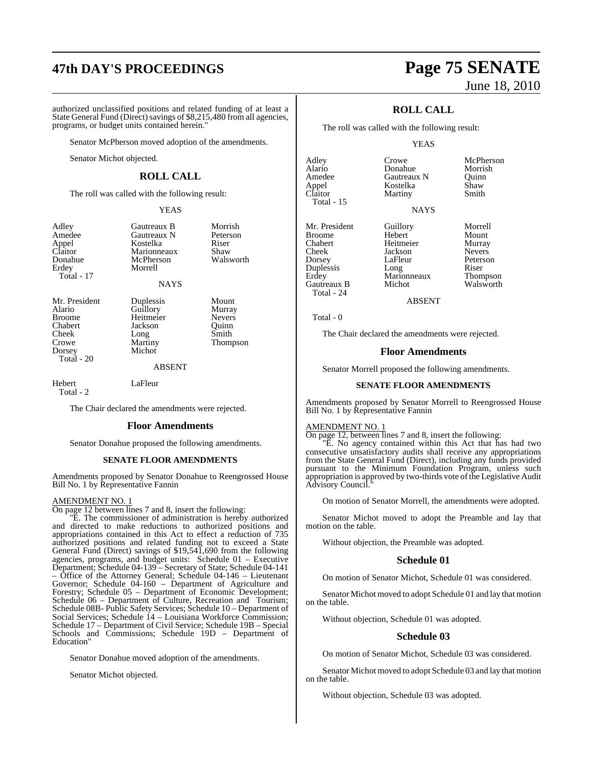# **47th DAY'S PROCEEDINGS Page 75 SENATE**

authorized unclassified positions and related funding of at least a State General Fund (Direct) savings of \$8,215,480 from all agencies, programs, or budget units contained herein."

Senator McPherson moved adoption of the amendments.

Senator Michot objected.

#### **ROLL CALL**

The roll was called with the following result:

#### YEAS

Gautreaux B Morrish<br>Gautreaux N Peterson Gautreaux N Peters<br>
Kostelka Riser

| Adley      |  |
|------------|--|
| Amedee     |  |
| Appel      |  |
| Claitor    |  |
| Donahue    |  |
| Erdey      |  |
| Total - 17 |  |

Kostelka Riser<br>Marionneaux Shaw Marionneaux Shaw<br>
McPherson Walsworth McPherson Morrell NAYS

Cheek Long<br>Crowe Martiny Crowe Martiny Thompson Total - 20

Mr. President Duplessis Mount<br>Alario Guillory Murray Alario Guillory Murray Broome Heitmeier Nevers<br>
Chabert Jackson Ouinn Chabert Jackson Quinn<br>
Cheek Long Smith

ABSENT

Michot

Hebert LaFleur Total - 2

The Chair declared the amendments were rejected.

#### **Floor Amendments**

Senator Donahue proposed the following amendments.

#### **SENATE FLOOR AMENDMENTS**

Amendments proposed by Senator Donahue to Reengrossed House Bill No. 1 by Representative Fannin

#### AMENDMENT NO. 1

On page 12 between lines 7 and 8, insert the following:

"E. The commissioner of administration is hereby authorized and directed to make reductions to authorized positions and appropriations contained in this Act to effect a reduction of 735 authorized positions and related funding not to exceed a State General Fund (Direct) savings of \$19,541,690 from the following agencies, programs, and budget units: Schedule 01 – Executive Department; Schedule 04-139 – Secretary of State; Schedule 04-141 – Office of the Attorney General; Schedule 04-146 – Lieutenant Governor; Schedule 04-160 – Department of Agriculture and Forestry; Schedule 05 – Department of Economic Development; Schedule 06 – Department of Culture, Recreation and Tourism; Schedule 08B- Public Safety Services; Schedule 10 – Department of Social Services; Schedule 14 – Louisiana Workforce Commission; Schedule 17 – Department of Civil Service; Schedule 19B – Special Schools and Commissions; Schedule 19D – Department of Education"

Senator Donahue moved adoption of the amendments.

Senator Michot objected.

# June 18, 2010

## **ROLL CALL**

The roll was called with the following result:

Donahue

#### YEAS

Adley Crowe McPherson<br>Alario Donahue Morrish Amedee Gautreaux N Quinn Total - 15

Mr. President Guillory Morrell<br>Broome Hebert Mount Broome Hebert Mount Chabert Heitmeier Murray Cheek Jackson<br>Dorsey LaFleur Duplessis Long Riser<br>
Erdey Marionneaux Thompson **Gautreaux B** Total - 24

Appel Kostelka Shaw Martiny **NAYS** 

LaFleur Peterson<br>Long Riser

Marionneaux Thompson<br>
Michot Walsworth

ABSENT

Total - 0

The Chair declared the amendments were rejected.

#### **Floor Amendments**

Senator Morrell proposed the following amendments.

#### **SENATE FLOOR AMENDMENTS**

Amendments proposed by Senator Morrell to Reengrossed House Bill No. 1 by Representative Fannin

#### AMENDMENT NO. 1

On page 12, between lines 7 and 8, insert the following:

"E. No agency contained within this Act that has had two consecutive unsatisfactory audits shall receive any appropriations from the State General Fund (Direct), including any funds provided pursuant to the Minimum Foundation Program, unless such appropriation is approved by two-thirds vote ofthe Legislative Audit Advisory Council."

On motion of Senator Morrell, the amendments were adopted.

Senator Michot moved to adopt the Preamble and lay that motion on the table.

Without objection, the Preamble was adopted.

#### **Schedule 01**

On motion of Senator Michot, Schedule 01 was considered.

Senator Michot moved to adopt Schedule 01 and lay that motion on the table.

Without objection, Schedule 01 was adopted.

#### **Schedule 03**

On motion of Senator Michot, Schedule 03 was considered.

Senator Michot moved to adopt Schedule 03 and lay that motion on the table.

Without objection, Schedule 03 was adopted.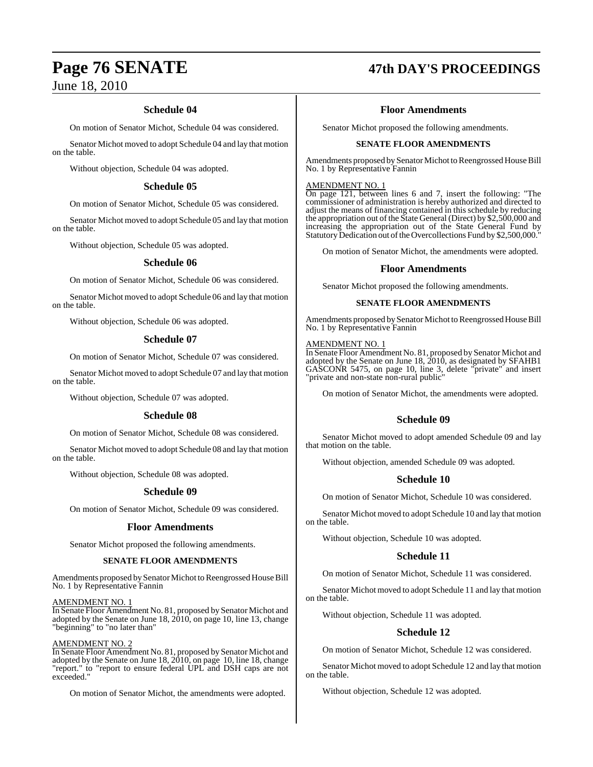### **Schedule 04**

On motion of Senator Michot, Schedule 04 was considered.

Senator Michot moved to adopt Schedule 04 and lay that motion on the table.

Without objection, Schedule 04 was adopted.

#### **Schedule 05**

On motion of Senator Michot, Schedule 05 was considered.

Senator Michot moved to adopt Schedule 05 and lay that motion on the table.

Without objection, Schedule 05 was adopted.

#### **Schedule 06**

On motion of Senator Michot, Schedule 06 was considered.

Senator Michot moved to adopt Schedule 06 and lay that motion on the table.

Without objection, Schedule 06 was adopted.

#### **Schedule 07**

On motion of Senator Michot, Schedule 07 was considered.

Senator Michot moved to adopt Schedule 07 and lay that motion on the table.

Without objection, Schedule 07 was adopted.

#### **Schedule 08**

On motion of Senator Michot, Schedule 08 was considered.

Senator Michot moved to adopt Schedule 08 and lay that motion on the table.

Without objection, Schedule 08 was adopted.

#### **Schedule 09**

On motion of Senator Michot, Schedule 09 was considered.

#### **Floor Amendments**

Senator Michot proposed the following amendments.

#### **SENATE FLOOR AMENDMENTS**

Amendments proposed by Senator Michot to Reengrossed House Bill No. 1 by Representative Fannin

AMENDMENT NO. 1

In Senate Floor Amendment No. 81, proposed by Senator Michot and adopted by the Senate on June 18, 2010, on page 10, line 13, change "beginning" to "no later than"

#### AMENDMENT NO. 2

In Senate Floor Amendment No. 81, proposed by Senator Michot and adopted by the Senate on June 18, 2010, on page 10, line 18, change "report." to "report to ensure federal UPL and DSH caps are not exceeded."

On motion of Senator Michot, the amendments were adopted.

# **Page 76 SENATE 47th DAY'S PROCEEDINGS**

### **Floor Amendments**

Senator Michot proposed the following amendments.

#### **SENATE FLOOR AMENDMENTS**

Amendments proposed by Senator Michot to Reengrossed House Bill No. 1 by Representative Fannin

#### AMENDMENT NO. 1

On page 121, between lines 6 and 7, insert the following: "The commissioner of administration is hereby authorized and directed to adjust the means of financing contained in this schedule by reducing the appropriation out of the State General (Direct) by \$2,500,000 and increasing the appropriation out of the State General Fund by Statutory Dedication out of the Overcollections Fund by \$2,500,000.

On motion of Senator Michot, the amendments were adopted.

#### **Floor Amendments**

Senator Michot proposed the following amendments.

#### **SENATE FLOOR AMENDMENTS**

Amendments proposed by Senator Michot to Reengrossed House Bill No. 1 by Representative Fannin

#### AMENDMENT NO. 1

In Senate Floor Amendment No. 81, proposed by Senator Michot and adopted by the Senate on June 18, 2010, as designated by SFAHB1 GASCONR 5475, on page 10, line 3, delete "private" and insert "private and non-state non-rural public"

On motion of Senator Michot, the amendments were adopted.

### **Schedule 09**

Senator Michot moved to adopt amended Schedule 09 and lay that motion on the table.

Without objection, amended Schedule 09 was adopted.

#### **Schedule 10**

On motion of Senator Michot, Schedule 10 was considered.

Senator Michot moved to adopt Schedule 10 and lay that motion on the table.

Without objection, Schedule 10 was adopted.

### **Schedule 11**

On motion of Senator Michot, Schedule 11 was considered.

Senator Michot moved to adopt Schedule 11 and lay that motion on the table.

Without objection, Schedule 11 was adopted.

### **Schedule 12**

On motion of Senator Michot, Schedule 12 was considered.

Senator Michot moved to adopt Schedule 12 and lay that motion on the table.

Without objection, Schedule 12 was adopted.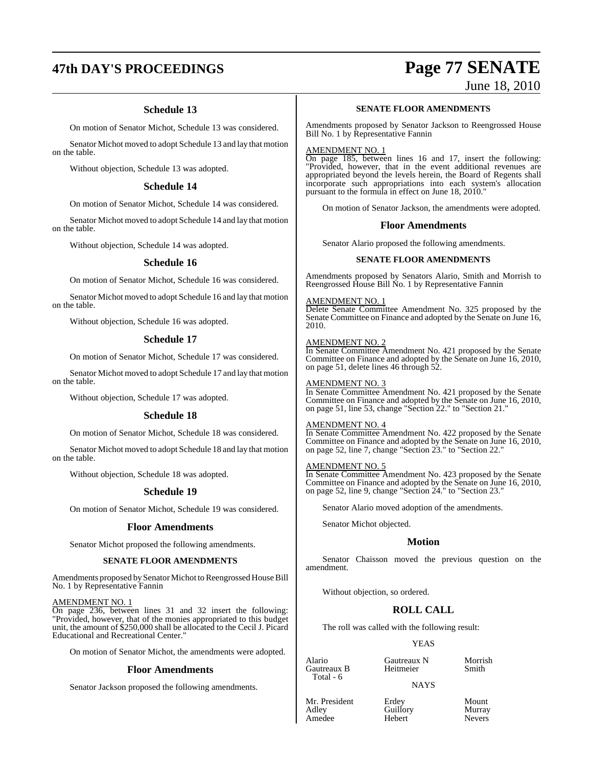# **47th DAY'S PROCEEDINGS Page 77 SENATE**

## **Schedule 13**

On motion of Senator Michot, Schedule 13 was considered.

Senator Michot moved to adopt Schedule 13 and lay that motion on the table.

Without objection, Schedule 13 was adopted.

#### **Schedule 14**

On motion of Senator Michot, Schedule 14 was considered.

Senator Michot moved to adopt Schedule 14 and lay that motion on the table.

Without objection, Schedule 14 was adopted.

#### **Schedule 16**

On motion of Senator Michot, Schedule 16 was considered.

Senator Michot moved to adopt Schedule 16 and lay that motion on the table.

Without objection, Schedule 16 was adopted.

#### **Schedule 17**

On motion of Senator Michot, Schedule 17 was considered.

Senator Michot moved to adopt Schedule 17 and lay that motion on the table.

Without objection, Schedule 17 was adopted.

#### **Schedule 18**

On motion of Senator Michot, Schedule 18 was considered.

Senator Michot moved to adopt Schedule 18 and lay that motion on the table.

Without objection, Schedule 18 was adopted.

#### **Schedule 19**

On motion of Senator Michot, Schedule 19 was considered.

#### **Floor Amendments**

Senator Michot proposed the following amendments.

#### **SENATE FLOOR AMENDMENTS**

Amendments proposed by Senator Michot to Reengrossed House Bill No. 1 by Representative Fannin

#### AMENDMENT NO. 1

On page 236, between lines 31 and 32 insert the following: "Provided, however, that of the monies appropriated to this budget unit, the amount of \$250,000 shall be allocated to the Cecil J. Picard Educational and Recreational Center."

On motion of Senator Michot, the amendments were adopted.

#### **Floor Amendments**

Senator Jackson proposed the following amendments.

# June 18, 2010

## **SENATE FLOOR AMENDMENTS**

Amendments proposed by Senator Jackson to Reengrossed House Bill No. 1 by Representative Fannin

#### AMENDMENT NO. 1

On page 185, between lines 16 and 17, insert the following: "Provided, however, that in the event additional revenues are appropriated beyond the levels herein, the Board of Regents shall incorporate such appropriations into each system's allocation pursuant to the formula in effect on June 18, 2010."

On motion of Senator Jackson, the amendments were adopted.

#### **Floor Amendments**

Senator Alario proposed the following amendments.

#### **SENATE FLOOR AMENDMENTS**

Amendments proposed by Senators Alario, Smith and Morrish to Reengrossed House Bill No. 1 by Representative Fannin

#### AMENDMENT NO. 1

Delete Senate Committee Amendment No. 325 proposed by the Senate Committee on Finance and adopted by the Senate on June 16, 2010.

#### AMENDMENT NO. 2

In Senate Committee Amendment No. 421 proposed by the Senate Committee on Finance and adopted by the Senate on June 16, 2010, on page 51, delete lines 46 through 52.

#### AMENDMENT NO. 3

In Senate Committee Amendment No. 421 proposed by the Senate Committee on Finance and adopted by the Senate on June 16, 2010, on page 51, line 53, change "Section 22." to "Section 21."

#### AMENDMENT NO. 4

In Senate Committee Amendment No. 422 proposed by the Senate Committee on Finance and adopted by the Senate on June 16, 2010, on page 52, line 7, change "Section 23." to "Section 22."

#### AMENDMENT NO. 5

In Senate Committee Amendment No. 423 proposed by the Senate Committee on Finance and adopted by the Senate on June 16, 2010, on page 52, line 9, change "Section 24." to "Section 23."

Senator Alario moved adoption of the amendments.

Senator Michot objected.

#### **Motion**

Senator Chaisson moved the previous question on the amendment.

Without objection, so ordered.

## **ROLL CALL**

The roll was called with the following result:

#### YEAS

Alario Gautreaux N Morrish Total - 6

Gautreaux B Heitmeier Smith

**NAYS** 

Mr. President Erdey Mount<br>Adley Guillory Murray Amedee

Guillory Murray<br>
Hebert Nevers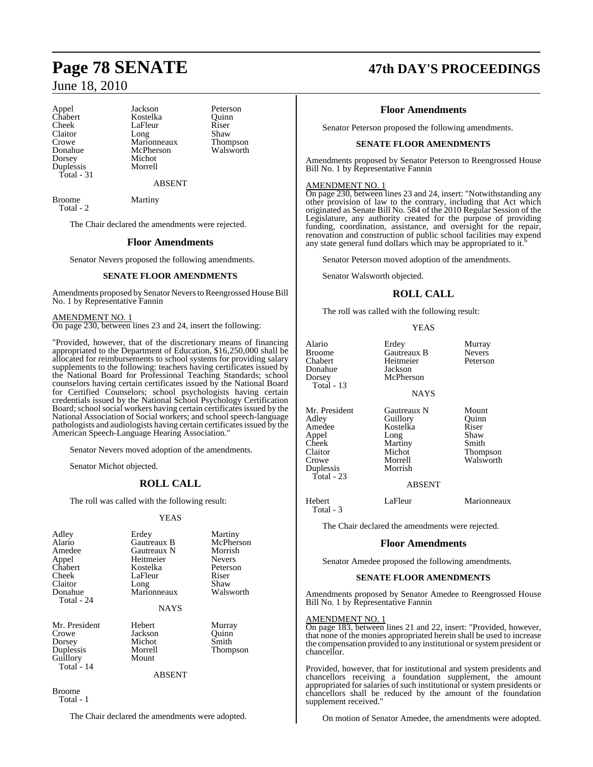Donahue McPherson<br>Dorsey Michot Duplessis Total - 31

Appel Jackson Peterson<br>Chabert Kostelka Quinn Chabert **Kostelka** Quinn<br>Cheek LaFleur Riser LaFleur Riser<br>Long Shaw Claitor Long Shaw<br>Crowe Marionneaux Thompson Crowe Marionneaux Thompson Michot<br>Morrell

ABSENT

Broome Martiny Total - 2

The Chair declared the amendments were rejected.

#### **Floor Amendments**

Senator Nevers proposed the following amendments.

#### **SENATE FLOOR AMENDMENTS**

Amendments proposed by Senator Nevers to Reengrossed House Bill No. 1 by Representative Fannin

AMENDMENT NO. 1 On page 230, between lines 23 and 24, insert the following:

"Provided, however, that of the discretionary means of financing appropriated to the Department of Education, \$16,250,000 shall be allocated for reimbursements to school systems for providing salary supplements to the following: teachers having certificates issued by the National Board for Professional Teaching Standards; school counselors having certain certificates issued by the National Board for Certified Counselors; school psychologists having certain credentials issued by the National School Psychology Certification Board; school social workers having certain certificates issued by the National Association of Social workers; and school speech-language pathologists and audiologists having certain certificates issued by the American Speech-Language Hearing Association."

Senator Nevers moved adoption of the amendments.

Senator Michot objected.

## **ROLL CALL**

The roll was called with the following result:

#### YEAS

| Adley      | Erdey       | Martiny       |
|------------|-------------|---------------|
| Alario     | Gautreaux B | McPherson     |
| Amedee     | Gautreaux N | Morrish       |
| Appel      | Heitmeier   | <b>Nevers</b> |
| Chabert    | Kostelka    | Peterson      |
| Cheek      | LaFleur     | Riser         |
| Claitor    | Long        | Shaw          |
| Donahue    | Marionneaux | Walsworth     |
| Total - 24 |             |               |
|            | <b>NAYS</b> |               |
|            |             |               |
|            |             |               |

Mr. President Hebert Murray<br>Crowe Jackson Ouinn Crowe Jackson Quinn<br>
Dorsey Michot Smith Dorsey Michot<br>
Duplessis Morrell Guillory Mount Total - 14

Thompson

ABSENT

Broome Total - 1

The Chair declared the amendments were adopted.

# **Page 78 SENATE 47th DAY'S PROCEEDINGS**

### **Floor Amendments**

Senator Peterson proposed the following amendments.

#### **SENATE FLOOR AMENDMENTS**

Amendments proposed by Senator Peterson to Reengrossed House Bill No. 1 by Representative Fannin

#### AMENDMENT NO. 1

On page 230, between lines 23 and 24, insert: "Notwithstanding any other provision of law to the contrary, including that Act which originated as Senate Bill No. 584 of the 2010 Regular Session of the Legislature, any authority created for the purpose of providing funding, coordination, assistance, and oversight for the repair, renovation and construction of public school facilities may expend any state general fund dollars which may be appropriated to it."

Senator Peterson moved adoption of the amendments.

Senator Walsworth objected.

## **ROLL CALL**

The roll was called with the following result:

#### YEAS

| Alario<br>Broome<br>Chabert<br>Donahue<br>Dorsey<br>Total - 13                                    | Erdey<br>Gautreaux B<br>Heitmeier<br>Jackson<br>McPherson                                               | Murray<br><b>Nevers</b><br>Peterson                               |
|---------------------------------------------------------------------------------------------------|---------------------------------------------------------------------------------------------------------|-------------------------------------------------------------------|
|                                                                                                   | <b>NAYS</b>                                                                                             |                                                                   |
| Mr. President<br>Adley<br>Amedee<br>Appel<br>Cheek<br>Claitor<br>Crowe<br>Duplessis<br>Total - 23 | Gautreaux N<br>Guillory<br>Kostelka<br>Long<br>Martiny<br>Michot<br>Morrell<br>Morrish<br><b>ABSENT</b> | Mount<br>Ouinn<br>Riser<br>Shaw<br>Smith<br>Thompson<br>Walsworth |
| Hebert<br>Total - 3                                                                               | LaFleur                                                                                                 | Marionneaux                                                       |
| The Chair declared the amendments were rejected.                                                  |                                                                                                         |                                                                   |
| <b>Floor Amendments</b>                                                                           |                                                                                                         |                                                                   |
|                                                                                                   | Senator Amedee proposed the following amendments.                                                       |                                                                   |

#### **SENATE FLOOR AMENDMENTS**

Amendments proposed by Senator Amedee to Reengrossed House Bill No. 1 by Representative Fannin

#### AMENDMENT NO. 1

On page 183, between lines 21 and 22, insert: "Provided, however, that none of the monies appropriated herein shall be used to increase the compensation provided to any institutional or system president or chancellor.

Provided, however, that for institutional and system presidents and chancellors receiving a foundation supplement, the amount appropriated for salaries of such institutional or system presidents or chancellors shall be reduced by the amount of the foundation supplement received."

On motion of Senator Amedee, the amendments were adopted.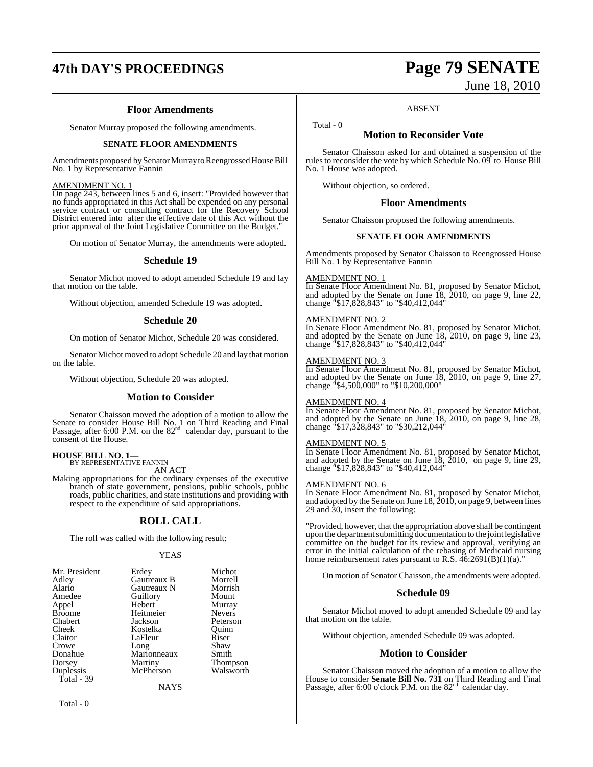# **47th DAY'S PROCEEDINGS Page 79 SENATE**

### **Floor Amendments**

Senator Murray proposed the following amendments.

#### **SENATE FLOOR AMENDMENTS**

Amendments proposed by Senator Murray to Reengrossed House Bill No. 1 by Representative Fannin

#### AMENDMENT NO. 1

On page 243, between lines 5 and 6, insert: "Provided however that no funds appropriated in this Act shall be expended on any personal service contract or consulting contract for the Recovery School District entered into after the effective date of this Act without the prior approval of the Joint Legislative Committee on the Budget."

On motion of Senator Murray, the amendments were adopted.

#### **Schedule 19**

Senator Michot moved to adopt amended Schedule 19 and lay that motion on the table.

Without objection, amended Schedule 19 was adopted.

#### **Schedule 20**

On motion of Senator Michot, Schedule 20 was considered.

Senator Michot moved to adopt Schedule 20 and lay that motion on the table.

Without objection, Schedule 20 was adopted.

#### **Motion to Consider**

Senator Chaisson moved the adoption of a motion to allow the Senate to consider House Bill No. 1 on Third Reading and Final Passage, after 6:00 P.M. on the  $82<sup>nd</sup>$  calendar day, pursuant to the consent of the House.

**HOUSE BILL NO. 1—** BY REPRESENTATIVE FANNIN

AN ACT

Making appropriations for the ordinary expenses of the executive branch of state government, pensions, public schools, public roads, public charities, and state institutions and providing with respect to the expenditure of said appropriations.

#### **ROLL CALL**

The roll was called with the following result:

#### YEAS

| Mr. President | Erdey       | Michot        |
|---------------|-------------|---------------|
| Adley         | Gautreaux B | Morrell       |
| Alario        | Gautreaux N | Morrish       |
| Amedee        | Guillory    | Mount         |
| Appel         | Hebert      | Murray        |
| <b>Broome</b> | Heitmeier   | <b>Nevers</b> |
| Chabert       | Jackson     | Peterson      |
| Cheek         | Kostelka    | Quinn         |
| Claitor       | LaFleur     | Riser         |
| Crowe         | Long        | Shaw          |
| Donahue       | Marionneaux | Smith         |
| Dorsey        | Martiny     | Thompson      |
| Duplessis     | McPherson   | Walsworth     |
| Total - 39    |             |               |
|               | NAYS        |               |

Total - 0

# June 18, 2010

#### ABSENT

**Motion to Reconsider Vote**

Senator Chaisson asked for and obtained a suspension of the rules to reconsider the vote by which Schedule No. 09 to House Bill No. 1 House was adopted.

Without objection, so ordered.

#### **Floor Amendments**

Senator Chaisson proposed the following amendments.

#### **SENATE FLOOR AMENDMENTS**

Amendments proposed by Senator Chaisson to Reengrossed House Bill No. 1 by Representative Fannin

#### AMENDMENT NO. 1

Total - 0

In Senate Floor Amendment No. 81, proposed by Senator Michot, and adopted by the Senate on June 18, 2010, on page 9, line 22, change "\$17,828,843" to "\$40,412,044"

#### AMENDMENT NO. 2

In Senate Floor Amendment No. 81, proposed by Senator Michot, and adopted by the Senate on June 18, 2010, on page 9, line 23, change "\$17,828,843" to "\$40,412,044"

#### AMENDMENT NO. 3

In Senate Floor Amendment No. 81, proposed by Senator Michot, and adopted by the Senate on June 18, 2010, on page 9, line 27, change "\$4,500,000" to "\$10,200,000"

#### AMENDMENT NO. 4

In Senate Floor Amendment No. 81, proposed by Senator Michot, and adopted by the Senate on June 18, 2010, on page 9, line 28, change "\$17,328,843" to "\$30,212,044"

#### AMENDMENT NO. 5

In Senate Floor Amendment No. 81, proposed by Senator Michot, and adopted by the Senate on June 18, 2010, on page 9, line 29, change "\$17,828,843" to "\$40,412,044"

#### AMENDMENT NO. 6

In Senate Floor Amendment No. 81, proposed by Senator Michot, and adopted by the Senate on June 18, 2010, on page 9, between lines 29 and 30, insert the following:

"Provided, however, that the appropriation above shall be contingent upon the department submitting documentation to the joint legislative committee on the budget for its review and approval, verifying an error in the initial calculation of the rebasing of Medicaid nursing home reimbursement rates pursuant to R.S.  $\overline{46:2691(B)(1)(a)}$ .

On motion of Senator Chaisson, the amendments were adopted.

#### **Schedule 09**

Senator Michot moved to adopt amended Schedule 09 and lay that motion on the table.

Without objection, amended Schedule 09 was adopted.

#### **Motion to Consider**

Senator Chaisson moved the adoption of a motion to allow the House to consider **Senate Bill No. 731** on Third Reading and Final<br>Passage, after 6:00 o'clock P.M. on the 82<sup>nd</sup> calendar day.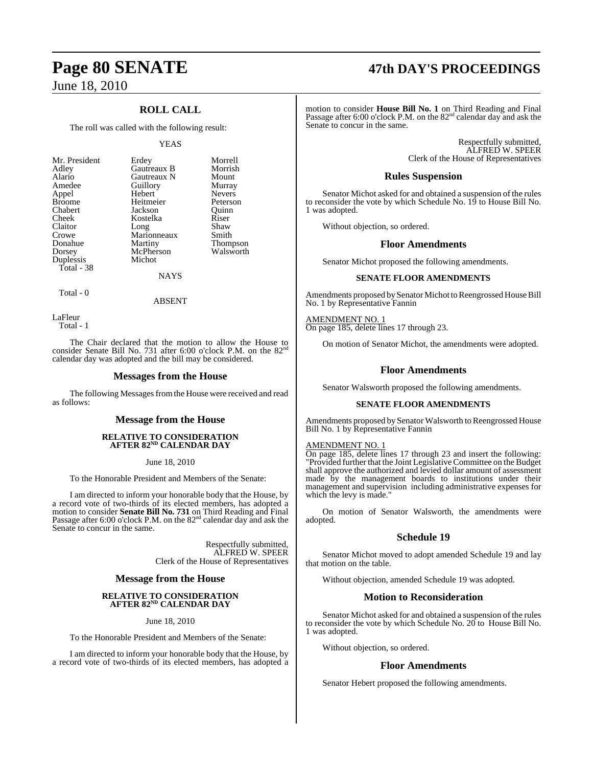## **ROLL CALL**

The roll was called with the following result:

#### YEAS

| Mr. President | Erdey       | Morrell       |
|---------------|-------------|---------------|
| Adley         | Gautreaux B | Morrish       |
| Alario        | Gautreaux N | Mount         |
| Amedee        | Guillory    | Murray        |
| Appel         | Hebert      | <b>Nevers</b> |
| <b>Broome</b> | Heitmeier   | Peterson      |
| Chabert       | Jackson     | Ouinn         |
| Cheek         | Kostelka    | Riser         |
| Claitor       | Long        | Shaw          |
| Crowe         | Marionneaux | Smith         |
| Donahue       | Martiny     | Thompson      |
| Dorsey        | McPherson   | Walsworth     |
| Duplessis     | Michot      |               |
| Total - 38    |             |               |
|               | NAYS        |               |

Total - 0

LaFleur Total - 1

The Chair declared that the motion to allow the House to consider Senate Bill No. 731 after 6:00 o'clock P.M. on the 82<sup>nd</sup> calendar day was adopted and the bill may be considered.

ABSENT

#### **Messages from the House**

The following Messages from the House were received and read as follows:

#### **Message from the House**

#### **RELATIVE TO CONSIDERATION AFTER 82ND CALENDAR DAY**

June 18, 2010

To the Honorable President and Members of the Senate:

I am directed to inform your honorable body that the House, by a record vote of two-thirds of its elected members, has adopted a motion to consider **Senate Bill No. 731** on Third Reading and Final Passage after 6:00 o'clock P.M. on the 82nd calendar day and ask the Senate to concur in the same.

> Respectfully submitted, ALFRED W. SPEER Clerk of the House of Representatives

#### **Message from the House**

# **RELATIVE TO CONSIDERATION AFTER 82ND CALENDAR DAY**

June 18, 2010

To the Honorable President and Members of the Senate:

I am directed to inform your honorable body that the House, by a record vote of two-thirds of its elected members, has adopted a

# **Page 80 SENATE 47th DAY'S PROCEEDINGS**

motion to consider **House Bill No. 1** on Third Reading and Final<br>Passage after 6:00 o'clock P.M. on the 82<sup>nd</sup> calendar day and ask the Senate to concur in the same.

> Respectfully submitted, ALFRED W. SPEER Clerk of the House of Representatives

#### **Rules Suspension**

Senator Michot asked for and obtained a suspension of the rules to reconsider the vote by which Schedule No. 19 to House Bill No. 1 was adopted.

Without objection, so ordered.

#### **Floor Amendments**

Senator Michot proposed the following amendments.

#### **SENATE FLOOR AMENDMENTS**

Amendments proposed bySenator Michot to Reengrossed House Bill No. 1 by Representative Fannin

AMENDMENT NO. 1 On page 185, delete lines 17 through 23.

On motion of Senator Michot, the amendments were adopted.

#### **Floor Amendments**

Senator Walsworth proposed the following amendments.

#### **SENATE FLOOR AMENDMENTS**

Amendments proposed by Senator Walsworth to Reengrossed House Bill No. 1 by Representative Fannin

#### AMENDMENT NO. 1

On page 185, delete lines 17 through 23 and insert the following: "Provided further that the Joint Legislative Committee on the Budget shall approve the authorized and levied dollar amount of assessment made by the management boards to institutions under their management and supervision including administrative expenses for which the levy is made."

On motion of Senator Walsworth, the amendments were adopted.

#### **Schedule 19**

Senator Michot moved to adopt amended Schedule 19 and lay that motion on the table.

Without objection, amended Schedule 19 was adopted.

#### **Motion to Reconsideration**

Senator Michot asked for and obtained a suspension of the rules to reconsider the vote by which Schedule No. 20 to House Bill No. 1 was adopted.

Without objection, so ordered.

#### **Floor Amendments**

Senator Hebert proposed the following amendments.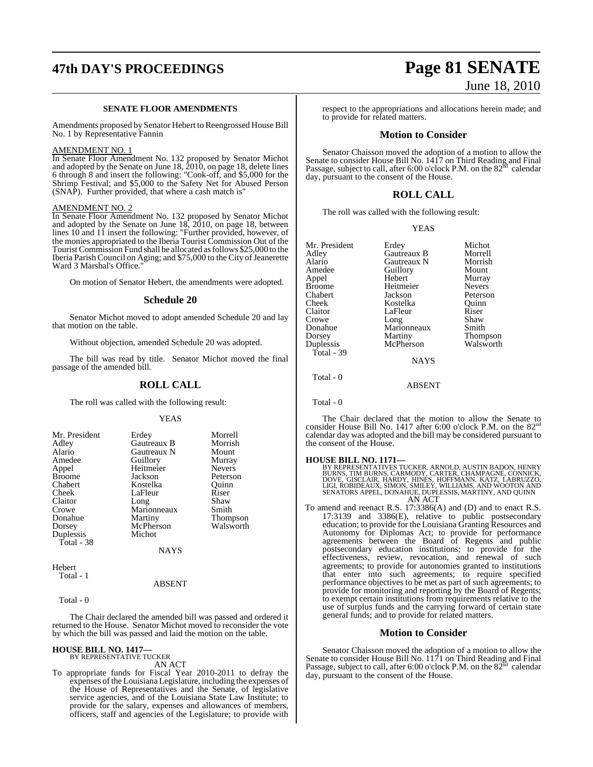# **47th DAY'S PROCEEDINGS Page 81 SENATE**

#### **SENATE FLOOR AMENDMENTS**

Amendments proposed by Senator Hebert to Reengrossed House Bill No. 1 by Representative Fannin

#### AMENDMENT NO. 1

In Senate Floor Amendment No. 132 proposed by Senator Michot and adopted by the Senate on June 18, 2010, on page 18, delete lines 6 through 8 and insert the following: "Cook-off, and \$5,000 for the Shrimp Festival; and \$5,000 to the Safety Net for Abused Person (SNAP). Further provided, that where a cash match is"

#### AMENDMENT NO. 2

In Senate Floor Amendment No. 132 proposed by Senator Michot and adopted by the Senate on June 18, 2010, on page 18, between lines 10 and 11 insert the following: "Further provided, however, of the monies appropriated to the Iberia Tourist Commission Out of the TouristCommission Fund shall be allocated asfollows \$25,000 to the Iberia Parish Council on Aging; and \$75,000 to the City of Jeanerette Ward 3 Marshal's Office."

On motion of Senator Hebert, the amendments were adopted.

#### **Schedule 20**

Senator Michot moved to adopt amended Schedule 20 and lay that motion on the table.

Without objection, amended Schedule 20 was adopted.

The bill was read by title. Senator Michot moved the final passage of the amended bill.

#### **ROLL CALL**

The roll was called with the following result:

#### YEAS

|             | Morrell                                         |
|-------------|-------------------------------------------------|
|             | Morrish                                         |
|             |                                                 |
|             | Mount                                           |
|             | Murray                                          |
| Heitmeier   | <b>Nevers</b>                                   |
| Jackson     | Peterson                                        |
| Kostelka    | Ouinn                                           |
| LaFleur     | Riser                                           |
| Long        | Shaw                                            |
| Marionneaux | Smith                                           |
| Martiny     | Thompson                                        |
| McPherson   | Walsworth                                       |
| Michot      |                                                 |
|             |                                                 |
| <b>NAYS</b> |                                                 |
|             | Erdey<br>Gautreaux B<br>Gautreaux N<br>Guillory |

Hebert Total - 1

#### ABSENT

Total - 0

The Chair declared the amended bill was passed and ordered it returned to the House. Senator Michot moved to reconsider the vote by which the bill was passed and laid the motion on the table.

# **HOUSE BILL NO. 1417—** BY REPRESENTATIVE TUCKER

AN ACT

To appropriate funds for Fiscal Year 2010-2011 to defray the expenses of the Louisiana Legislature, including the expenses of the House of Representatives and the Senate, of legislative service agencies, and of the Louisiana State Law Institute; to provide for the salary, expenses and allowances of members, officers, staff and agencies of the Legislature; to provide with

# June 18, 2010

respect to the appropriations and allocations herein made; and to provide for related matters.

#### **Motion to Consider**

Senator Chaisson moved the adoption of a motion to allow the Senate to consider House Bill No. 1417 on Third Reading and Final Passage, subject to call, after 6:00 o'clock P.M. on the  $82<sup>nd</sup>$  calendar day, pursuant to the consent of the House.

#### **ROLL CALL**

The roll was called with the following result:

#### YEAS

| Mr. President     | Erdey       | Michot        |
|-------------------|-------------|---------------|
| Adley             | Gautreaux B | Morrell       |
| Alario            | Gautreaux N | Morrish       |
| Amedee            | Guillory    | Mount         |
| Appel             | Hebert      | Murray        |
| <b>Broome</b>     | Heitmeier   | <b>Nevers</b> |
| Chabert           | Jackson     | Peterson      |
| Cheek             | Kostelka    | Ouinn         |
| Claitor           | LaFleur     | Riser         |
| Crowe             | Long        | Shaw          |
| Donahue           | Marionneaux | Smith         |
| Dorsey            | Martiny     | Thompson      |
| Duplessis         | McPherson   | Walsworth     |
| <b>Total - 39</b> |             |               |

**NAYS** 

ABSENT

Total - 0

Total - 0

The Chair declared that the motion to allow the Senate to consider House Bill No. 1417 after 6:00 o'clock P.M. on the 82<sup>nd</sup> calendar day was adopted and the bill may be considered pursuant to the consent of the House.

**HOUSE BILL NO. 1171—**<br>BY REPRESENTATIVES TUCKER, ARNOLD, AUSTIN BADON, HENRY<br>BURNS, TIM BURNS, CARMODY, CARTER, CHAMPAGNE, CONNICK,<br>DOVE, GISCLAIR, HARDY, HINES, HOFFMANN, KATZ, LABRUZZO,<br>LIGI, ROBIDEAUX, SIMON, SMILEY, W

To amend and reenact R.S. 17:3386(A) and (D) and to enact R.S. 17:3139 and 3386(E), relative to public postsecondary education; to provide for the Louisiana Granting Resources and Autonomy for Diplomas Act; to provide for performance agreements between the Board of Regents and public postsecondary education institutions; to provide for the effectiveness, review, revocation, and renewal of such agreements; to provide for autonomies granted to institutions that enter into such agreements; to require specified performance objectives to be met as part of such agreements; to provide for monitoring and reporting by the Board of Regents; to exempt certain institutions from requirements relative to the use of surplus funds and the carrying forward of certain state general funds; and to provide for related matters.

#### **Motion to Consider**

Senator Chaisson moved the adoption of a motion to allow the Senate to consider House Bill No. 1171 on Third Reading and Final<br>Passage, subject to call, after 6:00 o'clock P.M. on the 82<sup>nd</sup> calendar day, pursuant to the consent of the House.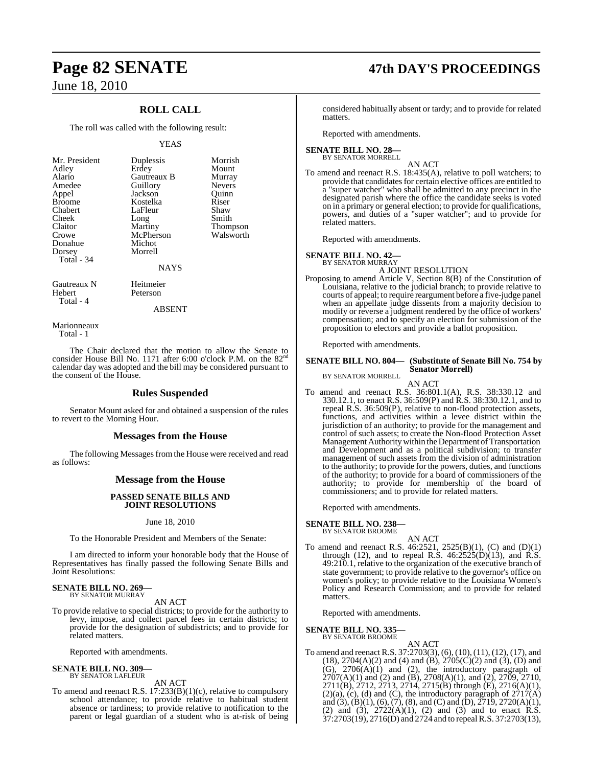## **ROLL CALL**

The roll was called with the following result:

#### YEAS

| Mr. President | Duplessis   | Morri |
|---------------|-------------|-------|
| Adley         | Erdey       | Moun  |
| Alario        | Gautreaux B | Murra |
| Amedee        | Guillory    | Never |
| Appel         | Jackson     | Ouinn |
| <b>Broome</b> | Kostelka    | Riser |
| Chabert       | LaFleur     | Shaw  |
| Cheek         | Long        | Smith |
| Claitor       | Martiny     | Thom  |
| Crowe         | McPherson   | Walsy |
| Donahue       | Michot      |       |
| Dorsey        | Morrell     |       |
| Total - 34    |             |       |
|               | NAYS        |       |

Puplessis Morrish<br>President Duplessis<br>Mount Mount<br>Murray Alario Gautreaux B Murray Buillory Nevers<br>
ackson Ouinn ackson Quinn<br>Kostelka Riser Kostelka Riser<br>Feleur Shaw Albert Laffleur Shaw<br>
Long Smith Martiny Thompson<br>McPherson Walsworth McPherson

#### NAYS

Gautreaux N Heitmeier Hebert Peterson Total - 4

ABSENT

Marionneaux Total - 1

The Chair declared that the motion to allow the Senate to consider House Bill No. 1171 after 6:00 o'clock P.M. on the  $82<sup>nd</sup>$ calendar day was adopted and the bill may be considered pursuant to the consent of the House.

#### **Rules Suspended**

Senator Mount asked for and obtained a suspension of the rules to revert to the Morning Hour.

#### **Messages from the House**

The following Messages from the House were received and read as follows:

#### **Message from the House**

#### **PASSED SENATE BILLS AND JOINT RESOLUTIONS**

#### June 18, 2010

To the Honorable President and Members of the Senate:

I am directed to inform your honorable body that the House of Representatives has finally passed the following Senate Bills and Joint Resolutions:

#### **SENATE BILL NO. 269—** BY SENATOR MURRAY

AN ACT

To provide relative to special districts; to provide for the authority to levy, impose, and collect parcel fees in certain districts; to provide for the designation of subdistricts; and to provide for related matters.

Reported with amendments.

# **SENATE BILL NO. 309—** BY SENATOR LAFLEUR

AN ACT To amend and reenact R.S. 17:233(B)(1)(c), relative to compulsory school attendance; to provide relative to habitual student absence or tardiness; to provide relative to notification to the parent or legal guardian of a student who is at-risk of being

# **Page 82 SENATE 47th DAY'S PROCEEDINGS**

considered habitually absent or tardy; and to provide for related matters.

Reported with amendments.

#### **SENATE BILL NO. 28—** BY SENATOR MORRELL

AN ACT

To amend and reenact R.S. 18:435(A), relative to poll watchers; to provide that candidates for certain elective offices are entitled to a "super watcher" who shall be admitted to any precinct in the designated parish where the office the candidate seeks is voted on in a primary or general election; to provide for qualifications, powers, and duties of a "super watcher"; and to provide for related matters.

Reported with amendments.

#### **SENATE BILL NO. 42—**

BY SENATOR MURRAY A JOINT RESOLUTION

Proposing to amend Article V, Section 8(B) of the Constitution of Louisiana, relative to the judicial branch; to provide relative to courts of appeal; to require reargument before a five-judge panel when an appellate judge dissents from a majority decision to modify or reverse a judgment rendered by the office of workers' compensation; and to specify an election for submission of the proposition to electors and provide a ballot proposition.

Reported with amendments.

#### **SENATE BILL NO. 804— (Substitute of Senate Bill No. 754 by Senator Morrell)**

BY SENATOR MORRELL

AN ACT To amend and reenact R.S. 36:801.1(A), R.S. 38:330.12 and 330.12.1, to enact R.S. 36:509(P) and R.S. 38:330.12.1, and to repeal R.S. 36:509(P), relative to non-flood protection assets, functions, and activities within a levee district within the jurisdiction of an authority; to provide for the management and control of such assets; to create the Non-flood Protection Asset Management Authority within the Department of Transportation and Development and as a political subdivision; to transfer management of such assets from the division of administration to the authority; to provide for the powers, duties, and functions of the authority; to provide for a board of commissioners of the

authority; to provide for membership of the board of

commissioners; and to provide for related matters.

Reported with amendments.

#### **SENATE BILL NO. 238—**

BY SENATOR BROOME

AN ACT To amend and reenact R.S. 46:2521, 2525(B)(1), (C) and (D)(1) through (12), and to repeal R.S.  $46:2525(D)(13)$ , and R.S. 49:210.1, relative to the organization of the executive branch of state government; to provide relative to the governor's office on women's policy; to provide relative to the Louisiana Women's Policy and Research Commission; and to provide for related matters.

Reported with amendments.

**SENATE BILL NO. 335—** BY SENATOR BROOME

#### AN ACT

To amend and reenact R.S. 37:2703(3), (6), (10),(11), (12), (17), and  $(18)$ ,  $2704(A)(2)$  and  $(4)$  and  $(B)$ ,  $2705(C)(2)$  and  $(3)$ ,  $(D)$  and (G), 2706(A)(1) and (2), the introductory paragraph of  $2707(A)(1)$  and (2) and (B),  $2708(A)(1)$ , and (2),  $2709$ ,  $2710$ , 2711(B), 2712, 2713, 2714, 2715(B) through (E), 2716(A)(1),  $(2)(a)$ ,  $(c)$ ,  $(d)$  and  $(C)$ , the introductory paragraph of  $2717(A)$ and (3), (B)(1), (6), (7), (8), and (C) and (D), 2719, 2720(A)(1), (2) and (3), 2722(A)(1), (2) and (3) and to enact R.S. 37:2703(19), 2716(D) and 2724 and to repealR.S. 37:2703(13),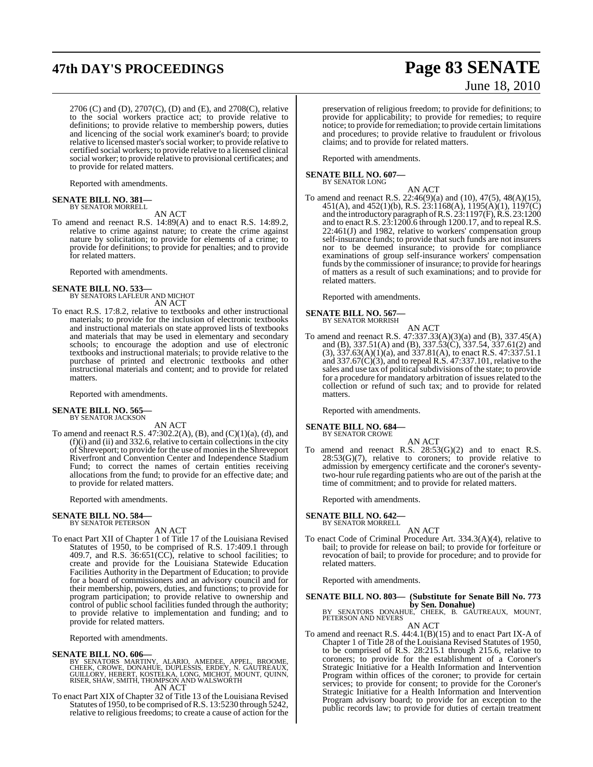# **47th DAY'S PROCEEDINGS Page 83 SENATE**

2706 (C) and (D), 2707(C), (D) and (E), and 2708(C), relative to the social workers practice act; to provide relative to definitions; to provide relative to membership powers, duties and licencing of the social work examiner's board; to provide relative to licensed master's social worker; to provide relative to certified social workers; to provide relative to a licensed clinical social worker; to provide relative to provisional certificates; and to provide for related matters.

Reported with amendments.

# **SENATE BILL NO. 381—** BY SENATOR MORRELL

AN ACT

To amend and reenact R.S. 14:89(A) and to enact R.S. 14:89.2, relative to crime against nature; to create the crime against nature by solicitation; to provide for elements of a crime; to provide for definitions; to provide for penalties; and to provide for related matters.

Reported with amendments.

#### **SENATE BILL NO. 533**

BY SENATORS LAFLEUR AND MICHOT AN ACT

To enact R.S. 17:8.2, relative to textbooks and other instructional materials; to provide for the inclusion of electronic textbooks and instructional materials on state approved lists of textbooks and materials that may be used in elementary and secondary schools; to encourage the adoption and use of electronic textbooks and instructional materials; to provide relative to the purchase of printed and electronic textbooks and other instructional materials and content; and to provide for related matters.

Reported with amendments.

#### **SENATE BILL NO. 565—** BY SENATOR JACKSON

AN ACT

To amend and reenact R.S.  $47:302.2(A)$ , (B), and (C)(1)(a), (d), and  $(f)(i)$  and  $(ii)$  and 332.6, relative to certain collections in the city of Shreveport; to provide for the use of moniesin the Shreveport Riverfront and Convention Center and Independence Stadium Fund; to correct the names of certain entities receiving allocations from the fund; to provide for an effective date; and to provide for related matters.

Reported with amendments.

#### **SENATE BILL NO. 584—** BY SENATOR PETERSON

AN ACT

To enact Part XII of Chapter 1 of Title 17 of the Louisiana Revised Statutes of 1950, to be comprised of R.S. 17:409.1 through 409.7, and R.S.  $36:651(CC)$ , relative to school facilities; to create and provide for the Louisiana Statewide Education Facilities Authority in the Department of Education; to provide for a board of commissioners and an advisory council and for their membership, powers, duties, and functions; to provide for program participation; to provide relative to ownership and control of public school facilities funded through the authority; to provide relative to implementation and funding; and to provide for related matters.

Reported with amendments.

#### **SENATE BILL NO. 606—**

BY SENATORS MARTINY, ALARIO, AMEDEE, APPEL, BROOME,<br>CHEEK, CROWE, DONAHUE, DUPLESSIS, ERDEY, N. GAUTREAUX,<br>GUILLORY, HEBERT, KOSTELKA, LONG, MICHOT, MOUNT, QUINN,<br>RISER, SHAW, SMITH, THOMPSON AND WALSWORTH AN ACT

To enact Part XIX of Chapter 32 of Title 13 of the Louisiana Revised Statutes of 1950, to be comprised ofR.S. 13:5230 through 5242, relative to religious freedoms; to create a cause of action for the

# June 18, 2010

preservation of religious freedom; to provide for definitions; to provide for applicability; to provide for remedies; to require notice; to provide for remediation; to provide certain limitations and procedures; to provide relative to fraudulent or frivolous claims; and to provide for related matters.

Reported with amendments.

**SENATE BILL NO. 607—** BY SENATOR LONG

AN ACT

To amend and reenact R.S. 22:46(9)(a) and (10), 47(5), 48(A)(15), 451(A), and 452(1)(b), R.S. 23:1168(A), 1195(A)(1), 1197(C) and the introductory paragraph ofR.S. 23:1197(F), R.S. 23:1200 and to enact R.S. 23:1200.6 through 1200.17, and to repeal R.S. 22:461(J) and 1982, relative to workers' compensation group self-insurance funds; to provide that such funds are not insurers nor to be deemed insurance; to provide for compliance examinations of group self-insurance workers' compensation funds by the commissioner of insurance; to provide for hearings of matters as a result of such examinations; and to provide for related matters.

Reported with amendments.

#### **SENATE BILL NO. 567—** BY SENATOR MORRISH

- AN ACT To amend and reenact R.S. 47:337.33(A)(3)(a) and (B), 337.45(A)
- and (B), 337.51(A) and (B), 337.53(C), 337.54, 337.61(2) and  $(3)$ ,  $337.63(A)(1)(a)$ , and  $337.81(A)$ , to enact R.S.  $47:337.51.1$ and 337.67(C)(3), and to repeal R.S. 47:337.101, relative to the sales and use tax of political subdivisions of the state; to provide for a procedure for mandatory arbitration of issues related to the collection or refund of such tax; and to provide for related matters.

Reported with amendments.

#### **SENATE BILL NO. 684—**

BY SENATOR CROWE

AN ACT To amend and reenact R.S.  $28:53(G)(2)$  and to enact R.S.  $28:53(G)(7)$ , relative to coroners; to provide relative to admission by emergency certificate and the coroner's seventytwo-hour rule regarding patients who are out of the parish at the time of commitment; and to provide for related matters.

Reported with amendments.

**SENATE BILL NO. 642—**

BY SENATOR MORRELL AN ACT

To enact Code of Criminal Procedure Art. 334.3(A)(4), relative to bail; to provide for release on bail; to provide for forfeiture or revocation of bail; to provide for procedure; and to provide for related matters.

Reported with amendments.

**SENATE BILL NO. 803— (Substitute for Senate Bill No. 773 by Sen. Donahue)**<br>BY SENATORS DONAHUE, CHEEK, B. GAUTREAUX, MOUNT, PETERSON AND NEVERS

AN ACT

To amend and reenact R.S. 44:4.1(B)(15) and to enact Part IX-A of Chapter 1 of Title 28 of the Louisiana Revised Statutes of 1950, to be comprised of R.S. 28:215.1 through 215.6, relative to coroners; to provide for the establishment of a Coroner's Strategic Initiative for a Health Information and Intervention Program within offices of the coroner; to provide for certain services; to provide for consent; to provide for the Coroner's Strategic Initiative for a Health Information and Intervention Program advisory board; to provide for an exception to the public records law; to provide for duties of certain treatment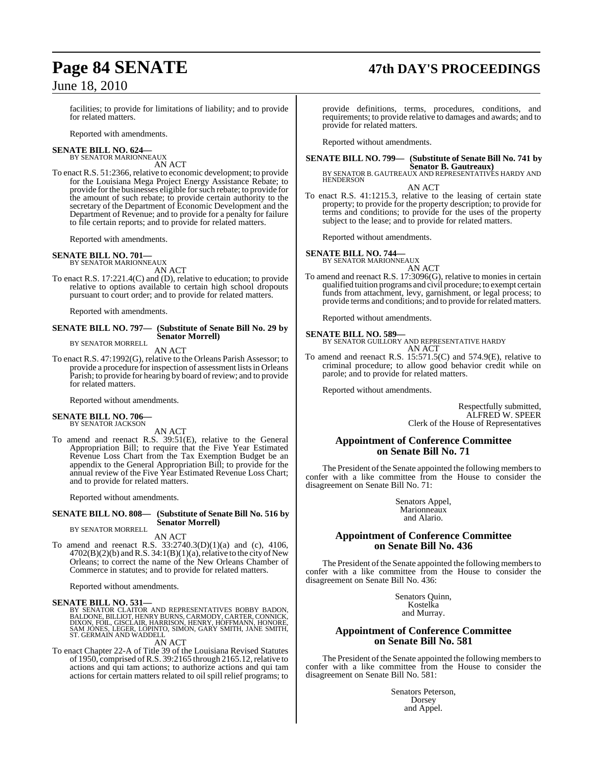# **Page 84 SENATE 47th DAY'S PROCEEDINGS**

facilities; to provide for limitations of liability; and to provide for related matters.

Reported with amendments.

#### **SENATE BILL NO. 624—** BY SENATOR MARIONNEAUX

AN ACT

To enact R.S. 51:2366, relative to economic development; to provide for the Louisiana Mega Project Energy Assistance Rebate; to provide for the businesses eligible for such rebate; to provide for the amount of such rebate; to provide certain authority to the secretary of the Department of Economic Development and the Department of Revenue; and to provide for a penalty for failure to file certain reports; and to provide for related matters.

Reported with amendments.

#### **SENATE BILL NO. 701—**

BY SENATOR MARIONNEAUX

AN ACT To enact R.S. 17:221.4(C) and (D), relative to education; to provide relative to options available to certain high school dropouts pursuant to court order; and to provide for related matters.

Reported with amendments.

#### **SENATE BILL NO. 797— (Substitute of Senate Bill No. 29 by Senator Morrell)**

BY SENATOR MORRELL AN ACT

To enact R.S. 47:1992(G), relative to the Orleans Parish Assessor; to provide a procedure for inspection of assessment listsin Orleans Parish; to provide for hearing by board of review; and to provide for related matters.

Reported without amendments.

#### **SENATE BILL NO. 706—**

BY SENATOR JACKSON

AN ACT

To amend and reenact R.S. 39:51(E), relative to the General Appropriation Bill; to require that the Five Year Estimated Revenue Loss Chart from the Tax Exemption Budget be an appendix to the General Appropriation Bill; to provide for the annual review of the Five Year Estimated Revenue Loss Chart; and to provide for related matters.

Reported without amendments.

#### **SENATE BILL NO. 808— (Substitute of Senate Bill No. 516 by Senator Morrell)**

BY SENATOR MORRELL

AN ACT

To amend and reenact R.S. 33:2740.3(D)(1)(a) and (c), 4106,  $4702(B)(2)(b)$  and R.S.  $34:1(B)(1)(a)$ , relative to the city of New Orleans; to correct the name of the New Orleans Chamber of Commerce in statutes; and to provide for related matters.

Reported without amendments.

#### **SENATE BILL NO. 531—**

BY SENATOR CLAITOR AND REPRESENTATIVES BOBBY BADON,<br>BALDONE, BILLIOT, HENRY BURNS, CARMODY, CARTER, CONNICK,<br>DIXON, FOIL, GISCLAIR, HARRISON, HENRY, HOFFMANN, HONORE,<br>SAM JONES, LEGER, LOPINTO, SIMON, GARY SMITH, JANE SMIT

AN ACT

To enact Chapter 22-A of Title 39 of the Louisiana Revised Statutes of 1950, comprised ofR.S. 39:2165 through 2165.12,relative to actions and qui tam actions; to authorize actions and qui tam actions for certain matters related to oil spill relief programs; to

provide definitions, terms, procedures, conditions, and requirements; to provide relative to damages and awards; and to provide for related matters.

Reported without amendments.

# **SENATE BILL NO. 799— (Substitute of Senate Bill No. 741 by**

**Senator B. Gautreaux)** BY SENATOR B. GAUTREAUX AND REPRESENTATIVES HARDY AND HENDERSON

AN ACT To enact R.S. 41:1215.3, relative to the leasing of certain state property; to provide for the property description; to provide for terms and conditions; to provide for the uses of the property subject to the lease; and to provide for related matters.

Reported without amendments.

# **SENATE BILL NO. 744—** BY SENATOR MARIONNEAUX

AN ACT

To amend and reenact R.S. 17:3096(G), relative to monies in certain qualified tuition programs and civil procedure; to exempt certain funds from attachment, levy, garnishment, or legal process; to provide terms and conditions; and to provide for related matters.

Reported without amendments.

**SENATE BILL NO. 589—** BY SENATOR GUILLORY AND REPRESENTATIVE HARDY AN ACT

To amend and reenact R.S. 15:571.5(C) and 574.9(E), relative to criminal procedure; to allow good behavior credit while on parole; and to provide for related matters.

Reported without amendments.

Respectfully submitted, ALFRED W. SPEER Clerk of the House of Representatives

### **Appointment of Conference Committee on Senate Bill No. 71**

The President of the Senate appointed the following members to confer with a like committee from the House to consider the disagreement on Senate Bill No. 71:

> Senators Appel, Marionneaux and Alario.

#### **Appointment of Conference Committee on Senate Bill No. 436**

The President of the Senate appointed the following members to confer with a like committee from the House to consider the disagreement on Senate Bill No. 436:

> Senators Quinn, Kostelka and Murray.

### **Appointment of Conference Committee on Senate Bill No. 581**

The President of the Senate appointed the following members to confer with a like committee from the House to consider the disagreement on Senate Bill No. 581:

> Senators Peterson, Dorsey and Appel.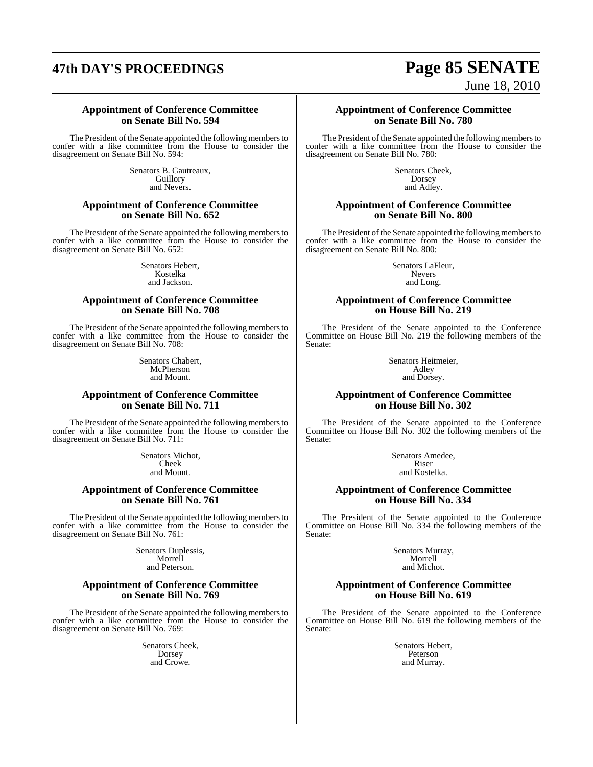# **47th DAY'S PROCEEDINGS Page 85 SENATE**

# June 18, 2010

#### **Appointment of Conference Committee on Senate Bill No. 594**

The President of the Senate appointed the following members to confer with a like committee from the House to consider the disagreement on Senate Bill No. 594:

> Senators B. Gautreaux, Guillory and Nevers.

#### **Appointment of Conference Committee on Senate Bill No. 652**

The President of the Senate appointed the following members to confer with a like committee from the House to consider the disagreement on Senate Bill No. 652:

> Senators Hebert, Kostelka and Jackson.

#### **Appointment of Conference Committee on Senate Bill No. 708**

The President of the Senate appointed the following members to confer with a like committee from the House to consider the disagreement on Senate Bill No. 708:

> Senators Chabert, McPherson and Mount.

#### **Appointment of Conference Committee on Senate Bill No. 711**

The President of the Senate appointed the following members to confer with a like committee from the House to consider the disagreement on Senate Bill No. 711:

> Senators Michot, Cheek and Mount.

#### **Appointment of Conference Committee on Senate Bill No. 761**

The President of the Senate appointed the following members to confer with a like committee from the House to consider the disagreement on Senate Bill No. 761:

> Senators Duplessis, Morrell and Peterson.

#### **Appointment of Conference Committee on Senate Bill No. 769**

The President of the Senate appointed the following members to confer with a like committee from the House to consider the disagreement on Senate Bill No. 769:

> Senators Cheek, Dorsey and Crowe.

**Appointment of Conference Committee on Senate Bill No. 780**

The President of the Senate appointed the following members to confer with a like committee from the House to consider the disagreement on Senate Bill No. 780:

> Senators Cheek, Dorsey and Adley.

#### **Appointment of Conference Committee on Senate Bill No. 800**

The President of the Senate appointed the following members to confer with a like committee from the House to consider the disagreement on Senate Bill No. 800:

> Senators LaFleur, Nevers and Long.

#### **Appointment of Conference Committee on House Bill No. 219**

The President of the Senate appointed to the Conference Committee on House Bill No. 219 the following members of the Senate:

> Senators Heitmeier, Adley and Dorsey.

#### **Appointment of Conference Committee on House Bill No. 302**

The President of the Senate appointed to the Conference Committee on House Bill No. 302 the following members of the Senate:

> Senators Amedee, Riser and Kostelka.

### **Appointment of Conference Committee on House Bill No. 334**

The President of the Senate appointed to the Conference Committee on House Bill No. 334 the following members of the Senate:

> Senators Murray, Morrell and Michot.

#### **Appointment of Conference Committee on House Bill No. 619**

The President of the Senate appointed to the Conference Committee on House Bill No. 619 the following members of the Senate:

> Senators Hebert, Peterson and Murray.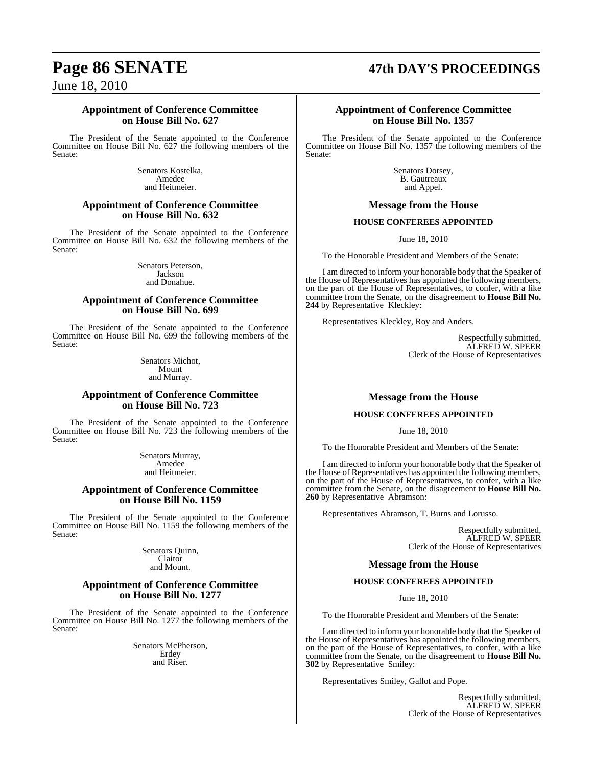# **Page 86 SENATE 47th DAY'S PROCEEDINGS**

June 18, 2010

#### **Appointment of Conference Committee on House Bill No. 627**

The President of the Senate appointed to the Conference Committee on House Bill No. 627 the following members of the Senate:

> Senators Kostelka, Amedee and Heitmeier.

#### **Appointment of Conference Committee on House Bill No. 632**

The President of the Senate appointed to the Conference Committee on House Bill No. 632 the following members of the Senate:

> Senators Peterson, Jackson and Donahue.

#### **Appointment of Conference Committee on House Bill No. 699**

The President of the Senate appointed to the Conference Committee on House Bill No. 699 the following members of the Senate:

> Senators Michot, Mount and Murray.

#### **Appointment of Conference Committee on House Bill No. 723**

The President of the Senate appointed to the Conference Committee on House Bill No. 723 the following members of the Senate:

> Senators Murray, Amedee and Heitmeier.

### **Appointment of Conference Committee on House Bill No. 1159**

The President of the Senate appointed to the Conference Committee on House Bill No. 1159 the following members of the Senate:

> Senators Quinn, Claitor and Mount.

#### **Appointment of Conference Committee on House Bill No. 1277**

The President of the Senate appointed to the Conference Committee on House Bill No. 1277 the following members of the Senate:

> Senators McPherson, Erdey and Riser.

#### **Appointment of Conference Committee on House Bill No. 1357**

The President of the Senate appointed to the Conference Committee on House Bill No. 1357 the following members of the Senate:

> Senators Dorsey, B. Gautreaux and Appel.

#### **Message from the House**

#### **HOUSE CONFEREES APPOINTED**

June 18, 2010

To the Honorable President and Members of the Senate:

I am directed to inform your honorable body that the Speaker of the House of Representatives has appointed the following members, on the part of the House of Representatives, to confer, with a like committee from the Senate, on the disagreement to **House Bill No. 244** by Representative Kleckley:

Representatives Kleckley, Roy and Anders.

Respectfully submitted, ALFRED W. SPEER Clerk of the House of Representatives

## **Message from the House**

### **HOUSE CONFEREES APPOINTED**

June 18, 2010

To the Honorable President and Members of the Senate:

I am directed to inform your honorable body that the Speaker of the House of Representatives has appointed the following members, on the part of the House of Representatives, to confer, with a like committee from the Senate, on the disagreement to **House Bill No. 260** by Representative Abramson:

Representatives Abramson, T. Burns and Lorusso.

Respectfully submitted, ALFRED W. SPEER Clerk of the House of Representatives

## **Message from the House**

### **HOUSE CONFEREES APPOINTED**

June 18, 2010

To the Honorable President and Members of the Senate:

I am directed to inform your honorable body that the Speaker of the House of Representatives has appointed the following members, on the part of the House of Representatives, to confer, with a like committee from the Senate, on the disagreement to **House Bill No. 302** by Representative Smiley:

Representatives Smiley, Gallot and Pope.

Respectfully submitted, ALFRED W. SPEER Clerk of the House of Representatives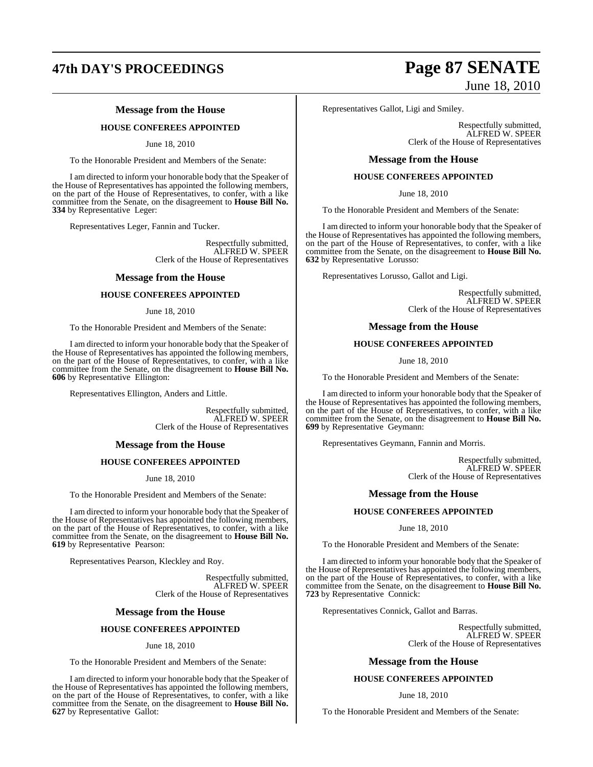# **47th DAY'S PROCEEDINGS Page 87 SENATE**

### **Message from the House**

#### **HOUSE CONFEREES APPOINTED**

June 18, 2010

To the Honorable President and Members of the Senate:

I am directed to inform your honorable body that the Speaker of the House of Representatives has appointed the following members, on the part of the House of Representatives, to confer, with a like committee from the Senate, on the disagreement to **House Bill No. 334** by Representative Leger:

Representatives Leger, Fannin and Tucker.

Respectfully submitted, ALFRED W. SPEER Clerk of the House of Representatives

#### **Message from the House**

#### **HOUSE CONFEREES APPOINTED**

June 18, 2010

To the Honorable President and Members of the Senate:

I am directed to inform your honorable body that the Speaker of the House of Representatives has appointed the following members, on the part of the House of Representatives, to confer, with a like committee from the Senate, on the disagreement to **House Bill No. 606** by Representative Ellington:

Representatives Ellington, Anders and Little.

Respectfully submitted, ALFRED W. SPEER Clerk of the House of Representatives

#### **Message from the House**

#### **HOUSE CONFEREES APPOINTED**

June 18, 2010

To the Honorable President and Members of the Senate:

I am directed to inform your honorable body that the Speaker of the House of Representatives has appointed the following members, on the part of the House of Representatives, to confer, with a like committee from the Senate, on the disagreement to **House Bill No. 619** by Representative Pearson:

Representatives Pearson, Kleckley and Roy.

Respectfully submitted, ALFRED W. SPEER Clerk of the House of Representatives

#### **Message from the House**

#### **HOUSE CONFEREES APPOINTED**

#### June 18, 2010

To the Honorable President and Members of the Senate:

I am directed to inform your honorable body that the Speaker of the House of Representatives has appointed the following members, on the part of the House of Representatives, to confer, with a like committee from the Senate, on the disagreement to **House Bill No. 627** by Representative Gallot:

# June 18, 2010

Representatives Gallot, Ligi and Smiley.

Respectfully submitted, ALFRED W. SPEER Clerk of the House of Representatives

#### **Message from the House**

#### **HOUSE CONFEREES APPOINTED**

June 18, 2010

To the Honorable President and Members of the Senate:

I am directed to inform your honorable body that the Speaker of the House of Representatives has appointed the following members, on the part of the House of Representatives, to confer, with a like committee from the Senate, on the disagreement to **House Bill No. 632** by Representative Lorusso:

Representatives Lorusso, Gallot and Ligi.

Respectfully submitted, ALFRED W. SPEER Clerk of the House of Representatives

#### **Message from the House**

#### **HOUSE CONFEREES APPOINTED**

June 18, 2010

To the Honorable President and Members of the Senate:

I am directed to inform your honorable body that the Speaker of the House of Representatives has appointed the following members, on the part of the House of Representatives, to confer, with a like committee from the Senate, on the disagreement to **House Bill No. 699** by Representative Geymann:

Representatives Geymann, Fannin and Morris.

Respectfully submitted, ALFRED W. SPEER Clerk of the House of Representatives

#### **Message from the House**

#### **HOUSE CONFEREES APPOINTED**

June 18, 2010

To the Honorable President and Members of the Senate:

I am directed to inform your honorable body that the Speaker of the House of Representatives has appointed the following members, on the part of the House of Representatives, to confer, with a like committee from the Senate, on the disagreement to **House Bill No. 723** by Representative Connick:

Representatives Connick, Gallot and Barras.

Respectfully submitted, ALFRED W. SPEER Clerk of the House of Representatives

#### **Message from the House**

#### **HOUSE CONFEREES APPOINTED**

#### June 18, 2010

To the Honorable President and Members of the Senate: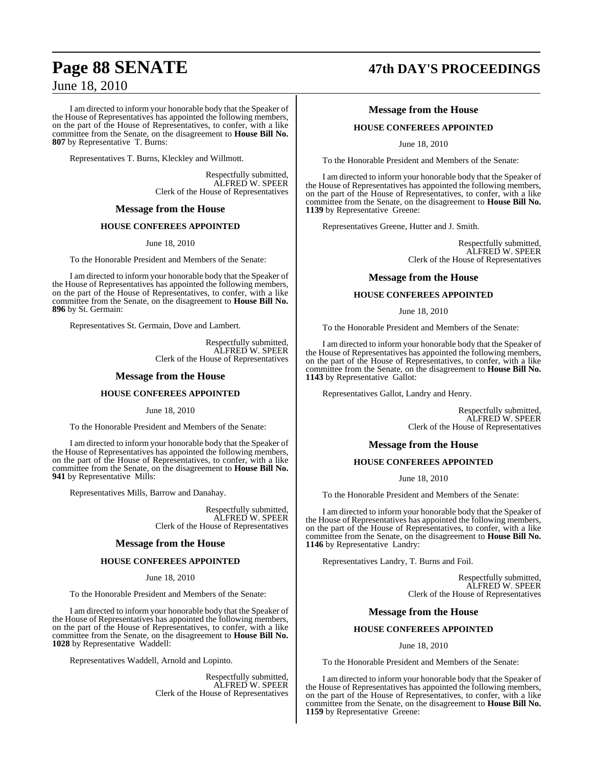I am directed to inform your honorable body that the Speaker of the House of Representatives has appointed the following members, on the part of the House of Representatives, to confer, with a like committee from the Senate, on the disagreement to **House Bill No. 807** by Representative T. Burns:

Representatives T. Burns, Kleckley and Willmott.

Respectfully submitted, ALFRED W. SPEER Clerk of the House of Representatives

#### **Message from the House**

#### **HOUSE CONFEREES APPOINTED**

June 18, 2010

To the Honorable President and Members of the Senate:

I am directed to inform your honorable body that the Speaker of the House of Representatives has appointed the following members, on the part of the House of Representatives, to confer, with a like committee from the Senate, on the disagreement to **House Bill No. 896** by St. Germain:

Representatives St. Germain, Dove and Lambert.

Respectfully submitted, ALFRED W. SPEER Clerk of the House of Representatives

#### **Message from the House**

#### **HOUSE CONFEREES APPOINTED**

June 18, 2010

To the Honorable President and Members of the Senate:

I am directed to inform your honorable body that the Speaker of the House of Representatives has appointed the following members, on the part of the House of Representatives, to confer, with a like committee from the Senate, on the disagreement to **House Bill No. 941** by Representative Mills:

Representatives Mills, Barrow and Danahay.

Respectfully submitted, ALFRED W. SPEER Clerk of the House of Representatives

#### **Message from the House**

#### **HOUSE CONFEREES APPOINTED**

June 18, 2010

To the Honorable President and Members of the Senate:

I am directed to inform your honorable body that the Speaker of the House of Representatives has appointed the following members, on the part of the House of Representatives, to confer, with a like committee from the Senate, on the disagreement to **House Bill No. 1028** by Representative Waddell:

Representatives Waddell, Arnold and Lopinto.

Respectfully submitted, ALFRED W. SPEER Clerk of the House of Representatives

# **Page 88 SENATE 47th DAY'S PROCEEDINGS**

#### **Message from the House**

#### **HOUSE CONFEREES APPOINTED**

June 18, 2010

To the Honorable President and Members of the Senate:

I am directed to inform your honorable body that the Speaker of the House of Representatives has appointed the following members, on the part of the House of Representatives, to confer, with a like committee from the Senate, on the disagreement to **House Bill No. 1139** by Representative Greene:

Representatives Greene, Hutter and J. Smith.

Respectfully submitted, ALFRED W. SPEER Clerk of the House of Representatives

#### **Message from the House**

#### **HOUSE CONFEREES APPOINTED**

June 18, 2010

To the Honorable President and Members of the Senate:

I am directed to inform your honorable body that the Speaker of the House of Representatives has appointed the following members, on the part of the House of Representatives, to confer, with a like committee from the Senate, on the disagreement to **House Bill No. 1143** by Representative Gallot:

Representatives Gallot, Landry and Henry.

Respectfully submitted, ALFRED W. SPEER Clerk of the House of Representatives

#### **Message from the House**

#### **HOUSE CONFEREES APPOINTED**

June 18, 2010

To the Honorable President and Members of the Senate:

I am directed to inform your honorable body that the Speaker of the House of Representatives has appointed the following members, on the part of the House of Representatives, to confer, with a like committee from the Senate, on the disagreement to **House Bill No. 1146** by Representative Landry:

Representatives Landry, T. Burns and Foil.

Respectfully submitted, ALFRED W. SPEER Clerk of the House of Representatives

#### **Message from the House**

#### **HOUSE CONFEREES APPOINTED**

June 18, 2010

To the Honorable President and Members of the Senate:

I am directed to inform your honorable body that the Speaker of the House of Representatives has appointed the following members, on the part of the House of Representatives, to confer, with a like committee from the Senate, on the disagreement to **House Bill No. 1159** by Representative Greene: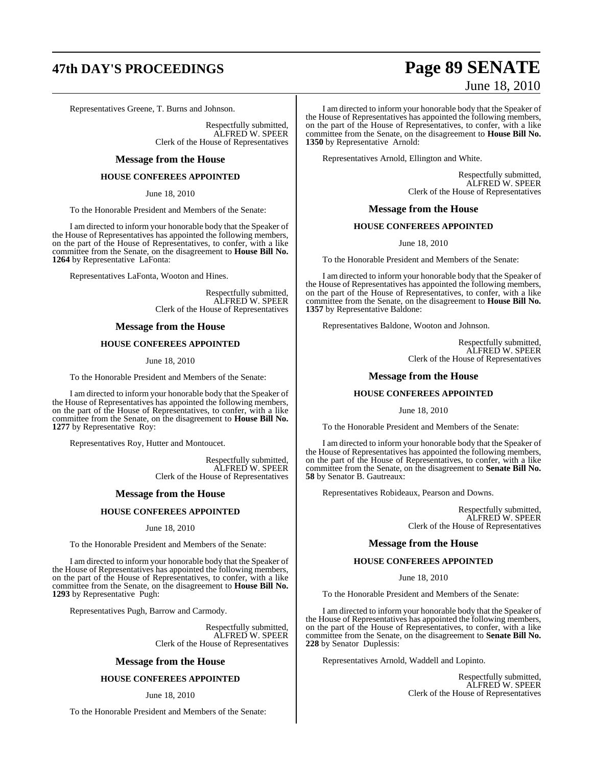# **47th DAY'S PROCEEDINGS Page 89 SENATE**

Representatives Greene, T. Burns and Johnson.

Respectfully submitted, ALFRED W. SPEER Clerk of the House of Representatives

#### **Message from the House**

#### **HOUSE CONFEREES APPOINTED**

June 18, 2010

To the Honorable President and Members of the Senate:

I am directed to inform your honorable body that the Speaker of the House of Representatives has appointed the following members, on the part of the House of Representatives, to confer, with a like committee from the Senate, on the disagreement to **House Bill No. 1264** by Representative LaFonta:

Representatives LaFonta, Wooton and Hines.

Respectfully submitted, ALFRED W. SPEER Clerk of the House of Representatives

#### **Message from the House**

#### **HOUSE CONFEREES APPOINTED**

June 18, 2010

To the Honorable President and Members of the Senate:

I am directed to inform your honorable body that the Speaker of the House of Representatives has appointed the following members, on the part of the House of Representatives, to confer, with a like committee from the Senate, on the disagreement to **House Bill No. 1277** by Representative Roy:

Representatives Roy, Hutter and Montoucet.

Respectfully submitted, ALFRED W. SPEER Clerk of the House of Representatives

#### **Message from the House**

#### **HOUSE CONFEREES APPOINTED**

June 18, 2010

To the Honorable President and Members of the Senate:

I am directed to inform your honorable body that the Speaker of the House of Representatives has appointed the following members, on the part of the House of Representatives, to confer, with a like committee from the Senate, on the disagreement to **House Bill No. 1293** by Representative Pugh:

Representatives Pugh, Barrow and Carmody.

Respectfully submitted, ALFRED W. SPEER Clerk of the House of Representatives

#### **Message from the House**

#### **HOUSE CONFEREES APPOINTED**

June 18, 2010

To the Honorable President and Members of the Senate:

# June 18, 2010

I am directed to inform your honorable body that the Speaker of the House of Representatives has appointed the following members, on the part of the House of Representatives, to confer, with a like committee from the Senate, on the disagreement to **House Bill No. 1350** by Representative Arnold:

Representatives Arnold, Ellington and White.

Respectfully submitted, ALFRED W. SPEER Clerk of the House of Representatives

#### **Message from the House**

#### **HOUSE CONFEREES APPOINTED**

June 18, 2010

To the Honorable President and Members of the Senate:

I am directed to inform your honorable body that the Speaker of the House of Representatives has appointed the following members, on the part of the House of Representatives, to confer, with a like committee from the Senate, on the disagreement to **House Bill No. 1357** by Representative Baldone:

Representatives Baldone, Wooton and Johnson.

Respectfully submitted, ALFRED W. SPEER Clerk of the House of Representatives

#### **Message from the House**

#### **HOUSE CONFEREES APPOINTED**

June 18, 2010

To the Honorable President and Members of the Senate:

I am directed to inform your honorable body that the Speaker of the House of Representatives has appointed the following members, on the part of the House of Representatives, to confer, with a like committee from the Senate, on the disagreement to **Senate Bill No. 58** by Senator B. Gautreaux:

Representatives Robideaux, Pearson and Downs.

Respectfully submitted, ALFRED W. SPEER Clerk of the House of Representatives

#### **Message from the House**

#### **HOUSE CONFEREES APPOINTED**

June 18, 2010

To the Honorable President and Members of the Senate:

I am directed to inform your honorable body that the Speaker of the House of Representatives has appointed the following members, on the part of the House of Representatives, to confer, with a like committee from the Senate, on the disagreement to **Senate Bill No. 228** by Senator Duplessis:

Representatives Arnold, Waddell and Lopinto.

Respectfully submitted, ALFRED W. SPEER Clerk of the House of Representatives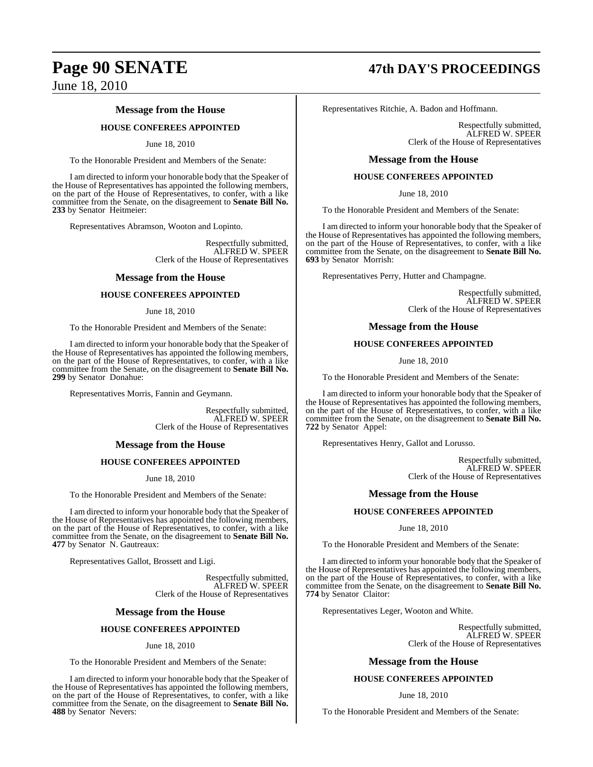#### **Message from the House**

#### **HOUSE CONFEREES APPOINTED**

#### June 18, 2010

To the Honorable President and Members of the Senate:

I am directed to inform your honorable body that the Speaker of the House of Representatives has appointed the following members, on the part of the House of Representatives, to confer, with a like committee from the Senate, on the disagreement to **Senate Bill No. 233** by Senator Heitmeier:

Representatives Abramson, Wooton and Lopinto.

Respectfully submitted, ALFRED W. SPEER Clerk of the House of Representatives

#### **Message from the House**

#### **HOUSE CONFEREES APPOINTED**

#### June 18, 2010

To the Honorable President and Members of the Senate:

I am directed to inform your honorable body that the Speaker of the House of Representatives has appointed the following members, on the part of the House of Representatives, to confer, with a like committee from the Senate, on the disagreement to **Senate Bill No. 299** by Senator Donahue:

Representatives Morris, Fannin and Geymann.

Respectfully submitted, ALFRED W. SPEER Clerk of the House of Representatives

#### **Message from the House**

#### **HOUSE CONFEREES APPOINTED**

June 18, 2010

To the Honorable President and Members of the Senate:

I am directed to inform your honorable body that the Speaker of the House of Representatives has appointed the following members, on the part of the House of Representatives, to confer, with a like committee from the Senate, on the disagreement to **Senate Bill No. 477** by Senator N. Gautreaux:

Representatives Gallot, Brossett and Ligi.

Respectfully submitted, ALFRED W. SPEER Clerk of the House of Representatives

#### **Message from the House**

#### **HOUSE CONFEREES APPOINTED**

#### June 18, 2010

To the Honorable President and Members of the Senate:

I am directed to inform your honorable body that the Speaker of the House of Representatives has appointed the following members, on the part of the House of Representatives, to confer, with a like committee from the Senate, on the disagreement to **Senate Bill No. 488** by Senator Nevers:

# **Page 90 SENATE 47th DAY'S PROCEEDINGS**

Representatives Ritchie, A. Badon and Hoffmann.

Respectfully submitted, ALFRED W. SPEER Clerk of the House of Representatives

#### **Message from the House**

#### **HOUSE CONFEREES APPOINTED**

June 18, 2010

To the Honorable President and Members of the Senate:

I am directed to inform your honorable body that the Speaker of the House of Representatives has appointed the following members, on the part of the House of Representatives, to confer, with a like committee from the Senate, on the disagreement to **Senate Bill No. 693** by Senator Morrish:

Representatives Perry, Hutter and Champagne.

Respectfully submitted, ALFRED W. SPEER Clerk of the House of Representatives

#### **Message from the House**

#### **HOUSE CONFEREES APPOINTED**

June 18, 2010

To the Honorable President and Members of the Senate:

I am directed to inform your honorable body that the Speaker of the House of Representatives has appointed the following members, on the part of the House of Representatives, to confer, with a like committee from the Senate, on the disagreement to **Senate Bill No. 722** by Senator Appel:

Representatives Henry, Gallot and Lorusso.

Respectfully submitted, ALFRED W. SPEER Clerk of the House of Representatives

#### **Message from the House**

#### **HOUSE CONFEREES APPOINTED**

June 18, 2010

To the Honorable President and Members of the Senate:

I am directed to inform your honorable body that the Speaker of the House of Representatives has appointed the following members, on the part of the House of Representatives, to confer, with a like committee from the Senate, on the disagreement to **Senate Bill No. 774** by Senator Claitor:

Representatives Leger, Wooton and White.

Respectfully submitted, ALFRED W. SPEER Clerk of the House of Representatives

#### **Message from the House**

#### **HOUSE CONFEREES APPOINTED**

#### June 18, 2010

To the Honorable President and Members of the Senate: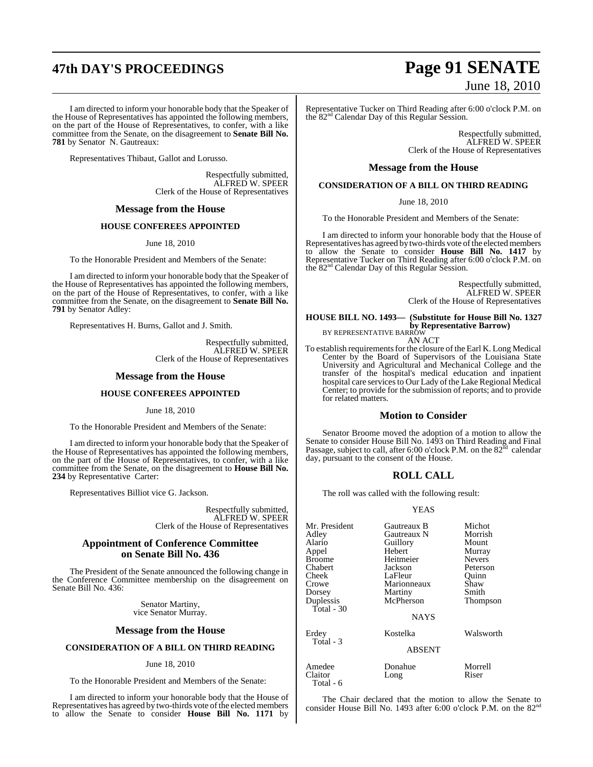# **47th DAY'S PROCEEDINGS Page 91 SENATE**

I am directed to inform your honorable body that the Speaker of the House of Representatives has appointed the following members, on the part of the House of Representatives, to confer, with a like committee from the Senate, on the disagreement to **Senate Bill No. 781** by Senator N. Gautreaux:

Representatives Thibaut, Gallot and Lorusso.

Respectfully submitted, ALFRED W. SPEER Clerk of the House of Representatives

#### **Message from the House**

#### **HOUSE CONFEREES APPOINTED**

June 18, 2010

To the Honorable President and Members of the Senate:

I am directed to inform your honorable body that the Speaker of the House of Representatives has appointed the following members, on the part of the House of Representatives, to confer, with a like committee from the Senate, on the disagreement to **Senate Bill No. 791** by Senator Adley:

Representatives H. Burns, Gallot and J. Smith.

Respectfully submitted, ALFRED W. SPEER Clerk of the House of Representatives

#### **Message from the House**

#### **HOUSE CONFEREES APPOINTED**

June 18, 2010

To the Honorable President and Members of the Senate:

I am directed to inform your honorable body that the Speaker of the House of Representatives has appointed the following members, on the part of the House of Representatives, to confer, with a like committee from the Senate, on the disagreement to **House Bill No. 234** by Representative Carter:

Representatives Billiot vice G. Jackson.

Respectfully submitted, ALFRED W. SPEER Clerk of the House of Representatives

#### **Appointment of Conference Committee on Senate Bill No. 436**

The President of the Senate announced the following change in the Conference Committee membership on the disagreement on Senate Bill No. 436:

> Senator Martiny, vice Senator Murray.

#### **Message from the House**

#### **CONSIDERATION OF A BILL ON THIRD READING**

#### June 18, 2010

To the Honorable President and Members of the Senate:

I am directed to inform your honorable body that the House of Representatives has agreed by two-thirds vote of the elected members to allow the Senate to consider **House Bill No. 1171** by

# June 18, 2010

Representative Tucker on Third Reading after 6:00 o'clock P.M. on the 82<sup>nd</sup> Calendar Day of this Regular Session.

Respectfully submitted, ALFRED W. SPEER Clerk of the House of Representatives

#### **Message from the House**

#### **CONSIDERATION OF A BILL ON THIRD READING**

June 18, 2010

To the Honorable President and Members of the Senate:

I am directed to inform your honorable body that the House of Representatives has agreed by two-thirds vote of the elected members to allow the Senate to consider **House Bill No. 1417** by Representative Tucker on Third Reading after 6:00 o'clock P.M. on the 82nd Calendar Day of this Regular Session.

> Respectfully submitted, ALFRED W. SPEER Clerk of the House of Representatives

## **HOUSE BILL NO. 1493— (Substitute for House Bill No. 1327 by Representative Barrow)** BY REPRESENTATIVE BARROW

AN ACT

To establish requirements for the closure of the Earl K. Long Medical Center by the Board of Supervisors of the Louisiana State University and Agricultural and Mechanical College and the transfer of the hospital's medical education and inpatient hospital care services to Our Lady of the Lake Regional Medical Center; to provide for the submission of reports; and to provide for related matters.

#### **Motion to Consider**

Senator Broome moved the adoption of a motion to allow the Senate to consider House Bill No. 1493 on Third Reading and Final Passage, subject to call, after 6:00 o'clock P.M. on the  $82<sup>nd</sup>$  calendar day, pursuant to the consent of the House.

### **ROLL CALL**

The roll was called with the following result:

#### YEAS

| Mr. President<br>Adlev<br>Alario<br>Appel<br><b>Broome</b><br>Chabert<br>Cheek<br>Crowe<br>Dorsey<br>Duplessis<br>Total - 30 | Gautreaux B<br>Gautreaux N<br>Guillory<br>Hebert<br>Heitmeier<br>Jackson<br>LaFleur<br>Marionneaux<br>Martiny<br>McPherson<br><b>NAYS</b> | Michot<br>Morrish<br>Mount<br>Murray<br><b>Nevers</b><br>Peterson<br>Ouinn<br>Shaw<br>Smith<br>Thompson |
|------------------------------------------------------------------------------------------------------------------------------|-------------------------------------------------------------------------------------------------------------------------------------------|---------------------------------------------------------------------------------------------------------|
| Erdev<br>Total - 3                                                                                                           | Kostelka<br><b>ABSENT</b>                                                                                                                 | Walsworth                                                                                               |
| Amedee<br>Claitor<br>Total - 6                                                                                               | Donahue<br>Long                                                                                                                           | Morrell<br>Riser                                                                                        |

The Chair declared that the motion to allow the Senate to consider House Bill No. 1493 after 6:00 o'clock P.M. on the 82nd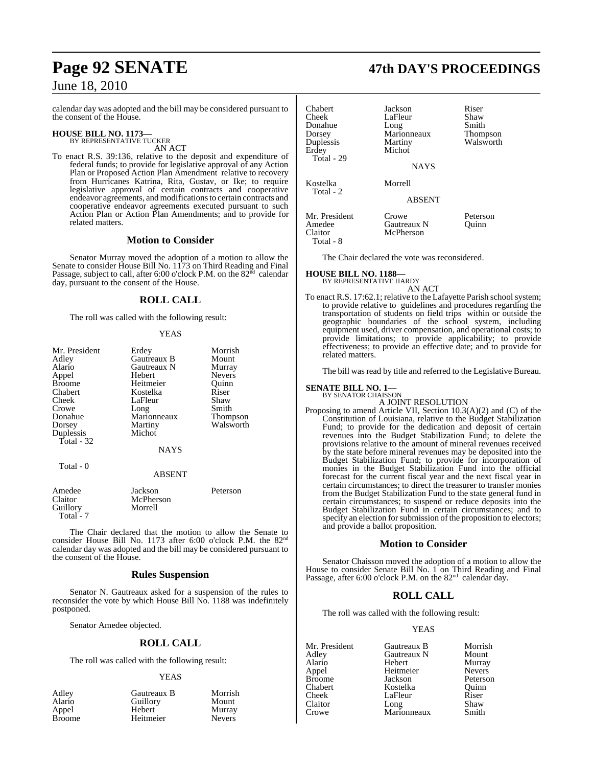calendar day was adopted and the bill may be considered pursuant to the consent of the House.

#### **HOUSE BILL NO. 1173—** BY REPRESENTATIVE TUCKER

AN ACT

To enact R.S. 39:136, relative to the deposit and expenditure of federal funds; to provide for legislative approval of any Action Plan or Proposed Action Plan Amendment relative to recovery from Hurricanes Katrina, Rita, Gustav, or Ike; to require legislative approval of certain contracts and cooperative endeavor agreements, and modificationsto certain contracts and cooperative endeavor agreements executed pursuant to such Action Plan or Action Plan Amendments; and to provide for related matters.

#### **Motion to Consider**

Senator Murray moved the adoption of a motion to allow the Senate to consider House Bill No. 1173 on Third Reading and Final Passage, subject to call, after 6:00 o'clock P.M. on the 82nd calendar day, pursuant to the consent of the House.

### **ROLL CALL**

The roll was called with the following result:

#### **YEAS**

| Mr. President<br>Adley<br>Alario<br>Appel<br><b>Broome</b><br>Chabert<br>Cheek<br>Crowe | Erdey<br>Gautreaux B<br>Gautreaux N<br>Hebert<br>Heitmeier<br>Kostelka<br>LaFleur<br>Long | Morrish<br>Mount<br>Murray<br><b>Nevers</b><br>Ouinn<br>Riser<br>Shaw<br>Smith |
|-----------------------------------------------------------------------------------------|-------------------------------------------------------------------------------------------|--------------------------------------------------------------------------------|
| Donahue<br>Dorsey<br>Duplessis<br>Total $-32$                                           | Marionneaux<br>Martiny<br>Michot<br><b>NAYS</b>                                           | Thompson<br>Walsworth                                                          |
| Total - 0                                                                               | <b>ABSENT</b>                                                                             |                                                                                |
| Amedee<br>Claitor<br>Guillory                                                           | Jackson<br>McPherson<br>Morrell                                                           | Peterson                                                                       |

The Chair declared that the motion to allow the Senate to consider House Bill No. 1173 after 6:00 o'clock P.M. the 82nd calendar day was adopted and the bill may be considered pursuant to the consent of the House.

#### **Rules Suspension**

Senator N. Gautreaux asked for a suspension of the rules to reconsider the vote by which House Bill No. 1188 was indefinitely postponed.

Senator Amedee objected.

Total - 7

#### **ROLL CALL**

The roll was called with the following result:

#### YEAS

| Adley<br>Alario | Gautreaux B<br>Guillory | Morrish<br>Mount |
|-----------------|-------------------------|------------------|
| Appel           | Hebert                  | Murray           |
| <b>Broome</b>   | Heitmeier               | <b>Nevers</b>    |

# **Page 92 SENATE 47th DAY'S PROCEEDINGS**

| Chabert<br>Cheek<br>Donahue<br>Dorsey<br>Duplessis<br>Erdev<br>Total - 29 | Jackson<br>LaFleur<br>Long<br>Marionneaux<br>Martiny<br>Michot<br><b>NAYS</b> | Riser<br>Shaw<br>Smith<br><b>Thompson</b><br>Walsworth |
|---------------------------------------------------------------------------|-------------------------------------------------------------------------------|--------------------------------------------------------|
| Kostelka<br>Total - 2                                                     | Morrell<br><b>ABSENT</b>                                                      |                                                        |
| Mr. President<br>Amedee<br>Claitor<br>Total - 8                           | Crowe<br>Gautreaux N<br>McPherson                                             | Peterson<br>Ouinn                                      |

The Chair declared the vote was reconsidered.

**HOUSE BILL NO. 1188—**

BY REPRESENTATIVE HARDY AN ACT

To enact R.S. 17:62.1; relative to the Lafayette Parish school system; to provide relative to guidelines and procedures regarding the transportation of students on field trips within or outside the geographic boundaries of the school system, including equipment used, driver compensation, and operational costs; to provide limitations; to provide applicability; to provide effectiveness; to provide an effective date; and to provide for related matters.

The bill was read by title and referred to the Legislative Bureau.

#### **SENATE BILL NO. 1—**

BY SENATOR CHAISSON A JOINT RESOLUTION

Proposing to amend Article VII, Section 10.3(A)(2) and (C) of the Constitution of Louisiana, relative to the Budget Stabilization Fund; to provide for the dedication and deposit of certain revenues into the Budget Stabilization Fund; to delete the provisions relative to the amount of mineral revenues received by the state before mineral revenues may be deposited into the Budget Stabilization Fund; to provide for incorporation of monies in the Budget Stabilization Fund into the official forecast for the current fiscal year and the next fiscal year in certain circumstances; to direct the treasurer to transfer monies from the Budget Stabilization Fund to the state general fund in certain circumstances; to suspend or reduce deposits into the Budget Stabilization Fund in certain circumstances; and to specify an election for submission of the proposition to electors; and provide a ballot proposition.

#### **Motion to Consider**

Senator Chaisson moved the adoption of a motion to allow the House to consider Senate Bill No.  $1$  on Third Reading and Final Passage, after 6:00 o'clock P.M. on the  $82<sup>nd</sup>$  calendar day.

#### **ROLL CALL**

The roll was called with the following result:

#### YEAS

| Mr. President | Gautreaux B | Morrisl       |
|---------------|-------------|---------------|
| Adley         | Gautreaux N | Mount         |
| Alario        | Hebert      | Murray        |
| Appel         | Heitmeier   | <b>Nevers</b> |
| <b>Broome</b> | Jackson     | Peterso       |
| Chabert       | Kostelka    | Ouinn         |
| Cheek         | LaFleur     | Riser         |
| Claitor       | Long        | Shaw          |
| Crowe         | Marionneaux | Smith         |

Morrish Nevers Peterson<br>Ouinn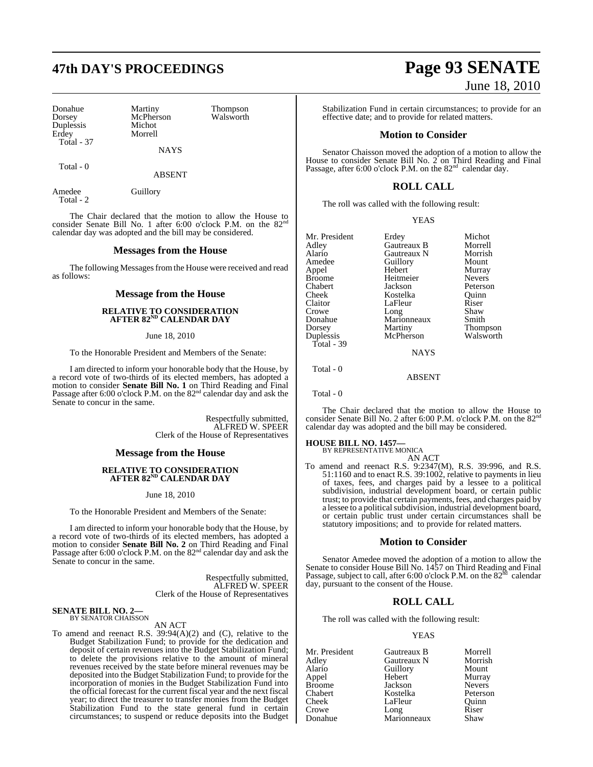# **47th DAY'S PROCEEDINGS Page 93 SENATE**

| Donahue           | Martiny     | <b>Thompson</b> |
|-------------------|-------------|-----------------|
| Dorsey            | McPherson   | Walsworth       |
| Duplessis         | Michot      |                 |
| Erdey             | Morrell     |                 |
| <b>Total - 37</b> |             |                 |
|                   | <b>NAYS</b> |                 |

Total - 0

Amedee Guillory

Total - 2

The Chair declared that the motion to allow the House to consider Senate Bill No. 1 after 6:00 o'clock P.M. on the  $82<sup>nd</sup>$ calendar day was adopted and the bill may be considered.

ABSENT

#### **Messages from the House**

The following Messages from the House were received and read as follows:

#### **Message from the House**

#### **RELATIVE TO CONSIDERATION AFTER 82ND CALENDAR DAY**

June 18, 2010

To the Honorable President and Members of the Senate:

I am directed to inform your honorable body that the House, by a record vote of two-thirds of its elected members, has adopted a motion to consider **Senate Bill No. 1** on Third Reading and Final Passage after 6:00 o'clock P.M. on the 82<sup>nd</sup> calendar day and ask the Senate to concur in the same.

> Respectfully submitted, ALFRED W. SPEER Clerk of the House of Representatives

#### **Message from the House**

#### **RELATIVE TO CONSIDERATION AFTER 82ND CALENDAR DAY**

June 18, 2010

To the Honorable President and Members of the Senate:

I am directed to inform your honorable body that the House, by a record vote of two-thirds of its elected members, has adopted a motion to consider **Senate Bill No. 2** on Third Reading and Final Passage after 6:00 o'clock P.M. on the 82<sup>nd</sup> calendar day and ask the Senate to concur in the same.

> Respectfully submitted, ALFRED W. SPEER Clerk of the House of Representatives

# **SENATE BILL NO. 2—**<br>BY SENATOR CHAISSON

#### AN ACT

To amend and reenact R.S.  $39:94(A)(2)$  and (C), relative to the Budget Stabilization Fund; to provide for the dedication and deposit of certain revenues into the Budget Stabilization Fund; to delete the provisions relative to the amount of mineral revenues received by the state before mineral revenues may be deposited into the Budget Stabilization Fund; to provide for the incorporation of monies in the Budget Stabilization Fund into the official forecast for the current fiscal year and the next fiscal year; to direct the treasurer to transfer monies from the Budget Stabilization Fund to the state general fund in certain circumstances; to suspend or reduce deposits into the Budget

# June 18, 2010

Stabilization Fund in certain circumstances; to provide for an effective date; and to provide for related matters.

#### **Motion to Consider**

Senator Chaisson moved the adoption of a motion to allow the House to consider Senate Bill No. 2 on Third Reading and Final Passage, after 6:00 o'clock P.M. on the  $82<sup>nd</sup>$  calendar day.

## **ROLL CALL**

The roll was called with the following result:

|  | v |
|--|---|
|  |   |

| Mr. President | Erdey       | Michot        |
|---------------|-------------|---------------|
| Adley         | Gautreaux B | Morrell       |
| Alario        | Gautreaux N | Morrish       |
| Amedee        | Guillory    | Mount         |
| Appel         | Hebert      | Murray        |
| <b>Broome</b> | Heitmeier   | <b>Nevers</b> |
| Chabert       | Jackson     | Peterson      |
| Cheek         | Kostelka    | Quinn         |
| Claitor       | LaFleur     | Riser         |
| Crowe         | Long        | Shaw          |
| Donahue       | Marionneaux | Smith         |
| Dorsey        | Martiny     | Thompson      |
| Duplessis     | McPherson   | Walsworth     |
| Total - 39    |             |               |

**NAYS** 

ABSENT

Total - 0

Total - 0

The Chair declared that the motion to allow the House to consider Senate Bill No. 2 after 6:00 P.M. o'clock P.M. on the 82<sup>nd</sup> calendar day was adopted and the bill may be considered.

# **HOUSE BILL NO. 1457—** BY REPRESENTATIVE MONICA

AN ACT

To amend and reenact R.S. 9:2347(M), R.S. 39:996, and R.S. 51:1160 and to enact R.S. 39:1002, relative to payments in lieu of taxes, fees, and charges paid by a lessee to a political subdivision, industrial development board, or certain public trust; to provide that certain payments, fees, and charges paid by a lessee to a political subdivision, industrial development board, or certain public trust under certain circumstances shall be statutory impositions; and to provide for related matters.

#### **Motion to Consider**

Senator Amedee moved the adoption of a motion to allow the Senate to consider House Bill No. 1457 on Third Reading and Final<br>Passage, subject to call, after 6:00 o'clock P.M. on the 82<sup>nd</sup> calendar day, pursuant to the consent of the House.

## **ROLL CALL**

The roll was called with the following result:

#### YEAS

| Mr. President | Gautreaux B | Morrell       |
|---------------|-------------|---------------|
| Adley         | Gautreaux N | Morrish       |
| Alario        | Guillory    | Mount         |
| Appel         | Hebert      | Murray        |
| <b>Broome</b> | Jackson     | <b>Nevers</b> |
| Chabert       | Kostelka    | Peterson      |
| Cheek         | LaFleur     | Ouinn         |
| Crowe         | Long        | Riser         |
| Donahue       | Marionneaux | Shaw          |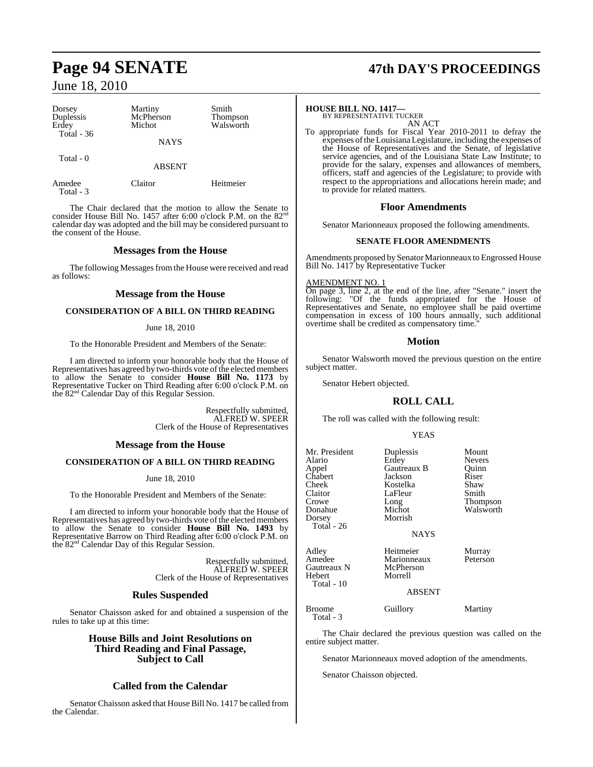Total - 3

| Dorsey<br>Duplessis<br>Erdey<br>Total - $36$ | Martiny<br>McPherson<br>Michot | Smith<br><b>Thompson</b><br>Walsworth |
|----------------------------------------------|--------------------------------|---------------------------------------|
|                                              | <b>NAYS</b>                    |                                       |
| Total - 0                                    | <b>ABSENT</b>                  |                                       |
| Amedee                                       | Claitor                        | Heitmeier                             |

The Chair declared that the motion to allow the Senate to consider House Bill No. 1457 after 6:00 o'clock P.M. on the 82<sup>nd</sup> calendar day was adopted and the bill may be considered pursuant to the consent of the House.

#### **Messages from the House**

The following Messages from the House were received and read as follows:

#### **Message from the House**

#### **CONSIDERATION OF A BILL ON THIRD READING**

#### June 18, 2010

To the Honorable President and Members of the Senate:

I am directed to inform your honorable body that the House of Representatives has agreed by two-thirds vote of the elected members to allow the Senate to consider **House Bill No. 1173** by Representative Tucker on Third Reading after 6:00 o'clock P.M. on the 82nd Calendar Day of this Regular Session.

> Respectfully submitted, ALFRED W. SPEER Clerk of the House of Representatives

#### **Message from the House**

#### **CONSIDERATION OF A BILL ON THIRD READING**

June 18, 2010

To the Honorable President and Members of the Senate:

I am directed to inform your honorable body that the House of Representatives has agreed by two-thirds vote of the elected members to allow the Senate to consider **House Bill No. 1493** by Representative Barrow on Third Reading after 6:00 o'clock P.M. on the 82nd Calendar Day of this Regular Session.

> Respectfully submitted, ALFRED W. SPEER Clerk of the House of Representatives

#### **Rules Suspended**

Senator Chaisson asked for and obtained a suspension of the rules to take up at this time:

> **House Bills and Joint Resolutions on Third Reading and Final Passage, Subject to Call**

### **Called from the Calendar**

Senator Chaisson asked that House Bill No. 1417 be called from the Calendar.

# **Page 94 SENATE 47th DAY'S PROCEEDINGS**

# **HOUSE BILL NO. 1417—** BY REPRESENTATIVE TUCKER

AN ACT

To appropriate funds for Fiscal Year 2010-2011 to defray the expenses ofthe Louisiana Legislature, including the expenses of the House of Representatives and the Senate, of legislative service agencies, and of the Louisiana State Law Institute; to provide for the salary, expenses and allowances of members, officers, staff and agencies of the Legislature; to provide with respect to the appropriations and allocations herein made; and to provide for related matters.

#### **Floor Amendments**

Senator Marionneaux proposed the following amendments.

#### **SENATE FLOOR AMENDMENTS**

Amendments proposed by Senator Marionneaux to Engrossed House Bill No. 1417 by Representative Tucker

#### AMENDMENT NO. 1

On page 3, line 2, at the end of the line, after "Senate." insert the following: "Of the funds appropriated for the House of Representatives and Senate, no employee shall be paid overtime compensation in excess of 100 hours annually, such additional overtime shall be credited as compensatory time.

#### **Motion**

Senator Walsworth moved the previous question on the entire subject matter.

Senator Hebert objected.

### **ROLL CALL**

The roll was called with the following result:

#### YEAS

| Mr. President<br>Alario<br>Appel<br>Chabert<br>Cheek<br>Claitor<br>Crowe<br>Donahue<br>Dorsey<br>Total - 26 | Duplessis<br>Erdey<br>Gautreaux B<br>Jackson<br>Kostelka<br>LaFleur<br>Long<br>Michot<br>Morrish | Mount<br><b>Nevers</b><br>Ouinn<br>Riser<br>Shaw<br>Smith<br>Thompson<br>Walsworth |
|-------------------------------------------------------------------------------------------------------------|--------------------------------------------------------------------------------------------------|------------------------------------------------------------------------------------|
|                                                                                                             | <b>NAYS</b>                                                                                      |                                                                                    |
| Adley<br>Amedee<br>Gautreaux N<br>Hebert<br>Total - 10                                                      | Heitmeier<br>Marionneaux<br>McPherson<br>Morrell<br><b>ABSENT</b>                                | Murray<br>Peterson                                                                 |

Broome Guillory Martiny Total - 3

The Chair declared the previous question was called on the entire subject matter.

Senator Marionneaux moved adoption of the amendments.

Senator Chaisson objected.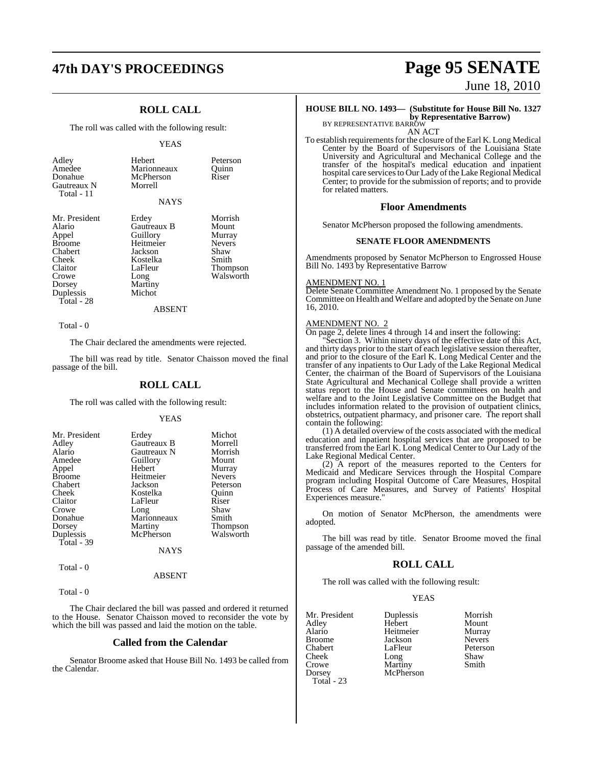# **47th DAY'S PROCEEDINGS Page 95 SENATE**

## **ROLL CALL**

The roll was called with the following result:

#### YEAS

| Adley<br>Amedee<br>Donahue<br>Gautreaux N<br>Total - 11                                                                 | Hebert<br>Marionneaux<br>McPherson<br>Morrell<br><b>NAYS</b>                                                 | Peterson<br>Quinn<br>Riser                                                            |
|-------------------------------------------------------------------------------------------------------------------------|--------------------------------------------------------------------------------------------------------------|---------------------------------------------------------------------------------------|
| Mr. President<br>Alario<br>Appel<br>Broome<br>Chabert<br>Cheek<br>Claitor<br>Crowe<br>Dorsey<br>Duplessis<br>Total - 28 | Erdey<br>Gautreaux B<br>Guillory<br>Heitmeier<br>Jackson<br>Kostelka<br>LaFleur<br>Long<br>Martiny<br>Michot | Morrish<br>Mount<br>Murray<br><b>Nevers</b><br>Shaw<br>Smith<br>Thompson<br>Walsworth |
|                                                                                                                         | ABSENT                                                                                                       |                                                                                       |

Total - 0

The Chair declared the amendments were rejected.

The bill was read by title. Senator Chaisson moved the final passage of the bill.

#### **ROLL CALL**

The roll was called with the following result:

#### YEAS

| Mr. President<br>Adley<br>Alario<br>Amedee<br>Appel<br><b>Broome</b><br>Chabert<br>Cheek<br>Claitor<br>Crowe<br>Donahue<br>Dorsey | Erdey<br>Gautreaux B<br>Gautreaux N<br>Guillory<br>Hebert<br>Heitmeier<br>Jackson<br>Kostelka<br>LaFleur<br>Long<br>Marionneaux<br>Martiny | Michot<br>Morrell<br>Morrish<br>Mount<br>Murray<br><b>Nevers</b><br>Peterson<br>Ouinn<br>Riser<br>Shaw<br>Smith<br>Thompson |
|-----------------------------------------------------------------------------------------------------------------------------------|--------------------------------------------------------------------------------------------------------------------------------------------|-----------------------------------------------------------------------------------------------------------------------------|
| Duplessis                                                                                                                         | McPherson                                                                                                                                  | Walsworth                                                                                                                   |
| Total - $39$                                                                                                                      | <b>NAYS</b>                                                                                                                                |                                                                                                                             |
| Total - 0                                                                                                                         |                                                                                                                                            |                                                                                                                             |

#### ABSENT

Total - 0

The Chair declared the bill was passed and ordered it returned to the House. Senator Chaisson moved to reconsider the vote by which the bill was passed and laid the motion on the table.

#### **Called from the Calendar**

Senator Broome asked that House Bill No. 1493 be called from the Calendar.

# June 18, 2010

### **HOUSE BILL NO. 1493— (Substitute for House Bill No. 1327**

**by Representative Barrow)** BY REPRESENTATIVE BARROW

AN ACT

To establish requirements for the closure of the Earl K. Long Medical Center by the Board of Supervisors of the Louisiana State University and Agricultural and Mechanical College and the transfer of the hospital's medical education and inpatient hospital care services to Our Lady of the Lake Regional Medical Center; to provide for the submission of reports; and to provide for related matters.

#### **Floor Amendments**

Senator McPherson proposed the following amendments.

#### **SENATE FLOOR AMENDMENTS**

Amendments proposed by Senator McPherson to Engrossed House Bill No. 1493 by Representative Barrow

#### AMENDMENT NO. 1

Delete Senate Committee Amendment No. 1 proposed by the Senate Committee on Health and Welfare and adopted by the Senate on June 16, 2010.

#### AMENDMENT NO. 2

On page 2, delete lines 4 through 14 and insert the following:

"Section 3. Within ninety days of the effective date of this Act, and thirty days prior to the start of each legislative session thereafter, and prior to the closure of the Earl K. Long Medical Center and the transfer of any inpatients to Our Lady of the Lake Regional Medical Center, the chairman of the Board of Supervisors of the Louisiana State Agricultural and Mechanical College shall provide a written status report to the House and Senate committees on health and welfare and to the Joint Legislative Committee on the Budget that includes information related to the provision of outpatient clinics, obstetrics, outpatient pharmacy, and prisoner care. The report shall contain the following:

(1) A detailed overview of the costs associated with the medical education and inpatient hospital services that are proposed to be transferred from the Earl K. Long Medical Center to Our Lady of the Lake Regional Medical Center.

(2) A report of the measures reported to the Centers for Medicaid and Medicare Services through the Hospital Compare program including Hospital Outcome of Care Measures, Hospital Process of Care Measures, and Survey of Patients' Hospital Experiences measure."

On motion of Senator McPherson, the amendments were adopted.

The bill was read by title. Senator Broome moved the final passage of the amended bill.

#### **ROLL CALL**

The roll was called with the following result:

#### YEAS

| Mr. President | Duplessis | Morrish       |
|---------------|-----------|---------------|
| Adlev         | Hebert    | Mount         |
| Alario        | Heitmeier | Murray        |
| Broome        | Jackson   | <b>Nevers</b> |
| Chabert       | LaFleur   | Peterson      |
| Cheek         | Long      | Shaw          |
| Crowe         | Martiny   | Smith         |
| Dorsey        | McPherson |               |
| Total - 23    |           |               |
|               |           |               |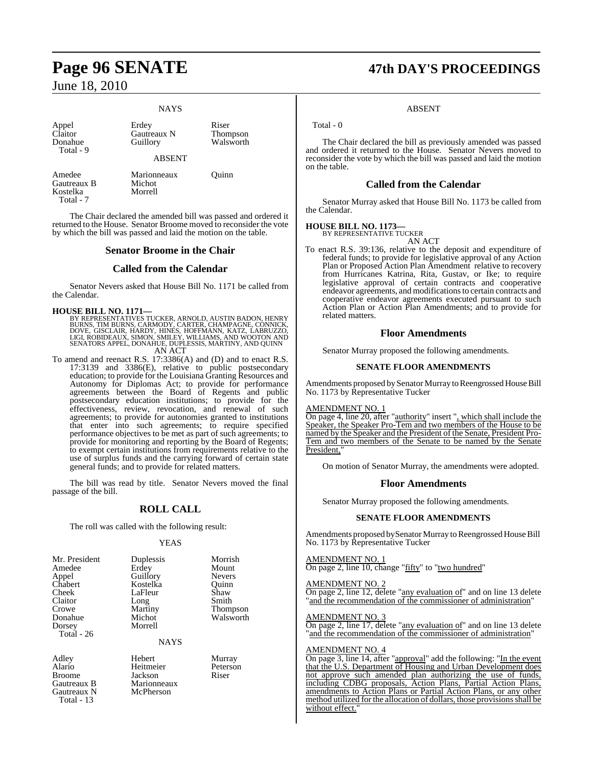# **Page 96 SENATE 47th DAY'S PROCEEDINGS**

## June 18, 2010

#### **NAYS**

| Appel<br>Claitor<br>Donahue<br>Total - 9       | Erdey<br>Gautreaux N<br>Guillory | Riser<br>Thompson<br>Walsworth |
|------------------------------------------------|----------------------------------|--------------------------------|
|                                                | <b>ABSENT</b>                    |                                |
| Amedee<br>Gautreaux B<br>Kostelka<br>Total - 7 | Marionneaux<br>Michot<br>Morrell | Ouinn                          |

The Chair declared the amended bill was passed and ordered it returned to the House. Senator Broome moved to reconsider the vote by which the bill was passed and laid the motion on the table.

#### **Senator Broome in the Chair**

#### **Called from the Calendar**

Senator Nevers asked that House Bill No. 1171 be called from the Calendar.

- **HOUSE BILL NO. 1171—**<br>BY REPRESENTATIVES TUCKER, ARNOLD, AUSTIN BADON, HENRY<br>BURNS, TIM BURNS, CARMODY, CARTER, CHAMPAGNE, CONNICK,<br>DOVE, GISCLAIR, HARDY, HINES, HOFFMANN, KATZ, LABRUZZO,<br>LIGI, ROBIDEAUX, SIMON, SMILEY, W
- To amend and reenact R.S. 17:3386(A) and (D) and to enact R.S. To amend and reenact R.S.  $17:3386(A)$  and (D) and to enact R.S. 17:3139 and 3386(E), relative to public postsecondary education; to provide for the Louisiana Granting Resources and Autonomy for Diplomas Act; to provide for performance agreements between the Board of Regents and public postsecondary education institutions; to provide for the effectiveness, review, revocation, and renewal of such agreements; to provide for autonomies granted to institutions that enter into such agreements; to require specified performance objectives to be met as part of such agreements; to provide for monitoring and reporting by the Board of Regents; to exempt certain institutions from requirements relative to the use of surplus funds and the carrying forward of certain state general funds; and to provide for related matters.

The bill was read by title. Senator Nevers moved the final passage of the bill.

#### **ROLL CALL**

The roll was called with the following result:

#### **YEAS**

| Mr. President | Duplessis | Morris        |
|---------------|-----------|---------------|
| Amedee        | Erdey     | Mount         |
| Appel         | Guillory  | <b>Nevers</b> |
| Chabert       | Kostelka  | Ouinn         |
| Cheek         | LaFleur   | Shaw          |
| Claitor       | Long      | Smith         |
| Crowe         | Martiny   | Thomp         |
| Donahue       | Michot    | Walsw         |
| Dorsey        | Morrell   |               |
| Total - 26    |           |               |
|               |           |               |

lessis Morrish ey Mount<br>
Horv Nevers telka Quinn<br>1eur Shaw Thompson<br>
Shot Walsworth

**NAYS** 

Broome Jackson<br>Gautreaux B Marionn Gautreaux N Total - 13

Adley Hebert Murray Alario Heitmeier Peterson Marionneaux<br>McPherson

Walsworth

#### ABSENT

Total - 0

The Chair declared the bill as previously amended was passed and ordered it returned to the House. Senator Nevers moved to reconsider the vote by which the bill was passed and laid the motion on the table.

### **Called from the Calendar**

Senator Murray asked that House Bill No. 1173 be called from the Calendar.

#### **HOUSE BILL NO. 1173—**

BY REPRESENTATIVE TUCKER AN ACT

To enact R.S. 39:136, relative to the deposit and expenditure of federal funds; to provide for legislative approval of any Action Plan or Proposed Action Plan Amendment relative to recovery from Hurricanes Katrina, Rita, Gustav, or Ike; to require legislative approval of certain contracts and cooperative endeavor agreements, and modificationsto certain contracts and cooperative endeavor agreements executed pursuant to such Action Plan or Action Plan Amendments; and to provide for related matters.

#### **Floor Amendments**

Senator Murray proposed the following amendments.

#### **SENATE FLOOR AMENDMENTS**

Amendments proposed by Senator Murray to Reengrossed House Bill No. 1173 by Representative Tucker

#### AMENDMENT NO. 1

On page 4, line 20, after "authority" insert ", which shall include the Speaker, the Speaker Pro-Tem and two members of the House to be named by the Speaker and the President of the Senate, President Pro-Tem and two members of the Senate to be named by the Senate President,

On motion of Senator Murray, the amendments were adopted.

#### **Floor Amendments**

Senator Murray proposed the following amendments.

#### **SENATE FLOOR AMENDMENTS**

Amendments proposed by Senator Murray to Reengrossed House Bill No. 1173 by Representative Tucker

#### AMENDMENT NO. 1

On page 2, line 10, change "fifty" to "two hundred"

AMENDMENT NO. 2

On page 2, line 12, delete "any evaluation of" and on line 13 delete 'and the recommendation of the commissioner of administration"

#### AMENDMENT NO. 3

On page 2, line 17, delete "any evaluation of" and on line 13 delete and the recommendation of the commissioner of administration"

#### AMENDMENT NO. 4

On page 3, line 14, after "approval" add the following: "In the event that the U.S. Department of Housing and Urban Development does not approve such amended plan authorizing the use of funds, including CDBG proposals, Action Plans, Partial Action Plans, amendments to Action Plans or Partial Action Plans, or any other method utilized for the allocation of dollars, those provisions shall be without effect.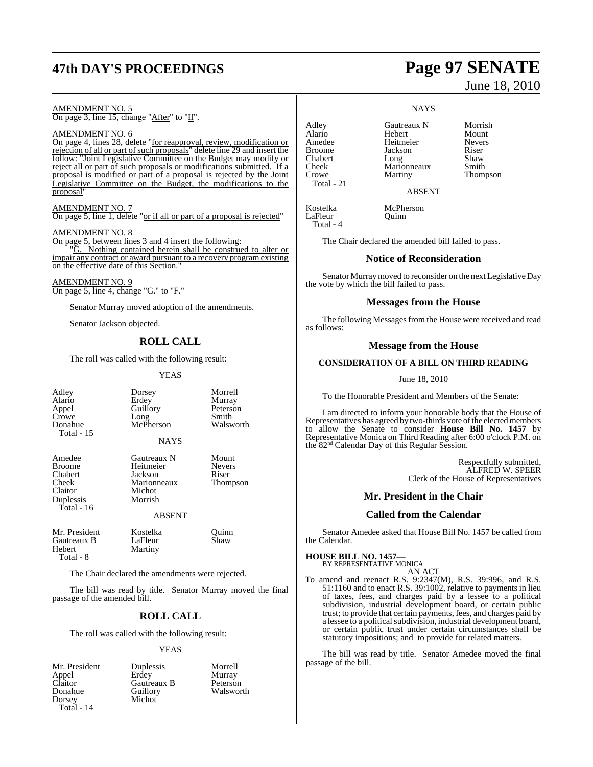# **47th DAY'S PROCEEDINGS Page 97 SENATE**

#### AMENDMENT NO. 5 On page 3, line 15, change "After" to "If".

AMENDMENT NO. 6 On page 4, lines 28, delete "for reapproval, review, modification or rejection of all or part of such proposals" delete line 29 and insert the follow: "Joint Legislative Committee on the Budget may modify or reject all or part of such proposals or modifications submitted. If a proposal is modified or part of a proposal is rejected by the Joint Legislative Committee on the Budget, the modifications to the proposal"

#### AMENDMENT NO. 7

On page 5, line 1, delete "or if all or part of a proposal is rejected"

#### AMENDMENT NO. 8

On page 5, between lines 3 and 4 insert the following: "G. Nothing contained herein shall be construed to alter or impair any contract or award pursuant to a recovery program existing on the effective date of this Section."

AMENDMENT NO. 9 On page 5, line 4, change "G." to "F."

Senator Murray moved adoption of the amendments.

Senator Jackson objected.

#### **ROLL CALL**

The roll was called with the following result:

#### **YEAS**

| Adley<br>Alario<br>Appel<br>Crowe<br>Donahue<br>Total - 15                          | Dorsey<br>Erdey<br>Guillory<br>Long<br>McPherson<br><b>NAYS</b>         | Morrell<br>Murray<br>Peterson<br>Smith<br>Walsworth |
|-------------------------------------------------------------------------------------|-------------------------------------------------------------------------|-----------------------------------------------------|
| Amedee<br><b>Broome</b><br>Chabert<br>Cheek<br>Claitor<br>Duplessis<br>Total - $16$ | Gautreaux N<br>Heitmeier<br>Jackson<br>Marionneaux<br>Michot<br>Morrish | Mount<br><b>Nevers</b><br>Riser<br>Thompson         |
|                                                                                     | <b>ABSENT</b>                                                           |                                                     |
| Mr. President<br>Gautreaux B<br>Hebert<br>Total - 8                                 | Kostelka<br>LaFleur<br>Martiny                                          | Ouinn<br>Shaw                                       |
|                                                                                     | The Chair declared the amendments were rejected.                        |                                                     |
|                                                                                     | The bill was read by title. Senator Murray moved the final              |                                                     |

## **ROLL CALL**

The roll was called with the following result:

#### YEAS

Claitor Gautreaux B<br>Donahue Guillory Dorsey Total - 14

passage of the amended bill.

Mr. President Duplessis Morrell<br>
Appel Erdey Murray Appel Erdey Murray Guillory Walsworth<br>Michot

June 18, 2010

#### **NAYS**

Alario Hebert Mount Amedee Heitmeier Never<br>Broome Jackson Riser Broome **Jackson** Riser<br>
Chabert Long Shaw Chabert Long Shaw Cheek Marionneaux Smith Crowe Martiny Thompson Total - 21

LaFleur Total - 4

Adley **Gautreaux N** Morrish<br>Alario Hebert Mount

ABSENT

Kostelka McPherson<br>LaFleur Ouinn

The Chair declared the amended bill failed to pass.

#### **Notice of Reconsideration**

Senator Murray moved to reconsider on the next Legislative Day the vote by which the bill failed to pass.

#### **Messages from the House**

The following Messages from the House were received and read as follows:

#### **Message from the House**

#### **CONSIDERATION OF A BILL ON THIRD READING**

June 18, 2010

To the Honorable President and Members of the Senate:

I am directed to inform your honorable body that the House of Representatives has agreed by two-thirds vote of the elected members to allow the Senate to consider **House Bill No. 1457** by Representative Monica on Third Reading after 6:00 o'clock P.M. on the 82nd Calendar Day of this Regular Session.

> Respectfully submitted, ALFRED W. SPEER Clerk of the House of Representatives

#### **Mr. President in the Chair**

#### **Called from the Calendar**

Senator Amedee asked that House Bill No. 1457 be called from the Calendar.

# **HOUSE BILL NO. 1457—** BY REPRESENTATIVE MONICA

AN ACT

To amend and reenact R.S. 9:2347(M), R.S. 39:996, and R.S. 51:1160 and to enact R.S. 39:1002, relative to payments in lieu of taxes, fees, and charges paid by a lessee to a political subdivision, industrial development board, or certain public trust; to provide that certain payments, fees, and charges paid by a lessee to a political subdivision, industrial development board, or certain public trust under certain circumstances shall be statutory impositions; and to provide for related matters.

The bill was read by title. Senator Amedee moved the final passage of the bill.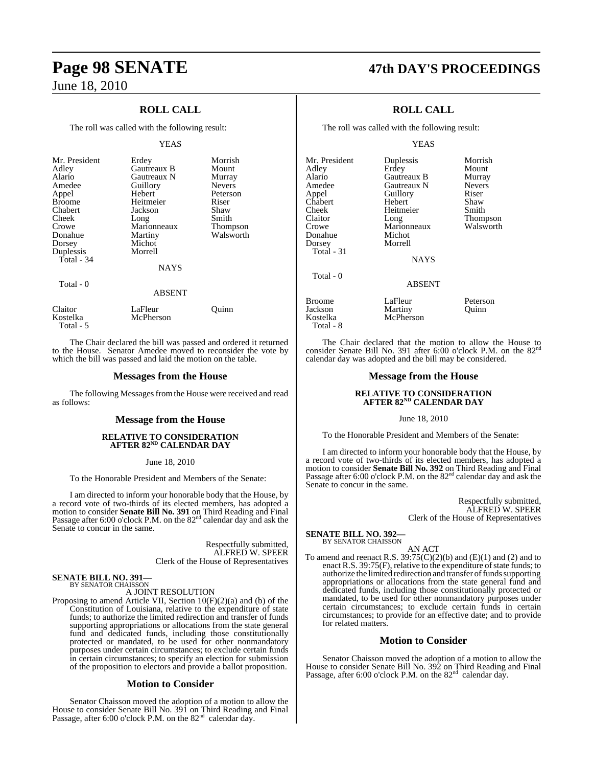Kostelka McPherson

Total - 5

## June 18, 2010

## **ROLL CALL**

The roll was called with the following result:

#### YEAS

| Mr. President<br>Adley<br>Alario<br>Amedee<br>Appel<br><b>Broome</b><br>Chabert<br>Cheek<br>Crowe<br>Donahue<br>Dorsey<br>Duplessis<br>Total - 34 | Erdey<br>Gautreaux B<br>Gautreaux N<br>Guillory<br>Hebert<br>Heitmeier<br>Jackson<br>Long<br>Marionneaux<br>Martiny<br>Michot<br>Morrell<br><b>NAYS</b> | Morrish<br>Mount<br>Murray<br><b>Nevers</b><br>Peterson<br>Riser<br>Shaw<br>Smith<br>Thompson<br>Walsworth |
|---------------------------------------------------------------------------------------------------------------------------------------------------|---------------------------------------------------------------------------------------------------------------------------------------------------------|------------------------------------------------------------------------------------------------------------|
| Total - 0                                                                                                                                         | <b>ABSENT</b>                                                                                                                                           |                                                                                                            |
| Claitor                                                                                                                                           | LaFleur                                                                                                                                                 | uınn                                                                                                       |

The Chair declared the bill was passed and ordered it returned to the House. Senator Amedee moved to reconsider the vote by which the bill was passed and laid the motion on the table.

#### **Messages from the House**

The following Messages from the House were received and read as follows:

#### **Message from the House**

#### **RELATIVE TO CONSIDERATION AFTER 82ND CALENDAR DAY**

June 18, 2010

To the Honorable President and Members of the Senate:

I am directed to inform your honorable body that the House, by a record vote of two-thirds of its elected members, has adopted a motion to consider **Senate Bill No. 391** on Third Reading and Final Passage after 6:00 o'clock P.M. on the 82nd calendar day and ask the Senate to concur in the same.

> Respectfully submitted, ALFRED W. SPEER Clerk of the House of Representatives

#### **SENATE BILL NO. 391—** BY SENATOR CHAISSON

A JOINT RESOLUTION

Proposing to amend Article VII, Section 10(F)(2)(a) and (b) of the Constitution of Louisiana, relative to the expenditure of state funds; to authorize the limited redirection and transfer of funds supporting appropriations or allocations from the state general fund and dedicated funds, including those constitutionally protected or mandated, to be used for other nonmandatory purposes under certain circumstances; to exclude certain funds in certain circumstances; to specify an election for submission of the proposition to electors and provide a ballot proposition.

#### **Motion to Consider**

Senator Chaisson moved the adoption of a motion to allow the House to consider Senate Bill No. 391 on Third Reading and Final Passage, after 6:00 o'clock P.M. on the 82<sup>nd</sup> calendar day.

# **Page 98 SENATE 47th DAY'S PROCEEDINGS**

### **ROLL CALL**

The roll was called with the following result:

#### YEAS

| Mr. President | Duplessis     | Morrish       |
|---------------|---------------|---------------|
| Adley         | Erdey         | Mount         |
| Alario        | Gautreaux B   | Murray        |
| Amedee        | Gautreaux N   | <b>Nevers</b> |
| Appel         | Guillory      | Riser         |
| Chabert       | Hebert        | Shaw          |
| Cheek         | Heitmeier     | Smith         |
| Claitor       | Long          | Thompson      |
| Crowe         | Marionneaux   | Walsworth     |
| Donahue       | Michot        |               |
| Dorsey        | Morrell       |               |
| Total - 31    |               |               |
|               | <b>NAYS</b>   |               |
| Total - 0     |               |               |
|               | <b>ABSENT</b> |               |
| <b>Broome</b> | LaFleur       | Peterson      |
| Jackson       | Martiny       | Ouinn         |
| Kostelka      | McPherson     |               |

 Total - 8 The Chair declared that the motion to allow the House to consider Senate Bill No. 391 after 6:00 o'clock P.M. on the 82<sup>nd</sup>

## **Message from the House**

calendar day was adopted and the bill may be considered.

# **RELATIVE TO CONSIDERATION AFTER 82ND CALENDAR DAY**

June 18, 2010

To the Honorable President and Members of the Senate:

I am directed to inform your honorable body that the House, by a record vote of two-thirds of its elected members, has adopted a motion to consider **Senate Bill No. 392** on Third Reading and Final Passage after 6:00 o'clock P.M. on the 82<sup>nd</sup> calendar day and ask the Senate to concur in the same.

> Respectfully submitted, ALFRED W. SPEER Clerk of the House of Representatives

#### **SENATE BILL NO. 392—** BY SENATOR CHAISSON

#### AN ACT

To amend and reenact R.S.  $39.75(C)(2)(b)$  and  $(E)(1)$  and  $(2)$  and to enact R.S. 39:75(F), relative to the expenditure of state funds; to authorize the limited redirection and transfer of funds supporting appropriations or allocations from the state general fund and dedicated funds, including those constitutionally protected or mandated, to be used for other nonmandatory purposes under certain circumstances; to exclude certain funds in certain circumstances; to provide for an effective date; and to provide for related matters.

#### **Motion to Consider**

Senator Chaisson moved the adoption of a motion to allow the House to consider Senate Bill No. 392 on Third Reading and Final<br>Passage, after 6:00 o'clock P.M. on the 82<sup>nd</sup> calendar day.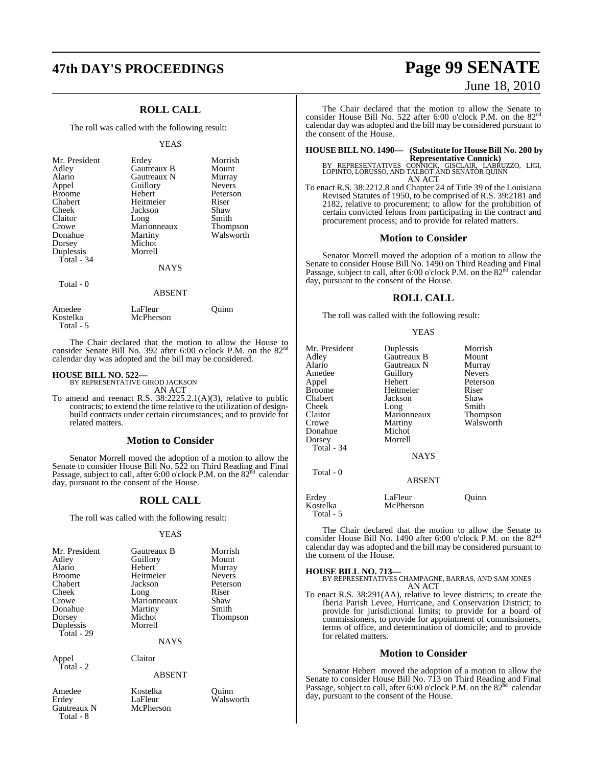# **47th DAY'S PROCEEDINGS Page 99 SENATE**

## **ROLL CALL**

The roll was called with the following result:

#### YEAS

| Mr. President<br>Adley<br>Alario<br>Appel<br><b>Broome</b><br>Chabert<br>Cheek<br>Claitor<br>Crowe<br>Donahue<br>Dorsey<br>Duplessis<br>Total - $34$ | Erdey<br><b>Gautreaux B</b><br>Gautreaux N<br>Guillory<br>Hebert<br>Heitmeier<br>Jackson<br>Long<br>Marionneaux<br>Martiny<br>Michot<br>Morrell<br><b>NAYS</b> | Morrish<br>Mount<br>Murray<br><b>Nevers</b><br>Peterson<br>Riser<br>Shaw<br>Smith<br>Thompson<br>Walsworth |
|------------------------------------------------------------------------------------------------------------------------------------------------------|----------------------------------------------------------------------------------------------------------------------------------------------------------------|------------------------------------------------------------------------------------------------------------|
| Total - 0                                                                                                                                            | ABSENT                                                                                                                                                         |                                                                                                            |

| Amedee    | LaFleur   | Ouinn |
|-----------|-----------|-------|
| Kostelka  | McPherson |       |
| Total - 5 |           |       |

The Chair declared that the motion to allow the House to consider Senate Bill No. 392 after 6:00 o'clock P.M. on the 82<sup>nd</sup> calendar day was adopted and the bill may be considered.

# **HOUSE BILL NO. 522—** BY REPRESENTATIVE GIROD JACKSON

AN ACT

To amend and reenact R.S. 38:2225.2.1(A)(3), relative to public contracts; to extend the time relative to the utilization of designbuild contracts under certain circumstances; and to provide for related matters.

#### **Motion to Consider**

Senator Morrell moved the adoption of a motion to allow the Senate to consider House Bill No. 522 on Third Reading and Final Passage, subject to call, after 6:00 o'clock P.M. on the 82<sup>nd</sup> calendar day, pursuant to the consent of the House.

#### **ROLL CALL**

The roll was called with the following result:

#### YEAS

| Mr. President<br>Adley<br>Alario<br><b>Broome</b><br>Chabert<br>Cheek<br>Crowe<br>Donahue | Gautreaux B<br>Guillory<br>Hebert<br>Heitmeier<br>Jackson<br>Long<br>Marionneaux<br>Martiny | Morrish<br>Mount<br>Murray<br><b>Nevers</b><br>Peterson<br>Riser<br>Shaw<br>Smith |
|-------------------------------------------------------------------------------------------|---------------------------------------------------------------------------------------------|-----------------------------------------------------------------------------------|
| Dorsey<br>Duplessis<br>Total - 29                                                         | Michot<br>Morrell<br><b>NAYS</b>                                                            | Thompson                                                                          |
| Appel<br>$\widetilde{m}$ and $\overline{m}$                                               | Claitor                                                                                     |                                                                                   |

Total - 2

ABSENT

## Gautreaux N Total - 8

Amedee Kostelka Quinn LaFleur Walsworth<br>McPherson

# June 18, 2010

The Chair declared that the motion to allow the Senate to consider House Bill No. 522 after 6:00 o'clock P.M. on the 82<sup>t</sup> calendar day was adopted and the bill may be considered pursuant to the consent of the House.

**HOUSE BILL NO. 1490— (Substitute for House Bill No. 200 by**

**Representative Connick)**<br>BY REPRESENTATIVES CONNICK, GISCLAIR, LABRUZZO, LIGI,<br>LOPINTO, LORUSSO, AND TALBOT AND SENATOR QUINN AN ACT

To enact R.S. 38:2212.8 and Chapter 24 of Title 39 of the Louisiana Revised Statutes of 1950, to be comprised of R.S. 39:2181 and 2182, relative to procurement; to allow for the prohibition of certain convicted felons from participating in the contract and procurement process; and to provide for related matters.

#### **Motion to Consider**

Senator Morrell moved the adoption of a motion to allow the Senate to consider House Bill No. 1490 on Third Reading and Final<br>Passage, subject to call, after 6:00 o'clock P.M. on the 82<sup>nd</sup> calendar day, pursuant to the consent of the House.

#### **ROLL CALL**

The roll was called with the following result:

#### YEAS

| Mr. President<br>Adley<br>Alario<br>Amedee<br>Appel<br><b>Broome</b><br>Chabert<br>Cheek<br>Claitor<br>Crowe<br>Donahue<br>Dorsey<br>Total - $34$ | Duplessis<br>Gautreaux B<br>Gautreaux N<br>Guillory<br>Hebert<br>Heitmeier<br>Jackson<br>Long<br>Marionneaux<br>Martiny<br>Michot<br>Morrell<br><b>NAYS</b> | Morrish<br>Mount<br>Murray<br><b>Nevers</b><br>Peterson<br>Riser<br>Shaw<br>Smith<br>Thompson<br>Walsworth |
|---------------------------------------------------------------------------------------------------------------------------------------------------|-------------------------------------------------------------------------------------------------------------------------------------------------------------|------------------------------------------------------------------------------------------------------------|
| Total - 0                                                                                                                                         | <b>ABSENT</b>                                                                                                                                               |                                                                                                            |

Erdey LaFleur Quinn **McPherson** Total - 5

The Chair declared that the motion to allow the Senate to consider House Bill No. 1490 after 6:00 o'clock P.M. on the 82<sup>nd</sup> calendar day was adopted and the bill may be considered pursuant to the consent of the House.

**HOUSE BILL NO. 713—** BY REPRESENTATIVES CHAMPAGNE, BARRAS, AND SAM JONES AN ACT

To enact R.S. 38:291(AA), relative to levee districts; to create the Iberia Parish Levee, Hurricane, and Conservation District; to provide for jurisdictional limits; to provide for a board of commissioners, to provide for appointment of commissioners, terms of office, and determination of domicile; and to provide for related matters.

#### **Motion to Consider**

Senator Hebert moved the adoption of a motion to allow the Senate to consider House Bill No. 713 on Third Reading and Final Passage, subject to call, after 6:00 o'clock P.M. on the  $82<sup>nd</sup>$  calendar day, pursuant to the consent of the House.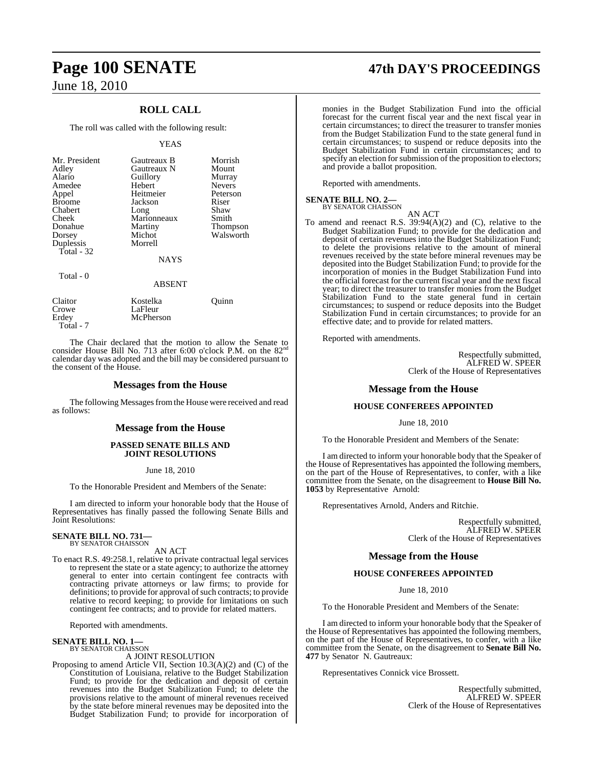## **ROLL CALL**

The roll was called with the following result:

#### YEAS

| Mr. President<br>Adley<br>Alario<br>Amedee<br>Appel<br><b>Broome</b><br>Chabert<br>Cheek<br>Donahue<br>Dorsey<br>Duplessis<br>Total - 32 | Gautreaux B<br>Gautreaux N<br>Guillory<br>Hebert<br>Heitmeier<br>Jackson<br>Long<br>Marionneaux<br>Martiny<br>Michot<br>Morrell | Morrish<br>Mount<br>Murray<br><b>Nevers</b><br>Peterson<br>Riser<br>Shaw<br>Smith<br>Thompson<br>Walsworth |
|------------------------------------------------------------------------------------------------------------------------------------------|---------------------------------------------------------------------------------------------------------------------------------|------------------------------------------------------------------------------------------------------------|
|                                                                                                                                          | <b>NAYS</b>                                                                                                                     |                                                                                                            |
| Total - 0                                                                                                                                | <b>ABSENT</b>                                                                                                                   |                                                                                                            |
| ----                                                                                                                                     | $-$                                                                                                                             |                                                                                                            |

Claitor Kostelka Quinn Crowe LaFleur<br>Erdey McPhers **McPherson** Total - 7

The Chair declared that the motion to allow the Senate to consider House Bill No. 713 after 6:00 o'clock P.M. on the 82<sup>nd</sup> calendar day was adopted and the bill may be considered pursuant to the consent of the House.

#### **Messages from the House**

The following Messages from the House were received and read as follows:

#### **Message from the House**

#### **PASSED SENATE BILLS AND JOINT RESOLUTIONS**

#### June 18, 2010

To the Honorable President and Members of the Senate:

I am directed to inform your honorable body that the House of Representatives has finally passed the following Senate Bills and Joint Resolutions:

#### **SENATE BILL NO. 731—** BY SENATOR CHAISSON

AN ACT

To enact R.S. 49:258.1, relative to private contractual legal services to represent the state or a state agency; to authorize the attorney general to enter into certain contingent fee contracts with contracting private attorneys or law firms; to provide for definitions; to provide for approval of such contracts; to provide relative to record keeping; to provide for limitations on such contingent fee contracts; and to provide for related matters.

Reported with amendments.

#### **SENATE BILL NO. 1—** BY SENATOR CHAISSON

A JOINT RESOLUTION

Proposing to amend Article VII, Section 10.3(A)(2) and (C) of the Constitution of Louisiana, relative to the Budget Stabilization Fund; to provide for the dedication and deposit of certain revenues into the Budget Stabilization Fund; to delete the provisions relative to the amount of mineral revenues received by the state before mineral revenues may be deposited into the Budget Stabilization Fund; to provide for incorporation of

# **Page 100 SENATE 47th DAY'S PROCEEDINGS**

monies in the Budget Stabilization Fund into the official forecast for the current fiscal year and the next fiscal year in certain circumstances; to direct the treasurer to transfer monies from the Budget Stabilization Fund to the state general fund in certain circumstances; to suspend or reduce deposits into the Budget Stabilization Fund in certain circumstances; and to specify an election for submission of the proposition to electors; and provide a ballot proposition.

Reported with amendments.

# **SENATE BILL NO. 2—**<br>BY SENATOR CHAISSON

AN ACT To amend and reenact R.S. 39:94(A)(2) and (C), relative to the Budget Stabilization Fund; to provide for the dedication and deposit of certain revenues into the Budget Stabilization Fund; to delete the provisions relative to the amount of mineral revenues received by the state before mineral revenues may be deposited into the Budget Stabilization Fund; to provide for the incorporation of monies in the Budget Stabilization Fund into the official forecast for the current fiscal year and the next fiscal year; to direct the treasurer to transfer monies from the Budget Stabilization Fund to the state general fund in certain circumstances; to suspend or reduce deposits into the Budget Stabilization Fund in certain circumstances; to provide for an effective date; and to provide for related matters.

Reported with amendments.

Respectfully submitted, ALFRED W. SPEER Clerk of the House of Representatives

### **Message from the House**

#### **HOUSE CONFEREES APPOINTED**

June 18, 2010

To the Honorable President and Members of the Senate:

I am directed to inform your honorable body that the Speaker of the House of Representatives has appointed the following members, on the part of the House of Representatives, to confer, with a like committee from the Senate, on the disagreement to **House Bill No. 1053** by Representative Arnold:

Representatives Arnold, Anders and Ritchie.

Respectfully submitted, ALFRED W. SPEER Clerk of the House of Representatives

#### **Message from the House**

#### **HOUSE CONFEREES APPOINTED**

June 18, 2010

To the Honorable President and Members of the Senate:

I am directed to inform your honorable body that the Speaker of the House of Representatives has appointed the following members, on the part of the House of Representatives, to confer, with a like committee from the Senate, on the disagreement to **Senate Bill No. 477** by Senator N. Gautreaux:

Representatives Connick vice Brossett.

Respectfully submitted, ALFRED W. SPEER Clerk of the House of Representatives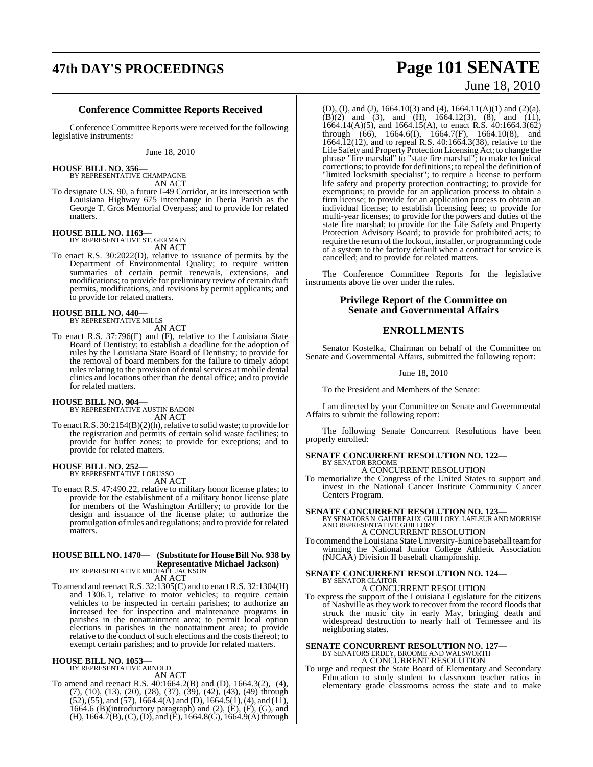# **47th DAY'S PROCEEDINGS Page 101 SENATE**

#### **Conference Committee Reports Received**

Conference Committee Reports were received for the following legislative instruments:

June 18, 2010

George T. Gros Memorial Overpass; and to provide for related

**HOUSE BILL NO. 356—** BY REPRESENTATIVE CHAMPAGNE AN ACT To designate U.S. 90, a future I-49 Corridor, at its intersection with Louisiana Highway 675 interchange in Iberia Parish as the

#### **HOUSE BILL NO. 1163—** BY REPRESENTATIVE ST. GERMAIN

matters.

AN ACT

To enact R.S. 30:2022(D), relative to issuance of permits by the Department of Environmental Quality; to require written summaries of certain permit renewals, extensions, and modifications; to provide for preliminary review of certain draft permits, modifications, and revisions by permit applicants; and to provide for related matters.

# **HOUSE BILL NO. 440—** BY REPRESENTATIVE MILLS

AN ACT

To enact R.S. 37:796(E) and (F), relative to the Louisiana State Board of Dentistry; to establish a deadline for the adoption of rules by the Louisiana State Board of Dentistry; to provide for the removal of board members for the failure to timely adopt rules relating to the provision of dental services at mobile dental clinics and locations other than the dental office; and to provide for related matters.

# **HOUSE BILL NO. 904—** BY REPRESENTATIVE AUSTIN BADON

AN ACT

To enact R.S. 30:2154(B)(2)(h), relative to solid waste; to provide for the registration and permits of certain solid waste facilities; to provide for buffer zones; to provide for exceptions; and to provide for related matters.

# **HOUSE BILL NO. 252—** BY REPRESENTATIVE LORUSSO

AN ACT

To enact R.S. 47:490.22, relative to military honor license plates; to provide for the establishment of a military honor license plate for members of the Washington Artillery; to provide for the design and issuance of the license plate; to authorize the promulgation ofrules and regulations; and to provide forrelated matters.

## **HOUSE BILL NO. 1470— (Substitute for House Bill No. 938 by Representative Michael Jackson)** BY REPRESENTATIVE MICHAEL JACKSON

AN ACT

To amend and reenact R.S. 32:1305(C) and to enact R.S. 32:1304(H) and 1306.1, relative to motor vehicles; to require certain vehicles to be inspected in certain parishes; to authorize an increased fee for inspection and maintenance programs in parishes in the nonattainment area; to permit local option elections in parishes in the nonattainment area; to provide relative to the conduct of such elections and the costs thereof; to exempt certain parishes; and to provide for related matters.

# **HOUSE BILL NO. 1053—** BY REPRESENTATIVE ARNOLD

AN ACT

To amend and reenact R.S. 40:1664.2(B) and (D), 1664.3(2), (4), (7), (10), (13), (20), (28), (37), (39), (42), (43), (49) through  $(52)$ ,  $(55)$ , and  $(57)$ , 1664.4(A) and (D), 1664.5(1), (4), and (11), 1664.6 (B)(introductory paragraph) and  $(2)$ ,  $(E)$ ,  $(F)$ ,  $(G)$ , and  $(H)$ , 1664.7(B), (C), (D), and (E), 1664.8(G), 1664.9(A) through

# June 18, 2010

(D), (I), and (J), 1664.10(3) and (4), 1664.11(A)(1) and (2)(a), (B)(2) and (3), and (H), 1664.12(3), (8), and (11), 1664.14(A)(5), and 1664.15(A), to enact R.S. 40:1664.3(62) through (66), 1664.6(I), 1664.7(F), 1664.10(8), and 1664.12(12), and to repeal R.S. 40:1664.3(38), relative to the Life Safety and Property Protection Licensing Act; to change the phrase "fire marshal" to "state fire marshal"; to make technical corrections; to provide for definitions; to repeal the definition of "limited locksmith specialist"; to require a license to perform life safety and property protection contracting; to provide for exemptions; to provide for an application process to obtain a firm license; to provide for an application process to obtain an individual license; to establish licensing fees; to provide for multi-year licenses; to provide for the powers and duties of the state fire marshal; to provide for the Life Safety and Property Protection Advisory Board; to provide for prohibited acts; to require the return of the lockout, installer, or programming code of a system to the factory default when a contract for service is cancelled; and to provide for related matters.

The Conference Committee Reports for the legislative instruments above lie over under the rules.

### **Privilege Report of the Committee on Senate and Governmental Affairs**

#### **ENROLLMENTS**

Senator Kostelka, Chairman on behalf of the Committee on Senate and Governmental Affairs, submitted the following report:

June 18, 2010

To the President and Members of the Senate:

I am directed by your Committee on Senate and Governmental Affairs to submit the following report:

The following Senate Concurrent Resolutions have been properly enrolled:

## **SENATE CONCURRENT RESOLUTION NO. 122—** BY SENATOR BROOME A CONCURRENT RESOLUTION

To memorialize the Congress of the United States to support and invest in the National Cancer Institute Community Cancer Centers Program.

**SENATE CONCURRENT RESOLUTION NO. 123—**<br>BY SENATORS N. GAUTREAUX, GUILLORY, LAFLEUR AND MORRISH<br>AND REPRESENTATIVE GUILLORY A CONCURRENT RESOLUTION

To commend the Louisiana State University-Eunice baseball team for winning the National Junior College Athletic Association (NJCAA) Division II baseball championship.

## **SENATE CONCURRENT RESOLUTION NO. 124—** BY SENATOR CLAITOR A CONCURRENT RESOLUTION

To express the support of the Louisiana Legislature for the citizens of Nashville as they work to recover from the record floods that struck the music city in early May, bringing death and widespread destruction to nearly half of Tennessee and its neighboring states.

# **SENATE CONCURRENT RESOLUTION NO. 127—**<br>BY SENATORS ERDEY, BROOME AND WALSWORTH A CONCURRENT RESOLUTION

To urge and request the State Board of Elementary and Secondary Education to study student to classroom teacher ratios in elementary grade classrooms across the state and to make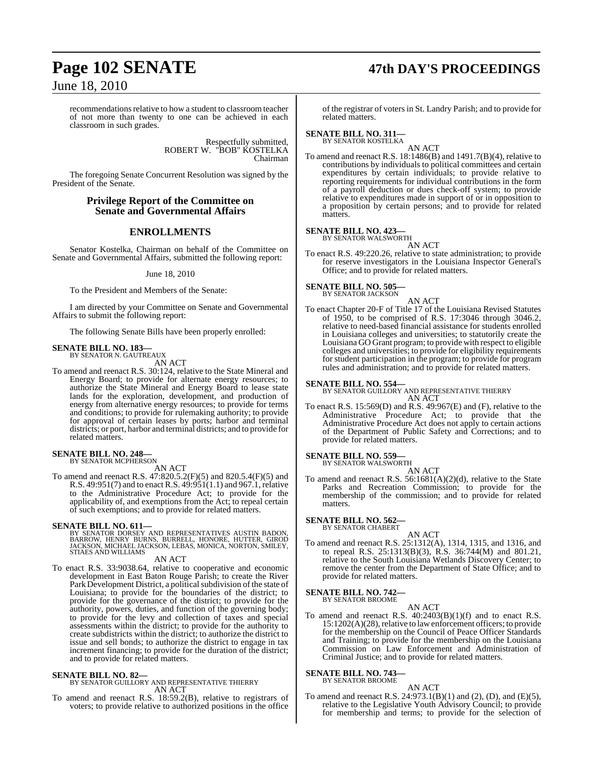# **Page 102 SENATE 47th DAY'S PROCEEDINGS**

June 18, 2010

recommendations relative to how a student to classroom teacher of not more than twenty to one can be achieved in each classroom in such grades.

> Respectfully submitted, ROBERT W. "BOB" KOSTELKA Chairman

The foregoing Senate Concurrent Resolution was signed by the President of the Senate.

### **Privilege Report of the Committee on Senate and Governmental Affairs**

### **ENROLLMENTS**

Senator Kostelka, Chairman on behalf of the Committee on Senate and Governmental Affairs, submitted the following report:

June 18, 2010

To the President and Members of the Senate:

I am directed by your Committee on Senate and Governmental Affairs to submit the following report:

The following Senate Bills have been properly enrolled:

# **SENATE BILL NO. 183—** BY SENATOR N. GAUTREAUX

AN ACT

To amend and reenact R.S. 30:124, relative to the State Mineral and Energy Board; to provide for alternate energy resources; to authorize the State Mineral and Energy Board to lease state lands for the exploration, development, and production of energy from alternative energy resources; to provide for terms and conditions; to provide for rulemaking authority; to provide for approval of certain leases by ports; harbor and terminal districts; or port, harbor and terminal districts; and to provide for related matters.

# **SENATE BILL NO. 248—** BY SENATOR MCPHERSON

AN ACT

To amend and reenact R.S. 47:820.5.2(F)(5) and 820.5.4(F)(5) and R.S. 49:951(7) and to enact R.S. 49:951(1.1) and 967.1, relative to the Administrative Procedure Act; to provide for the applicability of, and exemptions from the Act; to repeal certain of such exemptions; and to provide for related matters.

**SENATE BILL NO. 611—**<br>BY SENATOR DORSEY AND REPRESENTATIVES AUSTIN BADON, BARROW, HENRY BURNS, BURRELL, HONORE, HUTTER, GIROD<br>JACKSON, HENRY BURNS, BURRELL, HONORE, HUTTER, GIROD<br>STIAES AND WILLIAMS

AN ACT

To enact R.S. 33:9038.64, relative to cooperative and economic development in East Baton Rouge Parish; to create the River Park Development District, a political subdivision of the state of Louisiana; to provide for the boundaries of the district; to provide for the governance of the district; to provide for the authority, powers, duties, and function of the governing body; to provide for the levy and collection of taxes and special assessments within the district; to provide for the authority to create subdistricts within the district; to authorize the district to issue and sell bonds; to authorize the district to engage in tax increment financing; to provide for the duration of the district; and to provide for related matters.

#### **SENATE BILL NO. 82—**

BY SENATOR GUILLORY AND REPRESENTATIVE THIERRY AN ACT

To amend and reenact R.S. 18:59.2(B), relative to registrars of voters; to provide relative to authorized positions in the office

of the registrar of voters in St. Landry Parish; and to provide for related matters.

# **SENATE BILL NO. 311—** BY SENATOR KOSTELKA

AN ACT To amend and reenact R.S. 18:1486(B) and 1491.7(B)(4), relative to contributions by individuals to political committees and certain expenditures by certain individuals; to provide relative to reporting requirements for individual contributions in the form of a payroll deduction or dues check-off system; to provide relative to expenditures made in support of or in opposition to a proposition by certain persons; and to provide for related matters.

#### **SENATE BILL NO. 423—**

BY SENATOR WALSWORTH AN ACT

To enact R.S. 49:220.26, relative to state administration; to provide for reserve investigators in the Louisiana Inspector General's Office; and to provide for related matters.

#### **SENATE BILL NO. 505—**

BY SENATOR JACKSON AN ACT

To enact Chapter 20-F of Title 17 of the Louisiana Revised Statutes of 1950, to be comprised of R.S. 17:3046 through 3046.2, relative to need-based financial assistance for students enrolled in Louisiana colleges and universities; to statutorily create the Louisiana GO Grant program; to provide with respect to eligible colleges and universities; to provide for eligibility requirements for student participation in the program; to provide for program rules and administration; and to provide for related matters.

**SENATE BILL NO. 554—** BY SENATOR GUILLORY AND REPRESENTATIVE THIERRY AN ACT

To enact R.S. 15:569(D) and R.S. 49:967(E) and (F), relative to the Administrative Procedure Act; to provide that the Administrative Procedure Act does not apply to certain actions of the Department of Public Safety and Corrections; and to provide for related matters.

# **SENATE BILL NO. 559—** BY SENATOR WALSWORTH

AN ACT To amend and reenact R.S. 56:1681(A)(2)(d), relative to the State Parks and Recreation Commission; to provide for the membership of the commission; and to provide for related matters.

#### **SENATE BILL NO. 562—**

BY SENATOR CHABERT

AN ACT To amend and reenact R.S. 25:1312(A), 1314, 1315, and 1316, and to repeal R.S. 25:1313(B)(3), R.S. 36:744(M) and 801.21, relative to the South Louisiana Wetlands Discovery Center; to remove the center from the Department of State Office; and to provide for related matters.

#### **SENATE BILL NO. 742—**

BY SENATOR BROOME AN ACT

To amend and reenact R.S. 40:2403(B)(1)(f) and to enact R.S. 15:1202(A)(28), relative to law enforcement officers; to provide for the membership on the Council of Peace Officer Standards and Training; to provide for the membership on the Louisiana Commission on Law Enforcement and Administration of Criminal Justice; and to provide for related matters.

# **SENATE BILL NO. 743—** BY SENATOR BROOME

AN ACT

To amend and reenact R.S. 24:973.1(B)(1) and (2), (D), and (E)(5), relative to the Legislative Youth Advisory Council; to provide for membership and terms; to provide for the selection of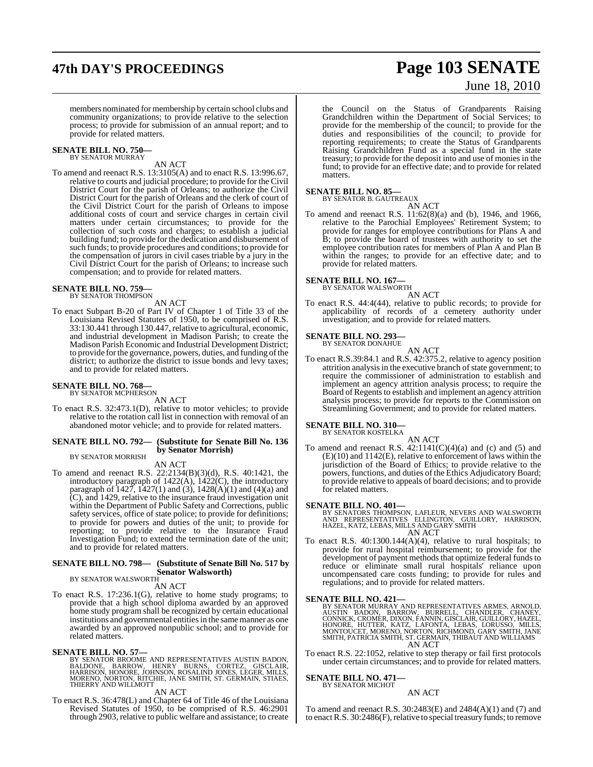# **47th DAY'S PROCEEDINGS Page 103 SENATE**

# June 18, 2010

members nominated for membership by certain school clubs and community organizations; to provide relative to the selection process; to provide for submission of an annual report; and to provide for related matters.

#### **SENATE BILL NO. 750—** BY SENATOR MURRAY

### AN ACT

To amend and reenact R.S. 13:3105(A) and to enact R.S. 13:996.67, relative to courts and judicial procedure; to provide for the Civil District Court for the parish of Orleans; to authorize the Civil District Court for the parish of Orleans and the clerk of court of the Civil District Court for the parish of Orleans to impose additional costs of court and service charges in certain civil matters under certain circumstances; to provide for the collection of such costs and charges; to establish a judicial building fund; to provide for the dedication and disbursement of such funds; to provide procedures and conditions; to provide for the compensation of jurors in civil cases triable by a jury in the Civil District Court for the parish of Orleans; to increase such compensation; and to provide for related matters.

#### **SENATE BILL NO. 759—** BY SENATOR THOMPSON

AN ACT

To enact Subpart B-20 of Part IV of Chapter 1 of Title 33 of the Louisiana Revised Statutes of 1950, to be comprised of R.S. 33:130.441 through 130.447, relative to agricultural, economic, and industrial development in Madison Parish; to create the Madison Parish Economic and Industrial Development District; to provide forthe governance, powers, duties, and funding ofthe district; to authorize the district to issue bonds and levy taxes; and to provide for related matters.

#### **SENATE BILL NO. 768—** BY SENATOR MCPHERSON

AN ACT

To enact R.S. 32:473.1(D), relative to motor vehicles; to provide relative to the rotation call list in connection with removal of an abandoned motor vehicle; and to provide for related matters.

#### **SENATE BILL NO. 792— (Substitute for Senate Bill No. 136 by Senator Morrish)**

BY SENATOR MORRISH

AN ACT To amend and reenact R.S. 22:2134(B)(3)(d), R.S. 40:1421, the introductory paragraph of 1422(A), 1422(C), the introductory paragraph of  $1427$ ,  $1427(1)$  and  $(3)$ ,  $1428(A)(1)$  and  $(4)(a)$  and (C), and 1429, relative to the insurance fraud investigation unit within the Department of Public Safety and Corrections, public safety services, office of state police; to provide for definitions; to provide for powers and duties of the unit; to provide for reporting; to provide relative to the Insurance Fraud Investigation Fund; to extend the termination date of the unit; and to provide for related matters.

## **SENATE BILL NO. 798— (Substitute of Senate Bill No. 517 by Senator Walsworth)** BY SENATOR WALSWORTH

AN ACT

To enact R.S. 17:236.1(G), relative to home study programs; to provide that a high school diploma awarded by an approved home study program shall be recognized by certain educational institutions and governmental entities in the same manner as one awarded by an approved nonpublic school; and to provide for related matters.

**SENATE BILL NO. 57—**<br>BY SENATOR BROOME AND REPRESENTATIVES AUSTIN BADON,<br>BALDONE, BARROW, HENRY BURNS, CORTEZ, GISCLAIR,<br>HARRISON, HONORE, JOHNSON, ROSALIND JONES, LEGER, MILLS,<br>MORENO, NORTON, RITCHIE, JANE SMITH, ST. GE

#### AN ACT

To enact R.S. 36:478(L) and Chapter 64 of Title 46 of the Louisiana Revised Statutes of 1950, to be comprised of R.S. 46:2901 through 2903, relative to public welfare and assistance; to create the Council on the Status of Grandparents Raising Grandchildren within the Department of Social Services; to provide for the membership of the council; to provide for the duties and responsibilities of the council; to provide for reporting requirements; to create the Status of Grandparents Raising Grandchildren Fund as a special fund in the state treasury; to provide for the deposit into and use of monies in the fund; to provide for an effective date; and to provide for related matters.

#### **SENATE BILL NO. 85—**

BY SENATOR B. GAUTREAUX

AN ACT To amend and reenact R.S. 11:62(8)(a) and (b), 1946, and 1966, relative to the Parochial Employees' Retirement System; to provide for ranges for employee contributions for Plans A and B; to provide the board of trustees with authority to set the employee contribution rates for members of Plan A and Plan B within the ranges; to provide for an effective date; and to provide for related matters.

# **SENATE BILL NO. 167—** BY SENATOR WALSWORTH

AN ACT

To enact R.S. 44:4(44), relative to public records; to provide for applicability of records of a cemetery authority under investigation; and to provide for related matters.

#### **SENATE BILL NO. 293—**

BY SENATOR DONAHUE

AN ACT To enact R.S.39:84.1 and R.S. 42:375.2, relative to agency position attrition analysis in the executive branch of state government; to require the commissioner of administration to establish and implement an agency attrition analysis process; to require the Board of Regents to establish and implement an agency attrition analysis process; to provide for reports to the Commission on Streamlining Government; and to provide for related matters.

# **SENATE BILL NO. 310—** BY SENATOR KOSTELKA

AN ACT To amend and reenact R.S.  $42:1141(C)(4)(a)$  and (c) and (5) and  $(E)(10)$  and  $1142(E)$ , relative to enforcement of laws within the jurisdiction of the Board of Ethics; to provide relative to the powers, functions, and duties of the Ethics Adjudicatory Board; to provide relative to appeals of board decisions; and to provide for related matters.

**SENATE BILL NO. 401—**<br>BY SENATORS THOMPSON, LAFLEUR, NEVERS AND WALSWORTH<br>AND REPRESENTATIVES ELLINGTON, GUILLORY, HARRISON,<br>HAZEL, KATZ, LEBAS, MILLS AND GARY SMITH AN ACT

To enact R.S. 40:1300.144(A)(4), relative to rural hospitals; to provide for rural hospital reimbursement; to provide for the development of payment methods that optimize federal funds to reduce or eliminate small rural hospitals' reliance upon uncompensated care costs funding; to provide for rules and regulations; and to provide for related matters.

SENATE BILL NO. 421—<br>BY SENATOR MURRAY AND REPRESENTATIVES ARMES, ARNOLD,<br>AUSTIN BADON, BARROW, BURRELL, CHANDLER, CHANEY,<br>CONNICK, CROMER, DIXON, FANNIN, GISCLAIR, GUILLORY, HAZEL,<br>HONORE, HUTTER, KATZ, LAFONTA, LEBAS, LO AN ACT

To enact R.S. 22:1052, relative to step therapy or fail first protocols under certain circumstances; and to provide for related matters.

# **SENATE BILL NO. 471—** BY SENATOR MICHOT

#### AN ACT

To amend and reenact R.S. 30:2483(E) and 2484(A)(1) and (7) and to enact R.S. 30:2486(F), relative to special treasury funds; to remove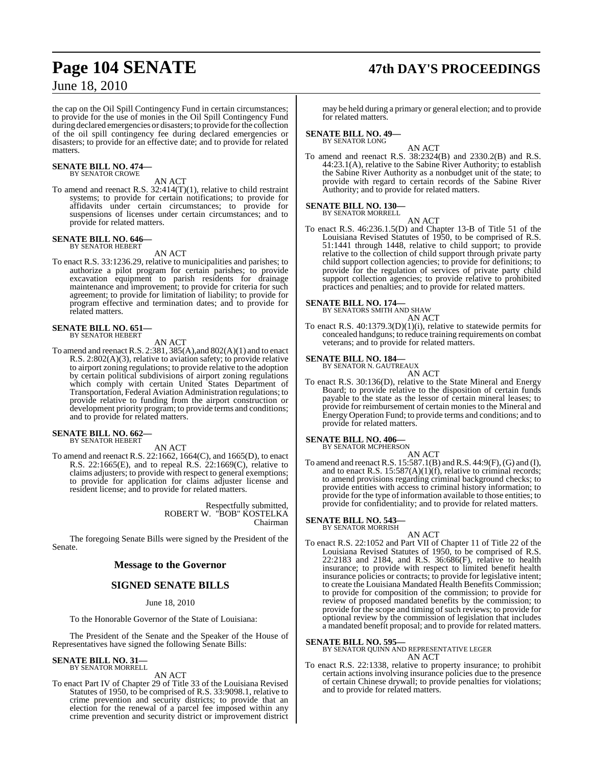the cap on the Oil Spill Contingency Fund in certain circumstances; to provide for the use of monies in the Oil Spill Contingency Fund during declared emergencies or disasters; to provide forthe collection of the oil spill contingency fee during declared emergencies or disasters; to provide for an effective date; and to provide for related matters.

#### **SENATE BILL NO. 474—** BY SENATOR CROWE

AN ACT

To amend and reenact R.S. 32:414(T)(1), relative to child restraint systems; to provide for certain notifications; to provide for affidavits under certain circumstances; to provide for suspensions of licenses under certain circumstances; and to provide for related matters.

# **SENATE BILL NO. 646—** BY SENATOR HEBERT

#### AN ACT

To enact R.S. 33:1236.29, relative to municipalities and parishes; to authorize a pilot program for certain parishes; to provide excavation equipment to parish residents for drainage maintenance and improvement; to provide for criteria for such agreement; to provide for limitation of liability; to provide for program effective and termination dates; and to provide for related matters.

# **SENATE BILL NO. 651—** BY SENATOR HEBERT

AN ACT

To amend and reenact R.S. 2:381, 385(A),and 802(A)(1) and to enact R.S. 2:802(A)(3), relative to aviation safety; to provide relative to airport zoning regulations; to provide relative to the adoption by certain political subdivisions of airport zoning regulations which comply with certain United States Department of Transportation, Federal Aviation Administration regulations; to provide relative to funding from the airport construction or development priority program; to provide terms and conditions; and to provide for related matters.

# **SENATE BILL NO. 662—** BY SENATOR HEBERT

AN ACT

To amend and reenact R.S. 22:1662, 1664(C), and 1665(D), to enact R.S. 22:1665(E), and to repeal R.S. 22:1669(C), relative to claims adjusters; to provide with respect to general exemptions; to provide for application for claims adjuster license and resident license; and to provide for related matters.

> Respectfully submitted, ROBERT W. "BOB" KOSTELKA Chairman

The foregoing Senate Bills were signed by the President of the Senate.

#### **Message to the Governor**

### **SIGNED SENATE BILLS**

#### June 18, 2010

To the Honorable Governor of the State of Louisiana:

The President of the Senate and the Speaker of the House of Representatives have signed the following Senate Bills:

# **SENATE BILL NO. 31—** BY SENATOR MORRELL

#### AN ACT

To enact Part IV of Chapter 29 of Title 33 of the Louisiana Revised Statutes of 1950, to be comprised of R.S. 33:9098.1, relative to crime prevention and security districts; to provide that an election for the renewal of a parcel fee imposed within any crime prevention and security district or improvement district

#### may be held during a primary or general election; and to provide for related matters.

# **SENATE BILL NO. 49—** BY SENATOR LONG

AN ACT To amend and reenact R.S. 38:2324(B) and 2330.2(B) and R.S. 44:23.1(A), relative to the Sabine River Authority; to establish the Sabine River Authority as a nonbudget unit of the state; to provide with regard to certain records of the Sabine River Authority; and to provide for related matters.

#### **SENATE BILL NO. 130—**

BY SENATOR MORRELL AN ACT

To enact R.S. 46:236.1.5(D) and Chapter 13-B of Title 51 of the Louisiana Revised Statutes of 1950, to be comprised of R.S. 51:1441 through 1448, relative to child support; to provide relative to the collection of child support through private party child support collection agencies; to provide for definitions; to provide for the regulation of services of private party child support collection agencies; to provide relative to prohibited practices and penalties; and to provide for related matters.

**SENATE BILL NO. 174—** BY SENATORS SMITH AND SHAW AN ACT

To enact R.S. 40:1379.3(D)(1)(i), relative to statewide permits for concealed handguns; to reduce training requirements on combat veterans; and to provide for related matters.

# **SENATE BILL NO. 184—** BY SENATOR N. GAUTREAUX

AN ACT

To enact R.S. 30:136(D), relative to the State Mineral and Energy Board; to provide relative to the disposition of certain funds payable to the state as the lessor of certain mineral leases; to provide for reimbursement of certain monies to the Mineral and Energy Operation Fund; to provide terms and conditions; and to provide for related matters.

#### **SENATE BILL NO. 406—**

BY SENATOR MCPHERSON AN ACT

To amend and reenactR.S. 15:587.1(B) andR.S. 44:9(F),(G) and (I), and to enact R.S. 15:587(A)(1)(f), relative to criminal records; to amend provisions regarding criminal background checks; to provide entities with access to criminal history information; to provide for the type of information available to those entities; to provide for confidentiality; and to provide for related matters.

#### **SENATE BILL NO. 543—**

BY SENATOR MORRISH

AN ACT To enact R.S. 22:1052 and Part VII of Chapter 11 of Title 22 of the Louisiana Revised Statutes of 1950, to be comprised of R.S. 22:2183 and 2184, and R.S. 36:686(F), relative to health insurance; to provide with respect to limited benefit health insurance policies or contracts; to provide for legislative intent; to create the Louisiana Mandated Health Benefits Commission; to provide for composition of the commission; to provide for review of proposed mandated benefits by the commission; to provide for the scope and timing of such reviews; to provide for optional review by the commission of legislation that includes a mandated benefit proposal; and to provide for related matters.

#### **SENATE BILL NO. 595—**

BY SENATOR QUINN AND REPRESENTATIVE LEGER AN ACT

To enact R.S. 22:1338, relative to property insurance; to prohibit certain actions involving insurance policies due to the presence of certain Chinese drywall; to provide penalties for violations; and to provide for related matters.

# **Page 104 SENATE 47th DAY'S PROCEEDINGS**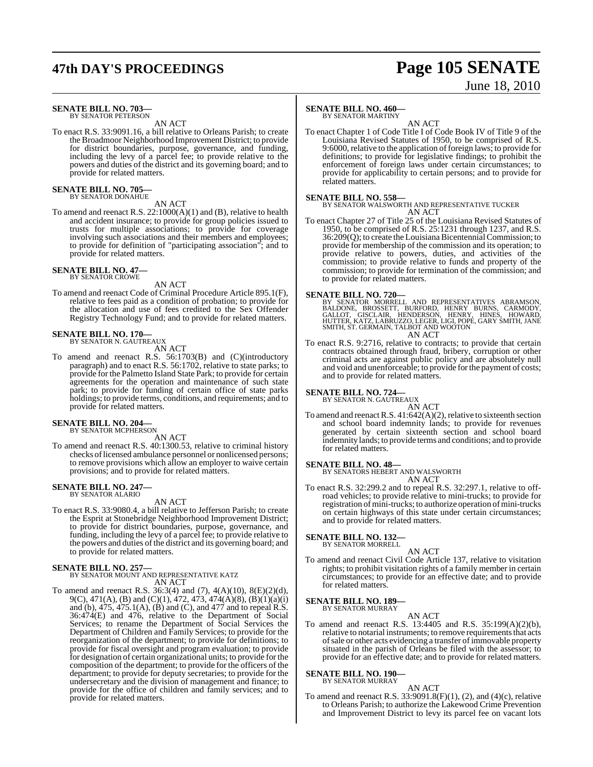# **47th DAY'S PROCEEDINGS Page 105 SENATE**

# June 18, 2010

#### **SENATE BILL NO. 703—** BY SENATOR PETERSON

AN ACT

To enact R.S. 33:9091.16, a bill relative to Orleans Parish; to create the Broadmoor Neighborhood Improvement District; to provide for district boundaries, purpose, governance, and funding, including the levy of a parcel fee; to provide relative to the powers and duties of the district and its governing board; and to provide for related matters.

# **SENATE BILL NO. 705—** BY SENATOR DONAHUE

AN ACT

To amend and reenact R.S. 22:1000(A)(1) and (B), relative to health and accident insurance; to provide for group policies issued to trusts for multiple associations; to provide for coverage involving such associations and their members and employees; to provide for definition of "participating association"; and to provide for related matters.

#### **SENATE BILL NO. 47—** BY SENATOR CROWE

AN ACT

To amend and reenact Code of Criminal Procedure Article 895.1(F), relative to fees paid as a condition of probation; to provide for the allocation and use of fees credited to the Sex Offender Registry Technology Fund; and to provide for related matters.

#### **SENATE BILL NO. 170—** BY SENATOR N. GAUTREAUX

AN ACT

To amend and reenact R.S. 56:1703(B) and (C)(introductory paragraph) and to enact R.S. 56:1702, relative to state parks; to provide for the Palmetto Island State Park; to provide for certain agreements for the operation and maintenance of such state park; to provide for funding of certain office of state parks holdings; to provide terms, conditions, and requirements; and to provide for related matters.

# **SENATE BILL NO. 204—**<br>BY SENATOR MCPHERSON

AN ACT

To amend and reenact R.S. 40:1300.53, relative to criminal history checks of licensed ambulance personnel or nonlicensed persons; to remove provisions which allow an employer to waive certain provisions; and to provide for related matters.

#### **SENATE BILL NO. 247—** BY SENATOR ALARIO

AN ACT

To enact R.S. 33:9080.4, a bill relative to Jefferson Parish; to create the Esprit at Stonebridge Neighborhood Improvement District; to provide for district boundaries, purpose, governance, and funding, including the levy of a parcel fee; to provide relative to the powers and duties of the district and its governing board; and to provide for related matters.

## **SENATE BILL NO. 257—** BY SENATOR MOUNT AND REPRESENTATIVE KATZ AN ACT

To amend and reenact R.S. 36:3(4) and (7), 4(A)(10), 8(E)(2)(d), 9(C), 471(A), (B) and (C)(1), 472, 473, 474(A)(8), (B)(1)(a)(i) and (b), 475, 475.1(A), (B) and (C), and 477 and to repeal R.S. 36:474(E) and 476, relative to the Department of Social Services; to rename the Department of Social Services the Department of Children and Family Services; to provide for the reorganization of the department; to provide for definitions; to provide for fiscal oversight and program evaluation; to provide for designation of certain organizational units; to provide for the composition of the department; to provide for the officers of the department; to provide for deputy secretaries; to provide for the undersecretary and the division of management and finance; to provide for the office of children and family services; and to provide for related matters.

#### **SENATE BILL NO. 460—**

BY SENATOR MARTINY

AN ACT To enact Chapter 1 of Code Title I of Code Book IV of Title 9 of the Louisiana Revised Statutes of 1950, to be comprised of R.S. 9:6000, relative to the application of foreign laws; to provide for definitions; to provide for legislative findings; to prohibit the enforcement of foreign laws under certain circumstances; to provide for applicability to certain persons; and to provide for related matters.

**SENATE BILL NO. 558—** BY SENATOR WALSWORTH AND REPRESENTATIVE TUCKER AN ACT

To enact Chapter 27 of Title 25 of the Louisiana Revised Statutes of 1950, to be comprised of R.S. 25:1231 through 1237, and R.S. 36:209(Q); to create the LouisianaBicentennialCommission; to provide for membership of the commission and its operation; to provide relative to powers, duties, and activities of the commission; to provide relative to funds and property of the commission; to provide for termination of the commission; and to provide for related matters.

**SENATE BILL NO. 720—**<br>BY SENATOR MORRELL AND REPRESENTATIVES ABRAMSON,<br>BALDONE, BROSSETT, BURFORD, HENRY BURNS, CARMODY,<br>GALLOT, GISCLAIR, HENDERSON, HENRY, HINES, HOWARD,<br>HUTTER, KATZ, LABRUZZO, LEGER, LIGI, POPE, GARY S AN ACT

To enact R.S. 9:2716, relative to contracts; to provide that certain contracts obtained through fraud, bribery, corruption or other criminal acts are against public policy and are absolutely null and void and unenforceable; to provide forthe payment of costs; and to provide for related matters.

# **SENATE BILL NO. 724—** BY SENATOR N. GAUTREAUX

AN ACT To amend and reenact R.S.  $41:642(A)(2)$ , relative to sixteenth section and school board indemnity lands; to provide for revenues generated by certain sixteenth section and school board indemnity lands; to provide terms and conditions; and to provide for related matters.

**SENATE BILL NO. 48—** BY SENATORS HEBERT AND WALSWORTH AN ACT

To enact R.S. 32:299.2 and to repeal R.S. 32:297.1, relative to offroad vehicles; to provide relative to mini-trucks; to provide for registration of mini-trucks; to authorize operation of mini-trucks on certain highways of this state under certain circumstances; and to provide for related matters.

# **SENATE BILL NO. 132—** BY SENATOR MORRELL

AN ACT

To amend and reenact Civil Code Article 137, relative to visitation rights; to prohibit visitation rights of a family member in certain circumstances; to provide for an effective date; and to provide for related matters.

#### **SENATE BILL NO. 189—** BY SENATOR MURRAY

AN ACT To amend and reenact R.S. 13:4405 and R.S. 35:199(A)(2)(b), relative to notarial instruments; to remove requirements that acts ofsale or other acts evidencing a transfer ofimmovable property situated in the parish of Orleans be filed with the assessor; to provide for an effective date; and to provide for related matters.

#### **SENATE BILL NO. 190—** BY SENATOR MURRAY

AN ACT

To amend and reenact R.S. 33:9091.8(F)(1), (2), and (4)(c), relative to Orleans Parish; to authorize the Lakewood Crime Prevention and Improvement District to levy its parcel fee on vacant lots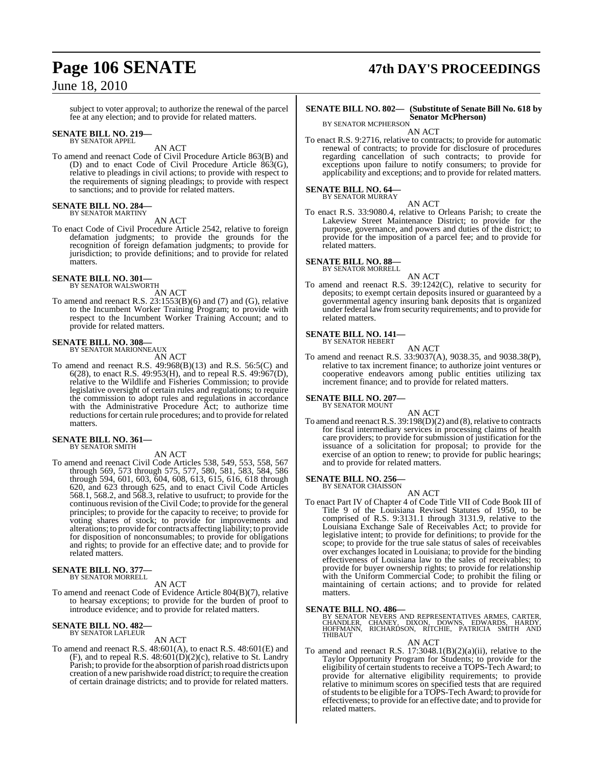subject to voter approval; to authorize the renewal of the parcel fee at any election; and to provide for related matters.

# **SENATE BILL NO. 219—** BY SENATOR APPEL

AN ACT

To amend and reenact Code of Civil Procedure Article 863(B) and (D) and to enact Code of Civil Procedure Article 863(G), relative to pleadings in civil actions; to provide with respect to the requirements of signing pleadings; to provide with respect to sanctions; and to provide for related matters.

#### **SENATE BILL NO. 284** BY SENATOR MARTINY

AN ACT

To enact Code of Civil Procedure Article 2542, relative to foreign defamation judgments; to provide the grounds for the recognition of foreign defamation judgments; to provide for jurisdiction; to provide definitions; and to provide for related matters.

# **SENATE BILL NO. 301—** BY SENATOR WALSWORTH

AN ACT

To amend and reenact R.S.  $23:1553(B)(6)$  and (7) and (G), relative to the Incumbent Worker Training Program; to provide with respect to the Incumbent Worker Training Account; and to provide for related matters.

# **SENATE BILL NO. 308—** BY SENATOR MARIONNEAUX

AN ACT

To amend and reenact R.S. 49:968(B)(13) and R.S. 56:5(C) and 6(28), to enact R.S. 49:953(H), and to repeal R.S. 49:967(D), relative to the Wildlife and Fisheries Commission; to provide legislative oversight of certain rules and regulations; to require the commission to adopt rules and regulations in accordance with the Administrative Procedure Act; to authorize time reductions for certain rule procedures; and to provide for related matters.

#### **SENATE BILL NO. 361—** BY SENATOR SMITH

AN ACT

To amend and reenact Civil Code Articles 538, 549, 553, 558, 567 through 569, 573 through 575, 577, 580, 581, 583, 584, 586 through 594, 601, 603, 604, 608, 613, 615, 616, 618 through 620, and 623 through 625, and to enact Civil Code Articles 568.1, 568.2, and 568.3, relative to usufruct; to provide for the continuous revision of the Civil Code; to provide for the general principles; to provide for the capacity to receive; to provide for voting shares of stock; to provide for improvements and alterations; to provide for contracts affecting liability; to provide for disposition of nonconsumables; to provide for obligations and rights; to provide for an effective date; and to provide for related matters.

#### **SENATE BILL NO. 377** BY SENATOR MORRELL

AN ACT

To amend and reenact Code of Evidence Article 804(B)(7), relative to hearsay exceptions; to provide for the burden of proof to introduce evidence; and to provide for related matters.

#### **SENATE BILL NO. 482—** BY SENATOR LAFLEUR

AN ACT

To amend and reenact R.S. 48:601(A), to enact R.S. 48:601(E) and (F), and to repeal R.S.  $48:601(D)(2)(c)$ , relative to St. Landry Parish; to provide forthe absorption of parish road districts upon creation of a new parishwide road district; to require the creation of certain drainage districts; and to provide for related matters.

# **Page 106 SENATE 47th DAY'S PROCEEDINGS**

## **SENATE BILL NO. 802— (Substitute of Senate Bill No. 618 by Senator McPherson)** BY SENATOR MCPHERSON

AN ACT

To enact R.S. 9:2716, relative to contracts; to provide for automatic renewal of contracts; to provide for disclosure of procedures regarding cancellation of such contracts; to provide for exceptions upon failure to notify consumers; to provide for applicability and exceptions; and to provide for related matters.

# **SENATE BILL NO. 64—** BY SENATOR MURRAY

AN ACT

To enact R.S. 33:9080.4, relative to Orleans Parish; to create the Lakeview Street Maintenance District; to provide for the purpose, governance, and powers and duties of the district; to provide for the imposition of a parcel fee; and to provide for related matters.

# **SENATE BILL NO. 88—** BY SENATOR MORRELL

AN ACT To amend and reenact R.S. 39:1242(C), relative to security for deposits; to exempt certain deposits insured or guaranteed by a governmental agency insuring bank deposits that is organized under federal law fromsecurity requirements; and to provide for related matters.

#### **SENATE BILL NO. 141—** BY SENATOR HEBERT

AN ACT

To amend and reenact R.S. 33:9037(A), 9038.35, and 9038.38(P), relative to tax increment finance; to authorize joint ventures or cooperative endeavors among public entities utilizing tax increment finance; and to provide for related matters.

#### **SENATE BILL NO. 207—**

BY SENATOR MOUNT

AN ACT To amend and reenact R.S.  $39:198(D)(2)$  and  $(8)$ , relative to contracts for fiscal intermediary services in processing claims of health care providers; to provide for submission of justification for the issuance of a solicitation for proposal; to provide for the exercise of an option to renew; to provide for public hearings; and to provide for related matters.

# **SENATE BILL NO. 256—** BY SENATOR CHAISSON

AN ACT

To enact Part IV of Chapter 4 of Code Title VII of Code Book III of Title 9 of the Louisiana Revised Statutes of 1950, to be comprised of R.S. 9:3131.1 through 3131.9, relative to the Louisiana Exchange Sale of Receivables Act; to provide for legislative intent; to provide for definitions; to provide for the scope; to provide for the true sale status of sales of receivables over exchanges located in Louisiana; to provide for the binding effectiveness of Louisiana law to the sales of receivables; to provide for buyer ownership rights; to provide for relationship with the Uniform Commercial Code; to prohibit the filing or maintaining of certain actions; and to provide for related matters.

**SENATE BILL NO. 486—**<br>BY SENATOR NEVERS AND REPRESENTATIVES ARMES, CARTER,<br>CHANDLER, CHANEY, DIXON, DOWNS, EDWARDS, HARDY,<br>HOFFMANN, RICHARDSON, RITCHIE, PATRICIA SMITH AND THIBAUT

#### AN ACT

To amend and reenact R.S.  $17:3048.1(B)(2)(a)(ii)$ , relative to the Taylor Opportunity Program for Students; to provide for the eligibility of certain students to receive a TOPS-Tech Award; to provide for alternative eligibility requirements; to provide relative to minimum scores on specified tests that are required of students to be eligible for a TOPS-Tech Award; to provide for effectiveness; to provide for an effective date; and to provide for related matters.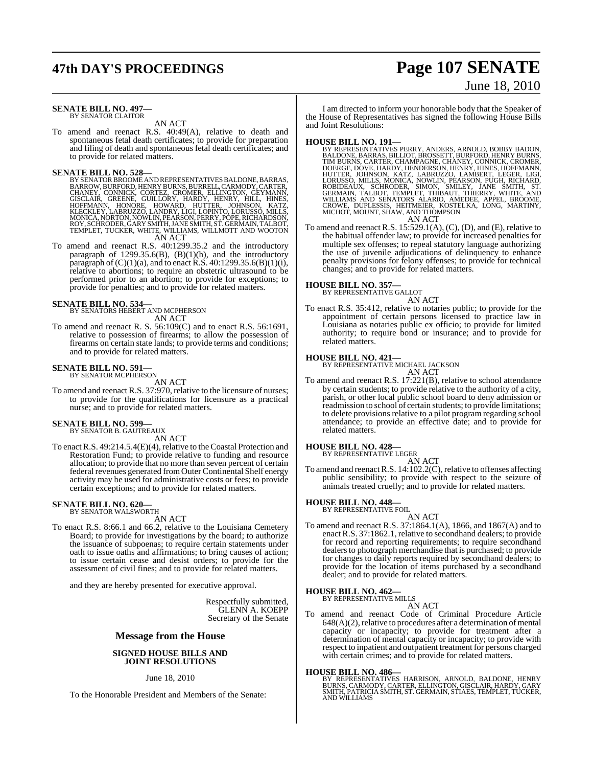# **47th DAY'S PROCEEDINGS Page 107 SENATE**

# June 18, 2010

#### **SENATE BILL NO. 497—** BY SENATOR CLAITOR

AN ACT

To amend and reenact R.S. 40:49(A), relative to death and spontaneous fetal death certificates; to provide for preparation and filing of death and spontaneous fetal death certificates; and to provide for related matters.

**SENATE BILL NO. 528—**<br>BY SENATOR BROOME AND REPRESENTATIVES BALDONE, BARRAS, BARROW, BURROWE AND REPRESENTATIVES BALDODY, CARTER,<br>EHANEY, CONNICK, CORTEZ, CROMER, ELLINGTON, GEYMANN,<br>GISCLAIR, GREENE, GUILLORY, HARDY, HEN ROY, SCHRODER, GARY SMITH, JANE SMITH, ST. GERMAIN, TALBOT,<br>TEMPLET, TUCKER, WHITE, WILLIAMS, WILLMOTT AND WOOTON<br>AN ACT

To amend and reenact R.S. 40:1299.35.2 and the introductory paragraph of  $1299.35.6(B)$ ,  $(B)(1)(h)$ , and the introductory paragraph of  $(C)(1)(a)$ , and to enact R.S. 40:1299.35.6(B)(1)(i), relative to abortions; to require an obstetric ultrasound to be performed prior to an abortion; to provide for exceptions; to provide for penalties; and to provide for related matters.

#### **SENATE BILL NO. 534—**

BY SENATORS HEBERT AND MCPHERSON AN ACT

To amend and reenact R. S. 56:109(C) and to enact R.S. 56:1691, relative to possession of firearms; to allow the possession of firearms on certain state lands; to provide terms and conditions; and to provide for related matters.

#### **SENATE BILL NO. 591—** BY SENATOR MCPHERSON

AN ACT

To amend and reenact R.S. 37:970, relative to the licensure of nurses; to provide for the qualifications for licensure as a practical nurse; and to provide for related matters.

#### **SENATE BILL NO. 599—** BY SENATOR B. GAUTREAUX

AN ACT

To enact R.S. 49:214.5.4(E)(4), relative to the Coastal Protection and Restoration Fund; to provide relative to funding and resource allocation; to provide that no more than seven percent of certain federal revenues generated fromOuter Continental Shelf energy activity may be used for administrative costs or fees; to provide certain exceptions; and to provide for related matters.

# **SENATE BILL NO. 620—** BY SENATOR WALSWORTH

AN ACT

To enact R.S. 8:66.1 and 66.2, relative to the Louisiana Cemetery Board; to provide for investigations by the board; to authorize the issuance of subpoenas; to require certain statements under oath to issue oaths and affirmations; to bring causes of action; to issue certain cease and desist orders; to provide for the assessment of civil fines; and to provide for related matters.

and they are hereby presented for executive approval.

Respectfully submitted, GLENN A. KOEPP Secretary of the Senate

#### **Message from the House**

#### **SIGNED HOUSE BILLS AND JOINT RESOLUTIONS**

June 18, 2010

To the Honorable President and Members of the Senate:

I am directed to inform your honorable body that the Speaker of the House of Representatives has signed the following House Bills and Joint Resolutions:

HOUSE BILL NO. 191—<br>BY REPRESENTATIVES PERRY, ANDERS, ARNOLD, BOBBY BADON, BALDONE, BARRAS, BILLIOT, BROSSETT, BURFORD, HENRY BURNS, TIM BURNS, CARTER, CHAMPAGNE, CHANEY, CONNICK, CROMER, DOERGE, DOVE, HARDY, HENDERSON, HE

To amend and reenact R.S. 15:529.1(A), (C), (D), and (E), relative to the habitual offender law; to provide for increased penalties for multiple sex offenses; to repeal statutory language authorizing the use of juvenile adjudications of delinquency to enhance penalty provisions for felony offenses; to provide for technical changes; and to provide for related matters.

#### **HOUSE BILL NO. 357—**

BY REPRESENTATIVE GALLOT

AN ACT To enact R.S. 35:412, relative to notaries public; to provide for the appointment of certain persons licensed to practice law in Louisiana as notaries public ex officio; to provide for limited authority; to require bond or insurance; and to provide for related matters.

#### **HOUSE BILL NO. 421—**

BY REPRESENTATIVE MICHAEL JACKSON

AN ACT To amend and reenact R.S. 17:221(B), relative to school attendance by certain students; to provide relative to the authority of a city, parish, or other local public school board to deny admission or readmission to school of certain students; to provide limitations; to delete provisions relative to a pilot program regarding school attendance; to provide an effective date; and to provide for related matters.

#### **HOUSE BILL NO. 428—**

BY REPRESENTATIVE LEGER AN ACT

To amend and reenact R.S. 14:102.2(C), relative to offenses affecting public sensibility; to provide with respect to the seizure of animals treated cruelly; and to provide for related matters.

# **HOUSE BILL NO. 448—** BY REPRESENTATIVE FOIL

- AN ACT
- To amend and reenact R.S. 37:1864.1(A), 1866, and 1867(A) and to enact R.S. 37:1862.1, relative to secondhand dealers; to provide for record and reporting requirements; to require secondhand dealers to photograph merchandise that is purchased; to provide for changes to daily reports required by secondhand dealers; to provide for the location of items purchased by a secondhand dealer; and to provide for related matters.

#### **HOUSE BILL NO. 462—**

BY REPRESENTATIVE MILLS AN ACT

To amend and reenact Code of Criminal Procedure Article  $648(A)(2)$ , relative to procedures after a determination of mental capacity or incapacity; to provide for treatment after a determination of mental capacity or incapacity; to provide with respect to inpatient and outpatient treatment for persons charged with certain crimes; and to provide for related matters.

#### **HOUSE BILL NO. 486—**

BY REPRESENTATIVES HARRISON, ARNOLD, BALDONE, HENRY<br>BURNS, CARMODY, CARTER, ELLINGTON, GISCLAIR, HARDY, GARY<br>SMITH, PATRICIA SMITH, ST. GERMAIN, STIAES, TEMPLET, TUCKER,<br>AND WILLIAMS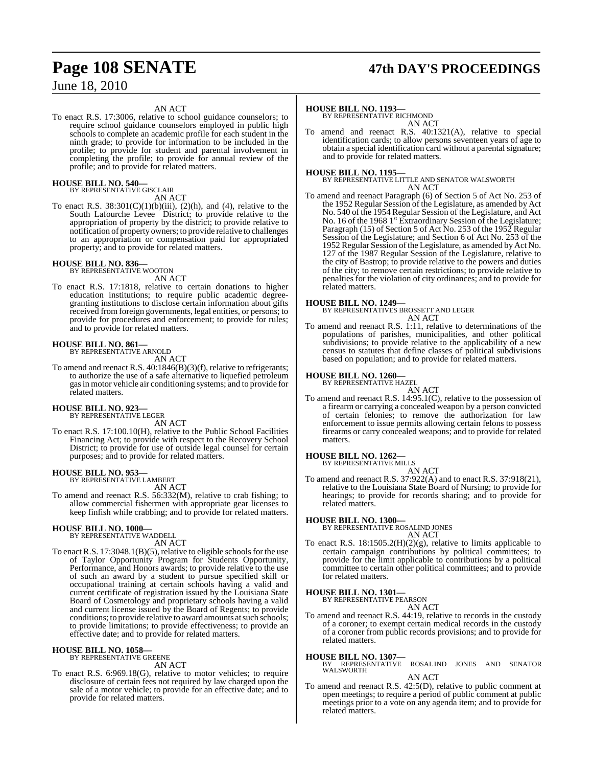#### AN ACT

To enact R.S. 17:3006, relative to school guidance counselors; to require school guidance counselors employed in public high schools to complete an academic profile for each student in the ninth grade; to provide for information to be included in the profile; to provide for student and parental involvement in completing the profile; to provide for annual review of the profile; and to provide for related matters.

#### **HOUSE BILL NO. 540—** BY REPRESENTATIVE GISCLAIR

AN ACT

To enact R.S.  $38:301(C)(1)(b)(iii)$ ,  $(2)(h)$ , and  $(4)$ , relative to the South Lafourche Levee District; to provide relative to the appropriation of property by the district; to provide relative to notification of property owners; to provide relative to challenges to an appropriation or compensation paid for appropriated property; and to provide for related matters.

#### **HOUSE BILL NO. 836—** BY REPRESENTATIVE WOOTON

AN ACT

To enact R.S. 17:1818, relative to certain donations to higher education institutions; to require public academic degreegranting institutions to disclose certain information about gifts received from foreign governments, legal entities, or persons; to provide for procedures and enforcement; to provide for rules; and to provide for related matters.

#### **HOUSE BILL NO. 861—** BY REPRESENTATIVE ARNOLD

AN ACT

To amend and reenact R.S. 40:1846(B)(3)(f), relative to refrigerants; to authorize the use of a safe alternative to liquefied petroleum gasin motor vehicle air conditioning systems; and to provide for related matters.

#### **HOUSE BILL NO. 923—** BY REPRESENTATIVE LEGER

AN ACT

To enact R.S. 17:100.10(H), relative to the Public School Facilities Financing Act; to provide with respect to the Recovery School District; to provide for use of outside legal counsel for certain purposes; and to provide for related matters.

#### **HOUSE BILL NO. 953—**

BY REPRESENTATIVE LAMBERT AN ACT

To amend and reenact R.S. 56:332(M), relative to crab fishing; to allow commercial fishermen with appropriate gear licenses to keep finfish while crabbing; and to provide for related matters.

# **HOUSE BILL NO. 1000—** BY REPRESENTATIVE WADDELL

AN ACT To enact R.S. 17:3048.1(B)(5), relative to eligible schools for the use of Taylor Opportunity Program for Students Opportunity, Performance, and Honors awards; to provide relative to the use of such an award by a student to pursue specified skill or occupational training at certain schools having a valid and current certificate of registration issued by the Louisiana State Board of Cosmetology and proprietary schools having a valid and current license issued by the Board of Regents; to provide conditions; to provide relative to award amounts at such schools; to provide limitations; to provide effectiveness; to provide an effective date; and to provide for related matters.

# **HOUSE BILL NO. 1058—** BY REPRESENTATIVE GREENE

AN ACT

To enact R.S. 6:969.18(G), relative to motor vehicles; to require disclosure of certain fees not required by law charged upon the sale of a motor vehicle; to provide for an effective date; and to provide for related matters.

# **Page 108 SENATE 47th DAY'S PROCEEDINGS**

#### **HOUSE BILL NO. 1193—**

BY REPRESENTATIVE RICHMOND AN ACT

To amend and reenact R.S. 40:1321(A), relative to special identification cards; to allow persons seventeen years of age to obtain a special identification card without a parental signature; and to provide for related matters.

**HOUSE BILL NO. 1195—** BY REPRESENTATIVE LITTLE AND SENATOR WALSWORTH AN ACT

To amend and reenact Paragraph (6) of Section 5 of Act No. 253 of the 1952 Regular Session of the Legislature, as amended by Act No. 540 of the 1954 Regular Session of the Legislature, and Act No. 16 of the 1968 1<sup>st</sup> Extraordinary Session of the Legislature; Paragraph (15) of Section 5 of Act No. 253 of the 1952 Regular Session of the Legislature; and Section 6 of Act No. 253 of the 1952 Regular Session ofthe Legislature, as amended by Act No. 127 of the 1987 Regular Session of the Legislature, relative to the city of Bastrop; to provide relative to the powers and duties of the city; to remove certain restrictions; to provide relative to penalties for the violation of city ordinances; and to provide for related matters.

**HOUSE BILL NO. 1249—** BY REPRESENTATIVES BROSSETT AND LEGER AN ACT

To amend and reenact R.S. 1:11, relative to determinations of the populations of parishes, municipalities, and other political subdivisions; to provide relative to the applicability of a new census to statutes that define classes of political subdivisions based on population; and to provide for related matters.

#### **HOUSE BILL NO. 1260—** BY REPRESENTATIVE HAZEL



AN ACT To amend and reenact R.S. 14:95.1(C), relative to the possession of a firearm or carrying a concealed weapon by a person convicted of certain felonies; to remove the authorization for law enforcement to issue permits allowing certain felons to possess firearms or carry concealed weapons; and to provide for related matters.

# **HOUSE BILL NO. 1262—** BY REPRESENTATIVE MILLS

AN ACT To amend and reenact R.S. 37:922(A) and to enact R.S. 37:918(21), relative to the Louisiana State Board of Nursing; to provide for hearings; to provide for records sharing; and to provide for related matters.

#### **HOUSE BILL NO. 1300—**

BY REPRESENTATIVE ROSALIND JONES AN ACT

To enact R.S. 18:1505.2(H)(2)(g), relative to limits applicable to certain campaign contributions by political committees; to provide for the limit applicable to contributions by a political committee to certain other political committees; and to provide for related matters.

#### **HOUSE BILL NO. 1301—**

BY REPRESENTATIVE PEARSON AN ACT

To amend and reenact R.S. 44:19, relative to records in the custody of a coroner; to exempt certain medical records in the custody of a coroner from public records provisions; and to provide for related matters.

#### **HOUSE BILL NO. 1307—**

BY REPRESENTATIVE ROSALIND JONES AND SENATOR WALSWORTH AN ACT

To amend and reenact R.S. 42:5(D), relative to public comment at open meetings; to require a period of public comment at public meetings prior to a vote on any agenda item; and to provide for related matters.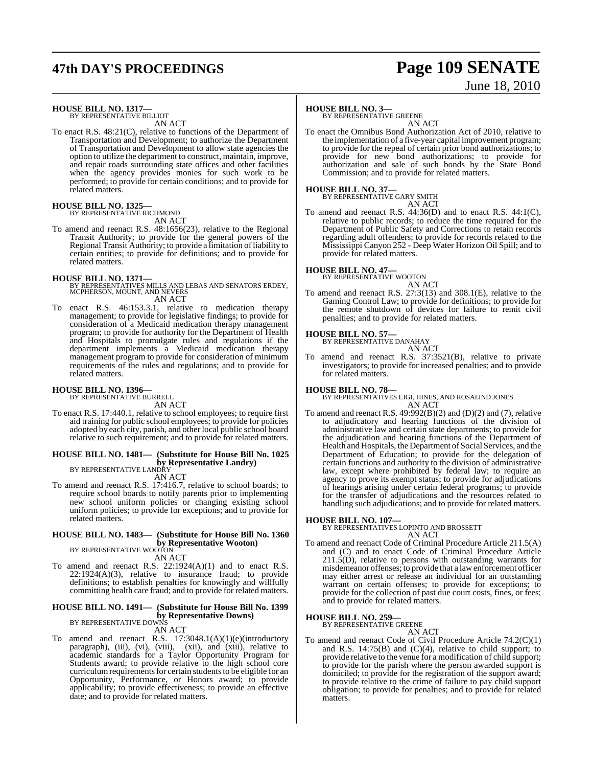# **47th DAY'S PROCEEDINGS Page 109 SENATE**

# June 18, 2010

#### **HOUSE BILL NO. 1317—** BY REPRESENTATIVE BILLIOT

AN ACT

To enact R.S. 48:21(C), relative to functions of the Department of Transportation and Development; to authorize the Department of Transportation and Development to allow state agencies the option to utilize the department to construct, maintain, improve, and repair roads surrounding state offices and other facilities when the agency provides monies for such work to be performed; to provide for certain conditions; and to provide for related matters.

#### **HOUSE BILL NO. 1325—**

BY REPRESENTATIVE RICHMOND

AN ACT

To amend and reenact R.S. 48:1656(23), relative to the Regional Transit Authority; to provide for the general powers of the Regional Transit Authority; to provide a limitation of liability to certain entities; to provide for definitions; and to provide for related matters.

**HOUSE BILL NO. 1371—** BY REPRESENTATIVES MILLS AND LEBAS AND SENATORS ERDEY, MCPHERSON, MOUNT, AND NEVERS AN ACT

To enact R.S. 46:153.3.1, relative to medication therapy management; to provide for legislative findings; to provide for consideration of a Medicaid medication therapy management program; to provide for authority for the Department of Health and Hospitals to promulgate rules and regulations if the department implements a Medicaid medication therapy management program to provide for consideration of minimum requirements of the rules and regulations; and to provide for related matters.

#### **HOUSE BILL NO. 1396—** BY REPRESENTATIVE BURRELL

AN ACT

To enact R.S. 17:440.1, relative to school employees; to require first aid training for public school employees; to provide for policies adopted by each city, parish, and other local public school board relative to such requirement; and to provide for related matters.

## **HOUSE BILL NO. 1481— (Substitute for House Bill No. 1025 by Representative Landry)**<br>BY REPRESENTATIVE LANDRY

AN ACT

To amend and reenact R.S. 17:416.7, relative to school boards; to require school boards to notify parents prior to implementing new school uniform policies or changing existing school uniform policies; to provide for exceptions; and to provide for related matters.

## **HOUSE BILL NO. 1483— (Substitute for House Bill No. 1360 by Representative Wooton)** BY REPRESENTATIVE WOOTON

AN ACT

To amend and reenact R.S.  $22:1924(A)(1)$  and to enact R.S.  $22:1924(A)(3)$ , relative to insurance fraud; to provide definitions; to establish penalties for knowingly and willfully committing health care fraud; and to provide for related matters.

#### **HOUSE BILL NO. 1491— (Substitute for House Bill No. 1399 by Representative Downs)** BY REPRESENTATIVE DOWNS

AN ACT

To amend and reenact R.S. 17:3048.1(A)(1)(e)(introductory paragraph), (iii), (vi), (viii), (xiii), and (xiii), relative to academic standards for a Taylor Opportunity Program for Students award; to provide relative to the high school core curriculum requirements for certain students to be eligible for an Opportunity, Performance, or Honors award; to provide applicability; to provide effectiveness; to provide an effective date; and to provide for related matters.

### **HOUSE BILL NO. 3—**

BY REPRESENTATIVE GREENE

AN ACT To enact the Omnibus Bond Authorization Act of 2010, relative to the implementation of a five-year capital improvement program; to provide for the repeal of certain prior bond authorizations; to provide for new bond authorizations; to provide for authorization and sale of such bonds by the State Bond Commission; and to provide for related matters.

## **HOUSE BILL NO. 37—** BY REPRESENTATIVE GARY SMITH

AN ACT

To amend and reenact R.S. 44:36(D) and to enact R.S. 44:1(C), relative to public records; to reduce the time required for the Department of Public Safety and Corrections to retain records regarding adult offenders; to provide for records related to the Mississippi Canyon 252 - Deep Water Horizon Oil Spill; and to provide for related matters.

**HOUSE BILL NO. 47—** BY REPRESENTATIVE WOOTON

AN ACT

To amend and reenact R.S. 27:3(13) and 308.1(E), relative to the Gaming Control Law; to provide for definitions; to provide for the remote shutdown of devices for failure to remit civil penalties; and to provide for related matters.

#### **HOUSE BILL NO. 57—**

BY REPRESENTATIVE DANAHAY AN ACT

To amend and reenact R.S. 37:3521(B), relative to private investigators; to provide for increased penalties; and to provide for related matters.

#### **HOUSE BILL NO. 78—**

BY REPRESENTATIVES LIGI, HINES, AND ROSALIND JONES AN ACT

To amend and reenact R.S. 49:992(B)(2) and (D)(2) and (7), relative to adjudicatory and hearing functions of the division of administrative law and certain state departments; to provide for the adjudication and hearing functions of the Department of Health and Hospitals, the Department of Social Services, and the Department of Education; to provide for the delegation of certain functions and authority to the division of administrative law, except where prohibited by federal law; to require an agency to prove its exempt status; to provide for adjudications of hearings arising under certain federal programs; to provide for the transfer of adjudications and the resources related to handling such adjudications; and to provide for related matters.

**HOUSE BILL NO. 107—** BY REPRESENTATIVES LOPINTO AND BROSSETT AN ACT

To amend and reenact Code of Criminal Procedure Article 211.5(A) and (C) and to enact Code of Criminal Procedure Article  $211.5(D)$ , relative to persons with outstanding warrants for misdemeanor offenses; to provide that a lawenforcement officer may either arrest or release an individual for an outstanding warrant on certain offenses; to provide for exceptions; to provide for the collection of past due court costs, fines, or fees; and to provide for related matters.

## **HOUSE BILL NO. 259—** BY REPRESENTATIVE GREENE

AN ACT To amend and reenact Code of Civil Procedure Article 74.2(C)(1) and R.S.  $14:75(B)$  and  $(C)(4)$ , relative to child support; to provide relative to the venue for a modification of child support; to provide for the parish where the person awarded support is domiciled; to provide for the registration of the support award; to provide relative to the crime of failure to pay child support obligation; to provide for penalties; and to provide for related matters.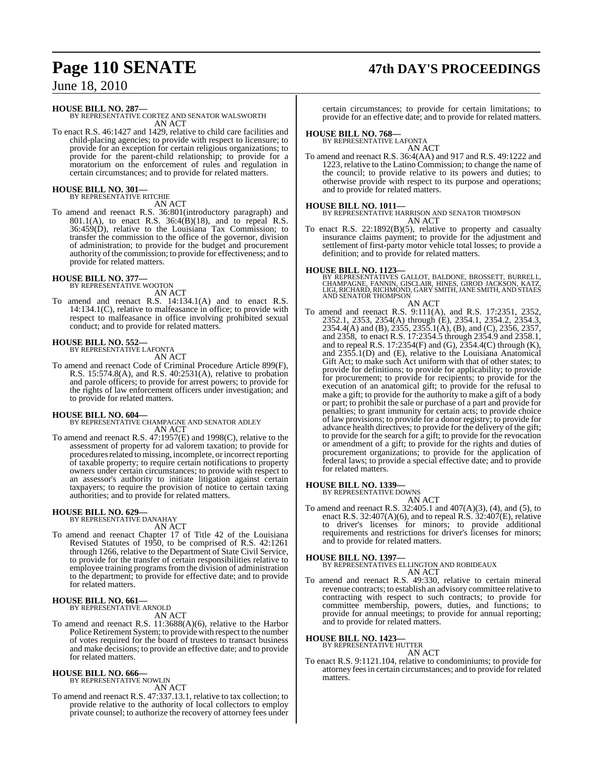# **Page 110 SENATE 47th DAY'S PROCEEDINGS**

June 18, 2010

**HOUSE BILL NO. 287—**

BY REPRESENTATIVE CORTEZ AND SENATOR WALSWORTH AN ACT

To enact R.S. 46:1427 and 1429, relative to child care facilities and child-placing agencies; to provide with respect to licensure; to provide for an exception for certain religious organizations; to provide for the parent-child relationship; to provide for a moratorium on the enforcement of rules and regulation in certain circumstances; and to provide for related matters.

## **HOUSE BILL NO. 301—** BY REPRESENTATIVE RITCHIE

AN ACT

To amend and reenact R.S. 36:801(introductory paragraph) and 801.1(A), to enact R.S.  $36:4(B)(18)$ , and to repeal R.S. 36:459(D), relative to the Louisiana Tax Commission; to transfer the commission to the office of the governor, division of administration; to provide for the budget and procurement authority of the commission; to provide for effectiveness; and to provide for related matters.

#### **HOUSE BILL NO. 377—**

BY REPRESENTATIVE WOOTON AN ACT

To amend and reenact R.S. 14:134.1(A) and to enact R.S. 14:134.1(C), relative to malfeasance in office; to provide with respect to malfeasance in office involving prohibited sexual conduct; and to provide for related matters.

# **HOUSE BILL NO. 552—** BY REPRESENTATIVE LAFONTA

AN ACT

To amend and reenact Code of Criminal Procedure Article 899(F), R.S. 15:574.8(A), and R.S. 40:2531(A), relative to probation and parole officers; to provide for arrest powers; to provide for the rights of law enforcement officers under investigation; and to provide for related matters.

**HOUSE BILL NO. 604—** BY REPRESENTATIVE CHAMPAGNE AND SENATOR ADLEY AN ACT

To amend and reenact R.S. 47:1957(E) and 1998(C), relative to the assessment of property for ad valorem taxation; to provide for procedures related to missing, incomplete, or incorrect reporting of taxable property; to require certain notifications to property owners under certain circumstances; to provide with respect to an assessor's authority to initiate litigation against certain taxpayers; to require the provision of notice to certain taxing authorities; and to provide for related matters.

# **HOUSE BILL NO. 629—** BY REPRESENTATIVE DANAHAY

AN ACT

To amend and reenact Chapter 17 of Title 42 of the Louisiana Revised Statutes of 1950, to be comprised of R.S. 42:1261 through 1266, relative to the Department of State Civil Service, to provide for the transfer of certain responsibilities relative to employee training programs from the division of administration to the department; to provide for effective date; and to provide for related matters.

#### **HOUSE BILL NO. 661—** BY REPRESENTATIVE ARNOLD

AN ACT

To amend and reenact R.S. 11:3688(A)(6), relative to the Harbor Police Retirement System; to provide with respect to the number of votes required for the board of trustees to transact business and make decisions; to provide an effective date; and to provide for related matters.

## **HOUSE BILL NO. 666—** BY REPRESENTATIVE NOWLIN

AN ACT

To amend and reenact R.S. 47:337.13.1, relative to tax collection; to provide relative to the authority of local collectors to employ private counsel; to authorize the recovery of attorney fees under

certain circumstances; to provide for certain limitations; to provide for an effective date; and to provide for related matters.

## **HOUSE BILL NO. 768—** BY REPRESENTATIVE LAFONTA

AN ACT

To amend and reenact R.S. 36:4(AA) and 917 and R.S. 49:1222 and 1223, relative to the Latino Commission; to change the name of the council; to provide relative to its powers and duties; to otherwise provide with respect to its purpose and operations; and to provide for related matters.

## **HOUSE BILL NO. 1011—**

BY REPRESENTATIVE HARRISON AND SENATOR THOMPSON AN ACT

To enact R.S. 22:1892(B)(5), relative to property and casualty insurance claims payment; to provide for the adjustment and settlement of first-party motor vehicle total losses; to provide a definition; and to provide for related matters.

#### **HOUSE BILL NO. 1123—**

BY REPRESENTATIVES GALLOT, BALDONE, BROSSETT, BURRELL,<br>CHAMPAGNE, FANNIN, GISCLAIR, HINES, GIROD JACKSON, KATZ,<br>LIGI, RICHARD, RICHMOND, GARY SMITH, JANE SMITH, AND STIAES AND SENATOR THOMPSON

#### AN ACT

To amend and reenact R.S. 9:111(A), and R.S. 17:2351, 2352, 2352.1, 2353, 2354(A) through (E), 2354.1, 2354.2, 2354.3, 2354.4(A) and (B), 2355, 2355.1(A), (B), and (C), 2356, 2357, and 2358, to enact R.S. 17:2354.5 through 2354.9 and 2358.1, and to repeal R.S. 17:2354 $(F)$  and  $(G)$ , 2354.4 $(C)$  through  $(K)$ , and 2355.1(D) and (E), relative to the Louisiana Anatomical Gift Act; to make such Act uniform with that of other states; to provide for definitions; to provide for applicability; to provide for procurement; to provide for recipients; to provide for the execution of an anatomical gift; to provide for the refusal to make a gift; to provide for the authority to make a gift of a body or part; to prohibit the sale or purchase of a part and provide for penalties; to grant immunity for certain acts; to provide choice of law provisions; to provide for a donor registry; to provide for advance health directives; to provide for the delivery of the gift; to provide for the search for a gift; to provide for the revocation or amendment of a gift; to provide for the rights and duties of procurement organizations; to provide for the application of federal laws; to provide a special effective date; and to provide for related matters.

### **HOUSE BILL NO. 1339—**

BY REPRESENTATIVE DOWNS

AN ACT To amend and reenact R.S. 32:405.1 and 407(A)(3), (4), and (5), to enact R.S. 32:407(A)(6), and to repeal R.S.  $32:407(E)$ , relative to driver's licenses for minors; to provide additional requirements and restrictions for driver's licenses for minors; and to provide for related matters.

**HOUSE BILL NO. 1397—** BY REPRESENTATIVES ELLINGTON AND ROBIDEAUX AN ACT

To amend and reenact R.S. 49:330, relative to certain mineral revenue contracts; to establish an advisory committee relative to contracting with respect to such contracts; to provide for committee membership, powers, duties, and functions; to provide for annual meetings; to provide for annual reporting; and to provide for related matters.

# **HOUSE BILL NO. 1423—** BY REPRESENTATIVE HUTTER

AN ACT

To enact R.S. 9:1121.104, relative to condominiums; to provide for attorney feesin certain circumstances; and to provide for related matters.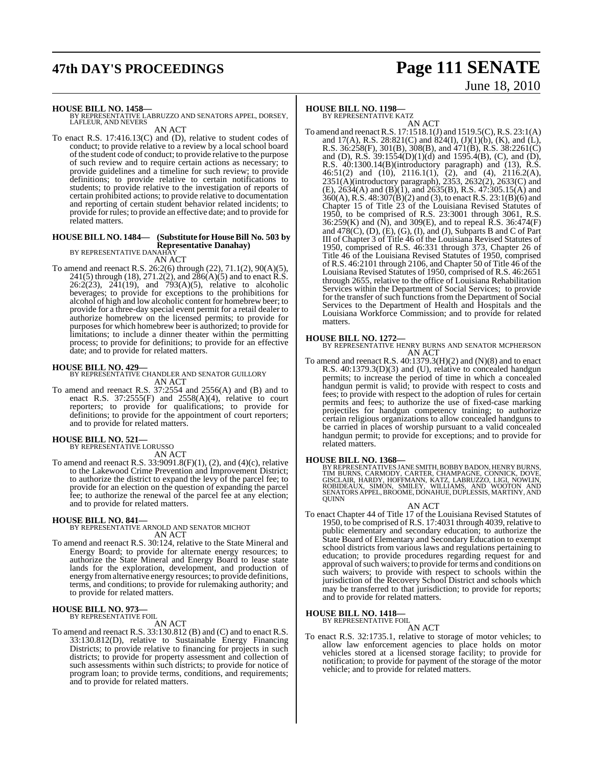# **47th DAY'S PROCEEDINGS Page 111 SENATE**

# June 18, 2010

#### **HOUSE BILL NO. 1458—**

BY REPRESENTATIVE LABRUZZO AND SENATORS APPEL, DORSEY, LAFLEUR, AND NEVERS

AN ACT

To enact R.S. 17:416.13(C) and (D), relative to student codes of conduct; to provide relative to a review by a local school board ofthe student code of conduct; to provide relative to the purpose of such review and to require certain actions as necessary; to provide guidelines and a timeline for such review; to provide definitions; to provide relative to certain notifications to students; to provide relative to the investigation of reports of certain prohibited actions; to provide relative to documentation and reporting of certain student behavior related incidents; to provide for rules; to provide an effective date; and to provide for related matters.

#### **HOUSE BILL NO. 1484— (Substitute for House Bill No. 503 by Representative Danahay)**

BY REPRESENTATIVE DANAHAY AN ACT

To amend and reenact R.S. 26:2(6) through (22), 71.1(2), 90(A)(5), 241(5) through (18), 271.2(2), and  $286(A)(5)$  and to enact R.S. 26:2(23),  $2\overline{4}1(19)$ , and  $793(A)(5)$ , relative to alcoholic beverages; to provide for exceptions to the prohibitions for alcohol of high and low alcoholic content for homebrew beer; to provide for a three-day special event permit for a retail dealer to authorize homebrew on the licensed permits; to provide for purposes for which homebrew beer is authorized; to provide for limitations; to include a dinner theater within the permitting process; to provide for definitions; to provide for an effective date; and to provide for related matters.

**HOUSE BILL NO. 429—** BY REPRESENTATIVE CHANDLER AND SENATOR GUILLORY AN ACT

To amend and reenact R.S. 37:2554 and 2556(A) and (B) and to enact R.S.  $37:2555(F)$  and  $2558(A)(4)$ , relative to court reporters; to provide for qualifications; to provide for definitions; to provide for the appointment of court reporters; and to provide for related matters.

#### **HOUSE BILL NO. 521—** BY REPRESENTATIVE LORUSSO

AN ACT

To amend and reenact R.S. 33:9091.8(F)(1), (2), and (4)(c), relative to the Lakewood Crime Prevention and Improvement District; to authorize the district to expand the levy of the parcel fee; to provide for an election on the question of expanding the parcel fee; to authorize the renewal of the parcel fee at any election; and to provide for related matters.

## **HOUSE BILL NO. 841—** BY REPRESENTATIVE ARNOLD AND SENATOR MICHOT AN ACT

To amend and reenact R.S. 30:124, relative to the State Mineral and Energy Board; to provide for alternate energy resources; to authorize the State Mineral and Energy Board to lease state lands for the exploration, development, and production of energy fromalternative energy resources; to provide definitions, terms, and conditions; to provide for rulemaking authority; and to provide for related matters.

## **HOUSE BILL NO. 973—** BY REPRESENTATIVE FOIL

AN ACT

To amend and reenact R.S. 33:130.812 (B) and (C) and to enact R.S. 33:130.812(D), relative to Sustainable Energy Financing Districts; to provide relative to financing for projects in such districts; to provide for property assessment and collection of such assessments within such districts; to provide for notice of program loan; to provide terms, conditions, and requirements; and to provide for related matters.

## **HOUSE BILL NO. 1198—**

BY REPRESENTATIVE KATZ

AN ACT To amend and reenactR.S. 17:1518.1(J) and 1519.5(C),R.S. 23:1(A) and 17(A), R.S. 28:821(C) and 824(I),  $(J)(1)(b)$ ,  $(K)$ , and  $(L)$ , R.S. 36:258(F), 301(B), 308(B), and 471(B), R.S. 38:2261(C) and (D), R.S.  $39:1554(D)(1)(d)$  and  $1595.4(B)$ , (C), and (D), R.S. 40:1300.14(B)(introductory paragraph) and (13), R.S. 46:51(2) and (10), 2116.1(1),  $(2)$ , and (4), 2116.2(A), 2351(A)(introductory paragraph), 2353, 2632(2), 2633(C) and  $(E)$ , 2634(A) and (B)(1), and 2635(B), R.S. 47:305.15(A) and 360(A), R.S. 48:307(B)(2) and (3), to enact R.S. 23:1(B)(6) and Chapter 15 of Title 23 of the Louisiana Revised Statutes of 1950, to be comprised of R.S. 23:3001 through 3061, R.S. 36:259(K) and (N), and 309(E), and to repeal R.S. 36:474(F) and  $478(C)$ , (D), (E), (G), (I), and (J), Subparts B and C of Part III of Chapter 3 of Title 46 of the Louisiana Revised Statutes of 1950, comprised of R.S. 46:331 through 373, Chapter 26 of Title 46 of the Louisiana Revised Statutes of 1950, comprised of R.S. 46:2101 through 2106, and Chapter 50 of Title 46 of the Louisiana Revised Statutes of 1950, comprised of R.S. 46:2651 through 2655, relative to the office of Louisiana Rehabilitation Services within the Department of Social Services; to provide for the transfer of such functions from the Department of Social Services to the Department of Health and Hospitals and the Louisiana Workforce Commission; and to provide for related matters.

**HOUSE BILL NO. 1272—** BY REPRESENTATIVE HENRY BURNS AND SENATOR MCPHERSON AN ACT

To amend and reenact R.S. 40:1379.3(H)(2) and (N)(8) and to enact R.S. 40:1379.3(D)(3) and (U), relative to concealed handgun permits; to increase the period of time in which a concealed handgun permit is valid; to provide with respect to costs and fees; to provide with respect to the adoption of rules for certain permits and fees; to authorize the use of fixed-case marking projectiles for handgun competency training; to authorize certain religious organizations to allow concealed handguns to be carried in places of worship pursuant to a valid concealed handgun permit; to provide for exceptions; and to provide for related matters.

#### **HOUSE BILL NO. 1368—**

BY REPRESENTATIVES JANE SMITH, BOBBY BADON, HENRY BURNS,<br>TIM BURNS, CARMODY, CARTER, CHAMPAGNE, CONNICK, DOVE,<br>GISCLAIR, HARDY, HOFFMANN, KATZ, LABRUZZO, LIGI, NOWLIN,<br>ROBIDEAUX, SIMON, SMILEY, WILLIAMS, AND WOOTON AND<br>SEN

#### AN ACT

To enact Chapter 44 of Title 17 of the Louisiana Revised Statutes of 1950, to be comprised of R.S. 17:4031 through 4039, relative to public elementary and secondary education; to authorize the State Board of Elementary and Secondary Education to exempt school districts from various laws and regulations pertaining to education; to provide procedures regarding request for and approval of such waivers; to provide for terms and conditions on such waivers; to provide with respect to schools within the jurisdiction of the Recovery School District and schools which may be transferred to that jurisdiction; to provide for reports; and to provide for related matters.

#### **HOUSE BILL NO. 1418—**

BY REPRESENTATIVE FOIL

AN ACT To enact R.S. 32:1735.1, relative to storage of motor vehicles; to allow law enforcement agencies to place holds on motor vehicles stored at a licensed storage facility; to provide for notification; to provide for payment of the storage of the motor vehicle; and to provide for related matters.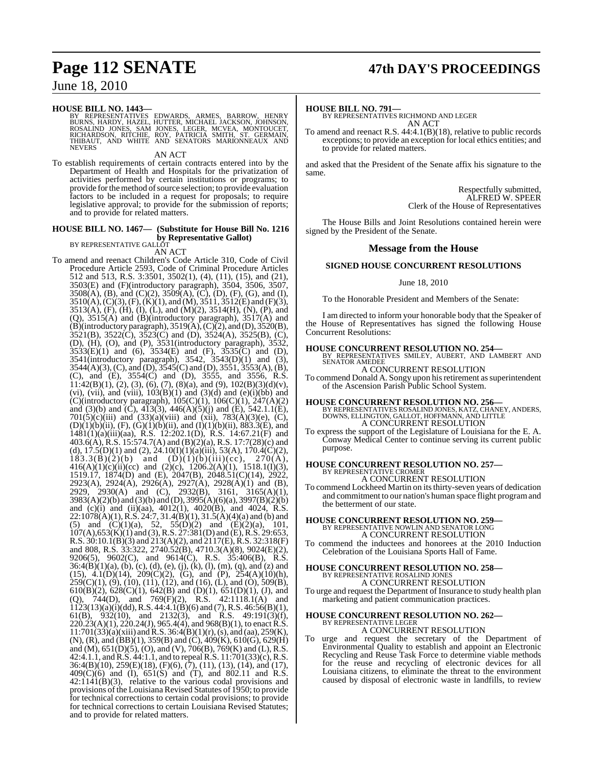# **Page 112 SENATE 47th DAY'S PROCEEDINGS**

June 18, 2010

#### **HOUSE BILL NO. 1443—**

BY REPRESENTATIVES EDWARDS, ARMES, BARROW, HENRY<br>BURNS, HARDY, HAZEL, HUTTER, MICHAEL JACKSON, JOHNSON,<br>ROSALÍND JONES, SAM JONES, LEGER, MCVEA, MÓNTOUCET,<br>RICHARDSON, RITCHIE, ROY, PATRICIA SMITH, ST. GERMAIN,<br>THIBAUT, AN **NEVERS** 

AN ACT

To establish requirements of certain contracts entered into by the Department of Health and Hospitals for the privatization of activities performed by certain institutions or programs; to provide forthemethod ofsource selection; to provide evaluation factors to be included in a request for proposals; to require legislative approval; to provide for the submission of reports; and to provide for related matters.

## **HOUSE BILL NO. 1467— (Substitute for House Bill No. 1216 by Representative Gallot**)<br>BY REPRESENTATIVE GALLOT

AN ACT

To amend and reenact Children's Code Article 310, Code of Civil Procedure Article 2593, Code of Criminal Procedure Articles 512 and 513, R.S. 3:3501, 3502(1), (4), (11), (15), and (21), 3503(E) and (F)(introductory paragraph), 3504, 3506, 3507,  $3508(A)$ , (B), and (C)(2),  $3509(A)$ , (C), (D), (F), (G), and (I),  $3510(A), (C)(3), (F), (K)(1),$  and  $(M), 3511, 3512(E)$  and  $(F)(3),$ 3513(A), (F), (H), (I), (L), and (M)(2), 3514(H), (N), (P), and (Q), 3515(A) and (B)(introductory paragraph), 3517(A) and  $(B)$ (introductory paragraph), 3519(A),  $(C)$ (2), and (D), 3520(B),  $3521(B)$ ,  $3522(\overrightarrow{C})$ ,  $3523(\overrightarrow{C})$  and  $(D)$ ,  $3524(A)$ ,  $3525(B)$ ,  $(\overrightarrow{C})$ , (D), (H), (O), and (P), 3531(introductory paragraph), 3532,  $3533(E)(1)$  and (6),  $3534(E)$  and (F),  $3535(C)$  and (D), 3541(introductory paragraph), 3542, 3543(D)(1) and (3),  $3544(A)(3)$ , (C), and (D),  $3545(C)$  and (D),  $3551$ ,  $3553(A)$ , (B), (C), and (E), 3554(C) and (D), 3555, and 3556, R.S.  $11:42(B)(1)$ ,  $(2)$ ,  $(3)$ ,  $(6)$ ,  $(7)$ ,  $(8)(a)$ , and  $(9)$ ,  $102(B)(3)(d)(v)$ , (vi), (vii), and (viii),  $103(B)(1)$  and  $(3)(d)$  and  $(e)(i)(bb)$  and (C)(introductory paragraph), 105(C)(1), 106(C)(1), 247(A)(2) and (3)(b) and (C),  $4\overline{1}3(3)$ ,  $446(A)(5)(j)$  and (E),  $542.1.1(E)$ , 701(5)(c)(iii) and (33)(a)(viii) and (xii), 783(A)(3)(e), (C),  $(D)(1)(b)(ii)$ ,  $(F)$ ,  $(\dot{G})(1)(b)(ii)$ , and  $(I)(1)(b)(ii)$ , 883.3(E), and 1481(1)(a)(iii)(aa), R.S. 12:202.1(D), R.S. 14:67.21(F) and 403.6(A), R.S. 15:574.7(A) and (B)(2)(a), R.S. 17:7(28)(c) and (d),  $17.5(D)(1)$  and  $(2)$ ,  $24.10(I)(1)(a)(iii)$ ,  $53(A)$ ,  $170.4(C)(2)$ ,  $183.3(B)(2)(b)$  and  $(D)(1)(b)(iii)(cc)$ ,  $270(A)$ ,  $416(A)(1)(c)(ii)(cc)$  and  $(2)(c)$ ,  $1206.2(A)(1)$ ,  $1518.1(I)(3)$ , 1519.17, 1874(D) and (E), 2047(B), 2048.51(C)(14), 2922, 2923(A), 2924(A), 2926(A), 2927(A), 2928(A)(1) and (B), 2929, 2930(A) and (C), 2932(B), 3161, 3165(A)(1), 3983(A)(2)(b) and (3)(b) and (D), 3995(A)(6)(a), 3997(B)(2)(b) and (c)(i) and (ii)(aa),  $4012(1)$ ,  $4020(B)$ , and  $4024$ , R.S.  $22:1078(A)(1)$ , R.S.  $24:7$ ,  $31.4(B)(1)$ ,  $31.5(A)(4)(a)$  and (b) and (5) and  $(C)(1)(a)$ , 52, 55 $(D)(2)$  and  $(E)(2)(a)$ , 101, 107(A),653(K)(1) and (3),R.S. 27:381(D) and (E),R.S. 29:653, R.S. 30:10.1(B)(3) and 213(A)(2), and 2117(E), R.S. 32:318(F) and 808, R.S. 33:322, 2740.52(B), 4710.3(A)(8), 9024(E)(2), 9206(5), 9602(C), and 9614(C), R.S. 35:406(B), R.S.  $36:4(B)(1)(a)$ , (b), (c), (d), (e), (j), (k), (l), (m), (q), and (z) and (15), 4.1(D)(14), 209(C)(2), (G), and (P), 254(A)(10)(h),  $259(C)(1)$ ,  $(9)$ ,  $(10)$ ,  $(11)$ ,  $(12)$ , and  $(16)$ ,  $(L)$ , and  $(O)$ ,  $509(B)$ ,  $610(B)(2)$ ,  $628(C)(1)$ ,  $642(B)$  and  $(D)(1)$ ,  $651(D)(1)$ ,  $(J)$ , and (Q), 744(D), and 769(F)(2), R.S. 42:1118.1(A) and  $1123(13)(a)(i)(dd), R.S. 44:4.1(B)(6)$  and (7), R.S.  $46:56(B)(1)$ , 61(B),  $932(10)$ , and  $2132(3)$ , and R.S.  $49:191(3)(f)$ , 220.23(A)(1), 220.24(J), 965.4(4), and 968(B)(1), to enact R.S.  $11:701(33)(a)(xiii)$  and R.S.  $36:4(B)(1)(r)$ , (s), and (aa),  $259(K)$ ,  $(N)$ ,  $(R)$ , and  $(BB)(1)$ , 359 $(B)$  and  $(C)$ , 409 $(K)$ , 610 $(G)$ , 629 $(H)$ and (M), 651(D)(5), (O), and (V), 706(B), 769(K) and (L), R.S. 42:4.1.1, andR.S. 44:1.1, and to repeal R.S. 11:701(33)(c), R.S. 36:4(B)(10), 259(E)(18), (F)(6), (7), (11), (13), (14), and (17), 409(C)(6) and (I), 651(S) and (T), and 802.11 and R.S. 42:1141(B)(3), relative to the various codal provisions and provisions ofthe Louisiana Revised Statutes of 1950; to provide for technical corrections to certain codal provisions; to provide for technical corrections to certain Louisiana Revised Statutes; and to provide for related matters.

#### **HOUSE BILL NO. 791—**

BY REPRESENTATIVES RICHMOND AND LEGER AN ACT

To amend and reenact R.S. 44:4.1(B)(18), relative to public records exceptions; to provide an exception for local ethics entities; and to provide for related matters.

and asked that the President of the Senate affix his signature to the same.

> Respectfully submitted, ALFRED W. SPEER Clerk of the House of Representatives

The House Bills and Joint Resolutions contained herein were signed by the President of the Senate.

#### **Message from the House**

#### **SIGNED HOUSE CONCURRENT RESOLUTIONS**

June 18, 2010

To the Honorable President and Members of the Senate:

I am directed to inform your honorable body that the Speaker of the House of Representatives has signed the following House Concurrent Resolutions:

#### **HOUSE CONCURRENT RESOLUTION NO. 254—**

BY REPRESENTATIVES SMILEY, AUBERT, AND LAMBERT AND SENATOR AMEDEE A CONCURRENT RESOLUTION

To commend Donald A. Songy upon hisretirement assuperintendent of the Ascension Parish Public School System.

**HOUSE CONCURRENT RESOLUTION NO. 256—** BY REPRESENTATIVES ROSALIND JONES, KATZ, CHANEY, ANDERS, DOWNS, ELLINGTON, GALLOT, HOFFMANN, AND LITTLE A CONCURRENT RESOLUTION

To express the support of the Legislature of Louisiana for the E. A. Conway Medical Center to continue serving its current public purpose.

## **HOUSE CONCURRENT RESOLUTION NO. 257—** BY REPRESENTATIVE CROMER

A CONCURRENT RESOLUTION

To commend Lockheed Martin on its thirty-seven years of dedication and commitment to our nation's human space flight programand the betterment of our state.

# **HOUSE CONCURRENT RESOLUTION NO. 259—** BY REPRESENTATIVE NOWLIN AND SENATOR LONG A CONCURRENT RESOLUTION

To commend the inductees and honorees at the 2010 Induction Celebration of the Louisiana Sports Hall of Fame.

#### **HOUSE CONCURRENT RESOLUTION NO. 258—** BY REPRESENTATIVE ROSALIND JONE A CONCURRENT RESOLUTION

To urge and request the Department of Insurance to study health plan marketing and patient communication practices.

## **HOUSE CONCURRENT RESOLUTION NO. 262—** BY REPRESENTATIVE LEGER

A CONCURRENT RESOLUTION

To urge and request the secretary of the Department of Environmental Quality to establish and appoint an Electronic Recycling and Reuse Task Force to determine viable methods for the reuse and recycling of electronic devices for all Louisiana citizens, to eliminate the threat to the environment caused by disposal of electronic waste in landfills, to review